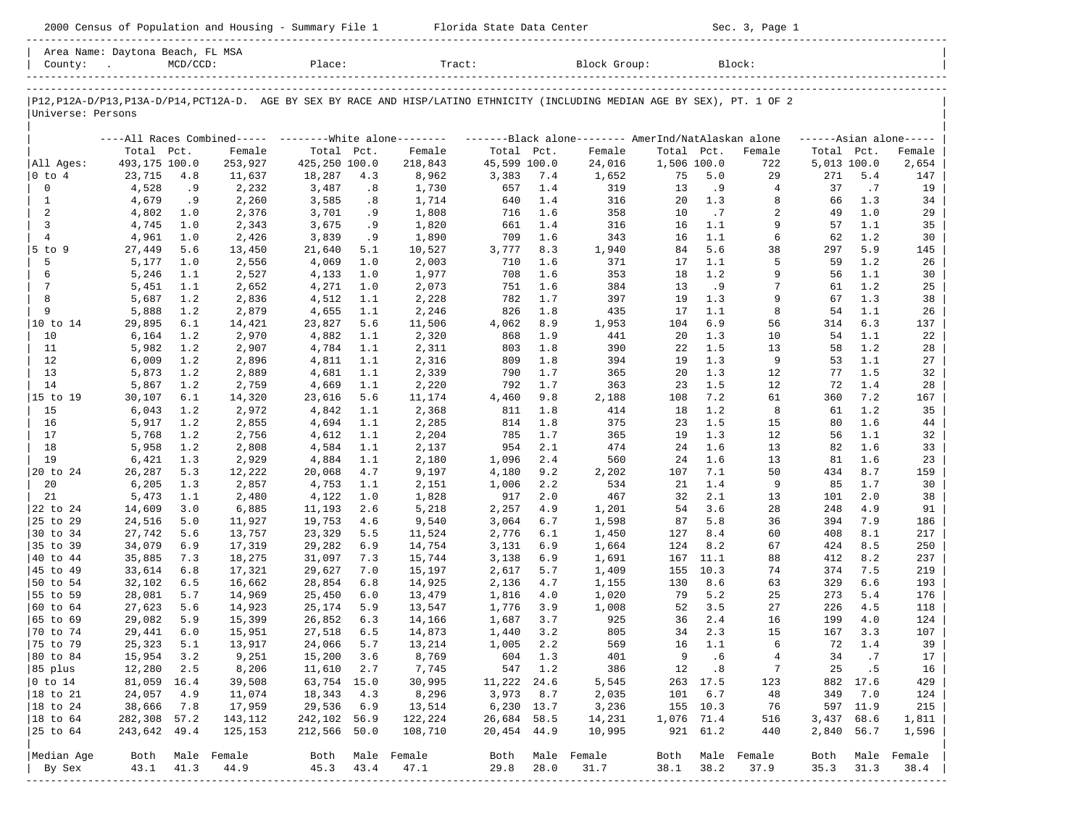| Area<br>Name. | Davtona | Beach, FL MSA                                                                   |        |       |        |  |
|---------------|---------|---------------------------------------------------------------------------------|--------|-------|--------|--|
| County'       |         | the contract of the contract of the contract of the contract of the contract of | Place: | Tract | Block: |  |

-----------------------------------------------------------------------------------------------------------------------------------------------------

|P12,P12A-D/P13,P13A-D/P14,PCT12A-D. AGE BY SEX BY RACE AND HISP/LATINO ETHNICITY (INCLUDING MEDIAN AGE BY SEX), PT. 1 OF 2 | |Universe: Persons |

|                |               |      | ----All Races Combined----- -------- White alone-------- |               |      |         |              |       | -------Black alone-------- AmerInd/NatAlaskan alone |             |      |        |             |      | $---Asian alone---$ |
|----------------|---------------|------|----------------------------------------------------------|---------------|------|---------|--------------|-------|-----------------------------------------------------|-------------|------|--------|-------------|------|---------------------|
|                | Total Pct.    |      | Female                                                   | Total         | Pct. | Female  | Total Pct.   |       | Female                                              | Total       | Pct. | Female | Total Pct.  |      | Female              |
| All Ages:      | 493,175 100.0 |      | 253,927                                                  | 425,250 100.0 |      | 218,843 | 45,599 100.0 |       | 24,016                                              | 1,506 100.0 |      | 722    | 5,013 100.0 |      | 2,654               |
| $0$ to $4$     | 23,715        | 4.8  | 11,637                                                   | 18,287        | 4.3  | 8,962   | 3,383        | 7.4   | 1,652                                               | 75          | 5.0  | 29     | 271         | 5.4  | 147                 |
| $\mathbf 0$    | 4,528         | .9   | 2,232                                                    | 3,487         | .8   | 1,730   | 657          | 1.4   | 319                                                 | 13          | .9   | 4      | 37          | .7   | 19                  |
| 1              | 4,679         | .9   | 2,260                                                    | 3,585         | .8   | 1,714   | 640          | 1.4   | 316                                                 | 20          | 1.3  | 8      | 66          | 1.3  | 34                  |
| $\overline{a}$ | 4,802         | 1.0  | 2,376                                                    | 3,701         | .9   | 1,808   | 716          | 1.6   | 358                                                 | 10          | .7   | 2      | 49          | 1.0  | 29                  |
| $\overline{3}$ | 4,745         | 1.0  | 2,343                                                    | 3,675         | .9   | 1,820   | 661          | 1.4   | 316                                                 | 16          | 1.1  | 9      | 57          | 1.1  | 35                  |
| $\overline{4}$ | 4,961         | 1.0  | 2,426                                                    | 3,839         | . 9  | 1,890   | 709          | 1.6   | 343                                                 | 16          | 1.1  | 6      | 62          | 1.2  | 30                  |
| 5 to 9         | 27,449        | 5.6  | 13,450                                                   | 21,640        | 5.1  | 10,527  | 3,777        | 8.3   | 1,940                                               | 84          | 5.6  | 38     | 297         | 5.9  | 145                 |
| 5              | 5,177         | 1.0  | 2,556                                                    | 4,069         | 1.0  | 2,003   | 710          | 1.6   | 371                                                 | 17          | 1.1  | 5      | 59          | 1.2  | 26                  |
| 6              | 5,246         | 1.1  | 2,527                                                    | 4,133         | 1.0  | 1,977   | 708          | 1.6   | 353                                                 | 18          | 1.2  | 9      | 56          | 1.1  | 30                  |
| 7              | 5,451         | 1.1  | 2,652                                                    | 4,271         | 1.0  | 2,073   | 751          | 1.6   | 384                                                 | 13          | .9   | 7      | 61          | 1.2  | 25                  |
| 8              | 5,687         | 1.2  | 2,836                                                    | 4,512         | 1.1  | 2,228   | 782          | 1.7   | 397                                                 | 19          | 1.3  | 9      | 67          | 1.3  | 38                  |
| 9              | 5,888         | 1.2  | 2,879                                                    | 4,655         | 1.1  | 2,246   | 826          | 1.8   | 435                                                 | 17          | 1.1  | 8      | 54          | 1.1  | 26                  |
| 10 to 14       | 29,895        | 6.1  | 14,421                                                   | 23,827        | 5.6  | 11,506  | 4,062        | 8.9   | 1,953                                               | 104         | 6.9  | 56     | 314         | 6.3  | 137                 |
| 10             | 6,164         | 1.2  | 2,970                                                    | 4,882         | 1.1  | 2,320   | 868          | 1.9   | 441                                                 | 20          | 1.3  | 10     | 54          | 1.1  | 22                  |
| 11             | 5,982         | 1.2  | 2,907                                                    | 4,784         | 1.1  | 2,311   | 803          | 1.8   | 390                                                 | 22          | 1.5  | 13     | 58          | 1.2  | 28                  |
| 12             | 6,009         | 1.2  | 2,896                                                    | 4,811         | 1.1  | 2,316   | 809          | 1.8   | 394                                                 | 19          | 1.3  | 9      | 53          | 1.1  | 27                  |
| 13             | 5,873         | 1.2  | 2,889                                                    | 4,681         | 1.1  | 2,339   | 790          | 1.7   | 365                                                 | 20          | 1.3  | 12     | 77          | 1.5  | 32                  |
| 14             | 5,867         | 1.2  | 2,759                                                    | 4,669         | 1.1  | 2,220   | 792          | 1.7   | 363                                                 | 23          | 1.5  | 12     | 72          | 1.4  | 28                  |
| 15 to 19       | 30,107        | 6.1  | 14,320                                                   | 23,616        | 5.6  | 11,174  | 4,460        | 9.8   | 2,188                                               | 108         | 7.2  | 61     | 360         | 7.2  | 167                 |
| 15             | 6,043         | 1.2  | 2,972                                                    | 4,842         | 1.1  | 2,368   | 811          | 1.8   | 414                                                 | 18          | 1.2  | 8      | 61          | 1.2  | 35                  |
| 16             | 5,917         | 1.2  | 2,855                                                    | 4,694         | 1.1  | 2,285   | 814          | 1.8   | 375                                                 | 23          | 1.5  | 15     | 80          | 1.6  | 44                  |
| 17             | 5,768         | 1.2  | 2,756                                                    | 4,612         | 1.1  | 2,204   | 785          | $1.7$ | 365                                                 | 19          | 1.3  | 12     | 56          | 1.1  | 32                  |
| 18             | 5,958         | 1.2  | 2,808                                                    | 4,584         | 1.1  | 2,137   | 954          | 2.1   | 474                                                 | 24          | 1.6  | 13     | 82          | 1.6  | 33                  |
| 19             | 6,421         | 1.3  | 2,929                                                    | 4,884         | 1.1  | 2,180   | 1,096        | 2.4   | 560                                                 | 24          | 1.6  | 13     | 81          | 1.6  | 23                  |
| 20 to 24       | 26,287        | 5.3  | 12,222                                                   | 20,068        | 4.7  | 9,197   | 4,180        | 9.2   | 2,202                                               | 107         | 7.1  | 50     | 434         | 8.7  | 159                 |
| 20             | 6,205         | 1.3  | 2,857                                                    | 4,753         | 1.1  | 2,151   | 1,006        | 2.2   | 534                                                 | 21          | 1.4  | 9      | 85          | 1.7  | 30                  |
| 21             | 5,473         | 1.1  | 2,480                                                    | 4,122         | 1.0  | 1,828   | 917          | 2.0   | 467                                                 | 32          | 2.1  | 13     | 101         | 2.0  | 38                  |
| 22 to 24       | 14,609        | 3.0  | 6,885                                                    | 11,193        | 2.6  | 5,218   | 2,257        | 4.9   | 1,201                                               | 54          | 3.6  | 28     | 248         | 4.9  | 91                  |
| 25 to 29       | 24,516        | 5.0  | 11,927                                                   | 19,753        | 4.6  | 9,540   | 3,064        | 6.7   | 1,598                                               | 87          | 5.8  | 36     | 394         | 7.9  | 186                 |
| 30 to 34       | 27,742        | 5.6  | 13,757                                                   | 23,329        | 5.5  | 11,524  | 2,776        | 6.1   | 1,450                                               | 127         | 8.4  | 60     | 408         | 8.1  | 217                 |
| 35 to 39       | 34,079        | 6.9  | 17,319                                                   | 29,282        | 6.9  | 14,754  | 3,131        | 6.9   | 1,664                                               | 124         | 8.2  | 67     | 424         | 8.5  | 250                 |
| 40 to 44       | 35,885        | 7.3  | 18,275                                                   | 31,097        | 7.3  | 15,744  | 3,138        | 6.9   | 1,691                                               | 167         | 11.1 | 88     | 412         | 8.2  | 237                 |
| 45 to 49       | 33,614        | 6.8  | 17,321                                                   | 29,627        | 7.0  | 15,197  | 2,617        | 5.7   | 1,409                                               | 155         | 10.3 | 74     | 374         | 7.5  | 219                 |
| 50 to 54       | 32,102        | 6.5  | 16,662                                                   | 28,854        | 6.8  | 14,925  | 2,136        | 4.7   | 1,155                                               | 130         | 8.6  | 63     | 329         | 6.6  | 193                 |
| 55 to 59       | 28,081        | 5.7  | 14,969                                                   | 25,450        | 6.0  | 13,479  | 1,816        | 4.0   | 1,020                                               | 79          | 5.2  | 25     | 273         | 5.4  | 176                 |
| 60 to 64       | 27,623        | 5.6  | 14,923                                                   | 25,174        | 5.9  | 13,547  | 1,776        | 3.9   | 1,008                                               | 52          | 3.5  | 27     | 226         | 4.5  | 118                 |
| 65 to 69       | 29,082        | 5.9  | 15,399                                                   | 26,852        | 6.3  | 14,166  | 1,687        | 3.7   | 925                                                 | 36          | 2.4  | 16     | 199         | 4.0  | 124                 |
| 70 to 74       | 29,441        | 6.0  | 15,951                                                   | 27,518        | 6.5  | 14,873  | 1,440        | 3.2   | 805                                                 | 34          | 2.3  | 15     | 167         | 3.3  | 107                 |
| 75 to 79       | 25,323        | 5.1  | 13,917                                                   | 24,066        | 5.7  | 13,214  | 1,005        | 2.2   | 569                                                 | 16          | 1.1  | 6      | 72          | 1.4  | 39                  |
| 80 to 84       | 15,954        | 3.2  | 9,251                                                    | 15,200        | 3.6  | 8,769   | 604          | 1.3   | 401                                                 | 9           | . 6  | 4      | 34          | .7   | 17                  |
| 85 plus        | 12,280        | 2.5  | 8,206                                                    | 11,610        | 2.7  | 7,745   | 547          | 1.2   | 386                                                 | 12          | .8   | 7      | 25          | . 5  | 16                  |
| $0$ to $14$    | 81,059        | 16.4 | 39,508                                                   | 63,754        | 15.0 | 30,995  | 11,222       | 24.6  | 5,545                                               | 263         | 17.5 | 123    | 882         | 17.6 | 429                 |
| 18 to 21       | 24,057        | 4.9  | 11,074                                                   | 18,343        | 4.3  | 8,296   | 3,973        | 8.7   | 2,035                                               | 101         | 6.7  | 48     | 349         | 7.0  | 124                 |
| 18 to 24       | 38,666        | 7.8  | 17,959                                                   | 29,536        | 6.9  | 13,514  | 6,230        | 13.7  | 3,236                                               | 155         | 10.3 | 76     | 597         | 11.9 | 215                 |
| $ 18$ to $64$  | 282,308       | 57.2 | 143,112                                                  | 242,102       | 56.9 | 122,224 | 26,684       | 58.5  | 14,231                                              | 1,076       | 71.4 | 516    | 3,437       | 68.6 | 1,811               |
| 25 to 64       | 243,642       | 49.4 | 125,153                                                  | 212,566       | 50.0 | 108,710 | 20,454       | 44.9  | 10,995                                              | 921         | 61.2 | 440    | 2,840       | 56.7 | 1,596               |
| Median Age     | Both          | Male | Female                                                   | Both          | Male | Female  | Both         | Male  | Female                                              | Both        | Male | Female | Both        | Male | Female              |
| By Sex         | 43.1          | 41.3 | 44.9                                                     | 45.3          | 43.4 | 47.1    | 29.8         | 28.0  | 31.7                                                | 38.1        | 38.2 | 37.9   | 35.3        | 31.3 | 38.4                |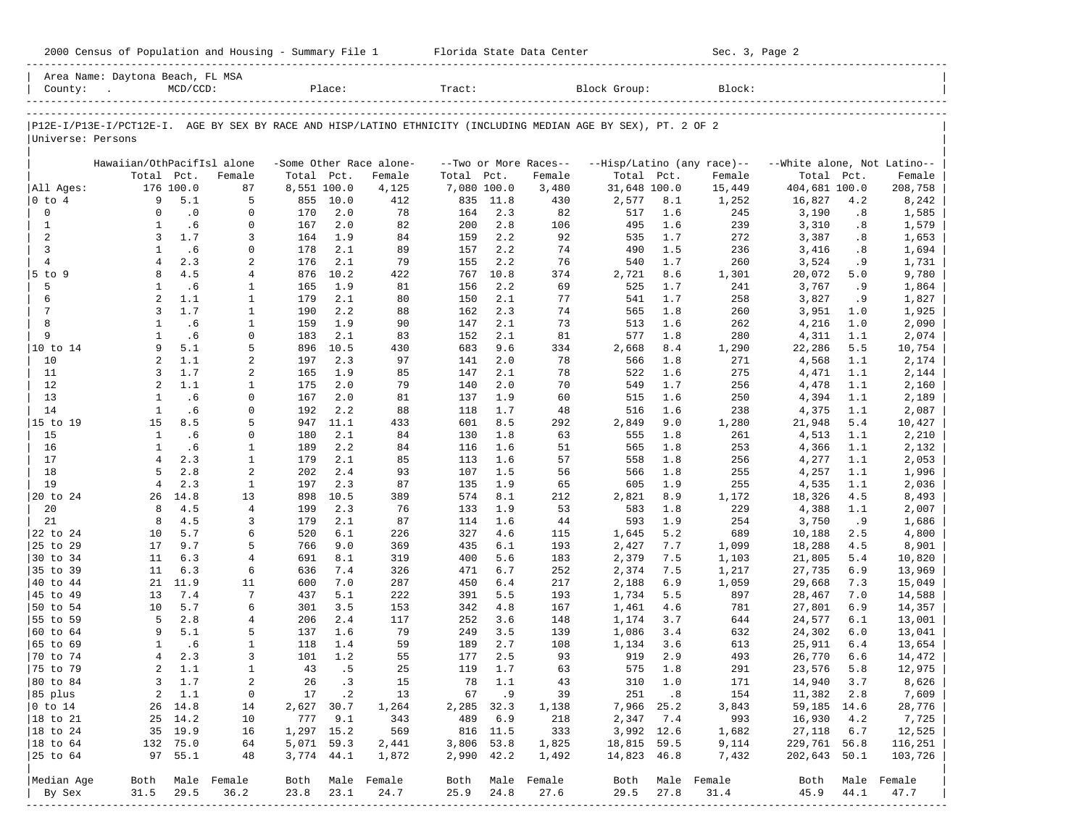|  |  |  | 2000 Census of Population and Housing - Summary File 1 |  |  |  |  |  |  |
|--|--|--|--------------------------------------------------------|--|--|--|--|--|--|
|--|--|--|--------------------------------------------------------|--|--|--|--|--|--|

2000 2000 2000 Florida State Data Center - Sec. 3, Page 2

|                         | Area Name: Daytona Beach, FL MSA                                                                               |                  |                   |                    |             |                         |                    |            |                       |                       |            |                            |                             |            |                  |
|-------------------------|----------------------------------------------------------------------------------------------------------------|------------------|-------------------|--------------------|-------------|-------------------------|--------------------|------------|-----------------------|-----------------------|------------|----------------------------|-----------------------------|------------|------------------|
| County:                 |                                                                                                                | $MCD/CCD$ :      |                   |                    | Place:      |                         | Tract:             |            |                       | Block Group:          |            | Block:                     |                             |            |                  |
|                         |                                                                                                                |                  |                   |                    |             |                         |                    |            |                       |                       |            |                            |                             |            |                  |
|                         |                                                                                                                |                  |                   |                    |             |                         |                    |            |                       |                       |            |                            |                             |            |                  |
|                         | P12E-I/P13E-I/PCT12E-I. AGE BY SEX BY RACE AND HISP/LATINO ETHNICITY (INCLUDING MEDIAN AGE BY SEX), PT. 2 OF 2 |                  |                   |                    |             |                         |                    |            |                       |                       |            |                            |                             |            |                  |
| Universe: Persons       |                                                                                                                |                  |                   |                    |             |                         |                    |            |                       |                       |            |                            |                             |            |                  |
|                         |                                                                                                                |                  |                   |                    |             |                         |                    |            |                       |                       |            |                            |                             |            |                  |
|                         | Hawaiian/OthPacifIsl alone                                                                                     |                  |                   |                    |             | -Some Other Race alone- |                    |            | --Two or More Races-- |                       |            | --Hisp/Latino (any race)-- | --White alone, Not Latino-- |            |                  |
|                         | Total                                                                                                          | Pct.             | Female            | Total              | Pct.        | Female                  | Total              | Pct.       | Female                | Total                 | Pct.       | Female                     | Total                       | Pct.       | Female           |
| All Ages:<br>$0$ to $4$ | 9                                                                                                              | 176 100.0<br>5.1 | 87<br>5           | 8,551 100.0<br>855 | 10.0        | 4,125<br>412            | 7,080 100.0<br>835 | 11.8       | 3,480<br>430          | 31,648 100.0<br>2,577 | 8.1        | 15,449<br>1,252            | 404,681 100.0<br>16,827     | 4.2        | 208,758<br>8,242 |
| $\mathbf 0$             | $\mathbf 0$                                                                                                    | $\cdot$ 0        | 0                 | 170                | 2.0         | 78                      | 164                | 2.3        | 82                    | 517                   | 1.6        | 245                        | 3,190                       | .8         | 1,585            |
| $\mathbf{1}$            | $\mathbf{1}$                                                                                                   | .6               | $\mathbf{0}$      | 167                | 2.0         | 82                      | 200                | 2.8        | 106                   | 495                   | 1.6        | 239                        | 3,310                       | .8         | 1,579            |
| 2                       | 3                                                                                                              | 1.7              | 3                 | 164                | 1.9         | 84                      | 159                | 2.2        | 92                    | 535                   | 1.7        | 272                        | 3,387                       | .8         | 1,653            |
| $\mathbf{3}$            | $\mathbf{1}$                                                                                                   | .6               | $\mathbf 0$       | 178                | 2.1         | 89                      | 157                | 2.2        | 74                    | 490                   | 1.5        | 236                        | 3,416                       | .8         | 1,694            |
| $\overline{4}$          | $\overline{4}$                                                                                                 | 2.3              | 2                 | 176                | 2.1         | 79                      | 155                | 2.2        | 76                    | 540                   | 1.7        | 260                        | 3,524                       | . 9        | 1,731            |
| $5$ to $9$              | 8                                                                                                              | 4.5              | 4                 | 876                | 10.2        | 422                     | 767                | 10.8       | 374                   | 2,721                 | 8.6        | 1,301                      | 20,072                      | 5.0        | 9,780            |
| 5                       | 1                                                                                                              | .6               | 1                 | 165                | 1.9         | 81                      | 156                | 2.2        | 69                    | 525                   | 1.7        | 241                        | 3,767                       | .9         | 1,864            |
| 6                       | 2                                                                                                              | 1.1              | $\mathbf{1}$      | 179                | 2.1         | 80                      | 150                | 2.1        | 77                    | 541                   | 1.7        | 258                        | 3,827                       | .9         | 1,827            |
| 7                       | 3                                                                                                              | 1.7              | $\mathbf{1}$      | 190                | 2.2         | 88                      | 162                | 2.3        | 74                    | 565                   | 1.8        | 260                        | 3,951                       | 1.0        | 1,925            |
| 8                       | $\mathbf{1}$                                                                                                   | .6               | $\mathbf{1}$      | 159                | 1.9         | 90                      | 147                | 2.1        | 73                    | 513                   | 1.6        | 262                        | 4,216                       | 1.0        | 2,090            |
| 9                       | 1                                                                                                              | .6               | $\mathbf 0$       | 183                | 2.1         | 83                      | 152                | 2.1        | 81                    | 577                   | 1.8        | 280                        | 4,311                       | 1.1        | 2,074            |
| 10 to 14                | 9                                                                                                              | 5.1              | 5                 | 896                | 10.5        | 430                     | 683                | 9.6        | 334                   | 2,668                 | 8.4        | 1,290                      | 22,286                      | 5.5        | 10,754           |
| 10                      | 2                                                                                                              | 1.1              | 2                 | 197                | 2.3         | 97                      | 141                | 2.0        | 78                    | 566                   | 1.8        | 271                        | 4,568                       | 1.1        | 2,174            |
| 11                      | 3                                                                                                              | 1.7              | 2                 | 165                | 1.9         | 85                      | 147                | 2.1        | 78                    | 522                   | 1.6        | 275                        | 4,471                       | 1.1        | 2,144            |
| 12                      | 2                                                                                                              | 1.1              | 1                 | 175                | 2.0         | 79                      | 140                | 2.0        | 70                    | 549                   | 1.7        | 256                        | 4,478                       | 1.1        | 2,160            |
| 13                      | $\mathbf{1}$                                                                                                   | .6               | $\mathbf 0$       | 167                | 2.0         | 81                      | 137                | 1.9        | 60                    | 515                   | 1.6        | 250                        | 4,394                       | 1.1        | 2,189            |
| 14                      | 1                                                                                                              | .6               | $\mathbf 0$       | 192                | 2.2         | 88                      | 118                | 1.7        | 48                    | 516                   | 1.6        | 238                        | 4,375                       | 1.1        | 2,087            |
| 15 to 19<br>15          | 15<br>$\mathbf{1}$                                                                                             | 8.5<br>.6        | 5                 | 947<br>180         | 11.1<br>2.1 | 433                     | 601<br>130         | 8.5<br>1.8 | 292<br>63             | 2,849                 | 9.0        | 1,280<br>261               | 21,948                      | 5.4        | 10,427           |
| 16                      | $\mathbf{1}$                                                                                                   | . 6              | 0<br>$\mathbf{1}$ | 189                | 2.2         | 84<br>84                | 116                | 1.6        | 51                    | 555<br>565            | 1.8<br>1.8 | 253                        | 4,513<br>4,366              | 1.1<br>1.1 | 2,210<br>2,132   |
| 17                      | $\overline{4}$                                                                                                 | 2.3              | $\mathbf{1}$      | 179                | 2.1         | 85                      | 113                | 1.6        | 57                    | 558                   | 1.8        | 256                        | 4,277                       | 1.1        | 2,053            |
| 18                      | 5                                                                                                              | 2.8              | 2                 | 202                | 2.4         | 93                      | 107                | 1.5        | 56                    | 566                   | 1.8        | 255                        | 4,257                       | 1.1        | 1,996            |
| 19                      | $\overline{4}$                                                                                                 | 2.3              | $\mathbf{1}$      | 197                | 2.3         | 87                      | 135                | 1.9        | 65                    | 605                   | 1.9        | 255                        | 4,535                       | 1.1        | 2,036            |
| 20 to 24                | 26                                                                                                             | 14.8             | 13                | 898                | 10.5        | 389                     | 574                | 8.1        | 212                   | 2,821                 | 8.9        | 1,172                      | 18,326                      | 4.5        | 8,493            |
| 20                      | 8                                                                                                              | 4.5              | $\overline{4}$    | 199                | 2.3         | 76                      | 133                | 1.9        | 53                    | 583                   | 1.8        | 229                        | 4,388                       | 1.1        | 2,007            |
| 21                      | 8                                                                                                              | 4.5              | 3                 | 179                | 2.1         | 87                      | 114                | 1.6        | 44                    | 593                   | 1.9        | 254                        | 3,750                       | .9         | 1,686            |
| 22 to 24                | 10                                                                                                             | 5.7              | 6                 | 520                | 6.1         | 226                     | 327                | 4.6        | 115                   | 1,645                 | 5.2        | 689                        | 10,188                      | 2.5        | 4,800            |
| 25 to 29                | 17                                                                                                             | 9.7              | 5                 | 766                | 9.0         | 369                     | 435                | 6.1        | 193                   | 2,427                 | 7.7        | 1,099                      | 18,288                      | 4.5        | 8,901            |
| 30 to 34                | 11                                                                                                             | 6.3              | 4                 | 691                | 8.1         | 319                     | 400                | 5.6        | 183                   | 2,379                 | 7.5        | 1,103                      | 21,805                      | 5.4        | 10,820           |
| 35 to 39                | 11                                                                                                             | 6.3              | 6                 | 636                | 7.4         | 326                     | 471                | 6.7        | 252                   | 2,374                 | 7.5        | 1,217                      | 27,735                      | 6.9        | 13,969           |
| 40 to 44                | 21                                                                                                             | 11.9             | 11                | 600                | 7.0         | 287                     | 450                | 6.4        | 217                   | 2,188                 | 6.9        | 1,059                      | 29,668                      | 7.3        | 15,049           |
| 45 to 49                | 13                                                                                                             | 7.4              | 7                 | 437                | 5.1         | 222                     | 391                | 5.5        | 193                   | 1,734                 | 5.5        | 897                        | 28,467                      | 7.0        | 14,588           |
| 50 to 54<br>55 to 59    | 10<br>5                                                                                                        | 5.7<br>2.8       | 6<br>4            | 301<br>206         | 3.5<br>2.4  | 153                     | 342<br>252         | 4.8<br>3.6 | 167                   | 1,461                 | 4.6<br>3.7 | 781                        | 27,801                      | 6.9<br>6.1 | 14,357           |
| 60 to 64                | 9                                                                                                              | 5.1              | 5                 | 137                | 1.6         | 117<br>79               | 249                | 3.5        | 148<br>139            | 1,174<br>1,086        | 3.4        | 644<br>632                 | 24,577<br>24,302            | 6.0        | 13,001<br>13,041 |
| 65 to 69                | 1                                                                                                              | .6               | $\mathbf{1}$      | 118                | 1.4         | 59                      | 189                | 2.7        | 108                   | 1,134                 | 3.6        | 613                        | 25,911                      | 6.4        | 13,654           |
| 70 to 74                | $\overline{4}$                                                                                                 | 2.3              | 3                 | 101                | 1.2         | 55                      | 177                | 2.5        | 93                    | 919                   | 2.9        | 493                        | 26,770                      | 6.6        | 14,472           |
| 75 to 79                | 2                                                                                                              | 1.1              | $\mathbf{1}$      | 43                 | .5          | 25                      | 119                | 1.7        | 63                    | 575                   | 1.8        | 291                        | 23,576                      | 5.8        | 12,975           |
| 80 to 84                | 3                                                                                                              | 1.7              | 2                 | 26                 | $\cdot$ 3   | 15                      | 78                 | 1.1        | 43                    | 310                   | 1.0        | 171                        | 14,940                      | 3.7        | 8,626            |
| 85 plus                 | $\overline{a}$                                                                                                 | 1.1              | $\mathbf 0$       |                    | 17 .2       | 13                      |                    | 67.9       | 39                    |                       | 251 .8     | 154                        | 11,382 2.8                  |            | 7,609            |
| $0$ to $14$             |                                                                                                                | 26 14.8          | 14                | 2,627 30.7         |             | 1,264                   | 2,285 32.3         |            | 1,138                 | 7,966 25.2            |            | 3,843                      | 59,185 14.6                 |            | 28,776           |
| 18 to 21                |                                                                                                                | 25 14.2          | 10                |                    | 777 9.1     | 343                     | 489                | 6.9        | 218                   | 2,347                 | 7.4        | 993                        | 16,930                      | 4.2        | 7,725            |
| 18 to 24                |                                                                                                                | 35 19.9          | 16                | 1,297 15.2         |             | 569                     |                    | 816 11.5   | 333                   | 3,992 12.6            |            | 1,682                      | 27,118                      | 6.7        | 12,525           |
| 18 to 64                |                                                                                                                | 132 75.0         | 64                | 5,071 59.3         |             | 2,441                   | 3,806 53.8         |            | 1,825                 | 18,815 59.5           |            | 9,114                      | 229,761 56.8                |            | 116,251          |
| 25 to 64                |                                                                                                                | 97 55.1          | 48                | 3,774 44.1         |             | 1,872                   | 2,990 42.2         |            | 1,492                 | 14,823 46.8           |            | 7,432                      | 202,643 50.1                |            | 103,726          |
|                         |                                                                                                                |                  |                   |                    |             |                         |                    |            |                       |                       |            |                            |                             |            |                  |
| Median Age              | Both                                                                                                           |                  | Male Female       | Both               |             | Male Female             | Both               |            | Male Female           | Both                  |            | Male Female                | Both                        |            | Male Female      |
| By Sex                  | 31.5                                                                                                           | 29.5             | 36.2              | 23.8               | 23.1        | 24.7                    | 25.9               | 24.8       | 27.6                  | 29.5                  | 27.8       | 31.4                       | 45.9                        | 44.1       | 47.7             |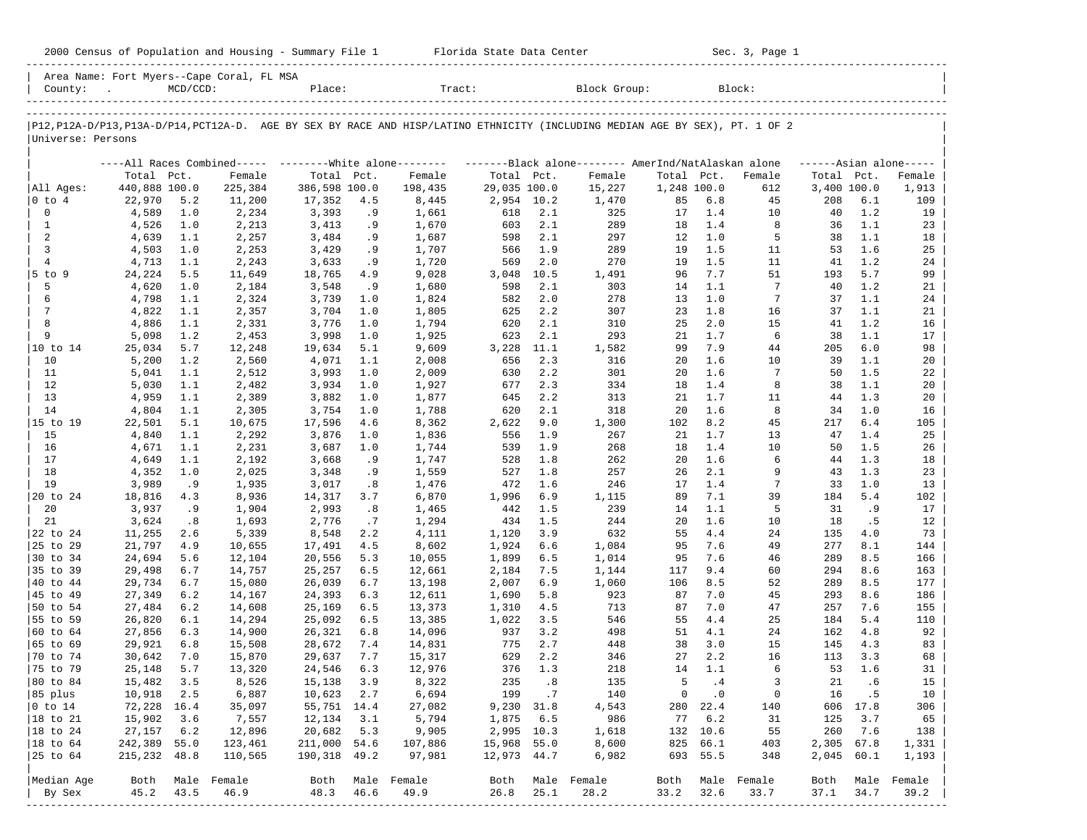|                      |                      |             |                                           |                  |            | 2000 Census of Population and Housing - Summary File 1 Florida State Data Center |              |            |                                                                                                                               |              |            | Sec. 3, Page 1      |              |            |                     |
|----------------------|----------------------|-------------|-------------------------------------------|------------------|------------|----------------------------------------------------------------------------------|--------------|------------|-------------------------------------------------------------------------------------------------------------------------------|--------------|------------|---------------------|--------------|------------|---------------------|
| County: .            |                      | $MCD/CCD$ : | Area Name: Fort Myers--Cape Coral, FL MSA | Place:           |            | Tract:                                                                           |              |            | Block Group:                                                                                                                  |              |            | Block:              |              |            |                     |
| Universe: Persons    |                      |             |                                           |                  |            |                                                                                  |              |            | P12, P12A-D/P13, P13A-D/P14, PCT12A-D. AGE BY SEX BY RACE AND HISP/LATINO ETHNICITY (INCLUDING MEDIAN AGE BY SEX), PT. 1 OF 2 |              |            |                     |              |            |                     |
|                      |                      |             |                                           |                  |            |                                                                                  |              |            | ----All Races Combined----- --------White alone-------- ---------Black alone-------- AmerInd/NatAlaskan alone                 |              |            |                     |              |            | $---Asian alone---$ |
|                      | Total Pct.           |             | Female                                    | Total Pct.       |            | Female                                                                           | Total Pct.   |            | Female                                                                                                                        | Total Pct.   |            | Female              | Total Pct.   |            | Female              |
| All Ages:            | 440,888 100.0        |             | 225,384                                   | 386,598 100.0    |            | 198,435                                                                          | 29,035 100.0 |            | 15,227                                                                                                                        | 1,248 100.0  |            | 612                 | 3,400 100.0  |            | 1,913               |
| $ 0 \t{to} 4$        | 22,970               | 5.2         | 11,200                                    | 17,352           | 4.5        | 8,445                                                                            | 2,954 10.2   |            | 1,470                                                                                                                         | 85           | 6.8        | 45                  | 208          | 6.1        | 109                 |
| $\mathbf 0$          | 4,589                | 1.0         | 2,234                                     | 3,393            | .9         | 1,661                                                                            | 618          | 2.1        | 325                                                                                                                           | 17           | 1.4        | 10                  | 40           | 1.2        | 19                  |
| $\mathbf{1}$         | 4,526                | 1.0         | 2,213                                     | 3,413            | .9         | 1,670                                                                            | 603          | 2.1        | 289                                                                                                                           | 18           | 1.4        | 8                   | 36           | 1.1        | 23                  |
| 2<br>3               | 4,639<br>4,503       | 1.1<br>1.0  | 2,257<br>2,253                            | 3,484<br>3,429   | .9<br>.9   | 1,687<br>1,707                                                                   | 598<br>566   | 2.1<br>1.9 | 297<br>289                                                                                                                    | 12<br>19     | 1.0<br>1.5 | 5<br>11             | 38<br>53     | 1.1<br>1.6 | 18<br>25            |
| 4                    | 4,713                | 1.1         | 2,243                                     | 3,633            | .9         | 1,720                                                                            | 569          | 2.0        | 270                                                                                                                           | 19           | 1.5        | 11                  | 41           | 1.2        | 24                  |
| 5 to 9               | 24,224               | 5.5         | 11,649                                    | 18,765           | 4.9        | 9,028                                                                            | 3,048        | 10.5       | 1,491                                                                                                                         | 96           | 7.7        | 51                  | 193          | 5.7        | 99                  |
| 5                    | 4,620                | 1.0         | 2,184                                     | 3,548            | .9         | 1,680                                                                            | 598          | 2.1        | 303                                                                                                                           | 14           | 1.1        | 7                   | 40           | 1.2        | 21                  |
| 6                    | 4,798                | 1.1         | 2,324                                     | 3,739            | 1.0        | 1,824                                                                            | 582          | 2.0        | 278                                                                                                                           | 13           | 1.0        | 7                   | 37           | 1.1        | 24                  |
| 7                    | 4,822                | 1.1         | 2,357                                     | 3,704            | 1.0        | 1,805                                                                            | 625          | 2.2        | 307                                                                                                                           | 23           | 1.8        | 16                  | 37           | 1.1        | 21                  |
| 8                    | 4,886                | 1.1         | 2,331                                     | 3,776            | 1.0        | 1,794                                                                            | 620          | 2.1        | 310                                                                                                                           | 25           | 2.0        | 15                  | 41           | 1.2        | 16                  |
| 9                    | 5,098                | 1.2         | 2,453                                     | 3,998            | 1.0        | 1,925                                                                            | 623          | 2.1        | 293                                                                                                                           | 21           | 1.7        | 6                   | 38           | 1.1        | 17                  |
| 10 to 14             | 25,034               | 5.7         | 12,248                                    | 19,634           | 5.1        | 9,609                                                                            | 3,228        | 11.1       | 1,582                                                                                                                         | 99           | 7.9        | 44                  | 205          | 6.0        | 98                  |
| 10                   | 5,200                | 1.2         | 2,560                                     | 4,071            | 1.1        | 2,008                                                                            | 656          | 2.3        | 316                                                                                                                           | 20           | 1.6        | 10                  | 39           | 1.1        | 20                  |
| 11                   | 5,041                | 1.1         | 2,512                                     | 3,993            | 1.0        | 2,009                                                                            | 630          | 2.2        | 301                                                                                                                           | 20           | 1.6        | 7                   | 50           | 1.5        | 22                  |
| 12                   | 5,030                | 1.1         | 2,482                                     | 3,934            | 1.0        | 1,927                                                                            | 677          | 2.3        | 334                                                                                                                           | 18           | 1.4        | 8                   | 38           | 1.1        | 20                  |
| 13                   | 4,959                | 1.1         | 2,389                                     | 3,882            | 1.0        | 1,877                                                                            | 645          | 2.2        | 313                                                                                                                           | 21           | 1.7        | 11                  | 44           | 1.3        | 20                  |
| 14                   | 4,804                | 1.1         | 2,305                                     | 3,754            | 1.0        | 1,788                                                                            | 620          | 2.1        | 318                                                                                                                           | 20           | 1.6        | 8                   | 34           | 1.0        | 16                  |
| 15 to 19             | 22,501               | 5.1         | 10,675                                    | 17,596           | 4.6        | 8,362                                                                            | 2,622        | 9.0        | 1,300                                                                                                                         | 102          | 8.2        | 45                  | 217          | 6.4        | 105                 |
| 15<br>16             | 4,840                | 1.1         | 2,292                                     | 3,876            | 1.0        | 1,836                                                                            | 556          | 1.9<br>1.9 | 267<br>268                                                                                                                    | 21<br>18     | 1.7<br>1.4 | 13<br>10            | 47<br>50     | 1.4<br>1.5 | 25<br>26            |
| 17                   | 4,671<br>4,649       | 1.1<br>1.1  | 2,231<br>2,192                            | 3,687<br>3,668   | 1.0<br>.9  | 1,744<br>1,747                                                                   | 539<br>528   | 1.8        | 262                                                                                                                           | 20           | 1.6        | 6                   | 44           | 1.3        | 18                  |
| 18                   | 4,352                | 1.0         | 2,025                                     | 3,348            | .9         | 1,559                                                                            | 527          | 1.8        | 257                                                                                                                           | 26           | 2.1        | 9                   | 43           | 1.3        | 23                  |
| 19                   | 3,989                | .9          | 1,935                                     | 3,017            | .8         | 1,476                                                                            | 472          | 1.6        | 246                                                                                                                           | 17           | 1.4        | 7                   | 33           | 1.0        | 13                  |
| 20 to 24             | 18,816               | 4.3         | 8,936                                     | 14,317           | 3.7        | 6,870                                                                            | 1,996        | 6.9        | 1,115                                                                                                                         | 89           | 7.1        | 39                  | 184          | 5.4        | 102                 |
| 20                   | 3,937                | .9          | 1,904                                     | 2,993            | .8         | 1,465                                                                            | 442          | 1.5        | 239                                                                                                                           | 14           | 1.1        | 5                   | 31           | .9         | 17                  |
| 21                   | 3,624                | .8          | 1,693                                     | 2,776            | .7         | 1,294                                                                            | 434          | 1.5        | 244                                                                                                                           | 20           | 1.6        | 10                  | 18           | .5         | 12                  |
| 22 to 24             | 11,255               | 2.6         | 5,339                                     | 8,548            | 2.2        | 4,111                                                                            | 1,120        | 3.9        | 632                                                                                                                           | 55           | 4.4        | 24                  | 135          | 4.0        | 73                  |
| 25 to 29             | 21,797               | 4.9         | 10,655                                    | 17,491           | 4.5        | 8,602                                                                            | 1,924        | 6.6        | 1,084                                                                                                                         | 95           | 7.6        | 49                  | 277          | 8.1        | 144                 |
| 30 to 34             | 24,694               | 5.6         | 12,104                                    | 20,556           | 5.3        | 10,055                                                                           | 1,899        | 6.5        | 1,014                                                                                                                         | 95           | 7.6        | 46                  | 289          | 8.5        | 166                 |
| 35 to 39             | 29,498               | 6.7         | 14,757                                    | 25,257           | 6.5        | 12,661                                                                           | 2,184        | 7.5        | 1,144                                                                                                                         | 117          | 9.4        | 60                  | 294          | 8.6        | 163                 |
| 40 to 44             | 29,734               | 6.7         | 15,080                                    | 26,039           | 6.7        | 13,198                                                                           | 2,007        | 6.9        | 1,060                                                                                                                         | 106          | 8.5        | 52                  | 289          | 8.5        | 177                 |
| 45 to 49             | 27,349               | 6.2         | 14,167                                    | 24,393           | 6.3        | 12,611                                                                           | 1,690        | 5.8        | 923                                                                                                                           | 87           | 7.0        | 45                  | 293          | 8.6        | 186                 |
| 50 to 54             | 27,484               | 6.2         | 14,608                                    | 25,169           | 6.5        | 13,373                                                                           | 1,310        | 4.5        | 713                                                                                                                           | 87           | 7.0        | 47                  | 257          | 7.6        | 155                 |
| 55 to 59             | 26,820               | 6.1         | 14,294                                    | 25,092           | 6.5        | 13,385                                                                           | 1,022        | 3.5        | 546                                                                                                                           | 55           | 4.4        | 25                  | 184          | 5.4        | 110                 |
| 60 to 64<br>65 to 69 | 27,856               | 6.3         | 14,900                                    | 26,321           | 6.8        | 14,096                                                                           | 937          | 3.2        | 498                                                                                                                           | 51           | 4.1        | 24                  | 162          | 4.8        | 92                  |
|                      | 29,921<br>30,642 7.0 | 6.8         | 15,508                                    | 28,672           | 7.4<br>7.7 | 14,831                                                                           | 775<br>629   | 2.7<br>2.2 | 448<br>346                                                                                                                    | 38           | 3.0<br>2.2 | 15                  | 145          | 4.3        | 83                  |
| 70 to 74<br>75 to 79 | 25,148               | 5.7         | 15,870<br>13,320                          | 29,637<br>24,546 | 6.3        | 15,317<br>12,976                                                                 | 376          | 1.3        | 218                                                                                                                           | 27<br>14     | 1.1        | 16<br>6             | 113<br>53    | 3.3<br>1.6 | 68<br>31            |
| 80 to 84             | 15,482               | 3.5         | 8,526                                     | 15,138           | 3.9        | 8,322                                                                            | 235          | .8         | 135                                                                                                                           | 5            | .4         | 3                   | 21           | .6         | 15                  |
| 85 plus              | 10,918               | 2.5         | 6,887                                     | 10,623           | 2.7        | 6,694                                                                            | 199          | .7         | 140                                                                                                                           | 0            | $\cdot$ 0  | $\mathbb O$         | 16           | .5         | 10                  |
| $0$ to $14$          | 72,228               | 16.4        | 35,097                                    | 55,751 14.4      |            | 27,082                                                                           | 9,230        | 31.8       | 4,543                                                                                                                         | 280          | 22.4       | 140                 | 606          | 17.8       | 306                 |
| 18 to 21             | 15,902               | 3.6         | 7,557                                     | 12,134           | 3.1        | 5,794                                                                            | 1,875        | 6.5        | 986                                                                                                                           | 77           | 6.2        | 31                  | 125          | 3.7        | 65                  |
| 18 to 24             | 27,157               | 6.2         | 12,896                                    | 20,682           | 5.3        | 9,905                                                                            | 2,995 10.3   |            | 1,618                                                                                                                         | 132          | 10.6       | 55                  | 260          | 7.6        | 138                 |
| 18 to 64             | 242,389              | 55.0        | 123,461                                   | 211,000          | 54.6       | 107,886                                                                          | 15,968       | 55.0       | 8,600                                                                                                                         | 825          | 66.1       | 403                 | 2,305        | 67.8       | 1,331               |
| 25 to 64             | 215,232 48.8         |             | 110,565                                   | 190,318          | 49.2       | 97,981                                                                           | 12,973 44.7  |            | 6,982                                                                                                                         | 693          | 55.5       | 348                 | 2,045 60.1   |            | 1,193               |
|                      |                      |             | Male Female                               |                  |            |                                                                                  |              |            |                                                                                                                               |              |            |                     |              |            | Male Female         |
| Median Age<br>By Sex | Both<br>45.2         | 43.5        | 46.9                                      | Both<br>48.3     | 46.6       | Male Female<br>49.9                                                              | Both<br>26.8 | 25.1       | Male Female<br>28.2                                                                                                           | Both<br>33.2 | 32.6       | Male Female<br>33.7 | Both<br>37.1 | 34.7       | 39.2                |
| ------------         |                      |             |                                           |                  | --------   |                                                                                  |              |            |                                                                                                                               |              |            |                     |              | --------   | --------            |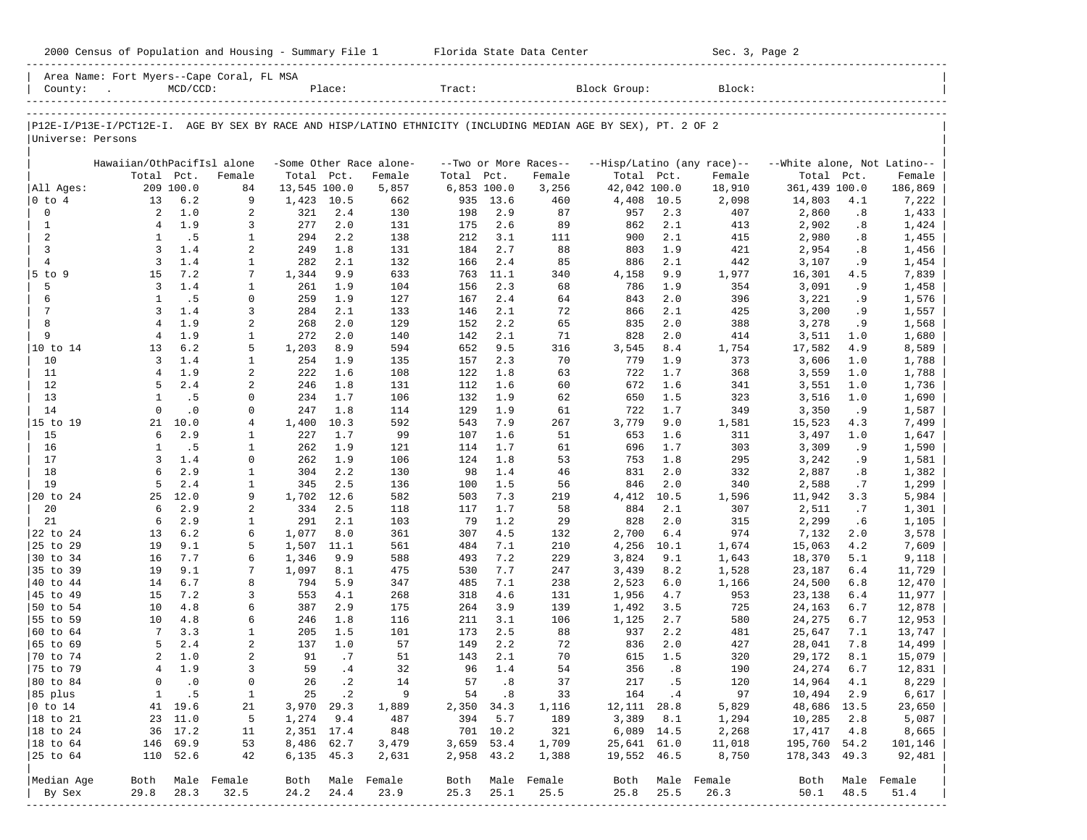|                           | 2000 Census of Population and Housing - Summary File 1 Florida State Data Center                               |               |                   |                   |             |                         |             |             |                       |                   |             | Sec. 3, Page 2             |                             |            |                  |
|---------------------------|----------------------------------------------------------------------------------------------------------------|---------------|-------------------|-------------------|-------------|-------------------------|-------------|-------------|-----------------------|-------------------|-------------|----------------------------|-----------------------------|------------|------------------|
|                           | Area Name: Fort Myers--Cape Coral, FL MSA<br>County: .                                                         | $MCD/CCD$ :   |                   |                   | Place:      |                         | Tract:      |             |                       | Block Group:      |             | Block:                     |                             |            |                  |
|                           |                                                                                                                |               |                   |                   |             |                         |             |             |                       |                   |             |                            |                             |            |                  |
| Universe: Persons         | P12E-I/P13E-I/PCT12E-I. AGE BY SEX BY RACE AND HISP/LATINO ETHNICITY (INCLUDING MEDIAN AGE BY SEX), PT. 2 OF 2 |               |                   |                   |             |                         |             |             |                       |                   |             |                            |                             |            |                  |
|                           | Hawaiian/OthPacifIsl alone                                                                                     |               |                   |                   |             | -Some Other Race alone- |             |             | --Two or More Races-- |                   |             | --Hisp/Latino (any race)-- | --White alone, Not Latino-- |            |                  |
|                           |                                                                                                                | Total Pct.    | Female            | Total Pct.        |             | Female                  | Total Pct.  |             | Female                | Total Pct.        |             | Female                     | Total Pct.                  |            | Female           |
| All Ages:                 |                                                                                                                | 209 100.0     | 84                | 13,545 100.0      |             | 5,857                   | 6,853 100.0 |             | 3,256                 | 42,042 100.0      |             | 18,910                     | 361,439 100.0               |            | 186,869          |
| $0$ to $4$<br>$\mathbf 0$ | 13<br>2                                                                                                        | 6.2<br>1.0    | 9<br>2            | 1,423 10.5<br>321 | 2.4         | 662<br>130              | 935<br>198  | 13.6<br>2.9 | 460<br>87             | 4,408 10.5<br>957 | 2.3         | 2,098<br>407               | 14,803<br>2,860             | 4.1<br>.8  | 7,222<br>1,433   |
| 1                         | 4                                                                                                              | 1.9           | 3                 | 277               | 2.0         | 131                     | 175         | 2.6         | 89                    | 862               | 2.1         | 413                        | 2,902                       | .8         | 1,424            |
| 2                         | $\mathbf{1}$                                                                                                   | . 5           | $\mathbf{1}$      | 294               | 2.2         | 138                     | 212         | 3.1         | 111                   | 900               | 2.1         | 415                        | 2,980                       | .8         | 1,455            |
| $\mathbf{3}$              | 3                                                                                                              | 1.4           | 2                 | 249               | 1.8         | 131                     | 184         | 2.7         | 88                    | 803               | 1.9         | 421                        | 2,954                       | .8         | 1,456            |
| $\overline{4}$            | 3                                                                                                              | 1.4           | $\mathbf{1}$      | 282               | 2.1         | 132                     | 166         | 2.4         | 85                    | 886               | 2.1         | 442                        | 3,107                       | . 9        | 1,454            |
| $5$ to $9$                | 15                                                                                                             | 7.2           | 7                 | 1,344             | 9.9         | 633                     | 763         | 11.1        | 340                   | 4,158             | 9.9         | 1,977                      | 16,301                      | 4.5        | 7,839            |
| 5                         | 3                                                                                                              | 1.4           | $\mathbf{1}$      | 261               | 1.9         | 104                     | 156         | 2.3         | 68                    | 786               | 1.9         | 354                        | 3,091                       | . 9        | 1,458            |
| 6                         | 1                                                                                                              | .5            | 0                 | 259               | 1.9         | 127                     | 167         | 2.4         | 64                    | 843               | 2.0         | 396                        | 3,221                       | . 9        | 1,576            |
| 7                         | 3                                                                                                              | 1.4           | 3                 | 284               | 2.1         | 133                     | 146         | 2.1         | 72                    | 866               | 2.1         | 425                        | 3,200                       | . 9        | 1,557            |
| 8                         | $\overline{4}$                                                                                                 | 1.9           | 2                 | 268               | 2.0         | 129                     | 152         | 2.2         | 65                    | 835               | 2.0         | 388                        | 3,278                       | . 9        | 1,568            |
| 9                         | $\overline{4}$                                                                                                 | 1.9           | 1                 | 272               | 2.0         | 140                     | 142         | 2.1         | 71                    | 828               | 2.0         | 414                        | 3,511                       | 1.0        | 1,680            |
| 10 to 14<br>10            | 13<br>3                                                                                                        | 6.2<br>1.4    | 5<br>$\mathbf{1}$ | 1,203<br>254      | 8.9<br>1.9  | 594<br>135              | 652<br>157  | 9.5<br>2.3  | 316<br>70             | 3,545<br>779      | 8.4<br>1.9  | 1,754<br>373               | 17,582<br>3,606             | 4.9<br>1.0 | 8,589<br>1,788   |
| 11                        | $\overline{4}$                                                                                                 | 1.9           | 2                 | 222               | 1.6         | 108                     | 122         | 1.8         | 63                    | 722               | 1.7         | 368                        | 3,559                       | 1.0        | 1,788            |
| 12                        | 5                                                                                                              | 2.4           | 2                 | 246               | 1.8         | 131                     | 112         | 1.6         | 60                    | 672               | 1.6         | 341                        | 3,551                       | 1.0        | 1,736            |
| 13                        | $\mathbf{1}$                                                                                                   | .5            | 0                 | 234               | 1.7         | 106                     | 132         | 1.9         | 62                    | 650               | 1.5         | 323                        | 3,516                       | 1.0        | 1,690            |
| 14                        | $\Omega$                                                                                                       | $\cdot$ 0     | $\mathbf 0$       | 247               | 1.8         | 114                     | 129         | 1.9         | 61                    | 722               | 1.7         | 349                        | 3,350                       | .9         | 1,587            |
| 15 to 19                  |                                                                                                                | 21 10.0       | 4                 | 1,400             | 10.3        | 592                     | 543         | 7.9         | 267                   | 3,779             | 9.0         | 1,581                      | 15,523                      | 4.3        | 7,499            |
| 15                        | 6                                                                                                              | 2.9           | $\mathbf{1}$      | 227               | 1.7         | 99                      | 107         | 1.6         | 51                    | 653               | 1.6         | 311                        | 3,497                       | 1.0        | 1,647            |
| 16                        | 1                                                                                                              | . 5           | $\mathbf{1}$      | 262               | 1.9         | 121                     | 114         | 1.7         | 61                    | 696               | 1.7         | 303                        | 3,309                       | . 9        | 1,590            |
| 17                        | 3                                                                                                              | 1.4           | 0                 | 262               | 1.9         | 106                     | 124         | 1.8         | 53                    | 753               | 1.8         | 295                        | 3,242                       | . 9        | 1,581            |
| 18                        | 6                                                                                                              | 2.9           | $\mathbf{1}$      | 304               | 2.2         | 130                     | 98          | 1.4         | 46                    | 831               | 2.0         | 332                        | 2,887                       | .8         | 1,382            |
| 19<br>20 to 24            | 5<br>25                                                                                                        | 2.4<br>12.0   | $\mathbf{1}$<br>9 | 345<br>1,702      | 2.5<br>12.6 | 136                     | 100         | 1.5         | 56<br>219             | 846               | 2.0         | 340                        | 2,588                       | .7         | 1,299            |
| 20                        | 6                                                                                                              | 2.9           | 2                 | 334               | 2.5         | 582<br>118              | 503<br>117  | 7.3<br>1.7  | 58                    | 4,412<br>884      | 10.5<br>2.1 | 1,596<br>307               | 11,942<br>2,511             | 3.3<br>.7  | 5,984<br>1,301   |
| 21                        | 6                                                                                                              | 2.9           | $\mathbf{1}$      | 291               | 2.1         | 103                     | 79          | 1.2         | 29                    | 828               | 2.0         | 315                        | 2,299                       | .6         | 1,105            |
| 22 to 24                  | 13                                                                                                             | 6.2           | 6                 | 1,077             | 8.0         | 361                     | 307         | 4.5         | 132                   | 2,700             | 6.4         | 974                        | 7,132                       | 2.0        | 3,578            |
| 25 to 29                  | 19                                                                                                             | 9.1           | 5                 | 1,507             | 11.1        | 561                     | 484         | 7.1         | 210                   | 4,256             | 10.1        | 1,674                      | 15,063                      | 4.2        | 7,609            |
| 30 to 34                  | 16                                                                                                             | 7.7           | 6                 | 1,346             | 9.9         | 588                     | 493         | 7.2         | 229                   | 3,824             | 9.1         | 1,643                      | 18,370                      | 5.1        | 9,118            |
| 35 to 39                  | 19                                                                                                             | 9.1           | 7                 | 1,097             | 8.1         | 475                     | 530         | 7.7         | 247                   | 3,439             | 8.2         | 1,528                      | 23,187                      | 6.4        | 11,729           |
| 40 to 44                  | 14                                                                                                             | 6.7           | 8                 | 794               | 5.9         | 347                     | 485         | 7.1         | 238                   | 2,523             | 6.0         | 1,166                      | 24,500                      | 6.8        | 12,470           |
| 45 to 49                  | 15                                                                                                             | 7.2           | 3                 | 553               | 4.1         | 268                     | 318         | 4.6         | 131                   | 1,956             | 4.7         | 953                        | 23,138                      | 6.4        | 11,977           |
| 50 to 54                  | 10                                                                                                             | 4.8           | 6                 | 387               | 2.9         | 175                     | 264         | 3.9         | 139                   | 1,492             | 3.5         | 725                        | 24,163                      | 6.7        | 12,878           |
| 55 to 59                  | 10                                                                                                             | 4.8           | 6                 | 246               | 1.8         | 116                     | 211         | 3.1         | 106                   | 1,125             | 2.7         | 580                        | 24,275                      | 6.7        | 12,953           |
| 60 to 64<br>65 to 69      | $7\phantom{.0}$<br>5                                                                                           | 3.3<br>2.4    | 1<br>2            | 205<br>137        | 1.5<br>1.0  | 101<br>57               | 173<br>149  | 2.5<br>2.2  | 88<br>72              | 937<br>836        | 2.2<br>2.0  | 481<br>427                 | 25,647<br>28,041            | 7.1<br>7.8 | 13,747<br>14,499 |
| 70 to 74                  |                                                                                                                | $2 \quad 1.0$ | 2                 | 91                | .7          | 51                      | 143         | 2.1         | 70                    | 615               | 1.5         | 320                        | 29,172                      | 8.1        | 15,079           |
| 75 to 79                  | 4                                                                                                              | 1.9           | 3                 | 59                | .4          | 32                      | 96          | 1.4         | 54                    | 356               | .8          | 190                        | 24,274                      | 6.7        | 12,831           |
| 80 to 84                  | 0                                                                                                              | $\cdot$ 0     | 0                 | 26                | $\cdot$ 2   | 14                      | 57          | .8          | 37                    | 217               | .5          | 120                        | 14,964                      | 4.1        | 8,229            |
| 85 plus                   | 1                                                                                                              | .5            | $\mathbf{1}$      | 25                | $\cdot$ 2   | 9                       | 54          | .8          | 33                    | 164               | .4          | 97                         | 10,494                      | 2.9        | 6,617            |
| $0$ to $14$               |                                                                                                                | 41 19.6       | 21                | 3,970             | 29.3        | 1,889                   | 2,350       | 34.3        | 1,116                 | 12,111            | 28.8        | 5,829                      | 48,686 13.5                 |            | 23,650           |
| 18 to 21                  | 23                                                                                                             | 11.0          | 5                 | 1,274             | 9.4         | 487                     | 394         | 5.7         | 189                   | 3,389             | 8.1         | 1,294                      | 10,285                      | 2.8        | 5,087            |
| 18 to 24                  | 36                                                                                                             | 17.2          | 11                | 2,351 17.4        |             | 848                     |             | 701 10.2    | 321                   | 6,089 14.5        |             | 2,268                      | 17,417                      | 4.8        | 8,665            |
| 18 to 64                  | 146                                                                                                            | 69.9          | 53                | 8,486             | 62.7        | 3,479                   | 3,659       | 53.4        | 1,709                 | 25,641 61.0       |             | 11,018                     | 195,760 54.2                |            | 101,146          |
| 25 to 64                  | 110                                                                                                            | 52.6          | 42                | 6,135             | 45.3        | 2,631                   | 2,958       | 43.2        | 1,388                 | 19,552 46.5       |             | 8,750                      | 178, 343 49.3               |            | 92,481           |
|                           |                                                                                                                |               |                   |                   |             |                         |             |             |                       |                   |             |                            |                             |            |                  |
| Median Age                | Both                                                                                                           |               | Male Female       | Both              |             | Male Female             | Both        |             | Male Female           | Both              |             | Male Female                | Both                        |            | Male Female      |
| By Sex<br>------          | 29.8                                                                                                           | 28.3          | 32.5              | 24.2              | 24.4        | 23.9                    | 25.3        | 25.1        | 25.5                  | 25.8              | 25.5        | 26.3                       | 50.1                        | 48.5       | 51.4             |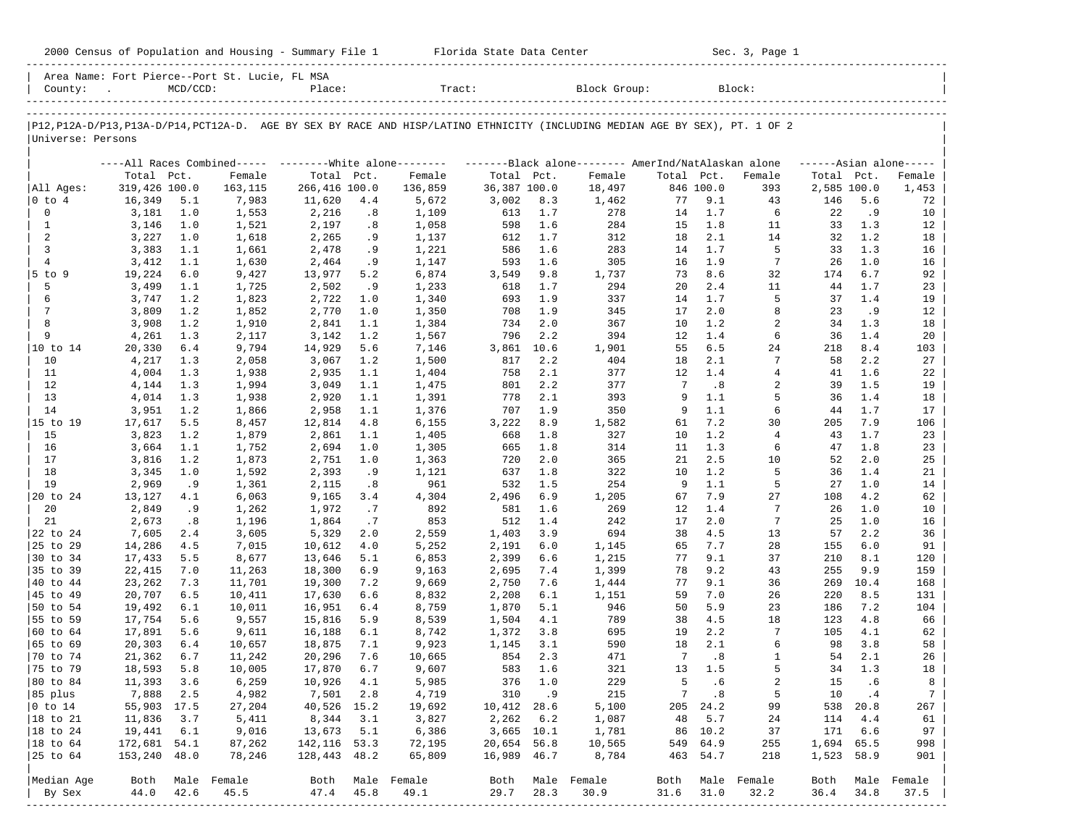|                             |                  |             |                                                |                                |            | 2000 Census of Population and Housing - Summary File 1 Florida State Data Center                                              |                   |            |                     |            |                  | Sec. 3, Page 1 |             |            |                     |
|-----------------------------|------------------|-------------|------------------------------------------------|--------------------------------|------------|-------------------------------------------------------------------------------------------------------------------------------|-------------------|------------|---------------------|------------|------------------|----------------|-------------|------------|---------------------|
| County:                     |                  | $MCD/CCD$ : | Area Name: Fort Pierce--Port St. Lucie, FL MSA | Place:                         |            |                                                                                                                               |                   |            | Tract: Block Group: |            |                  | Block:         |             |            |                     |
|                             |                  |             |                                                |                                |            | P12, P12A-D/P13, P13A-D/P14, PCT12A-D. AGE BY SEX BY RACE AND HISP/LATINO ETHNICITY (INCLUDING MEDIAN AGE BY SEX), PT. 1 OF 2 |                   |            |                     |            |                  |                |             |            |                     |
| Universe: Persons           |                  |             |                                                |                                |            |                                                                                                                               |                   |            |                     |            |                  |                |             |            |                     |
|                             |                  |             |                                                |                                |            | ----All Races Combined----- ---------White alone-------- ---------Black alone-------- AmerInd/NatAlaskan alone                |                   |            |                     |            |                  |                |             |            | $---Asian alone---$ |
|                             | Total Pct.       |             | Female                                         | Total Pct.                     |            | Female                                                                                                                        | Total Pct.        |            | Female              | Total Pct. |                  | Female         | Total Pct.  |            | Female              |
| All Ages:                   | 319,426 100.0    |             | 163,115                                        | 266,416 100.0                  |            | 136,859                                                                                                                       | 36,387 100.0      |            | 18,497              |            | 846 100.0        | 393            | 2,585 100.0 |            | 1,453               |
| $ 0 \t{to} 4$               | 16,349           | 5.1         | 7,983                                          | 11,620                         | 4.4        | 5,672                                                                                                                         | 3,002             | 8.3        | 1,462               | 77         | 9.1              | 43             | 146         | 5.6        | 72                  |
| 0                           | 3,181            | 1.0         | 1,553                                          | 2,216                          | .8         | 1,109                                                                                                                         | 613               | 1.7        | 278                 | 14         | 1.7              | 6              | 22          | .9         | 10                  |
| <sup>1</sup><br>2           | 3,146<br>3,227   | 1.0<br>1.0  | 1,521<br>1,618                                 | 2,197<br>2,265                 | .8<br>. 9  | 1,058<br>1,137                                                                                                                | 598<br>612        | 1.6<br>1.7 | 284<br>312          | 15<br>18   | 1.8<br>2.1       | 11<br>14       | 33<br>32    | 1.3<br>1.2 | 12<br>18            |
| $\overline{3}$              | 3,383            | 1.1         | 1,661                                          | 2,478                          | . 9        | 1,221                                                                                                                         | 586               | 1.6        | 283                 | 14         | 1.7              | 5              | 33          | 1.3        | 16                  |
| $\overline{4}$              | 3,412            | 1.1         | 1,630                                          | 2,464                          | .9         | 1,147                                                                                                                         | 593               | 1.6        | 305                 | 16         | 1.9              | 7              | 26          | 1.0        | 16                  |
| 5 to 9                      | 19,224           | 6.0         | 9,427                                          | 13,977                         | 5.2        | 6,874                                                                                                                         | 3,549             | 9.8        | 1,737               | 73         | 8.6              | 32             | 174         | 6.7        | 92                  |
| 5                           | 3,499            | 1.1         | 1,725                                          | 2,502                          | .9         | 1,233                                                                                                                         | 618               | 1.7        | 294                 | 20         | 2.4              | 11             | 44          | 1.7        | 23                  |
| 6                           | 3,747            | 1.2         | 1,823                                          | 2,722                          | 1.0        | 1,340                                                                                                                         | 693               | 1.9        | 337                 | 14         | 1.7              | 5              | 37          | 1.4        | 19                  |
| 7                           | 3,809            | 1.2         | 1,852                                          | 2,770                          | 1.0        | 1,350                                                                                                                         | 708               | 1.9        | 345                 | 17         | 2.0              | 8              | 23          | .9         | 12                  |
| 8                           | 3,908            | 1.2         | 1,910                                          | 2,841                          | 1.1        | 1,384                                                                                                                         | 734               | 2.0        | 367                 | 10         | 1.2              | 2              | 34          | 1.3        | 18                  |
| 9<br>$ 10 \tto 14$          | 4,261            | 1.3         | 2,117                                          | 3,142                          | 1.2        | 1,567                                                                                                                         | 796               | 2.2        | 394                 | 12         | 1.4<br>6.5       | 6<br>24        | 36<br>218   | 1.4<br>8.4 | 20                  |
| 10                          | 20,330<br>4,217  | 6.4<br>1.3  | 9,794<br>2,058                                 | 14,929<br>3,067                | 5.6<br>1.2 | 7,146<br>1,500                                                                                                                | 3,861 10.6<br>817 | 2.2        | 1,901<br>404        | 55<br>18   | 2.1              | 7              | 58          | 2.2        | 103<br>27           |
| 11                          | 4,004            | 1.3         | 1,938                                          | 2,935                          | 1.1        | 1,404                                                                                                                         | 758               | 2.1        | 377                 | 12         | 1.4              | 4              | 41          | 1.6        | 22                  |
| 12                          | 4,144            | 1.3         | 1,994                                          | 3,049                          | 1.1        | 1,475                                                                                                                         | 801               | 2.2        | 377                 | 7          | .8               | 2              | 39          | 1.5        | 19                  |
| 13                          | 4,014            | 1.3         | 1,938                                          | 2,920                          | 1.1        | 1,391                                                                                                                         | 778               | 2.1        | 393                 | 9          | 1.1              | 5              | 36          | 1.4        | 18                  |
| 14                          | 3,951            | 1.2         | 1,866                                          | 2,958                          | 1.1        | 1,376                                                                                                                         | 707               | 1.9        | 350                 | 9          | 1.1              | 6              | 44          | 1.7        | 17                  |
| 15 to 19                    | 17,617           | 5.5         | 8,457                                          | 12,814                         | 4.8        | 6,155                                                                                                                         | 3,222             | 8.9        | 1,582               | 61         | 7.2              | 30             | 205         | 7.9        | 106                 |
| 15                          | 3,823            | 1.2         | 1,879                                          | 2,861                          | 1.1        | 1,405                                                                                                                         | 668               | 1.8        | 327                 | 10         | 1.2              | 4              | 43          | 1.7        | 23                  |
| 16                          | 3,664            | 1.1         | 1,752                                          | 2,694                          | 1.0        | 1,305                                                                                                                         | 665               | 1.8        | 314                 | 11         | 1.3              | 6              | 47          | 1.8        | 23                  |
| 17                          | 3,816            | 1.2         | 1,873                                          | 2,751                          | 1.0        | 1,363                                                                                                                         | 720               | 2.0        | 365                 | 21         | 2.5              | 10             | 52          | 2.0        | 25                  |
| 18<br>19                    | 3,345<br>2,969   | 1.0<br>.9   | 1,592<br>1,361                                 | 2,393<br>2,115                 | . 9<br>.8  | 1,121<br>961                                                                                                                  | 637<br>532        | 1.8<br>1.5 | 322<br>254          | 10<br>9    | 1.2<br>1.1       | 5<br>5         | 36<br>27    | 1.4<br>1.0 | 21<br>14            |
| 20 to 24                    | 13,127           | 4.1         | 6,063                                          | 9,165                          | 3.4        | 4,304                                                                                                                         | 2,496             | 6.9        | 1,205               | 67         | 7.9              | 27             | 108         | 4.2        | 62                  |
| 20                          | 2,849            | .9          | 1,262                                          | 1,972                          | .7         | 892                                                                                                                           | 581               | 1.6        | 269                 | 12         | 1.4              | 7              | 26          | 1.0        | 10                  |
| 21                          | 2,673            | .8          | 1,196                                          | 1,864                          | .7         | 853                                                                                                                           | 512               | 1.4        | 242                 | 17         | 2.0              | 7              | 25          | 1.0        | 16                  |
| 22 to 24                    | 7,605            | 2.4         | 3,605                                          | 5,329                          | 2.0        | 2,559                                                                                                                         | 1,403             | 3.9        | 694                 | 38         | 4.5              | 13             | 57          | 2.2        | 36                  |
| 25 to 29                    | 14,286           | 4.5         | 7,015                                          | 10,612                         | 4.0        | 5,252                                                                                                                         | 2,191             | 6.0        | 1,145               | 65         | 7.7              | 28             | 155         | 6.0        | 91                  |
| 30 to 34                    | 17,433           | 5.5         | 8,677                                          | 13,646                         | 5.1        | 6,853                                                                                                                         | 2,399             | 6.6        | 1,215               | 77         | 9.1              | 37             | 210         | 8.1        | 120                 |
| 35 to 39                    | 22,415           | 7.0         | 11,263                                         | 18,300                         | 6.9        | 9,163                                                                                                                         | 2,695             | 7.4        | 1,399               | 78         | 9.2              | 43             | 255         | 9.9        | 159                 |
| 40 to 44                    | 23,262           | 7.3         | 11,701                                         | 19,300                         | 7.2        | 9,669                                                                                                                         | 2,750             | 7.6        | 1,444               | 77         | 9.1              | 36             | 269         | 10.4       | 168                 |
| 45 to 49                    | 20,707           | 6.5         | 10,411                                         | 17,630                         | 6.6        | 8,832                                                                                                                         | 2,208             | 6.1        | 1,151               | 59         | 7.0              | 26             | 220         | 8.5        | 131                 |
| 50 to 54<br> 55 to 59       | 19,492<br>17,754 | 6.1<br>5.6  | 10,011<br>9,557                                | 16,951<br>15,816               | 6.4<br>5.9 | 8,759<br>8,539                                                                                                                | 1,870<br>1,504    | 5.1<br>4.1 | 946<br>789          | 50<br>38   | 5.9<br>4.5       | 23<br>18       | 186<br>123  | 7.2<br>4.8 | 104<br>66           |
| 60 to 64                    | 17,891           | 5.6         | 9,611                                          | 16,188                         | 6.1        | 8,742                                                                                                                         | 1,372             | 3.8        | 695                 | 19         | 2.2              | 7              | 105         | 4.1        | 62                  |
| 65 to 69                    | 20,303           | 6.4         | 10,657                                         | 18,875                         | 7.1        | 9,923                                                                                                                         | 1,145             | 3.1        | 590                 | 18         | 2.1              | 6              | 98          | 3.8        | 58                  |
| 70 to 74                    | 21,362           | 6.7         | 11,242                                         | 20,296 7.6                     |            | 10,665                                                                                                                        | 854               | 2.3        | 471                 | 7          | .8               | 1              | 54          | 2.1        | 26                  |
| 75 to 79                    | 18,593           | 5.8         | 10,005                                         | 17,870                         | 6.7        | 9,607                                                                                                                         | 583               | 1.6        | 321                 | 13         | 1.5              | 5              | 34          | 1.3        | 18                  |
| 80 to 84                    | 11,393           | 3.6         | 6,259                                          | 10,926                         | 4.1        | 5,985                                                                                                                         | 376               | 1.0        | 229                 | 5          | .6               | 2              | 15          | .6         | 8                   |
| 85 plus                     | 7,888            | 2.5         | 4,982                                          | 7,501                          | 2.8        | 4,719                                                                                                                         | 310               | .9         | 215                 | 7          | .8               | 5              | 10          | $\cdot$ 4  | $7\phantom{.0}$     |
| $ 0 \t\t \text{to} \t\t 14$ | 55,903 17.5      |             | 27,204                                         | 40,526 15.2                    |            | 19,692                                                                                                                        | 10,412 28.6       |            | 5,100               | 205        | 24.2             | 99             |             | 538 20.8   | 267                 |
| 18 to 21                    | 11,836           | 3.7         | 5,411                                          | 8,344                          | 3.1        | 3,827                                                                                                                         | 2,262             | 6.2        | 1,087               | 48         | 5.7              | 24             | 114         | 4.4        | 61                  |
| $ 18$ to $24$               | 19,441           | 6.1         | 9,016                                          | 13,673                         | 5.1        | 6,386                                                                                                                         | 3,665 10.1        |            | 1,781               | 86         | 10.2             | 37             | 171         | 6.6        | 97                  |
| $ 18$ to $64$               | 172,681 54.1     |             | 87,262                                         | 142, 116 53.3<br>128, 443 48.2 |            | 72,195                                                                                                                        | 20,654 56.8       |            | 10,565              | 549        | 64.9<br>463 54.7 | 255            | 1,694 65.5  |            | 998<br>901          |
| 25 to 64                    | 153,240 48.0     |             | 78,246                                         |                                |            | 65,809                                                                                                                        | 16,989 46.7       |            | 8,784               |            |                  | 218            | 1,523 58.9  |            |                     |
| Median Age                  | Both             |             | Male Female                                    | Both                           |            | Male Female                                                                                                                   | Both              |            | Male Female         | Both       |                  | Male Female    | Both        |            | Male Female         |
| By Sex                      | 44.0             | 42.6        | 45.5                                           | 47.4                           | 45.8       | 49.1                                                                                                                          | 29.7              | 28.3       | 30.9                | 31.6       | 31.0             | 32.2           | 36.4        | 34.8       | 37.5                |
|                             |                  |             |                                                |                                |            |                                                                                                                               |                   |            |                     |            |                  |                |             |            |                     |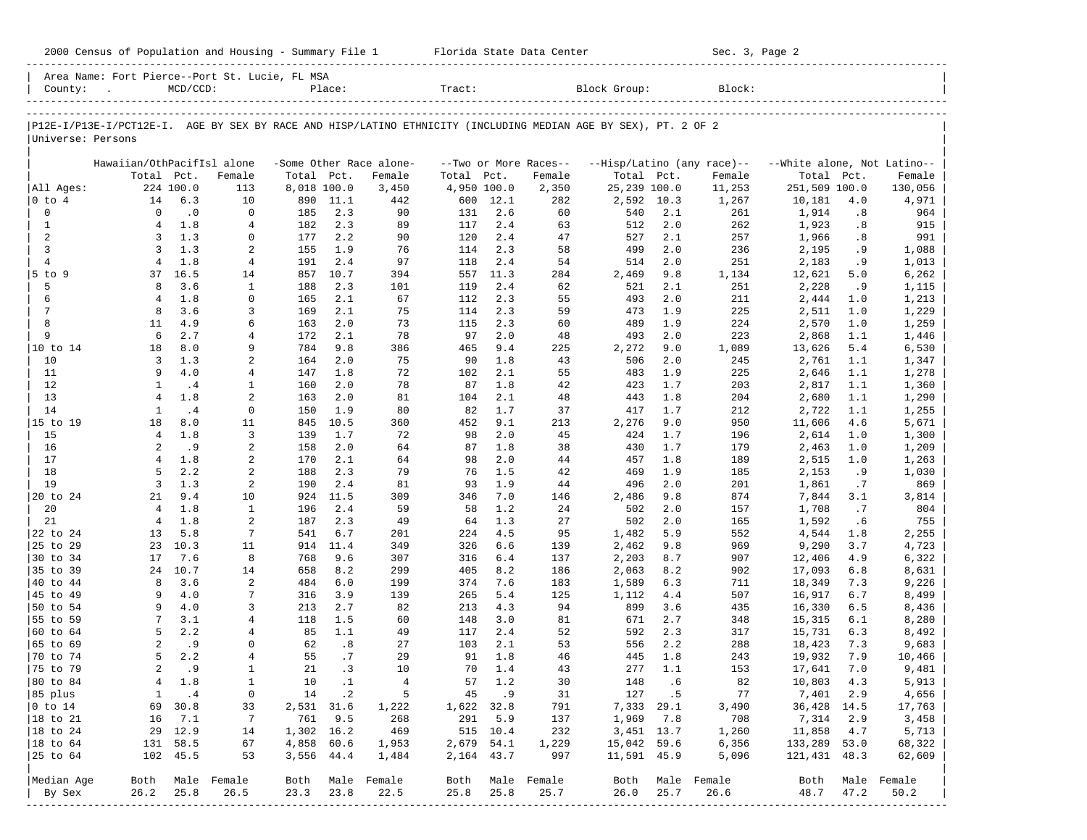|                           | 2000 Census of Population and Housing - Summary File 1 Florida State Data Center                               |                   |                     |              |                   |                         |              |              |                       |                   |             | Sec. 3, Page 2             |                             |             |                     |
|---------------------------|----------------------------------------------------------------------------------------------------------------|-------------------|---------------------|--------------|-------------------|-------------------------|--------------|--------------|-----------------------|-------------------|-------------|----------------------------|-----------------------------|-------------|---------------------|
|                           | Area Name: Fort Pierce--Port St. Lucie, FL MSA<br>County: .                                                    | $MCD/CCD$ :       |                     |              | Place:            |                         | Tract:       |              |                       | Block Group:      |             | Block:                     |                             |             |                     |
|                           |                                                                                                                |                   |                     |              |                   |                         |              |              |                       |                   |             |                            |                             |             |                     |
| Universe: Persons         | P12E-I/P13E-I/PCT12E-I. AGE BY SEX BY RACE AND HISP/LATINO ETHNICITY (INCLUDING MEDIAN AGE BY SEX), PT. 2 OF 2 |                   |                     |              |                   |                         |              |              |                       |                   |             |                            |                             |             |                     |
|                           | Hawaiian/OthPacifIsl alone                                                                                     |                   |                     |              |                   | -Some Other Race alone- |              |              | --Two or More Races-- |                   |             | --Hisp/Latino (any race)-- | --White alone, Not Latino-- |             |                     |
|                           |                                                                                                                | Total Pct.        | Female              | Total Pct.   |                   | Female                  | Total Pct.   |              | Female                | Total Pct.        |             | Female                     | Total Pct.                  |             | Female              |
| All Ages:                 |                                                                                                                | 224 100.0         | 113                 | 8,018 100.0  |                   | 3,450                   | 4,950 100.0  |              | 2,350                 | 25,239 100.0      |             | 11,253                     | 251,509 100.0               |             | 130,056             |
| $0$ to $4$<br>$\mathbf 0$ | 14<br>$\circ$                                                                                                  | 6.3<br>$\cdot$ 0  | 10<br>$\Omega$      | 185          | 890 11.1<br>2.3   | 442<br>90               | 600<br>131   | 12.1<br>2.6  | 282<br>60             | 2,592 10.3<br>540 | 2.1         | 1,267<br>261               | 10,181<br>1,914             | 4.0<br>.8   | 4,971<br>964        |
| $\mathbf{1}$              | 4                                                                                                              | 1.8               | 4                   | 182          | 2.3               | 89                      | 117          | 2.4          | 63                    | 512               | 2.0         | 262                        | 1,923                       | .8          | 915                 |
| 2                         | 3                                                                                                              | 1.3               | 0                   | 177          | 2.2               | 90                      | 120          | 2.4          | 47                    | 527               | 2.1         | 257                        | 1,966                       | .8          | 991                 |
| $\overline{3}$            | 3                                                                                                              | 1.3               | 2                   | 155          | 1.9               | 76                      | 114          | 2.3          | 58                    | 499               | 2.0         | 236                        | 2,195                       | . 9         | 1,088               |
| $\overline{4}$            | 4                                                                                                              | 1.8               | 4                   | 191          | 2.4               | 97                      | 118          | 2.4          | 54                    | 514               | 2.0         | 251                        | 2,183                       | . 9         | 1,013               |
| 5 to 9                    |                                                                                                                | 37 16.5           | 14                  | 857          | 10.7              | 394                     | 557          | 11.3         | 284                   | 2,469             | 9.8         | 1,134                      | 12,621                      | 5.0         | 6,262               |
| 5<br>6                    | 8<br>4                                                                                                         | 3.6<br>1.8        | 1<br>0              | 188<br>165   | 2.3<br>2.1        | 101<br>67               | 119<br>112   | 2.4<br>2.3   | 62<br>55              | 521<br>493        | 2.1<br>2.0  | 251<br>211                 | 2,228<br>2,444              | .9<br>1.0   | 1,115<br>1,213      |
| 7                         | 8                                                                                                              | 3.6               | 3                   | 169          | 2.1               | 75                      | 114          | 2.3          | 59                    | 473               | 1.9         | 225                        | 2,511                       | 1.0         | 1,229               |
| 8                         | 11                                                                                                             | 4.9               | 6                   | 163          | 2.0               | 73                      | 115          | 2.3          | 60                    | 489               | 1.9         | 224                        | 2,570                       | 1.0         | 1,259               |
| 9                         | 6                                                                                                              | 2.7               | 4                   | 172          | 2.1               | 78                      | 97           | 2.0          | 48                    | 493               | 2.0         | 223                        | 2,868                       | 1.1         | 1,446               |
| 10 to 14                  | 18                                                                                                             | 8.0               | 9                   | 784          | 9.8               | 386                     | 465          | 9.4          | 225                   | 2,272             | 9.0         | 1,089                      | 13,626                      | 5.4         | 6,530               |
| 10                        | 3                                                                                                              | 1.3               | 2                   | 164          | 2.0               | 75                      | 90           | 1.8          | 43                    | 506               | 2.0         | 245                        | 2,761                       | 1.1         | 1,347               |
| 11<br>12                  | 9<br>1                                                                                                         | 4.0               | 4<br>$\mathbf{1}$   | 147          | 1.8<br>2.0        | 72                      | 102          | 2.1<br>1.8   | 55                    | 483               | 1.9         | 225                        | 2,646                       | 1.1         | 1,278               |
| 13                        | $\overline{4}$                                                                                                 | .4<br>1.8         | 2                   | 160<br>163   | 2.0               | 78<br>81                | 87<br>104    | 2.1          | 42<br>48              | 423<br>443        | 1.7<br>1.8  | 203<br>204                 | 2,817<br>2,680              | 1.1<br>1.1  | 1,360<br>1,290      |
| 14                        | 1                                                                                                              | .4                | $\mathbf 0$         | 150          | 1.9               | 80                      | 82           | 1.7          | 37                    | 417               | 1.7         | 212                        | 2,722                       | 1.1         | 1,255               |
| 15 to 19                  | 18                                                                                                             | 8.0               | 11                  | 845          | 10.5              | 360                     | 452          | 9.1          | 213                   | 2,276             | 9.0         | 950                        | 11,606                      | 4.6         | 5,671               |
| 15                        | $\overline{4}$                                                                                                 | 1.8               | 3                   | 139          | 1.7               | 72                      | 98           | 2.0          | 45                    | 424               | 1.7         | 196                        | 2,614                       | 1.0         | 1,300               |
| 16                        | 2                                                                                                              | .9                | 2                   | 158          | 2.0               | 64                      | 87           | 1.8          | 38                    | 430               | 1.7         | 179                        | 2,463                       | 1.0         | 1,209               |
| 17                        | 4                                                                                                              | 1.8               | 2                   | 170          | 2.1               | 64                      | 98           | 2.0          | 44                    | 457               | 1.8         | 189                        | 2,515                       | 1.0         | 1,263               |
| 18<br>19                  | 5<br>3                                                                                                         | 2.2<br>1.3        | 2<br>2              | 188<br>190   | 2.3<br>2.4        | 79<br>81                | 76<br>93     | 1.5<br>1.9   | 42<br>44              | 469<br>496        | 1.9<br>2.0  | 185<br>201                 | 2,153                       | . 9         | 1,030               |
| 20 to 24                  | 21                                                                                                             | 9.4               | 10                  | 924          | 11.5              | 309                     | 346          | 7.0          | 146                   | 2,486             | 9.8         | 874                        | 1,861<br>7,844              | .7<br>3.1   | 869<br>3,814        |
| 20                        | $\overline{4}$                                                                                                 | 1.8               | $\mathbf{1}$        | 196          | 2.4               | 59                      | 58           | 1.2          | 24                    | 502               | 2.0         | 157                        | 1,708                       | .7          | 804                 |
| 21                        | $\overline{4}$                                                                                                 | 1.8               | 2                   | 187          | 2.3               | 49                      | 64           | 1.3          | 27                    | 502               | 2.0         | 165                        | 1,592                       | .6          | 755                 |
| 22 to 24                  | 13                                                                                                             | 5.8               | 7                   | 541          | 6.7               | 201                     | 224          | 4.5          | 95                    | 1,482             | 5.9         | 552                        | 4,544                       | 1.8         | 2,255               |
| 25 to 29                  | 23                                                                                                             | 10.3              | 11                  | 914          | 11.4              | 349                     | 326          | 6.6          | 139                   | 2,462             | 9.8         | 969                        | 9,290                       | 3.7         | 4,723               |
| 30 to 34                  | 17                                                                                                             | 7.6               | 8                   | 768          | 9.6               | 307                     | 316          | 6.4          | 137                   | 2,203             | 8.7         | 907                        | 12,406                      | 4.9         | 6,322               |
| 35 to 39<br>40 to 44      | 8                                                                                                              | 24 10.7<br>3.6    | 14                  | 658          | 8.2<br>6.0        | 299                     | 405          | 8.2          | 186                   | 2,063             | 8.2         | 902                        | 17,093                      | 6.8         | 8,631               |
| 45 to 49                  | 9                                                                                                              | 4.0               | 2<br>7              | 484<br>316   | 3.9               | 199<br>139              | 374<br>265   | 7.6<br>5.4   | 183<br>125            | 1,589<br>1,112    | 6.3<br>4.4  | 711<br>507                 | 18,349<br>16,917            | 7.3<br>6.7  | 9,226<br>8,499      |
| 50 to 54                  | 9                                                                                                              | 4.0               | 3                   | 213          | 2.7               | 82                      | 213          | 4.3          | 94                    | 899               | 3.6         | 435                        | 16,330                      | 6.5         | 8,436               |
| 55 to 59                  | 7                                                                                                              | 3.1               | 4                   | 118          | 1.5               | 60                      | 148          | 3.0          | 81                    | 671               | 2.7         | 348                        | 15,315                      | 6.1         | 8,280               |
| $ 60 \text{ to } 64$      | 5                                                                                                              | 2.2               | 4                   | 85           | 1.1               | 49                      | 117          | 2.4          | 52                    | 592               | 2.3         | 317                        | 15,731                      | 6.3         | 8,492               |
| 65 to 69                  | $\overline{a}$                                                                                                 | . 9               | 0                   | 62           | .8                | 27                      | 103          | 2.1          | 53                    | 556               | 2.2         | 288                        | 18,423                      | 7.3         | 9,683               |
| 70 to 74                  | 5                                                                                                              | 2.2               | 4                   | 55           | .7                | 29                      |              | 91 1.8       | 46                    |                   | 445 1.8     | 243                        | 19,932                      | 7.9         | 10,466              |
| 75 to 79                  | $\overline{2}$                                                                                                 | . 9               | $\mathbf{1}$        | 21           | .3                | 10                      | 70           | 1.4          | 43                    | 277               | 1.1         | 153                        | 17,641                      | 7.0         | 9,481               |
| 80 to 84                  | $\overline{4}$                                                                                                 | 1.8               | $\mathbf 1$         | 10           | $\cdot$ 1         | $\overline{4}$<br>5     | 57           | 1.2          | 30                    | 148               | .6          | 82                         | 10,803                      | 4.3         | 5,913               |
| 85 plus<br>$0$ to $14$    | 1<br>69                                                                                                        | $\cdot$ 4<br>30.8 | 0<br>33             | 14<br>2,531  | $\cdot$ 2<br>31.6 | 1,222                   | 45<br>1,622  | . 9<br>32.8  | 31<br>791             | 127<br>7,333      | . 5<br>29.1 | 77<br>3,490                | 7,401<br>36,428             | 2.9<br>14.5 | 4,656<br>17,763     |
| 18 to 21                  | 16                                                                                                             | 7.1               | 7                   | 761          | 9.5               | 268                     | 291          | 5.9          | 137                   | 1,969             | 7.8         | 708                        | 7,314                       | 2.9         | 3,458               |
| 18 to 24                  | 29                                                                                                             | 12.9              | 14                  | 1,302 16.2   |                   | 469                     | 515          | 10.4         | 232                   | 3,451 13.7        |             | 1,260                      | 11,858                      | 4.7         | 5,713               |
| $ 18$ to $64$             | 131                                                                                                            | 58.5              | 67                  | 4,858        | 60.6              | 1,953                   | 2,679        | 54.1         | 1,229                 | 15,042 59.6       |             | 6,356                      | 133,289                     | 53.0        | 68,322              |
| 25 to 64                  | 102                                                                                                            | 45.5              | 53                  | 3,556        | 44.4              | 1,484                   | 2,164 43.7   |              | 997                   | 11,591 45.9       |             | 5,096                      | 121,431                     | 48.3        | 62,609              |
|                           |                                                                                                                |                   |                     |              |                   |                         |              |              |                       |                   |             |                            |                             |             |                     |
| Median Age<br>By Sex      | Both<br>26.2                                                                                                   | 25.8              | Male Female<br>26.5 | Both<br>23.3 | Male<br>23.8      | Female<br>22.5          | Both<br>25.8 | Male<br>25.8 | Female<br>25.7        | Both<br>26.0      | 25.7        | Male Female<br>26.6        | Both<br>48.7                | 47.2        | Male Female<br>50.2 |
|                           |                                                                                                                |                   |                     |              |                   |                         |              |              |                       |                   |             |                            |                             |             |                     |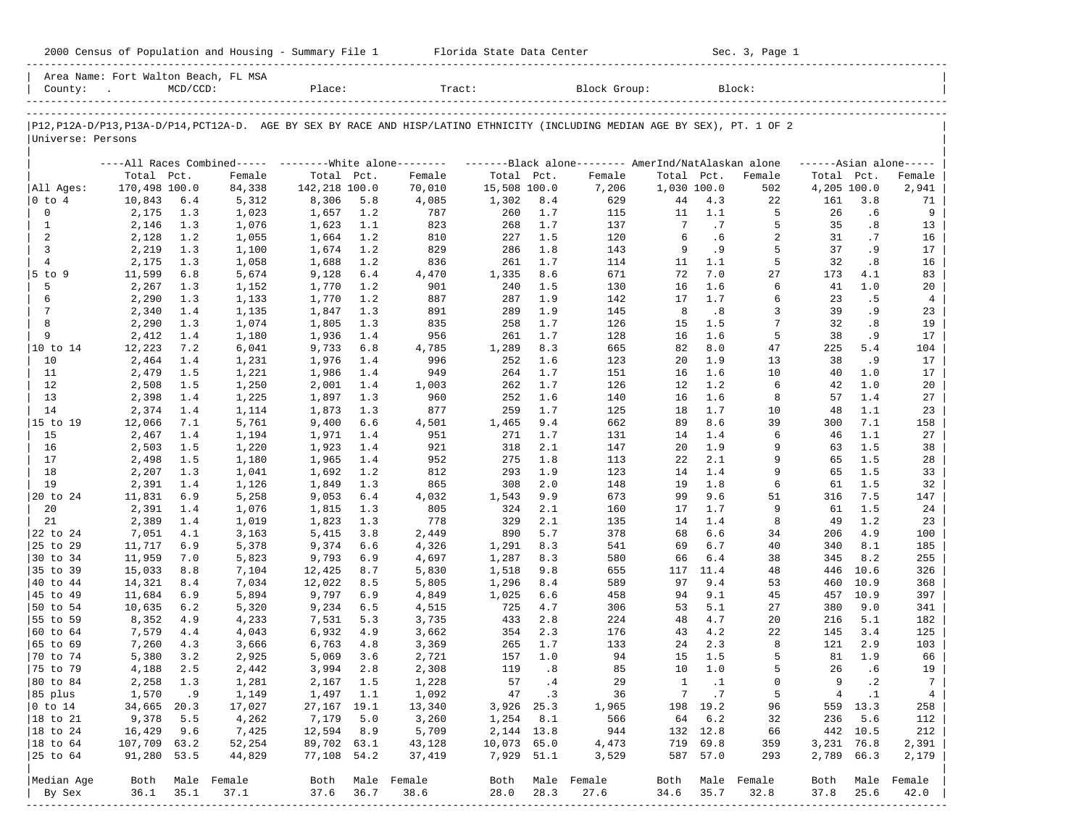|                      |                  |             |                                      |                 |            | 2000 Census of Population and Housing - Summary File 1 Florida State Data Center |                      |            |                                                                                                                               |             |                 | Sec. 3, Page 1 |             |              |                     |
|----------------------|------------------|-------------|--------------------------------------|-----------------|------------|----------------------------------------------------------------------------------|----------------------|------------|-------------------------------------------------------------------------------------------------------------------------------|-------------|-----------------|----------------|-------------|--------------|---------------------|
| County: .            |                  | $MCD/CCD$ : | Area Name: Fort Walton Beach, FL MSA | Place:          |            | Tract:                                                                           |                      |            | Block Group:                                                                                                                  |             |                 | Block:         |             |              |                     |
|                      |                  |             |                                      |                 |            |                                                                                  |                      |            | P12, P12A-D/P13, P13A-D/P14, PCT12A-D. AGE BY SEX BY RACE AND HISP/LATINO ETHNICITY (INCLUDING MEDIAN AGE BY SEX), PT. 1 OF 2 |             |                 |                |             |              |                     |
| Universe: Persons    |                  |             |                                      |                 |            |                                                                                  |                      |            |                                                                                                                               |             |                 |                |             |              |                     |
|                      |                  |             |                                      |                 |            |                                                                                  |                      |            | ----All Races Combined----- --------White alone-------- ---------Black alone-------- AmerInd/NatAlaskan alone                 |             |                 |                |             |              | $---Asian alone---$ |
|                      | Total Pct.       |             | Female                               | Total Pct.      |            | Female                                                                           | Total Pct.           |            | Female                                                                                                                        | Total Pct.  |                 | Female         | Total Pct.  |              | Female              |
| All Ages:            | 170,498 100.0    |             | 84,338                               | 142,218 100.0   |            | 70,010                                                                           | 15,508 100.0         |            | 7,206                                                                                                                         | 1,030 100.0 |                 | 502            | 4,205 100.0 |              | 2,941               |
| 0 to 4               | 10,843           | 6.4         | 5,312                                | 8,306           | 5.8        | 4,085                                                                            | 1,302                | 8.4        | 629                                                                                                                           | 44          | 4.3             | 22             | 161         | 3.8          | 71                  |
| $\mathbf 0$<br>1     | 2,175<br>2,146   | 1.3<br>1.3  | 1,023<br>1,076                       | 1,657<br>1,623  | 1.2<br>1.1 | 787<br>823                                                                       | 260<br>268           | 1.7<br>1.7 | 115<br>137                                                                                                                    | 11<br>7     | 1.1<br>.7       | 5<br>5         | 26<br>35    | .6<br>.8     | 9<br>13             |
| 2                    | 2,128            | 1.2         | 1,055                                | 1,664           | 1.2        | 810                                                                              | 227                  | 1.5        | 120                                                                                                                           | 6           | .6              | 2              | 31          | .7           | 16                  |
| 3                    | 2,219            | 1.3         | 1,100                                | 1,674           | 1.2        | 829                                                                              | 286                  | 1.8        | 143                                                                                                                           | 9           | . 9             | 5              | 37          | . 9          | 17                  |
| $\overline{4}$       | 2,175            | 1.3         | 1,058                                | 1,688           | 1.2        | 836                                                                              | 261                  | 1.7        | 114                                                                                                                           | 11          | 1.1             | 5              | 32          | .8           | 16                  |
| $5$ to $9$           | 11,599           | 6.8         | 5,674                                | 9,128           | 6.4        | 4,470                                                                            | 1,335                | 8.6        | 671                                                                                                                           | 72          | 7.0             | 27             | 173         | 4.1          | 83                  |
| 5                    | 2,267            | 1.3         | 1,152                                | 1,770           | 1.2        | 901                                                                              | 240                  | 1.5        | 130                                                                                                                           | 16          | 1.6             | 6              | 41          | 1.0          | 20                  |
| 6                    | 2,290            | 1.3         | 1,133                                | 1,770           | 1.2        | 887                                                                              | 287                  | 1.9        | 142                                                                                                                           | 17          | 1.7             | 6              | 23          | .5           | 4                   |
| 7                    | 2,340            | 1.4         | 1,135                                | 1,847           | 1.3        | 891                                                                              | 289                  | 1.9        | 145                                                                                                                           | 8           | .8              | 3              | 39          | .9           | 23                  |
| 8<br>9               | 2,290            | 1.3         | 1,074                                | 1,805           | 1.3        | 835<br>956                                                                       | 258<br>261           | 1.7        | 126<br>128                                                                                                                    | 15          | 1.5<br>1.6      | 7<br>5         | 32<br>38    | .8           | 19<br>17            |
| 10 to 14             | 2,412<br>12,223  | 1.4<br>7.2  | 1,180<br>6,041                       | 1,936<br>9,733  | 1.4<br>6.8 | 4,785                                                                            | 1,289                | 1.7<br>8.3 | 665                                                                                                                           | 16<br>82    | 8.0             | 47             | 225         | . 9<br>5.4   | 104                 |
| 10                   | 2,464            | 1.4         | 1,231                                | 1,976           | 1.4        | 996                                                                              | 252                  | 1.6        | 123                                                                                                                           | 20          | 1.9             | 13             | 38          | .9           | 17                  |
| 11                   | 2,479            | 1.5         | 1,221                                | 1,986           | 1.4        | 949                                                                              | 264                  | 1.7        | 151                                                                                                                           | 16          | 1.6             | 10             | 40          | 1.0          | 17                  |
| 12                   | 2,508            | 1.5         | 1,250                                | 2,001           | 1.4        | 1,003                                                                            | 262                  | 1.7        | 126                                                                                                                           | 12          | 1.2             | 6              | 42          | 1.0          | 20                  |
| 13                   | 2,398            | 1.4         | 1,225                                | 1,897           | 1.3        | 960                                                                              | 252                  | 1.6        | 140                                                                                                                           | 16          | 1.6             | 8              | 57          | 1.4          | 27                  |
| 14                   | 2,374            | 1.4         | 1,114                                | 1,873           | 1.3        | 877                                                                              | 259                  | 1.7        | 125                                                                                                                           | 18          | 1.7             | 10             | 48          | 1.1          | 23                  |
| 15 to 19             | 12,066           | 7.1         | 5,761                                | 9,400           | 6.6        | 4,501                                                                            | 1,465                | 9.4        | 662                                                                                                                           | 89          | 8.6             | 39             | 300         | 7.1          | 158                 |
| 15                   | 2,467            | 1.4         | 1,194                                | 1,971           | 1.4        | 951                                                                              | 271                  | 1.7        | 131                                                                                                                           | 14          | 1.4             | 6              | 46          | 1.1          | 27                  |
| 16                   | 2,503            | 1.5         | 1,220                                | 1,923           | 1.4        | 921                                                                              | 318                  | 2.1        | 147                                                                                                                           | 20          | 1.9             | 9<br>9         | 63          | 1.5          | 38                  |
| 17<br>18             | 2,498<br>2,207   | 1.5<br>1.3  | 1,180<br>1,041                       | 1,965<br>1,692  | 1.4<br>1.2 | 952<br>812                                                                       | 275<br>293           | 1.8<br>1.9 | 113<br>123                                                                                                                    | 22<br>14    | 2.1<br>1.4      | 9              | 65<br>65    | 1.5<br>1.5   | 28<br>33            |
| 19                   | 2,391            | 1.4         | 1,126                                | 1,849           | 1.3        | 865                                                                              | 308                  | 2.0        | 148                                                                                                                           | 19          | 1.8             | 6              | 61          | 1.5          | 32                  |
| 20 to 24             | 11,831           | 6.9         | 5,258                                | 9,053           | 6.4        | 4,032                                                                            | 1,543                | 9.9        | 673                                                                                                                           | 99          | 9.6             | 51             | 316         | 7.5          | 147                 |
| 20                   | 2,391            | 1.4         | 1,076                                | 1,815           | 1.3        | 805                                                                              | 324                  | 2.1        | 160                                                                                                                           | 17          | 1.7             | 9              | 61          | 1.5          | 24                  |
| 21                   | 2,389            | 1.4         | 1,019                                | 1,823           | 1.3        | 778                                                                              | 329                  | 2.1        | 135                                                                                                                           | 14          | 1.4             | 8              | 49          | 1.2          | 23                  |
| 22 to 24             | 7,051            | 4.1         | 3,163                                | 5,415           | 3.8        | 2,449                                                                            | 890                  | 5.7        | 378                                                                                                                           | 68          | 6.6             | 34             | 206         | 4.9          | 100                 |
| 25 to 29             | 11,717           | 6.9         | 5,378                                | 9,374           | 6.6        | 4,326                                                                            | 1,291                | 8.3        | 541                                                                                                                           | 69          | 6.7             | 40             | 340         | 8.1          | 185                 |
| 30 to 34             | 11,959           | 7.0         | 5,823                                | 9,793           | 6.9        | 4,697                                                                            | 1,287                | 8.3        | 580                                                                                                                           | 66          | 6.4             | 38             | 345         | 8.2          | 255                 |
| 35 to 39             | 15,033           | 8.8         | 7,104                                | 12,425          | 8.7        | 5,830                                                                            | 1,518                | 9.8        | 655                                                                                                                           | 117         | 11.4            | 48             | 446         | 10.6         | 326                 |
| 40 to 44<br>45 to 49 | 14,321<br>11,684 | 8.4<br>6.9  | 7,034<br>5,894                       | 12,022<br>9,797 | 8.5<br>6.9 | 5,805<br>4,849                                                                   | 1,296<br>1,025       | 8.4<br>6.6 | 589<br>458                                                                                                                    | 97<br>94    | 9.4<br>9.1      | 53<br>45       | 460<br>457  | 10.9<br>10.9 | 368<br>397          |
| 50 to 54             | 10,635           | 6.2         | 5,320                                | 9,234           | 6.5        | 4,515                                                                            | 725                  | 4.7        | 306                                                                                                                           | 53          | 5.1             | 27             | 380         | 9.0          | 341                 |
| 55 to 59             | 8,352            | 4.9         | 4,233                                | 7,531           | 5.3        | 3,735                                                                            | 433                  | 2.8        | 224                                                                                                                           | 48          | 4.7             | 20             | 216         | 5.1          | 182                 |
| 60 to 64             | 7,579            | 4.4         | 4,043                                | 6,932           | 4.9        | 3,662                                                                            | 354                  | 2.3        | 176                                                                                                                           | 43          | 4.2             | 22             | 145         | 3.4          | 125                 |
| 65 to 69             | 7,260            | 4.3         | 3,666                                | 6,763           | 4.8        | 3,369                                                                            | 265                  | 1.7        | 133                                                                                                                           | 24          | 2.3             | 8              | 121         | 2.9          | 103                 |
| 70 to 74             | 5,380            | 3.2         | 2,925                                | 5,069           | 3.6        | 2,721                                                                            |                      | 157 1.0    | 94                                                                                                                            |             | 15 1.5          | 5              |             | 81 1.9       | 66                  |
| 75 to 79             | 4,188            | 2.5         | 2,442                                | 3,994           | 2.8        | 2,308                                                                            | 119                  | .8         | 85                                                                                                                            | 10          | 1.0             | 5              | 26          | . 6          | 19                  |
| 80 to 84             | 2,258            | 1.3         | 1,281                                | 2,167           | 1.5        | 1,228                                                                            | 57                   | .4         | 29                                                                                                                            | 1           | $\cdot$ 1       | 0              | 9           | $\cdot$ 2    | 7                   |
| 85 plus              | 1,570            | . 9         | 1,149                                | 1,497           | 1.1        | 1,092                                                                            | 47                   | $\cdot$ 3  | 36                                                                                                                            | 7           | .7              | 5              | 4           | $\cdot$ 1    | $\overline{4}$      |
| $0$ to $14$          | 34,665           | 20.3        | 17,027                               | 27,167<br>7,179 | 19.1       | 13,340                                                                           | 3,926                | 25.3       | 1,965                                                                                                                         | 198         | 19.2            | 96<br>32       | 559         | 13.3         | 258<br>112          |
| 18 to 21<br>18 to 24 | 9,378<br>16,429  | 5.5<br>9.6  | 4,262<br>7,425                       | 12,594          | 5.0<br>8.9 | 3,260<br>5,709                                                                   | 1,254<br>2, 144 13.8 | 8.1        | 566<br>944                                                                                                                    | 64          | 6.2<br>132 12.8 | 66             | 236<br>442  | 5.6<br>10.5  | 212                 |
| 18 to 64             | 107,709          | 63.2        | 52,254                               | 89,702 63.1     |            | 43,128                                                                           | 10,073               | 65.0       | 4,473                                                                                                                         | 719         | 69.8            | 359            | 3,231       | 76.8         | 2,391               |
| 25 to 64             | 91,280           | 53.5        | 44,829                               | 77,108 54.2     |            | 37,419                                                                           | 7,929                | 51.1       | 3,529                                                                                                                         | 587         | 57.0            | 293            | 2,789       | 66.3         | 2,179               |
|                      |                  |             |                                      |                 |            |                                                                                  |                      |            |                                                                                                                               |             |                 |                |             |              |                     |
| Median Age           | Both             |             | Male Female                          | Both            |            | Male Female                                                                      | Both                 |            | Male Female                                                                                                                   | Both        | Male            | Female         | Both        | Male         | Female              |
| By Sex               | 36.1             | 35.1        | 37.1                                 | 37.6            | 36.7       | 38.6                                                                             | 28.0                 | 28.3       | 27.6                                                                                                                          | 34.6        | 35.7            | 32.8           | 37.8        | 25.6         | 42.0                |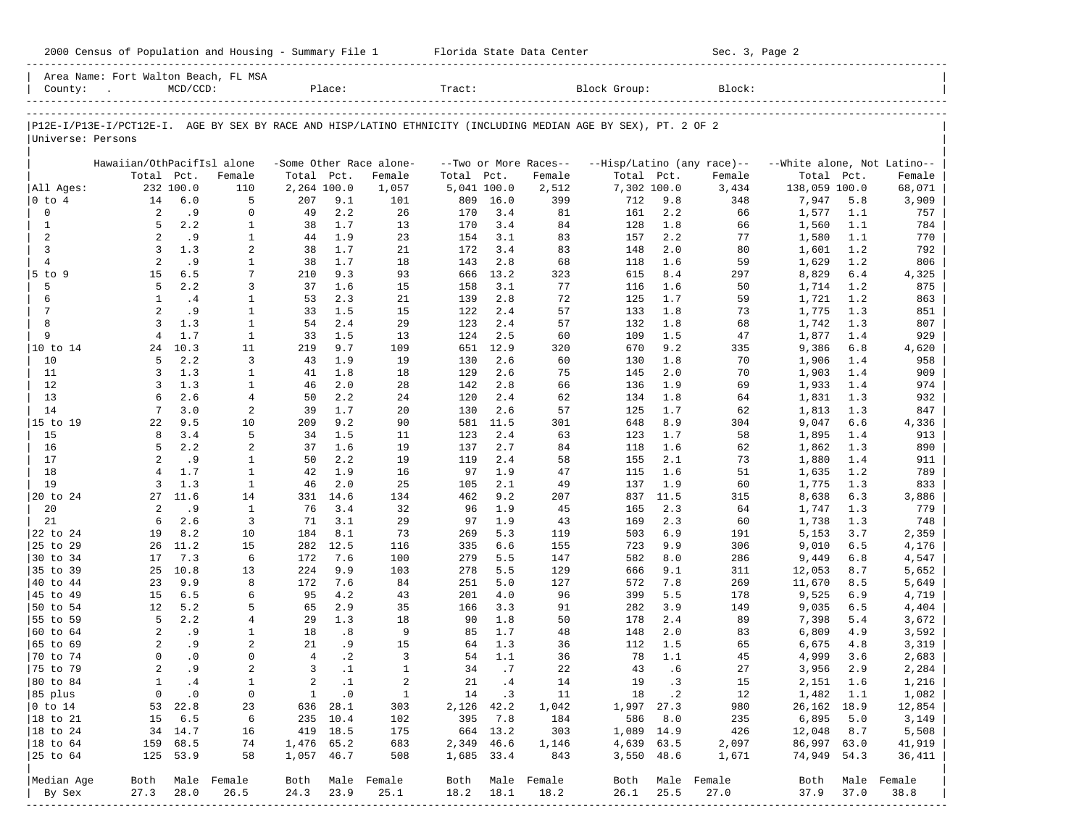| County:           | Area Name: Fort Walton Beach, FL MSA | $MCD/CCD$ : |                |                | Place:     |                         | Tract:      |             |                       | Block Group:                                                                                                   |            | Block:                     |                             |            |              |
|-------------------|--------------------------------------|-------------|----------------|----------------|------------|-------------------------|-------------|-------------|-----------------------|----------------------------------------------------------------------------------------------------------------|------------|----------------------------|-----------------------------|------------|--------------|
|                   |                                      |             |                |                |            |                         |             |             |                       |                                                                                                                |            |                            |                             |            |              |
|                   |                                      |             |                |                |            |                         |             |             |                       | P12E-I/P13E-I/PCT12E-I. AGE BY SEX BY RACE AND HISP/LATINO ETHNICITY (INCLUDING MEDIAN AGE BY SEX), PT. 2 OF 2 |            |                            |                             |            |              |
| Universe: Persons |                                      |             |                |                |            |                         |             |             |                       |                                                                                                                |            |                            |                             |            |              |
|                   | Hawaiian/OthPacifIsl alone           |             |                |                |            | -Some Other Race alone- |             |             | --Two or More Races-- |                                                                                                                |            | --Hisp/Latino (any race)-- | --White alone, Not Latino-- |            |              |
|                   | Total Pct.                           |             | Female         | Total Pct.     |            | Female                  | Total Pct.  |             | Female                | Total Pct.                                                                                                     |            | Female                     | Total                       | Pct.       | Female       |
| All Ages:         |                                      | 232 100.0   | 110            | 2,264 100.0    |            | 1,057                   | 5,041 100.0 |             | 2,512                 | 7,302 100.0                                                                                                    |            | 3,434                      | 138,059 100.0               |            | 68,071       |
| $ 0 \t{to} 4$     | 14                                   | 6.0         | 5              | 207            | 9.1        | 101                     | 809         | 16.0        | 399                   | 712                                                                                                            | 9.8        | 348                        | 7,947                       | 5.8        | 3,909        |
| $\mathbf 0$       | 2                                    | .9          | 0              | 49             | 2.2        | 26                      | 170         | 3.4         | 81                    | 161                                                                                                            | 2.2        | 66                         | 1,577                       | 1.1        | 757          |
| $\mathbf{1}$      | 5                                    | 2.2         | $\mathbf{1}$   | 38             | 1.7        | 13                      | 170         | 3.4         | 84                    | 128                                                                                                            | 1.8        | 66                         | 1,560                       | 1.1        | 784          |
| 2                 | 2                                    | .9          | $\mathbf{1}$   | 44             | 1.9        | 23                      | 154         | 3.1         | 83                    | 157                                                                                                            | 2.2        | 77                         | 1,580                       | 1.1        | 770          |
| 3                 | 3                                    | 1.3         | 2              | 38             | 1.7        | 21                      | 172         | 3.4         | 83                    | 148                                                                                                            | 2.0        | 80                         | 1,601                       | 1.2        | 792          |
| $\overline{4}$    | 2                                    | .9          | 1              | 38             | 1.7        | 18                      | 143         | 2.8         | 68                    | 118                                                                                                            | 1.6        | 59                         | 1,629                       | 1.2        | 806          |
| $5$ to $9$<br>5   | 15<br>5                              | 6.5<br>2.2  | 7<br>3         | 210<br>37      | 9.3<br>1.6 | 93<br>15                | 666<br>158  | 13.2<br>3.1 | 323<br>77             | 615<br>116                                                                                                     | 8.4<br>1.6 | 297<br>50                  | 8,829                       | 6.4<br>1.2 | 4,325<br>875 |
| 6                 | $\mathbf{1}$                         | .4          | $\mathbf{1}$   | 53             | 2.3        | 21                      | 139         | 2.8         | 72                    | 125                                                                                                            | 1.7        | 59                         | 1,714<br>1,721              | 1.2        | 863          |
| $7\phantom{.0}$   | 2                                    | . 9         | $\mathbf{1}$   | 33             | 1.5        | 15                      | 122         | 2.4         | 57                    | 133                                                                                                            | 1.8        | 73                         | 1,775                       | 1.3        | 851          |
| 8                 | 3                                    | 1.3         | $\mathbf{1}$   | 54             | 2.4        | 29                      | 123         | 2.4         | 57                    | 132                                                                                                            | 1.8        | 68                         | 1,742                       | 1.3        | 807          |
| 9                 | $\overline{4}$                       | 1.7         | $\mathbf{1}$   | 33             | 1.5        | 13                      | 124         | 2.5         | 60                    | 109                                                                                                            | 1.5        | 47                         | 1,877                       | 1.4        | 929          |
| 10 to 14          |                                      | 24 10.3     | 11             | 219            | 9.7        | 109                     | 651         | 12.9        | 320                   | 670                                                                                                            | 9.2        | 335                        | 9,386                       | 6.8        | 4,620        |
| 10                | 5                                    | 2.2         | 3              | 43             | 1.9        | 19                      | 130         | 2.6         | 60                    | 130                                                                                                            | 1.8        | 70                         | 1,906                       | 1.4        | 958          |
| 11                | 3                                    | 1.3         | $\mathbf{1}$   | 41             | 1.8        | 18                      | 129         | 2.6         | 75                    | 145                                                                                                            | 2.0        | 70                         | 1,903                       | 1.4        | 909          |
| 12                | 3                                    | 1.3         | $\mathbf{1}$   | 46             | 2.0        | 28                      | 142         | 2.8         | 66                    | 136                                                                                                            | 1.9        | 69                         | 1,933                       | 1.4        | 974          |
| 13                | 6                                    | 2.6         | $\overline{4}$ | 50             | 2.2        | 24                      | 120         | 2.4         | 62                    | 134                                                                                                            | 1.8        | 64                         | 1,831                       | 1.3        | 932          |
| 14                | $7\phantom{.0}$                      | 3.0         | 2              | 39             | 1.7        | 20                      | 130         | 2.6         | 57                    | 125                                                                                                            | 1.7        | 62                         | 1,813                       | 1.3        | 847          |
| 15 to 19          | 22                                   | 9.5         | 10             | 209            | 9.2        | 90                      | 581         | 11.5        | 301                   | 648                                                                                                            | 8.9        | 304                        | 9,047                       | 6.6        | 4,336        |
| 15                | 8                                    | 3.4         | 5              | 34             | 1.5        | 11                      | 123         | 2.4         | 63                    | 123                                                                                                            | 1.7        | 58                         | 1,895                       | 1.4        | 913          |
| 16                | 5                                    | 2.2         | 2              | 37             | 1.6        | 19                      | 137         | 2.7         | 84                    | 118                                                                                                            | 1.6        | 62                         | 1,862                       | 1.3        | 890          |
| 17                | 2                                    | .9          | 1              | 50             | 2.2        | 19                      | 119         | 2.4         | 58                    | 155                                                                                                            | 2.1        | 73                         | 1,880                       | 1.4        | 911          |
| 18                | $\overline{4}$                       | 1.7         | $\mathbf{1}$   | 42             | 1.9        | 16                      | 97          | 1.9         | 47                    | 115                                                                                                            | 1.6        | 51                         | 1,635                       | 1.2        | 789          |
| 19                | 3                                    | 1.3         | $\mathbf{1}$   | 46             | 2.0        | 25                      | 105         | 2.1         | 49                    | 137                                                                                                            | 1.9        | 60                         | 1,775                       | 1.3        | 833          |
| 20 to 24          | 27                                   | 11.6        | 14             | 331            | 14.6       | 134                     | 462         | 9.2         | 207                   | 837                                                                                                            | 11.5       | 315                        | 8,638                       | 6.3        | 3,886        |
| 20                | 2<br>6                               | .9          | $\mathbf{1}$   | 76             | 3.4        | 32                      | 96          | 1.9         | 45                    | 165                                                                                                            | 2.3        | 64                         | 1,747                       | 1.3        | 779          |
| 21<br>22 to 24    | 19                                   | 2.6<br>8.2  | 3<br>10        | 71<br>184      | 3.1<br>8.1 | 29<br>73                | 97<br>269   | 1.9<br>5.3  | 43<br>119             | 169<br>503                                                                                                     | 2.3<br>6.9 | 60<br>191                  | 1,738<br>5,153              | 1.3<br>3.7 | 748<br>2,359 |
| 25 to 29          | 26                                   | 11.2        | 15             | 282            | 12.5       | 116                     | 335         | 6.6         | 155                   | 723                                                                                                            | 9.9        | 306                        | 9,010                       | 6.5        | 4,176        |
| 30 to 34          | 17                                   | 7.3         | 6              | 172            | 7.6        | 100                     | 279         | 5.5         | 147                   | 582                                                                                                            | 8.0        | 286                        | 9,449                       | 6.8        | 4,547        |
| 35 to 39          | 25                                   | 10.8        | 13             | 224            | 9.9        | 103                     | 278         | 5.5         | 129                   | 666                                                                                                            | 9.1        | 311                        | 12,053                      | 8.7        | 5,652        |
| 40 to 44          | 23                                   | 9.9         | 8              | 172            | 7.6        | 84                      | 251         | 5.0         | 127                   | 572                                                                                                            | 7.8        | 269                        | 11,670                      | 8.5        | 5,649        |
| 45 to 49          | 15                                   | 6.5         | 6              | 95             | 4.2        | 43                      | 201         | 4.0         | 96                    | 399                                                                                                            | 5.5        | 178                        | 9,525                       | 6.9        | 4,719        |
| 50 to 54          | 12                                   | 5.2         | 5              | 65             | 2.9        | 35                      | 166         | 3.3         | 91                    | 282                                                                                                            | 3.9        | 149                        | 9,035                       | 6.5        | 4,404        |
| 55 to 59          | 5                                    | 2.2         | $\overline{4}$ | 29             | 1.3        | 18                      | 90          | 1.8         | 50                    | 178                                                                                                            | 2.4        | 89                         | 7,398                       | 5.4        | 3,672        |
| 60 to 64          | 2                                    | .9          | 1              | 18             | .8         | 9                       | 85          | 1.7         | 48                    | 148                                                                                                            | 2.0        | 83                         | 6,809                       | 4.9        | 3,592        |
| 65 to 69          | 2                                    | .9          | 2              | 21             | .9         | 15                      | 64          | 1.3         | 36                    | 112                                                                                                            | 1.5        | 65                         | 6,675                       | 4.8        | 3,319        |
| 70 to 74          | $\mathbf 0$                          | $\cdot$ 0   | 0              | $\overline{4}$ | $\cdot$ 2  | 3                       | 54          | 1.1         | 36                    | 78                                                                                                             | 1.1        | 45                         | 4,999                       | 3.6        | 2,683        |
| 75 to 79          | $\overline{2}$                       | . 9         | 2              | 3              | $\cdot$ 1  | $\mathbf{1}$            | 34          | .7          | 22                    | 43                                                                                                             | .6         | 27                         | 3,956                       | 2.9        | 2,284        |
| 80 to 84          | $\mathbf{1}$                         | .4          | $\mathbf{1}$   | $\overline{a}$ | $\cdot$ 1  | 2                       | 21          | .4          | 14                    | 19                                                                                                             | $\cdot$ 3  | 15                         | 2,151                       | 1.6        | 1,216        |
| 85 plus           | 0                                    | $\cdot$ 0   | 0              |                | 1 .0       | $\mathbf{1}$            |             | 14.3        | - 11                  |                                                                                                                | 18 .2      | 12                         | 1,482 1.1                   |            | 1,082        |
| $ 0 \t{to} 14$    |                                      | 53 22.8     | 23             |                | 636 28.1   | 303                     | 2,126 42.2  |             | 1,042                 | 1,997 27.3                                                                                                     |            | 980                        | 26, 162 18.9                |            | 12,854       |
| 18 to 21          | 15                                   | 6.5         | 6              |                | 235 10.4   | 102                     | 395         | 7.8         | 184                   | 586                                                                                                            | 8.0        | 235                        | 6,895                       | 5.0        | 3,149        |
| 18 to 24          |                                      | 34 14.7     | 16             |                | 419 18.5   | 175                     |             | 664 13.2    | 303                   | 1,089 14.9                                                                                                     |            | 426                        | 12,048 8.7                  |            | 5,508        |
| 18 to 64          |                                      | 159 68.5    | 74             | 1,476 65.2     |            | 683                     | 2,349 46.6  |             | 1,146                 |                                                                                                                | 4,639 63.5 | 2,097                      | 86,997 63.0<br>74,949 54.3  |            | 41,919       |
| 25 to 64          |                                      | 125 53.9    | 58             | 1,057 46.7     |            | 508                     | 1,685 33.4  |             | 843                   |                                                                                                                | 3,550 48.6 | 1,671                      |                             |            | 36,411       |
| Median Age        | Both                                 |             | Male Female    | Both           |            | Male Female             | Both        |             | Male Female           | Both                                                                                                           |            | Male Female                | Both                        |            | Male Female  |
| By Sex            | 27.3                                 | 28.0        | 26.5           | 24.3           | 23.9       | 25.1                    | 18.2        | 18.1        | 18.2                  | 26.1                                                                                                           | 25.5       | 27.0                       | 37.9                        | 37.0       | 38.8         |
|                   |                                      |             |                |                |            |                         |             |             |                       |                                                                                                                |            |                            |                             |            |              |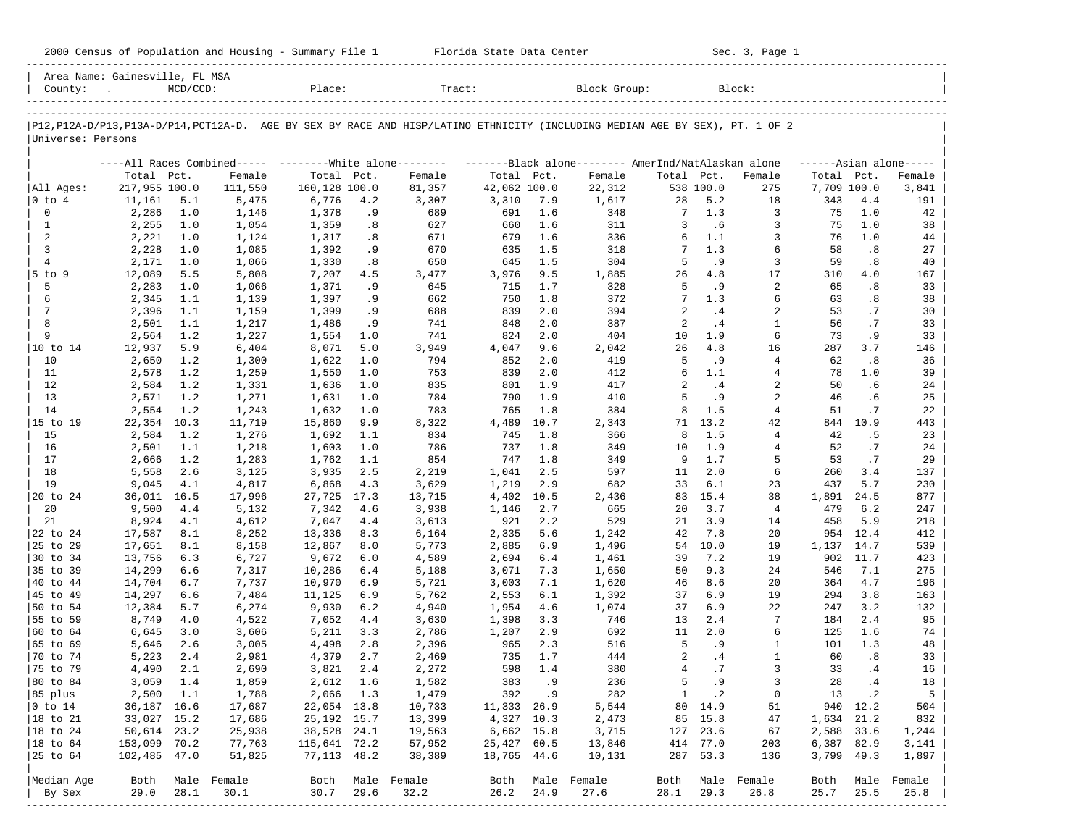| 2000<br>and<br>Population<br>Housing<br>.summa<br>Census | Center<br>lorida:<br>- Data<br>blale | Sec<br>Page |
|----------------------------------------------------------|--------------------------------------|-------------|
|                                                          |                                      |             |

2000 Florida State Data Center - Sec. 3, Page 1

| County:<br>$\sim$                                                                                                                                  |                         | $MCD/CCD$ : |                  |                             |            |                                                                                                              |                       |            |                  |                 |              |                  |                    |            |                     |
|----------------------------------------------------------------------------------------------------------------------------------------------------|-------------------------|-------------|------------------|-----------------------------|------------|--------------------------------------------------------------------------------------------------------------|-----------------------|------------|------------------|-----------------|--------------|------------------|--------------------|------------|---------------------|
|                                                                                                                                                    |                         |             |                  | Place:                      |            | Tract:                                                                                                       |                       |            | Block Group:     |                 |              | Block:           |                    |            |                     |
| P12, P12A-D/P13, P13A-D/P14, PCT12A-D. AGE BY SEX BY RACE AND HISP/LATINO ETHNICITY (INCLUDING MEDIAN AGE BY SEX), PT. 1 OF 2<br>Universe: Persons |                         |             |                  |                             |            |                                                                                                              |                       |            |                  |                 |              |                  |                    |            |                     |
|                                                                                                                                                    |                         |             |                  |                             |            |                                                                                                              |                       |            |                  |                 |              |                  |                    |            |                     |
|                                                                                                                                                    |                         |             |                  |                             |            | ----All Races Combined----- --------White alone-------- --------Black alone-------- AmerInd/NatAlaskan alone |                       |            |                  |                 |              |                  |                    |            | $---Asian alone---$ |
|                                                                                                                                                    | Total Pct.              |             | Female           | Total Pct.<br>160,128 100.0 |            | Female                                                                                                       | Total Pct.            |            | Female           | Total Pct.      | 538 100.0    | Female           | Total Pct.         |            | Female              |
| All Ages:<br>$ 0 \t{to} 4$                                                                                                                         | 217,955 100.0<br>11,161 | 5.1         | 111,550<br>5,475 | 6,776                       | 4.2        | 81,357<br>3,307                                                                                              | 42,062 100.0<br>3,310 | 7.9        | 22,312<br>1,617  | 28              | 5.2          | 275<br>18        | 7,709 100.0<br>343 | 4.4        | 3,841<br>191        |
| 0                                                                                                                                                  | 2,286                   | 1.0         | 1,146            | 1,378                       | . 9        | 689                                                                                                          | 691                   | 1.6        | 348              | 7               | 1.3          | 3                | 75                 | 1.0        | 42                  |
| $\mathbf{1}$                                                                                                                                       | 2,255                   | 1.0         | 1,054            | 1,359                       | .8         | 627                                                                                                          | 660                   | 1.6        | 311              | 3               | .6           | 3                | 75                 | 1.0        | 38                  |
| 2                                                                                                                                                  | 2,221                   | 1.0         | 1,124            | 1,317                       | .8         | 671                                                                                                          | 679                   | 1.6        | 336              | 6               | 1.1          | 3                | 76                 | 1.0        | 44                  |
| 3                                                                                                                                                  | 2,228                   | 1.0         | 1,085            | 1,392                       | . 9        | 670                                                                                                          | 635                   | 1.5        | 318              | 7               | 1.3          | 6                | 58                 | .8         | 27                  |
| $\overline{4}$                                                                                                                                     | 2,171                   | 1.0         | 1,066            | 1,330                       | .8         | 650                                                                                                          | 645                   | 1.5        | 304              | 5               | . 9          | 3                | 59                 | .8         | 40                  |
| $5$ to $9$                                                                                                                                         | 12,089                  | 5.5         | 5,808            | 7,207                       | 4.5        | 3,477                                                                                                        | 3,976                 | 9.5        | 1,885            | 26              | 4.8          | 17               | 310                | 4.0        | 167                 |
| 5                                                                                                                                                  | 2,283                   | 1.0         | 1,066            | 1,371                       | . 9        | 645                                                                                                          | 715                   | 1.7        | 328              | 5               | . 9          | 2                | 65                 | .8         | 33                  |
| 6                                                                                                                                                  | 2,345                   | 1.1         | 1,139            | 1,397                       | . 9        | 662                                                                                                          | 750                   | 1.8        | 372              | $7\phantom{.0}$ | 1.3          | 6                | 63                 | .8         | 38                  |
| 7                                                                                                                                                  | 2,396                   | 1.1         | 1,159            | 1,399                       | . 9        | 688                                                                                                          | 839                   | 2.0        | 394              | 2               | .4           | 2                | 53                 | .7         | 30                  |
| 8                                                                                                                                                  | 2,501                   | 1.1         | 1,217            | 1,486                       | . 9        | 741                                                                                                          | 848                   | 2.0        | 387              | 2               | . 4          | $\mathbf{1}$     | 56                 | .7         | 33                  |
| 9                                                                                                                                                  | 2,564                   | 1.2         | 1,227            | 1,554                       | 1.0        | 741                                                                                                          | 824                   | 2.0        | 404              | 10              | 1.9          | 6                | 73                 | . 9        | 33                  |
| 10 to 14                                                                                                                                           | 12,937                  | 5.9         | 6,404            | 8,071                       | 5.0        | 3,949                                                                                                        | 4,047                 | 9.6        | 2,042            | 26              | 4.8          | 16               | 287                | 3.7        | 146                 |
| 10                                                                                                                                                 | 2,650                   | 1.2         | 1,300            | 1,622                       | 1.0        | 794                                                                                                          | 852                   | 2.0        | 419              | 5               | . 9          | $\overline{4}$   | 62                 | .8         | 36                  |
| 11                                                                                                                                                 | 2,578                   | 1.2         | 1,259            | 1,550                       | 1.0        | 753                                                                                                          | 839                   | 2.0        | 412              | 6               | 1.1          | 4                | 78                 | 1.0        | 39                  |
| 12                                                                                                                                                 | 2,584                   | 1.2         | 1,331            | 1,636                       | 1.0        | 835                                                                                                          | 801                   | 1.9        | 417              | 2               | .4           | $\overline{2}$   | 50                 | .6         | 24                  |
| 13                                                                                                                                                 | 2,571                   | 1.2         | 1,271            | 1,631                       | 1.0        | 784                                                                                                          | 790                   | 1.9        | 410              | 5               | .9           | 2                | 46                 | . 6        | 25                  |
| 14                                                                                                                                                 | 2,554                   | 1.2         | 1,243            | 1,632                       | 1.0        | 783                                                                                                          | 765                   | 1.8        | 384              | 8               | 1.5          | $\overline{4}$   | 51                 | .7         | 22                  |
| 15 to 19                                                                                                                                           | 22,354                  | 10.3        | 11,719           | 15,860                      | 9.9        | 8,322                                                                                                        | 4,489                 | 10.7       | 2,343            | 71              | 13.2         | 42               | 844                | 10.9       | 443                 |
| 15                                                                                                                                                 | 2,584                   | 1.2         | 1,276            | 1,692                       | 1.1        | 834                                                                                                          | 745                   | 1.8        | 366              | 8               | 1.5          | $\overline{4}$   | 42                 | . 5        | 23                  |
| 16                                                                                                                                                 | 2,501                   | 1.1         | 1,218            | 1,603                       | 1.0        | 786                                                                                                          | 737                   | 1.8        | 349              | 10              | 1.9          | 4                | 52                 | .7         | 24                  |
| 17                                                                                                                                                 | 2,666                   | 1.2         | 1,283            | 1,762                       | 1.1        | 854                                                                                                          | 747                   | 1.8        | 349              | 9               | 1.7          | 5                | 53                 | .7         | 29                  |
| 18                                                                                                                                                 | 5,558                   | 2.6         | 3,125            | 3,935                       | 2.5        | 2,219                                                                                                        | 1,041                 | 2.5        | 597              | 11              | 2.0          | 6                | 260                | 3.4        | 137                 |
| 19                                                                                                                                                 | 9,045                   | 4.1         | 4,817            | 6,868                       | 4.3        | 3,629                                                                                                        | 1,219                 | 2.9        | 682              | 33              | 6.1          | 23               | 437                | 5.7        | 230                 |
| 20 to 24                                                                                                                                           | 36,011 16.5             |             | 17,996           | 27,725                      | 17.3       | 13,715                                                                                                       | 4,402                 | 10.5       | 2,436            | 83              | 15.4         | 38               | 1,891              | 24.5       | 877                 |
| 20                                                                                                                                                 | 9,500                   | 4.4         | 5,132            | 7,342                       | 4.6        | 3,938                                                                                                        | 1,146                 | 2.7        | 665              | 20              | 3.7          | $\overline{4}$   | 479                | 6.2        | 247                 |
| 21                                                                                                                                                 | 8,924                   | 4.1         | 4,612            | 7,047                       | 4.4        | 3,613                                                                                                        | 921                   | 2.2        | 529              | 21              | 3.9          | 14               | 458                | 5.9        | 218                 |
| 22 to 24                                                                                                                                           | 17,587                  | 8.1         | 8,252            | 13,336                      | 8.3        | 6,164                                                                                                        | 2,335                 | 5.6        | 1,242            | 42              | 7.8          | 20               | 954                | 12.4       | 412                 |
| 25 to 29                                                                                                                                           | 17,651                  | 8.1         | 8,158            | 12,867                      | 8.0        | 5,773                                                                                                        | 2,885                 | 6.9        | 1,496            | 54              | 10.0         | 19               | 1,137 14.7         |            | 539                 |
| 30 to 34                                                                                                                                           | 13,756                  | 6.3         | 6,727            | 9,672                       | 6.0        | 4,589                                                                                                        | 2,694                 | 6.4        | 1,461            | 39              | 7.2          | 19               | 902                | 11.7       | 423                 |
| 35 to 39                                                                                                                                           | 14,299                  | 6.6         | 7,317            | 10,286                      | 6.4        | 5,188                                                                                                        | 3,071                 | 7.3        | 1,650            | 50              | 9.3          | 24               | 546                | 7.1        | 275                 |
| 40 to 44                                                                                                                                           | 14,704                  | 6.7         | 7,737            | 10,970                      | 6.9<br>6.9 | 5,721                                                                                                        | 3,003                 | 7.1        | 1,620            | 46<br>37        | 8.6<br>6.9   | 20<br>19         | 364<br>294         | 4.7<br>3.8 | 196<br>163          |
| 45 to 49                                                                                                                                           | 14,297                  | 6.6         | 7,484            | 11,125                      | 6.2        | 5,762                                                                                                        | 2,553                 | 6.1        | 1,392            | 37              | 6.9          | 22               | 247                |            |                     |
| 50 to 54<br>55 to 59                                                                                                                               | 12,384<br>8,749         | 5.7<br>4.0  | 6,274<br>4,522   | 9,930<br>7,052              | 4.4        | 4,940<br>3,630                                                                                               | 1,954<br>1,398        | 4.6<br>3.3 | 1,074<br>746     | 13              | 2.4          | 7                | 184                | 3.2<br>2.4 | 132<br>95           |
| 60 to 64                                                                                                                                           | 6,645                   | 3.0         | 3,606            | 5,211                       | 3.3        | 2,786                                                                                                        | 1,207                 | 2.9        | 692              | 11              | 2.0          | 6                | 125                | 1.6        | 74                  |
| 65 to 69                                                                                                                                           | 5,646                   | 2.6         | 3,005            | 4,498                       | 2.8        | 2,396                                                                                                        | 965                   | 2.3        | 516              | 5               | . 9          | 1                | 101                | 1.3        | 48                  |
| 70 to 74                                                                                                                                           | 5,223                   | 2.4         | 2,981            | 4,379                       | 2.7        | 2,469                                                                                                        | 735                   | 1.7        | 444              | 2               | .4           | $\mathbf{1}$     | 60                 | .8         | 33                  |
| 75 to 79                                                                                                                                           | 4,490                   | 2.1         | 2,690            | 3,821                       | 2.4        | 2,272                                                                                                        | 598                   | 1.4        | 380              | $\overline{4}$  | .7           | $\overline{3}$   | 33                 | .4         | 16                  |
| 80 to 84                                                                                                                                           | 3,059                   | 1.4         | 1,859            | 2,612                       | 1.6        | 1,582                                                                                                        | 383                   | . 9        | 236              | 5               | . 9          | $\overline{3}$   | 28                 | .4         | 18                  |
| 85 plus                                                                                                                                            | 2,500 1.1               |             | 1,788            | 2,066 1.3                   |            | 1,479                                                                                                        |                       | 392.9      | 282              |                 | $1 \quad .2$ | 0                |                    | 13 .2      | 5                   |
| $ 0 \t{to} 14$                                                                                                                                     | 36,187 16.6             |             | 17,687           | 22,054 13.8                 |            | 10,733                                                                                                       | 11,333 26.9           |            | 5,544            |                 | 80 14.9      | 51               |                    | 940 12.2   | 504                 |
| $ 18 \text{ to } 21$                                                                                                                               | 33,027 15.2             |             | 17,686           | 25,192 15.7                 |            | 13,399                                                                                                       | 4,327 10.3            |            | 2,473            |                 | 85 15.8      | 47               | 1,634 21.2         |            | 832                 |
| $ 18$ to $24$                                                                                                                                      | 50,614 23.2             |             | 25,938           | 38,528 24.1                 |            | 19,563                                                                                                       | 6,662 15.8            |            | 3,715            |                 | 127 23.6     | 67               | 2,588 33.6         |            | 1,244               |
| $ 18 \text{ to } 64$                                                                                                                               | 153,099 70.2            |             | 77,763           | 115,641 72.2                |            | 57,952                                                                                                       | 25,427 60.5           |            | 13,846           |                 | 414 77.0     | 203              | 6,387 82.9         |            | 3,141               |
| 25 to 64                                                                                                                                           | 102,485 47.0            |             | 51,825           | 77,113 48.2                 |            | 38,389                                                                                                       | 18,765 44.6           |            | 10,131           |                 | 287 53.3     | 136              | 3,799 49.3         |            | 1,897               |
|                                                                                                                                                    |                         |             |                  |                             |            |                                                                                                              |                       |            |                  |                 |              |                  |                    |            |                     |
| Median Age                                                                                                                                         |                         |             | Both Male Female |                             |            | Both Male Female                                                                                             |                       |            | Both Male Female |                 |              | Both Male Female | Both               |            | Male Female         |
| By Sex                                                                                                                                             | 29.0                    | 28.1        | 30.1             | 30.7                        | 29.6       | 32.2                                                                                                         | 26.2                  | 24.9       | 27.6             | 28.1            | 29.3         | 26.8             | 25.7               | 25.5       | 25.8                |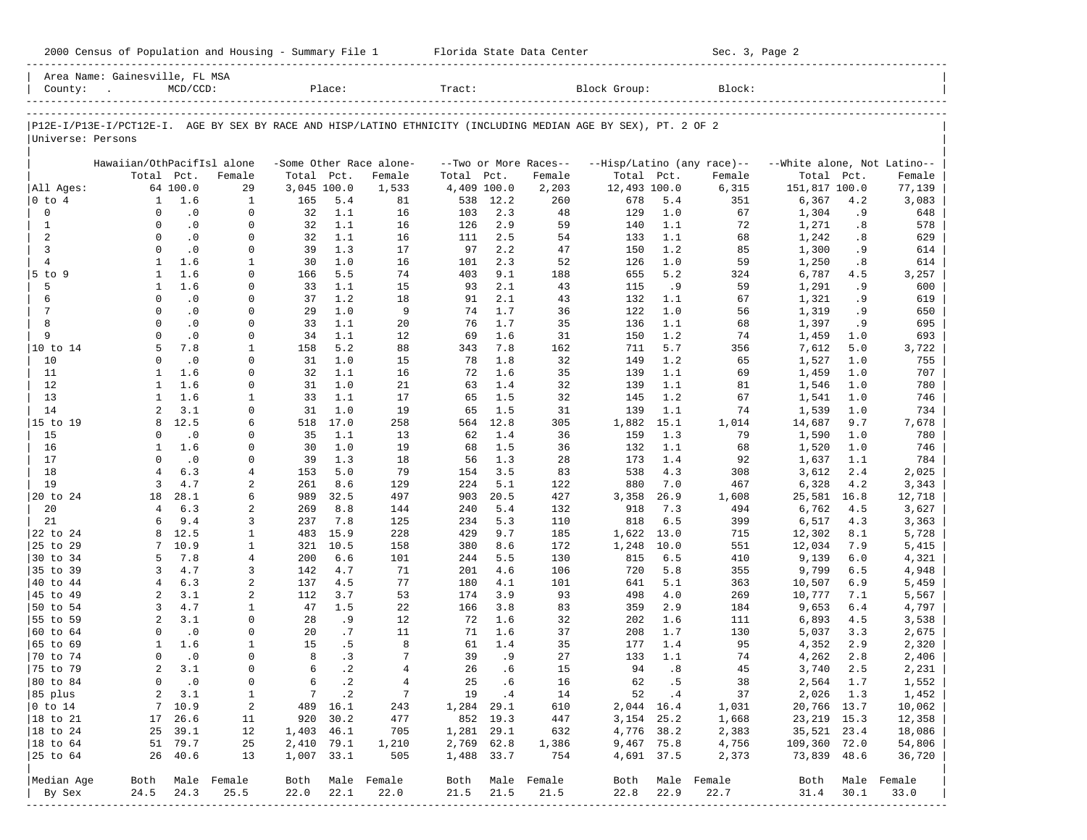|                      | Area Name: Gainesville, FL MSA                                                                                 |                        |                     |              |              |                         |              |            |                       |              |             |                            |                             |            |                     |
|----------------------|----------------------------------------------------------------------------------------------------------------|------------------------|---------------------|--------------|--------------|-------------------------|--------------|------------|-----------------------|--------------|-------------|----------------------------|-----------------------------|------------|---------------------|
| County:              |                                                                                                                | $MCD/CCD$ :            |                     |              | Place:       |                         | Tract:       |            |                       | Block Group: |             | Block:                     |                             |            |                     |
|                      |                                                                                                                |                        |                     |              |              |                         |              |            |                       |              |             |                            |                             |            |                     |
|                      |                                                                                                                |                        |                     |              |              |                         |              |            |                       |              |             |                            |                             |            |                     |
|                      | P12E-I/P13E-I/PCT12E-I. AGE BY SEX BY RACE AND HISP/LATINO ETHNICITY (INCLUDING MEDIAN AGE BY SEX), PT. 2 OF 2 |                        |                     |              |              |                         |              |            |                       |              |             |                            |                             |            |                     |
| Universe: Persons    |                                                                                                                |                        |                     |              |              |                         |              |            |                       |              |             |                            |                             |            |                     |
|                      |                                                                                                                |                        |                     |              |              |                         |              |            |                       |              |             |                            |                             |            |                     |
|                      | Hawaiian/OthPacifIsl alone                                                                                     |                        |                     |              |              | -Some Other Race alone- |              |            | --Two or More Races-- |              |             | --Hisp/Latino (any race)-- | --White alone, Not Latino-- |            |                     |
|                      | Total Pct.                                                                                                     |                        | Female              | Total        | Pct.         | Female                  | Total        | Pct.       | Female                | Total        | Pct.        | Female                     | Total                       | Pct.       | Female              |
| All Ages:            |                                                                                                                | 64 100.0               | 29                  | 3,045 100.0  |              | 1,533                   | 4,409 100.0  |            | 2,203                 | 12,493 100.0 |             | 6,315                      | 151,817 100.0               |            | 77,139              |
| 0 to 4               | 1                                                                                                              | 1.6                    | 1                   | 165          | 5.4          | 81                      | 538          | 12.2       | 260                   | 678          | 5.4         | 351                        | 6,367                       | 4.2        | 3,083               |
| $\mathbf 0$          | $\mathbf 0$                                                                                                    | $\cdot$ 0              | 0                   | 32           | 1.1          | 16                      | 103          | 2.3        | 48                    | 129          | 1.0         | 67                         | 1,304                       | .9         | 648                 |
| 1<br>2               | $\Omega$<br>$\Omega$                                                                                           | $\cdot$ 0              | 0<br>0              | 32           | 1.1<br>1.1   | 16                      | 126          | 2.9        | 59<br>54              | 140          | 1.1         | 72                         | 1,271                       | .8         | 578                 |
| 3                    | $\mathbf 0$                                                                                                    | $\cdot$ 0<br>$\cdot$ 0 | $\Omega$            | 32<br>39     | 1.3          | 16<br>17                | 111<br>97    | 2.5<br>2.2 | 47                    | 133<br>150   | 1.1<br>1.2  | 68<br>85                   | 1,242<br>1,300              | .8<br>.9   | 629<br>614          |
| $\overline{4}$       | 1                                                                                                              | 1.6                    | 1                   | 30           | 1.0          | 16                      | 101          | 2.3        | 52                    | 126          | 1.0         | 59                         | 1,250                       | .8         | 614                 |
| 5 to 9               | 1                                                                                                              | 1.6                    | $\Omega$            | 166          | 5.5          | 74                      | 403          | 9.1        | 188                   | 655          | 5.2         | 324                        | 6,787                       | 4.5        | 3,257               |
| 5                    | 1                                                                                                              | 1.6                    | 0                   | 33           | 1.1          | 15                      | 93           | 2.1        | 43                    | 115          | .9          | 59                         | 1,291                       | . 9        | 600                 |
| 6                    | $\mathbf 0$                                                                                                    | $\cdot$ 0              | $\Omega$            | 37           | 1.2          | 18                      | 91           | 2.1        | 43                    | 132          | 1.1         | 67                         | 1,321                       | . 9        | 619                 |
| 7                    | $\mathbf 0$                                                                                                    | $\cdot$ 0              | $\Omega$            | 29           | 1.0          | 9                       | 74           | 1.7        | 36                    | 122          | 1.0         | 56                         | 1,319                       | . 9        | 650                 |
| 8                    | $\Omega$                                                                                                       | $\cdot$ 0              | $\Omega$            | 33           | 1.1          | 20                      | 76           | 1.7        | 35                    | 136          | 1.1         | 68                         | 1,397                       | . 9        | 695                 |
| 9                    | $\Omega$                                                                                                       | $\cdot$ 0              | 0                   | 34           | 1.1          | 12                      | 69           | 1.6        | 31                    | 150          | 1.2         | 74                         | 1,459                       | 1.0        | 693                 |
|                      | 5                                                                                                              | 7.8                    | 1                   | 158          | 5.2          | 88                      | 343          | 7.8        | 162                   | 711          | 5.7         | 356                        | 7,612                       | 5.0        | 3,722               |
| 10                   | $\Omega$                                                                                                       | $\cdot$ 0              | $\Omega$            | 31           | 1.0          | 15                      | 78           | 1.8        | 32                    | 149          | 1.2         | 65                         | 1,527                       | 1.0        | 755                 |
| 11                   | 1                                                                                                              | 1.6                    | $\Omega$            | 32           | 1.1          | 16                      | 72           | 1.6        | 35                    | 139          | 1.1         | 69                         | 1,459                       | 1.0        | 707                 |
| 12                   | 1                                                                                                              | 1.6                    | 0                   | 31           | 1.0          | 21                      | 63           | 1.4        | 32                    | 139          | 1.1         | 81                         | 1,546                       | 1.0        | 780                 |
| 13                   | 1                                                                                                              | 1.6                    | 1                   | 33           | 1.1          | 17                      | 65           | 1.5        | 32                    | 145          | 1.2         | 67                         | 1,541                       | 1.0        | 746                 |
| 14                   | 2                                                                                                              | 3.1                    | $\Omega$            | 31           | 1.0          | 19                      | 65           | 1.5        | 31                    | 139          | 1.1         | 74                         | 1,539                       | 1.0        | 734                 |
| 15 to 19             | 8                                                                                                              | 12.5                   | 6                   | 518          | 17.0         | 258                     | 564          | 12.8       | 305                   | 1,882        | 15.1        | 1,014                      | 14,687                      | 9.7        | 7,678               |
| 15                   | 0                                                                                                              | $\cdot$ 0              | 0                   | 35           | 1.1          | 13                      | 62           | 1.4        | 36                    | 159          | 1.3         | 79                         | 1,590                       | 1.0        | 780                 |
| 16                   | 1                                                                                                              | 1.6                    | $\Omega$            | 30           | 1.0          | 19                      | 68           | 1.5        | 36                    | 132          | 1.1         | 68                         | 1,520                       | 1.0        | 746                 |
| 17                   | $\Omega$                                                                                                       | $\cdot$ 0              | 0                   | 39           | 1.3          | 18                      | 56           | 1.3        | 28                    | 173          | 1.4         | 92                         | 1,637                       | 1.1        | 784                 |
| 18                   | 4                                                                                                              | 6.3                    | 4                   | 153          | 5.0          | 79                      | 154          | 3.5        | 83                    | 538          | 4.3         | 308                        | 3,612                       | 2.4        | 2,025               |
| 19                   | 3                                                                                                              | 4.7                    | 2                   | 261          | 8.6          | 129                     | 224          | 5.1        | 122                   | 880          | 7.0         | 467                        | 6,328                       | 4.2        | 3,343               |
| 20 to 24             | 18                                                                                                             | 28.1                   | 6                   | 989          | 32.5         | 497                     | 903          | 20.5       | 427                   | 3,358        | 26.9        | 1,608                      | 25,581                      | 16.8       | 12,718              |
| 20                   | 4                                                                                                              | 6.3                    | 2                   | 269          | 8.8          | 144                     | 240          | 5.4        | 132                   | 918          | 7.3         | 494                        | 6,762                       | 4.5        | 3,627               |
| 21<br>22 to 24       | 6<br>8                                                                                                         | 9.4<br>12.5            | 3<br>$\mathbf{1}$   | 237<br>483   | 7.8<br>15.9  | 125<br>228              | 234<br>429   | 5.3<br>9.7 | 110<br>185            | 818<br>1,622 | 6.5<br>13.0 | 399<br>715                 | 6,517<br>12,302             | 4.3<br>8.1 | 3,363<br>5,728      |
| 25 to 29             | 7                                                                                                              | 10.9                   | $\mathbf{1}$        | 321          | 10.5         | 158                     | 380          | 8.6        | 172                   | 1,248        | 10.0        | 551                        | 12,034                      | 7.9        | 5,415               |
| 30 to 34             | 5                                                                                                              | 7.8                    | 4                   | 200          | 6.6          | 101                     | 244          | 5.5        | 130                   | 815          | 6.5         | 410                        | 9,139                       | 6.0        | 4,321               |
| 35 to 39             | 3                                                                                                              | 4.7                    | 3                   | 142          | 4.7          | 71                      | 201          | 4.6        | 106                   | 720          | 5.8         | 355                        | 9,799                       | 6.5        | 4,948               |
| 40 to 44             | 4                                                                                                              | 6.3                    | 2                   | 137          | 4.5          | 77                      | 180          | 4.1        | 101                   | 641          | 5.1         | 363                        | 10,507                      | 6.9        | 5,459               |
| 45 to 49             | 2                                                                                                              | 3.1                    | 2                   | 112          | 3.7          | 53                      | 174          | 3.9        | 93                    | 498          | 4.0         | 269                        | 10,777                      | 7.1        | 5,567               |
| 50 to 54             | 3                                                                                                              | 4.7                    | $\mathbf{1}$        | 47           | 1.5          | 22                      | 166          | 3.8        | 83                    | 359          | 2.9         | 184                        | 9,653                       | 6.4        | 4,797               |
| 55 to 59             | 2                                                                                                              | 3.1                    | $\mathbf 0$         | 28           | .9           | 12                      | 72           | 1.6        | 32                    | 202          | 1.6         | 111                        | 6,893                       | 4.5        | 3,538               |
| 60 to 64             | $\mathbf 0$                                                                                                    | $\cdot$ 0              | 0                   | 20           | .7           | 11                      | 71           | 1.6        | 37                    | 208          | 1.7         | 130                        | 5,037                       | 3.3        | 2,675               |
| 65 to 69             | 1                                                                                                              | 1.6                    | 1                   | 15           | . 5          | 8                       | 61           | 1.4        | 35                    | 177          | 1.4         | 95                         | 4,352                       | 2.9        | 2,320               |
| 70 to 74             | $\Omega$                                                                                                       | $\cdot$ 0              | 0                   | 8            | .3           | 7                       | 39           | . 9        | 27                    | 133          | 1.1         | 74                         | 4,262                       | 2.8        | 2,406               |
| 75 to 79             | 2                                                                                                              | 3.1                    | $\Omega$            | 6            | $\cdot$ 2    | $\overline{4}$          | 26           | . 6        | 15                    | 94           | .8          | 45                         | 3,740                       | 2.5        | 2,231               |
| 80 to 84             | $\Omega$                                                                                                       | $\cdot$ 0              | $\Omega$            | 6            | $\cdot$ 2    | $\overline{4}$          | 25           | . 6        | 16                    | 62           | . 5         | 38                         | 2,564                       | 1.7        | 1,552               |
| 85 plus              | 2                                                                                                              | 3.1                    | 1                   |              | $7 \ldots 2$ | $7\phantom{.0}$         |              | 19 .4      | 14                    |              | 52 .4       | 37                         | 2,026 1.3                   |            | 1,452               |
| $0$ to $14$          | 7                                                                                                              | 10.9                   | 2                   |              | 489 16.1     | 243                     | 1,284 29.1   |            | 610                   |              | 2,044 16.4  | 1,031                      | 20,766 13.7                 |            | 10,062              |
| $ 18 \text{ to } 21$ | 17                                                                                                             | 26.6                   | 11                  |              | 920 30.2     | 477                     |              | 852 19.3   | 447                   | 3, 154 25.2  |             | 1,668                      | 23, 219 15.3                |            | 12,358              |
| $ 18$ to $24$        |                                                                                                                | 25 39.1                | 12                  | 1,403 46.1   |              | 705                     | 1,281 29.1   |            | 632                   | 4,776 38.2   |             | 2,383                      | 35,521 23.4                 |            | 18,086              |
| $ 18$ to $64$        |                                                                                                                | 51 79.7                | 25                  | 2,410 79.1   |              | 1,210                   | 2,769 62.8   |            | 1,386                 | 9,467 75.8   |             | 4,756                      | 109,360 72.0                |            | 54,806              |
| 25 to 64             |                                                                                                                | 26 40.6                | 13                  | 1,007 33.1   |              | 505                     | 1,488 33.7   |            | 754                   | 4,691 37.5   |             | 2,373                      | 73,839 48.6                 |            | 36,720              |
|                      |                                                                                                                |                        |                     |              |              |                         |              |            |                       |              |             |                            |                             |            |                     |
| Median Age<br>By Sex | Both<br>24.5                                                                                                   | 24.3                   | Male Female<br>25.5 | Both<br>22.0 | 22.1         | Male Female<br>22.0     | Both<br>21.5 | 21.5       | Male Female<br>21.5   | Both<br>22.8 | 22.9        | Male Female<br>22.7        | Both<br>31.4                | 30.1       | Male Female<br>33.0 |
|                      |                                                                                                                |                        |                     |              |              |                         |              |            |                       |              |             |                            |                             |            |                     |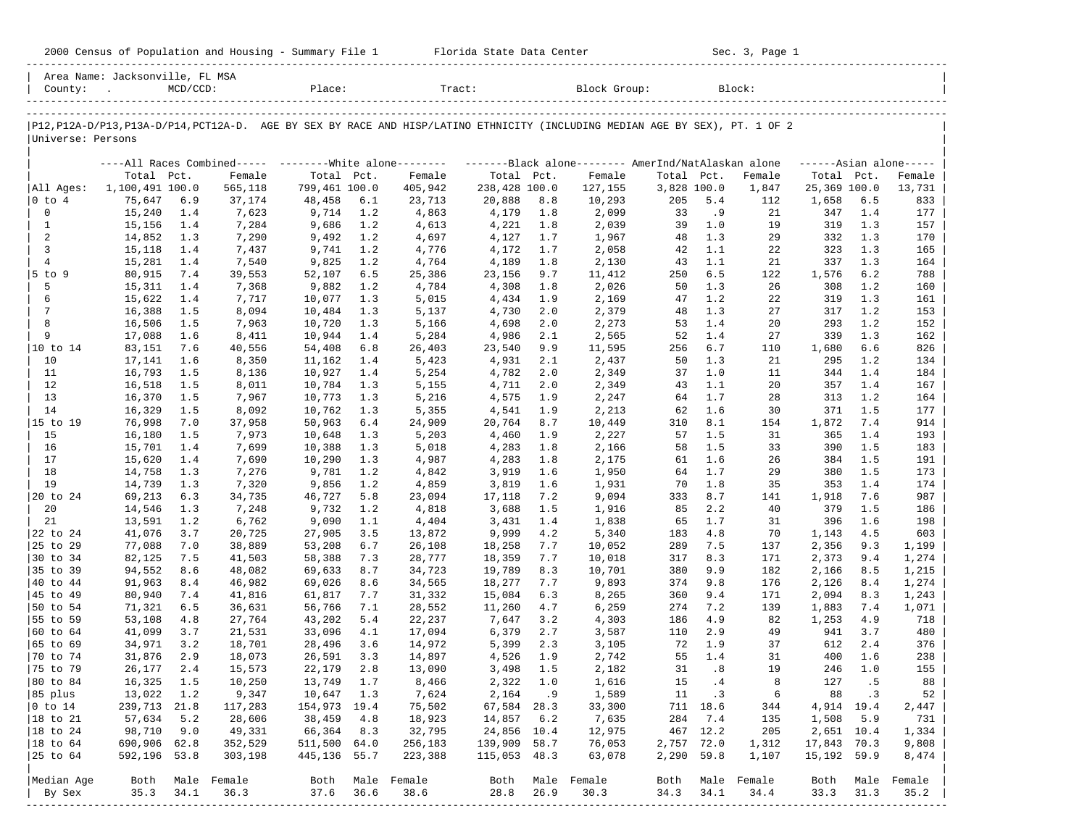| 2000<br>and<br>Population<br>Housing<br>.summa<br>Census | Center<br>lorida:<br>- Data<br>blale | Sec<br>Page |
|----------------------------------------------------------|--------------------------------------|-------------|
|                                                          |                                      |             |

2000 Florida State Data Center - Sec. 3, Page 1

| County:                      | Area Name: Jacksonville, FL MSA<br>$\sim$ | $MCD/CCD$ : |                  | Place:           |            | Tract:           |                  |            | Block Group:                                                                                                                  |             |            | Block:           |                |              |                     |
|------------------------------|-------------------------------------------|-------------|------------------|------------------|------------|------------------|------------------|------------|-------------------------------------------------------------------------------------------------------------------------------|-------------|------------|------------------|----------------|--------------|---------------------|
|                              |                                           |             |                  |                  |            |                  |                  |            |                                                                                                                               |             |            |                  |                |              |                     |
|                              |                                           |             |                  |                  |            |                  |                  |            | P12, P12A-D/P13, P13A-D/P14, PCT12A-D. AGE BY SEX BY RACE AND HISP/LATINO ETHNICITY (INCLUDING MEDIAN AGE BY SEX), PT. 1 OF 2 |             |            |                  |                |              |                     |
| Universe: Persons            |                                           |             |                  |                  |            |                  |                  |            |                                                                                                                               |             |            |                  |                |              |                     |
|                              |                                           |             |                  |                  |            |                  |                  |            | ----All Races Combined----- --------White alone-------- --------Black alone-------- AmerInd/NatAlaskan alone                  |             |            |                  |                |              | $---Asian alone---$ |
|                              | Total Pct.                                |             | Female           | Total Pct.       |            | Female           | Total Pct.       |            | Female                                                                                                                        | Total Pct.  |            | Female           | Total Pct.     |              | Female              |
| All Ages:                    | 1,100,491 100.0                           |             | 565,118          | 799,461 100.0    |            | 405,942          | 238,428 100.0    |            | 127,155                                                                                                                       | 3,828 100.0 |            | 1,847            | 25,369 100.0   |              | 13,731              |
| $ 0 \t{to} 4$<br>$\mathbf 0$ | 75,647<br>15,240                          | 6.9<br>1.4  | 37,174<br>7,623  | 48,458<br>9,714  | 6.1<br>1.2 | 23,713<br>4,863  | 20,888<br>4,179  | 8.8<br>1.8 | 10,293<br>2,099                                                                                                               | 205<br>33   | 5.4<br>. 9 | 112<br>21        | 1,658<br>347   | 6.5<br>1.4   | 833<br>177          |
| $\mathbf{1}$                 | 15,156                                    | 1.4         | 7,284            | 9,686            | 1.2        | 4,613            | 4,221            | 1.8        | 2,039                                                                                                                         | 39          | 1.0        | 19               | 319            | 1.3          | 157                 |
| 2                            | 14,852                                    | 1.3         | 7,290            | 9,492            | 1.2        | 4,697            | 4,127            | 1.7        | 1,967                                                                                                                         | 48          | 1.3        | 29               | 332            | 1.3          | 170                 |
| 3                            | 15,118                                    | 1.4         | 7,437            | 9,741            | 1.2        | 4,776            | 4,172            | 1.7        | 2,058                                                                                                                         | 42          | 1.1        | 22               | 323            | 1.3          | 165                 |
| $\overline{4}$               | 15,281                                    | 1.4         | 7,540            | 9,825            | 1.2        | 4,764            | 4,189            | 1.8        | 2,130                                                                                                                         | 43          | 1.1        | 21               | 337            | 1.3          | 164                 |
| $5$ to $9$                   | 80,915                                    | 7.4         | 39,553           | 52,107           | 6.5        | 25,386           | 23,156           | 9.7        | 11,412                                                                                                                        | 250         | 6.5        | 122              | 1,576          | 6.2          | 788                 |
| 5                            | 15,311                                    | 1.4         | 7,368            | 9,882            | 1.2        | 4,784            | 4,308            | 1.8        | 2,026                                                                                                                         | 50          | 1.3        | 26               | 308            | 1.2          | 160                 |
| 6                            | 15,622                                    | 1.4         | 7,717            | 10,077           | 1.3        | 5,015            | 4,434            | 1.9        | 2,169                                                                                                                         | 47          | 1.2        | 22               | 319            | 1.3          | 161                 |
| $7\phantom{.0}$              | 16,388                                    | 1.5         | 8,094            | 10,484           | 1.3        | 5,137            | 4,730            | 2.0        | 2,379                                                                                                                         | 48          | 1.3        | 27               | 317            | 1.2          | 153                 |
| 8                            | 16,506                                    | 1.5         | 7,963            | 10,720           | 1.3        | 5,166            | 4,698            | 2.0        | 2,273                                                                                                                         | 53          | 1.4        | 20               | 293            | 1.2          | 152                 |
| 9                            | 17,088                                    | 1.6         | 8,411            | 10,944           | 1.4        | 5,284            | 4,986            | 2.1        | 2,565                                                                                                                         | 52          | 1.4        | 27               | 339            | 1.3          | 162                 |
|                              | 83,151                                    | 7.6         | 40,556           | 54,408           | 6.8        | 26,403           | 23,540           | 9.9        | 11,595                                                                                                                        | 256         | 6.7        | 110              | 1,680          | 6.6          | 826                 |
| 10                           | 17,141                                    | 1.6         | 8,350            | 11,162           | 1.4        | 5,423            | 4,931            | 2.1        | 2,437                                                                                                                         | 50          | 1.3        | 21               | 295            | 1.2          | 134                 |
| 11                           | 16,793                                    | 1.5         | 8,136            | 10,927           | 1.4        | 5,254            | 4,782            | 2.0        | 2,349                                                                                                                         | 37          | 1.0        | 11               | 344            | 1.4          | 184                 |
| 12<br>13                     | 16,518<br>16,370                          | 1.5<br>1.5  | 8,011<br>7,967   | 10,784<br>10,773 | 1.3<br>1.3 | 5,155<br>5,216   | 4,711<br>4,575   | 2.0<br>1.9 | 2,349<br>2,247                                                                                                                | 43<br>64    | 1.1<br>1.7 | 20<br>28         | 357<br>313     | 1.4<br>1.2   | 167<br>164          |
| 14                           | 16,329                                    | 1.5         | 8,092            | 10,762           | 1.3        | 5,355            | 4,541            | 1.9        | 2,213                                                                                                                         | 62          | 1.6        | 30               | 371            | 1.5          | 177                 |
| 15 to 19                     | 76,998                                    | 7.0         | 37,958           | 50,963           | 6.4        | 24,909           | 20,764           | 8.7        | 10,449                                                                                                                        | 310         | 8.1        | 154              | 1,872          | 7.4          | 914                 |
| 15                           | 16,180                                    | 1.5         | 7,973            | 10,648           | 1.3        | 5,203            | 4,460            | 1.9        | 2,227                                                                                                                         | 57          | 1.5        | 31               | 365            | 1.4          | 193                 |
| 16                           | 15,701                                    | 1.4         | 7,699            | 10,388           | 1.3        | 5,018            | 4,283            | 1.8        | 2,166                                                                                                                         | 58          | 1.5        | 33               | 390            | 1.5          | 183                 |
| 17                           | 15,620                                    | 1.4         | 7,690            | 10,290           | 1.3        | 4,987            | 4,283            | 1.8        | 2,175                                                                                                                         | 61          | 1.6        | 26               | 384            | 1.5          | 191                 |
| 18                           | 14,758                                    | 1.3         | 7,276            | 9,781            | 1.2        | 4,842            | 3,919            | 1.6        | 1,950                                                                                                                         | 64          | 1.7        | 29               | 380            | 1.5          | 173                 |
| 19                           | 14,739                                    | 1.3         | 7,320            | 9,856            | 1.2        | 4,859            | 3,819            | 1.6        | 1,931                                                                                                                         | 70          | 1.8        | 35               | 353            | 1.4          | 174                 |
| 20 to 24                     | 69,213                                    | 6.3         | 34,735           | 46,727           | 5.8        | 23,094           | 17,118           | 7.2        | 9,094                                                                                                                         | 333         | 8.7        | 141              | 1,918          | 7.6          | 987                 |
| 20                           | 14,546                                    | 1.3         | 7,248            | 9,732            | 1.2        | 4,818            | 3,688            | 1.5        | 1,916                                                                                                                         | 85          | 2.2        | 40               | 379            | 1.5          | 186                 |
| 21                           | 13,591                                    | 1.2         | 6,762            | 9,090            | 1.1        | 4,404            | 3,431            | 1.4        | 1,838                                                                                                                         | 65          | 1.7        | 31               | 396            | 1.6          | 198                 |
| 22 to 24                     | 41,076                                    | 3.7         | 20,725           | 27,905           | 3.5        | 13,872           | 9,999            | 4.2        | 5,340                                                                                                                         | 183         | 4.8        | 70               | 1,143          | 4.5          | 603                 |
| 25 to 29                     | 77,088                                    | 7.0         | 38,889           | 53,208           | 6.7        | 26,108           | 18,258           | 7.7        | 10,052                                                                                                                        | 289         | 7.5        | 137              | 2,356          | 9.3          | 1,199               |
| 30 to 34                     | 82,125                                    | 7.5         | 41,503           | 58,388           | 7.3        | 28,777           | 18,359           | 7.7        | 10,018                                                                                                                        | 317         | 8.3        | 171              | 2,373          | 9.4          | 1,274               |
| 35 to 39                     | 94,552                                    | 8.6         | 48,082           | 69,633           | 8.7        | 34,723           | 19,789           | 8.3        | 10,701                                                                                                                        | 380         | 9.9        | 182              | 2,166          | 8.5          | 1,215               |
| 40 to 44                     | 91,963                                    | 8.4         | 46,982           | 69,026           | 8.6        | 34,565           | 18,277           | 7.7        | 9,893                                                                                                                         | 374         | 9.8        | 176              | 2,126          | 8.4<br>8.3   | 1,274               |
| 45 to 49<br>50 to 54         | 80,940<br>71,321                          | 7.4<br>6.5  | 41,816<br>36,631 | 61,817<br>56,766 | 7.7<br>7.1 | 31,332<br>28,552 | 15,084<br>11,260 | 6.3<br>4.7 | 8,265<br>6,259                                                                                                                | 360<br>274  | 9.4<br>7.2 | 171<br>139       | 2,094<br>1,883 | 7.4          | 1,243<br>1,071      |
| 55 to 59                     | 53,108                                    | 4.8         | 27,764           | 43,202           | 5.4        | 22,237           | 7,647            | 3.2        | 4,303                                                                                                                         | 186         | 4.9        | 82               | 1,253          | 4.9          | 718                 |
| 60 to 64                     | 41,099                                    | 3.7         | 21,531           | 33,096           | 4.1        | 17,094           | 6,379            | 2.7        | 3,587                                                                                                                         | 110         | 2.9        | 49               | 941            | 3.7          | 480                 |
| 65 to 69                     | 34,971                                    | 3.2         | 18,701           | 28,496           | 3.6        | 14,972           | 5,399            | 2.3        | 3,105                                                                                                                         | 72          | 1.9        | 37               | 612            | 2.4          | 376                 |
| 70 to 74                     | 31,876                                    | 2.9         | 18,073           | 26,591           | 3.3        | 14,897           | 4,526            | 1.9        | 2,742                                                                                                                         | 55          | 1.4        | 31               | 400            | 1.6          | 238                 |
| 75 to 79                     | 26,177                                    | 2.4         | 15,573           | 22,179           | 2.8        | 13,090           | 3,498            | 1.5        | 2,182                                                                                                                         | 31          | .8         | 19               | 246            | 1.0          | 155                 |
| 80 to 84                     | 16,325                                    | 1.5         | 10,250           | 13,749           | 1.7        | 8,466            | 2,322            | 1.0        | 1,616                                                                                                                         | 15          | .4         | 8                | 127            | . 5          | 88                  |
| 85 plus                      | 13,022 1.2                                |             | 9,347            | 10,647           | 1.3        | 7,624            | 2,164            | .9         | 1,589                                                                                                                         | 11          | $\cdot$ 3  | -6               | 88             | $\cdot$ 3    | 52                  |
| $ 0 \t{to} 14$               | 239,713 21.8                              |             | 117,283          | 154,973 19.4     |            | 75,502           | 67,584 28.3      |            | 33,300                                                                                                                        |             | 711 18.6   | 344              | 4,914 19.4     |              | 2,447               |
| 18 to 21                     | 57,634                                    | 5.2         | 28,606           | 38,459           | 4.8        | 18,923           | 14,857 6.2       |            | 7,635                                                                                                                         | 284         | 7.4        | 135              | 1,508          | 5.9          | 731                 |
| $ 18$ to $24$                | 98,710                                    | 9.0         | 49,331           | 66,364           | 8.3        | 32,795           | 24,856 10.4      |            | 12,975                                                                                                                        |             | 467 12.2   | 205              | 2,651 10.4     |              | 1,334               |
| $ 18$ to $64$                | 690,906 62.8                              |             | 352,529          | 511,500 64.0     |            | 256,183          | 139,909 58.7     |            | 76,053                                                                                                                        | 2,757 72.0  |            | 1,312            | 17,843 70.3    |              | 9,808               |
| 25 to 64                     | 592,196 53.8                              |             | 303,198          | 445,136 55.7     |            | 223,388          | 115,053 48.3     |            | 63,078                                                                                                                        | 2,290 59.8  |            | 1,107            | 15, 192 59.9   |              | 8,474               |
| Median Age                   | Both                                      |             | Male Female      |                  |            | Both Male Female | Both             |            | Male Female                                                                                                                   |             |            | Both Male Female | Both           |              | Female              |
| By Sex                       | 35.3                                      | 34.1        | 36.3             | 37.6             | 36.6       | 38.6             | 28.8             | 26.9       | 30.3                                                                                                                          | 34.3        | 34.1       | 34.4             | 33.3           | Male<br>31.3 | 35.2                |
| -----------                  |                                           |             |                  |                  |            |                  |                  |            |                                                                                                                               |             |            |                  |                |              |                     |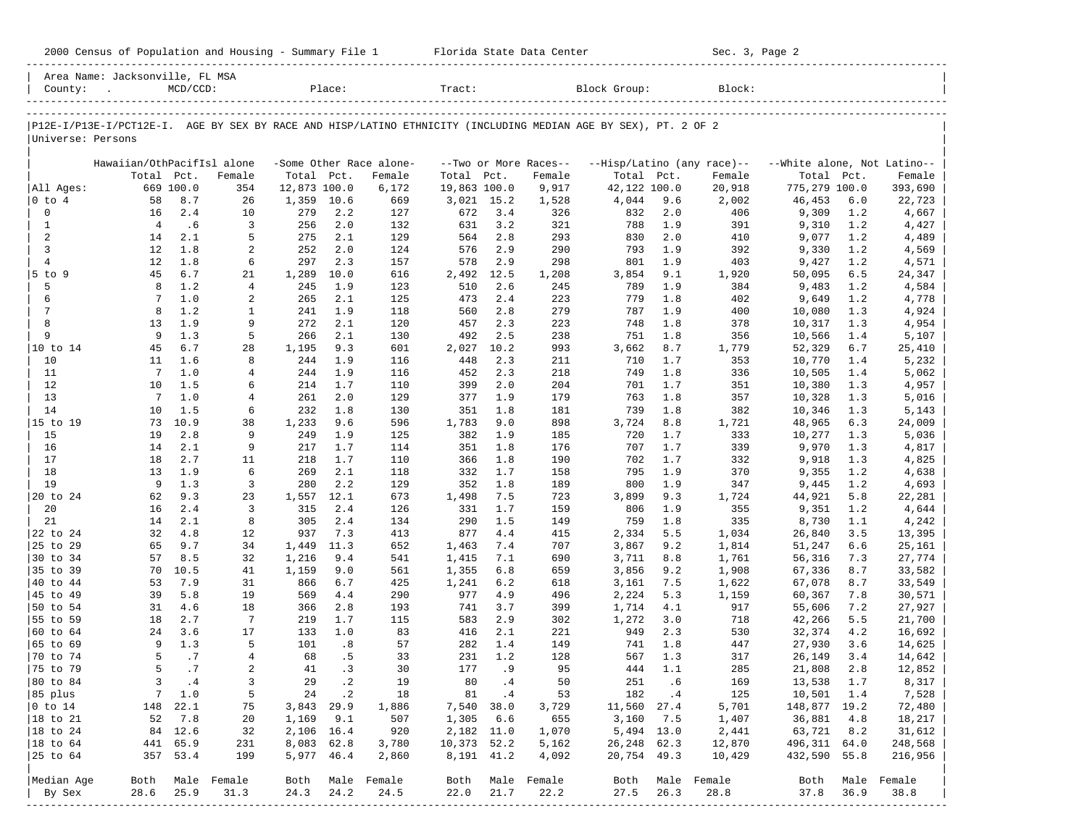| County:                  | Area Name: Jacksonville, FL MSA                                                                                | $MCD/CCD$ : |                                    |                | Place:      |                         | Tract:         |             |                       | Block Group:    |             | Block:                     |                             |            |                                 |
|--------------------------|----------------------------------------------------------------------------------------------------------------|-------------|------------------------------------|----------------|-------------|-------------------------|----------------|-------------|-----------------------|-----------------|-------------|----------------------------|-----------------------------|------------|---------------------------------|
| Universe: Persons        | P12E-I/P13E-I/PCT12E-I. AGE BY SEX BY RACE AND HISP/LATINO ETHNICITY (INCLUDING MEDIAN AGE BY SEX), PT. 2 OF 2 |             |                                    |                |             |                         |                |             |                       |                 |             |                            |                             |            |                                 |
|                          | Hawaiian/OthPacifIsl alone                                                                                     |             |                                    |                |             | -Some Other Race alone- |                |             | --Two or More Races-- |                 |             | --Hisp/Latino (any race)-- | --White alone, Not Latino-- |            |                                 |
|                          | Total Pct.                                                                                                     |             | Female                             | Total Pct.     |             | Female                  | Total Pct.     |             | Female                | Total Pct.      |             | Female                     | Total Pct.                  |            | Female                          |
| All Ages:                |                                                                                                                | 669 100.0   | 354                                | 12,873 100.0   |             | 6,172                   | 19,863 100.0   |             | 9,917                 | 42,122 100.0    |             | 20,918                     | 775,279 100.0               |            | 393,690                         |
| $ 0 \t{to} 4$            | 58                                                                                                             | 8.7         | 26                                 | 1,359 10.6     |             | 669                     | 3,021 15.2     |             | 1,528                 | 4,044           | 9.6         | 2,002                      | 46,453                      | 6.0        | 22,723                          |
| $\Omega$<br>$\mathbf{1}$ | 16<br>$\overline{4}$                                                                                           | 2.4<br>.6   | 10                                 | 279            | 2.2<br>2.0  | 127                     | 672<br>631     | 3.4<br>3.2  | 326                   | 832             | 2.0         | 406                        | 9,309                       | 1.2        | 4,667                           |
| 2                        | 14                                                                                                             | 2.1         | 3<br>5                             | 256<br>275     | 2.1         | 132<br>129              | 564            | 2.8         | 321<br>293            | 788<br>830      | 1.9<br>2.0  | 391<br>410                 | 9,310<br>9,077              | 1.2<br>1.2 | 4,427<br>4,489                  |
| $\mathbf{3}$             | $12 \overline{ }$                                                                                              | 1.8         | 2                                  | 252            | 2.0         | 124                     | 576            | 2.9         | 290                   | 793             | 1.9         | 392                        | 9,330                       | 1.2        | 4,569                           |
| $\overline{4}$           | 12                                                                                                             | 1.8         | 6                                  | 297            | 2.3         | 157                     | 578            | 2.9         | 298                   | 801             | 1.9         | 403                        | 9,427                       | 1.2        | 4,571                           |
| $5$ to $9$               | 45                                                                                                             | 6.7         | 21                                 | 1,289          | 10.0        | 616                     | 2,492          | 12.5        | 1,208                 | 3,854           | 9.1         | 1,920                      | 50,095                      | 6.5        | 24,347                          |
| 5                        | 8                                                                                                              | 1.2         | $\overline{4}$                     | 245            | 1.9         | 123                     | 510            | 2.6         | 245                   | 789             | 1.9         | 384                        | 9,483                       | 1.2        | 4,584                           |
| 6                        | 7                                                                                                              | 1.0         | 2                                  | 265            | 2.1         | 125                     | 473            | 2.4         | 223                   | 779             | 1.8         | 402                        | 9,649                       | 1.2        | 4,778                           |
| 7                        | 8                                                                                                              | 1.2         | $\mathbf{1}$                       | 241            | 1.9         | 118                     | 560            | 2.8         | 279                   | 787             | 1.9         | 400                        | 10,080                      | 1.3        | 4,924                           |
| 8<br>9                   | 13<br>9                                                                                                        | 1.9<br>1.3  | 9<br>5                             | 272<br>266     | 2.1<br>2.1  | 120                     | 457<br>492     | 2.3<br>2.5  | 223<br>238            | 748<br>751      | 1.8<br>1.8  | 378<br>356                 | 10,317                      | 1.3<br>1.4 | 4,954                           |
| 10 to 14                 | 45                                                                                                             | 6.7         | 28                                 | 1,195          | 9.3         | 130<br>601              | 2,027          | 10.2        | 993                   | 3,662           | 8.7         | 1,779                      | 10,566<br>52,329            | 6.7        | 5,107<br>25,410                 |
| 10                       | 11                                                                                                             | 1.6         | 8                                  | 244            | 1.9         | 116                     | 448            | 2.3         | 211                   | 710             | 1.7         | 353                        | 10,770                      | 1.4        | 5,232                           |
| 11                       | $7\phantom{.0}$                                                                                                | 1.0         | $\overline{4}$                     | 244            | 1.9         | 116                     | 452            | 2.3         | 218                   | 749             | 1.8         | 336                        | 10,505                      | 1.4        | 5,062                           |
| 12                       | 10                                                                                                             | 1.5         | 6                                  | 214            | 1.7         | 110                     | 399            | 2.0         | 204                   | 701             | 1.7         | 351                        | 10,380                      | 1.3        | 4,957                           |
| 13                       | $7\phantom{.0}$                                                                                                | 1.0         | 4                                  | 261            | 2.0         | 129                     | 377            | 1.9         | 179                   | 763             | 1.8         | 357                        | 10,328                      | 1.3        | 5,016                           |
| 14                       | 10                                                                                                             | 1.5         | 6                                  | 232            | 1.8         | 130                     | 351            | 1.8         | 181                   | 739             | 1.8         | 382                        | 10,346                      | 1.3        | 5,143                           |
| 15 to 19                 | 73                                                                                                             | 10.9        | 38                                 | 1,233          | 9.6         | 596                     | 1,783          | 9.0         | 898                   | 3,724           | 8.8         | 1,721                      | 48,965                      | 6.3        | 24,009                          |
| 15                       | 19                                                                                                             | 2.8         | 9                                  | 249            | 1.9         | 125                     | 382            | 1.9         | 185                   | 720             | 1.7         | 333                        | 10,277                      | 1.3        | 5,036                           |
| 16<br>17                 | 14<br>18                                                                                                       | 2.1<br>2.7  | 9<br>11                            | 217<br>218     | 1.7<br>1.7  | 114<br>110              | 351<br>366     | 1.8<br>1.8  | 176<br>190            | 707<br>702      | 1.7<br>1.7  | 339<br>332                 | 9,970<br>9,918              | 1.3<br>1.3 | 4,817<br>4,825                  |
| 18                       | 13                                                                                                             | 1.9         | 6                                  | 269            | 2.1         | 118                     | 332            | 1.7         | 158                   | 795             | 1.9         | 370                        | 9,355                       | 1.2        | 4,638                           |
| 19                       | 9                                                                                                              | 1.3         | 3                                  | 280            | 2.2         | 129                     | 352            | 1.8         | 189                   | 800             | 1.9         | 347                        | 9,445                       | 1.2        | 4,693                           |
| 20 to 24                 | 62                                                                                                             | 9.3         | 23                                 | 1,557          | 12.1        | 673                     | 1,498          | 7.5         | 723                   | 3,899           | 9.3         | 1,724                      | 44,921                      | 5.8        | 22,281                          |
| 20                       | 16                                                                                                             | 2.4         | 3                                  | 315            | 2.4         | 126                     | 331            | 1.7         | 159                   | 806             | 1.9         | 355                        | 9,351                       | 1.2        | 4,644                           |
| 21                       | 14                                                                                                             | 2.1         | 8                                  | 305            | 2.4         | 134                     | 290            | 1.5         | 149                   | 759             | 1.8         | 335                        | 8,730                       | 1.1        | 4,242                           |
| 22 to 24                 | 32                                                                                                             | 4.8         | 12                                 | 937            | 7.3         | 413                     | 877            | 4.4         | 415                   | 2,334           | 5.5         | 1,034                      | 26,840                      | 3.5        | 13,395                          |
| 25 to 29                 | 65                                                                                                             | 9.7         | 34                                 | 1,449          | 11.3        | 652                     | 1,463          | 7.4         | 707                   | 3,867           | 9.2         | 1,814                      | 51,247                      | 6.6        | 25,161                          |
| 30 to 34                 | 57                                                                                                             | 8.5         | 32                                 | 1,216          | 9.4         | 541                     | 1,415          | 7.1         | 690                   | 3,711           | 8.8         | 1,761                      | 56,316                      | 7.3        | 27,774                          |
| 35 to 39<br>40 to 44     | 70<br>53                                                                                                       | 10.5<br>7.9 | 41<br>31                           | 1,159<br>866   | 9.0<br>6.7  | 561<br>425              | 1,355<br>1,241 | 6.8<br>6.2  | 659<br>618            | 3,856           | 9.2<br>7.5  | 1,908<br>1,622             | 67,336<br>67,078            | 8.7<br>8.7 | 33,582                          |
| 45 to 49                 | 39                                                                                                             | 5.8         | 19                                 | 569            | 4.4         | 290                     | 977            | 4.9         | 496                   | 3,161<br>2,224  | 5.3         | 1,159                      | 60,367                      | 7.8        | 33,549<br>30,571                |
| 50 to 54                 | 31                                                                                                             | 4.6         | 18                                 | 366            | 2.8         | 193                     | 741            | 3.7         | 399                   | 1,714           | 4.1         | 917                        | 55,606                      | 7.2        | 27,927                          |
| 55 to 59                 | 18                                                                                                             | 2.7         | $7\phantom{.0}$                    | 219            | 1.7         | 115                     | 583            | 2.9         | 302                   | 1,272           | 3.0         | 718                        | 42,266                      | 5.5        | 21,700                          |
| 60 to 64                 | 24                                                                                                             | 3.6         | 17                                 | 133            | 1.0         | 83                      | 416            | 2.1         | 221                   | 949             | 2.3         | 530                        | 32,374                      | 4.2        | 16,692                          |
| 65 to 69                 | 9                                                                                                              | 1.3         | 5                                  | 101            | .8          | 57                      | 282            | 1.4         | 149                   | 741             | 1.8         | 447                        | 27,930                      | 3.6        | 14,625                          |
| 70 to 74                 | 5                                                                                                              | .7          | $\overline{4}$                     | 68             | .5          | 33                      | 231            | 1.2         | 128                   | 567             | 1.3         | 317                        | 26,149                      | 3.4        | 14,642                          |
| 75 to 79                 | 5                                                                                                              | .7          | 2                                  | 41             | .3          | 30                      | 177            | .9          | 95                    | 444             | 1.1         | 285                        | 21,808                      | 2.8        | 12,852                          |
| 80 to 84                 | 3                                                                                                              | $\cdot$ 4   | 3                                  | 29             | $\cdot$ 2   | 19                      | 80             | .4          | 50                    | 251             | .6          | 169                        | 13,538                      | 1.7        | 8,317                           |
| 85 plus                  | 7                                                                                                              | 1.0         | 5                                  | 24             | $\cdot$ 2   | 18                      | 81             | .4          | 53                    | 182             | .4          | 125                        | 10,501                      | 1.4        | 7,528                           |
| $0$ to $14$<br>18 to 21  | 148<br>52                                                                                                      | 22.1<br>7.8 | 75<br>20                           | 3,843<br>1,169 | 29.9<br>9.1 | 1,886<br>507            | 7,540<br>1,305 | 38.0<br>6.6 | 3,729<br>655          | 11,560<br>3,160 | 27.4<br>7.5 | 5,701<br>1,407             | 148,877 19.2<br>36,881      | 4.8        | 72,480<br>18,217                |
| 18 to 24                 |                                                                                                                | 84 12.6     | 32                                 | 2,106 16.4     |             | 920                     | 2,182 11.0     |             | 1,070                 | 5,494 13.0      |             | 2,441                      | 63,721                      | 8.2        | 31,612                          |
| $ 18$ to $64$            | 441                                                                                                            | 65.9        | 231                                | 8,083 62.8     |             | 3,780                   | 10,373         | 52.2        | 5,162                 | 26,248          | 62.3        | 12,870                     | 496,311 64.0                |            | 248,568                         |
| $ 25$ to $64$            |                                                                                                                | 357 53.4    | 199                                | 5,977 46.4     |             | 2,860                   | 8,191 41.2     |             | 4,092                 | 20,754 49.3     |             | 10,429                     | 432,590                     | 55.8       | 216,956                         |
|                          |                                                                                                                |             |                                    |                |             |                         |                |             |                       |                 |             |                            |                             |            |                                 |
| Median Age               | Both                                                                                                           |             | Male Female                        | Both           |             | Male Female             | Both           |             | Male Female           | Both            |             | Male Female                | Both                        | Male       | Female                          |
| By Sex<br>-------------  | 28.6                                                                                                           | 25.9        | 31.3<br>-------------------------- | 24.3           | 24.2        | 24.5                    | 22.0           | 21.7        | 22.2                  | 27.5            | 26.3        | 28.8                       | 37.8                        | 36.9       | 38.8<br>----------------------- |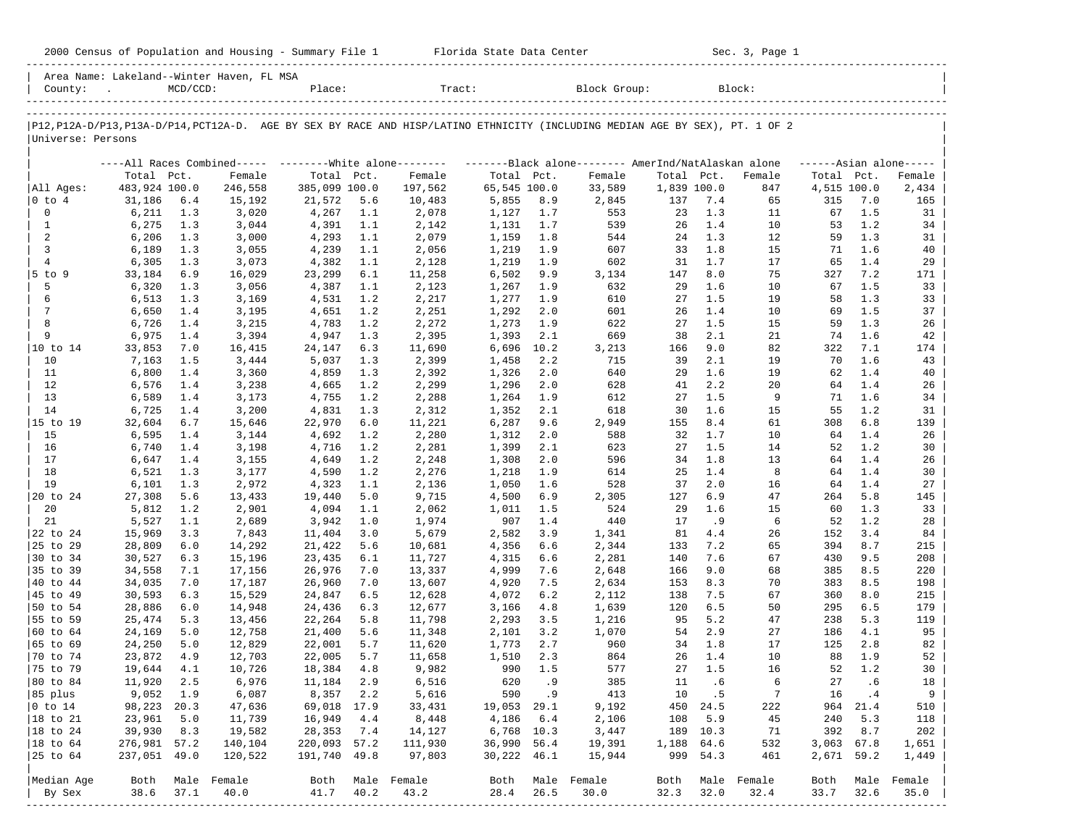|                                                                                                                               |                  |             |                                           |                  |              |                  |                |             | 2000 Census of Population and Housing - Summary File 1 Florida State Data Center                                |              |              | Sec. 3, Page 1       |              |              |                     |
|-------------------------------------------------------------------------------------------------------------------------------|------------------|-------------|-------------------------------------------|------------------|--------------|------------------|----------------|-------------|-----------------------------------------------------------------------------------------------------------------|--------------|--------------|----------------------|--------------|--------------|---------------------|
| County:                                                                                                                       |                  | $MCD/CCD$ : | Area Name: Lakeland--Winter Haven, FL MSA |                  |              | Place:           |                |             | Tract: Block Group: Block:                                                                                      |              |              |                      |              |              |                     |
| P12, P12A-D/P13, P13A-D/P14, PCT12A-D. AGE BY SEX BY RACE AND HISP/LATINO ETHNICITY (INCLUDING MEDIAN AGE BY SEX), PT. 1 OF 2 |                  |             |                                           |                  |              |                  |                |             |                                                                                                                 |              |              |                      |              |              |                     |
| Universe: Persons                                                                                                             |                  |             |                                           |                  |              |                  |                |             |                                                                                                                 |              |              |                      |              |              |                     |
|                                                                                                                               |                  |             |                                           |                  |              |                  |                |             | ----All Races Combined----- ---------White alone-------- ----------Black alone-------- AmerInd/NatAlaskan alone |              |              |                      |              |              | $---Asian alone---$ |
|                                                                                                                               | Total Pct.       |             | Female                                    | Total Pct.       |              | Female           | Total Pct.     |             | Female                                                                                                          | Total Pct.   |              | Female               | Total Pct.   |              | Female              |
| All Ages:                                                                                                                     | 483,924 100.0    |             | 246,558                                   | 385,099 100.0    |              | 197,562          | 65,545 100.0   |             | 33,589                                                                                                          | 1,839 100.0  |              | 847                  | 4,515 100.0  |              | 2,434               |
| $ 0 \t{to} 4$                                                                                                                 | 31,186           | 6.4         | 15,192                                    | 21,572           | 5.6          | 10,483           | 5,855          | 8.9         | 2,845                                                                                                           | 137          | 7.4          | 65                   | 315          | 7.0          | 165                 |
| $\mathbf 0$                                                                                                                   | 6,211            | 1.3         | 3,020                                     | 4,267            | 1.1          | 2,078            | 1,127          | 1.7         | 553                                                                                                             | 23           | 1.3          | 11                   | 67           | 1.5          | 31                  |
| 1<br>2                                                                                                                        | 6,275<br>6,206   | 1.3<br>1.3  | 3,044<br>3,000                            | 4,391<br>4,293   | 1.1<br>1.1   | 2,142<br>2,079   | 1,131<br>1,159 | 1.7<br>1.8  | 539<br>544                                                                                                      | 26<br>24     | 1.4<br>1.3   | 10<br>12             | 53<br>59     | 1.2<br>1.3   | 34<br>31            |
| $\overline{3}$                                                                                                                | 6,189            | 1.3         | 3,055                                     | 4,239            | 1.1          | 2,056            | 1,219          | 1.9         | 607                                                                                                             | 33           | 1.8          | 15                   | 71           | 1.6          | 40                  |
| $\overline{4}$                                                                                                                | 6,305            | 1.3         | 3,073                                     | 4,382            | 1.1          | 2,128            | 1,219          | 1.9         | 602                                                                                                             | 31           | 1.7          | 17                   | 65           | 1.4          | 29                  |
| 5 to 9                                                                                                                        | 33,184           | 6.9         | 16,029                                    | 23,299           | 6.1          | 11,258           | 6,502          | 9.9         | 3,134                                                                                                           | 147          | 8.0          | 75                   | 327          | 7.2          | 171                 |
| 5                                                                                                                             | 6,320            | 1.3         | 3,056                                     | 4,387            | 1.1          | 2,123            | 1,267          | 1.9         | 632                                                                                                             | 29           | 1.6          | 10                   | 67           | 1.5          | 33                  |
| 6                                                                                                                             | 6,513            | 1.3         | 3,169                                     | 4,531            | 1.2          | 2,217            | 1,277          | 1.9         | 610                                                                                                             | 27           | 1.5          | 19                   | 58           | 1.3          | 33                  |
| 7                                                                                                                             | 6,650            | 1.4         | 3,195                                     | 4,651            | 1.2          | 2,251            | 1,292          | 2.0         | 601                                                                                                             | 26           | 1.4          | 10                   | 69           | 1.5          | 37                  |
| 8<br>9                                                                                                                        | 6,726            | 1.4         | 3,215                                     | 4,783            | 1.2          | 2,272            | 1,273          | 1.9         | 622                                                                                                             | 27           | 1.5          | 15                   | 59           | 1.3          | 26                  |
|                                                                                                                               | 6,975<br>33,853  | 1.4<br>7.0  | 3,394<br>16,415                           | 4,947<br>24,147  | 1.3<br>6.3   | 2,395<br>11,690  | 1,393<br>6,696 | 2.1<br>10.2 | 669<br>3,213                                                                                                    | 38<br>166    | 2.1<br>9.0   | 21<br>82             | 74<br>322    | 1.6<br>7.1   | 42<br>174           |
| 10                                                                                                                            | 7,163            | 1.5         | 3,444                                     | 5,037            | 1.3          | 2,399            | 1,458          | 2.2         | 715                                                                                                             | 39           | 2.1          | 19                   | 70           | 1.6          | 43                  |
| 11                                                                                                                            | 6,800            | 1.4         | 3,360                                     | 4,859            | 1.3          | 2,392            | 1,326          | 2.0         | 640                                                                                                             | 29           | 1.6          | 19                   | 62           | 1.4          | 40                  |
| 12                                                                                                                            | 6,576            | 1.4         | 3,238                                     | 4,665            | 1.2          | 2,299            | 1,296          | 2.0         | 628                                                                                                             | 41           | 2.2          | 20                   | 64           | 1.4          | 26                  |
| 13                                                                                                                            | 6,589            | 1.4         | 3,173                                     | 4,755            | 1.2          | 2,288            | 1,264          | 1.9         | 612                                                                                                             | 27           | 1.5          | 9                    | 71           | 1.6          | 34                  |
| 14                                                                                                                            | 6,725            | 1.4         | 3,200                                     | 4,831            | 1.3          | 2,312            | 1,352          | 2.1         | 618                                                                                                             | 30           | 1.6          | 15                   | 55           | 1.2          | 31                  |
| 15 to 19                                                                                                                      | 32,604           | 6.7         | 15,646                                    | 22,970           | 6.0          | 11,221           | 6,287          | 9.6         | 2,949                                                                                                           | 155          | 8.4          | 61                   | 308          | 6.8          | 139                 |
| 15                                                                                                                            | 6,595            | 1.4         | 3,144                                     | 4,692            | 1.2          | 2,280            | 1,312          | 2.0         | 588                                                                                                             | 32           | 1.7          | 10                   | 64           | 1.4          | 26                  |
| 16<br>17                                                                                                                      | 6,740<br>6,647   | 1.4<br>1.4  | 3,198<br>3,155                            | 4,716<br>4,649   | 1.2<br>1.2   | 2,281<br>2,248   | 1,399<br>1,308 | 2.1<br>2.0  | 623<br>596                                                                                                      | 27<br>34     | 1.5<br>1.8   | 14<br>13             | 52<br>64     | 1.2<br>1.4   | 30<br>26            |
| 18                                                                                                                            | 6,521            | 1.3         | 3,177                                     | 4,590            | 1.2          | 2,276            | 1,218          | 1.9         | 614                                                                                                             | 25           | 1.4          | 8                    | 64           | 1.4          | 30                  |
| 19                                                                                                                            | 6,101            | 1.3         | 2,972                                     | 4,323            | 1.1          | 2,136            | 1,050          | 1.6         | 528                                                                                                             | 37           | 2.0          | 16                   | 64           | 1.4          | 27                  |
| 20 to 24                                                                                                                      | 27,308           | 5.6         | 13,433                                    | 19,440           | 5.0          | 9,715            | 4,500          | 6.9         | 2,305                                                                                                           | 127          | 6.9          | 47                   | 264          | 5.8          | 145                 |
| 20                                                                                                                            | 5,812            | 1.2         | 2,901                                     | 4,094            | 1.1          | 2,062            | 1,011          | 1.5         | 524                                                                                                             | 29           | 1.6          | 15                   | 60           | 1.3          | 33                  |
| 21                                                                                                                            | 5,527            | 1.1         | 2,689                                     | 3,942            | 1.0          | 1,974            | 907            | 1.4         | 440                                                                                                             | 17           | . 9          | 6                    | 52           | 1.2          | 28                  |
| 22 to 24                                                                                                                      | 15,969           | 3.3         | 7,843                                     | 11,404           | 3.0          | 5,679            | 2,582          | 3.9         | 1,341                                                                                                           | 81           | 4.4          | 26                   | 152          | 3.4          | 84                  |
| 25 to 29                                                                                                                      | 28,809           | 6.0         | 14,292                                    | 21,422           | 5.6          | 10,681           | 4,356          | 6.6         | 2,344                                                                                                           | 133          | 7.2          | 65                   | 394          | 8.7          | 215                 |
| 30 to 34<br>35 to 39                                                                                                          | 30,527<br>34,558 | 6.3         | 15,196<br>17,156                          | 23,435<br>26,976 | 6.1          | 11,727<br>13,337 | 4,315<br>4,999 | 6.6<br>7.6  | 2,281<br>2,648                                                                                                  | 140          | 7.6          | 67<br>68             | 430<br>385   | 9.5<br>8.5   | 208<br>220          |
| 40 to 44                                                                                                                      | 34,035           | 7.1<br>7.0  | 17,187                                    | 26,960           | 7.0<br>7.0   | 13,607           | 4,920          | 7.5         | 2,634                                                                                                           | 166<br>153   | 9.0<br>8.3   | 70                   | 383          | 8.5          | 198                 |
| 45 to 49                                                                                                                      | 30,593           | 6.3         | 15,529                                    | 24,847           | 6.5          | 12,628           | 4,072          | 6.2         | 2,112                                                                                                           | 138          | 7.5          | 67                   | 360          | 8.0          | 215                 |
| 50 to 54                                                                                                                      | 28,886           | 6.0         | 14,948                                    | 24,436           | 6.3          | 12,677           | 3,166          | 4.8         | 1,639                                                                                                           | 120          | 6.5          | 50                   | 295          | 6.5          | 179                 |
| 55 to 59                                                                                                                      | 25,474           | 5.3         | 13,456                                    | 22,264           | 5.8          | 11,798           | 2,293          | 3.5         | 1,216                                                                                                           | 95           | 5.2          | 47                   | 238          | 5.3          | 119                 |
| 60 to 64                                                                                                                      | 24,169           | 5.0         | 12,758                                    | 21,400           | 5.6          | 11,348           | 2,101          | 3.2         | 1,070                                                                                                           | 54           | 2.9          | 27                   | 186          | 4.1          | 95                  |
| $ 65 \t{to} 69$                                                                                                               | 24,250           | 5.0         | 12,829                                    | 22,001           | 5.7          | 11,620           | 1,773          | 2.7         | 960                                                                                                             | 34           | 1.8          | 17                   | 125          | 2.8          | 82                  |
| 170 to 74                                                                                                                     | 23,872 4.9       |             | 12,703                                    | 22,005           | 5.7          | 11,658           | 1,510 2.3      |             | 864                                                                                                             |              | 26 1.4       | 10                   | 88           | 1.9          | 52                  |
| 75 to 79<br>80 to 84                                                                                                          | 19,644           | 4.1         | 10,726                                    | 18,384           | 4.8          | 9,982            | 990            | 1.5         | 577                                                                                                             | 27           | 1.5          | 16                   | 52           | 1.2          | 30                  |
| 85 plus                                                                                                                       | 11,920<br>9,052  | 2.5<br>1.9  | 6,976<br>6,087                            | 11,184<br>8,357  | 2.9<br>2.2   | 6,516<br>5,616   | 620<br>590     | .9<br>.9    | 385<br>413                                                                                                      | 11<br>10     | .6<br>. 5    | 6<br>$7\phantom{.0}$ | 27<br>16     | .6<br>. 4    | 18<br>9             |
| $ 0 \t\t \text{to} 14$                                                                                                        | 98,223           | 20.3        | 47,636                                    | 69,018           | 17.9         | 33,431           | 19,053         | 29.1        | 9,192                                                                                                           | 450          | 24.5         | 222                  | 964          | 21.4         | 510                 |
| 18 to 21                                                                                                                      | 23,961           | 5.0         | 11,739                                    | 16,949           | 4.4          | 8,448            | 4,186          | 6.4         | 2,106                                                                                                           | 108          | 5.9          | 45                   | 240          | 5.3          | 118                 |
| 18 to 24                                                                                                                      | 39,930           | 8.3         | 19,582                                    | 28,353           | 7.4          | 14,127           | 6,768 10.3     |             | 3,447                                                                                                           | 189          | 10.3         | 71                   | 392          | 8.7          | 202                 |
| $ 18$ to $64$                                                                                                                 | 276,981 57.2     |             | 140,104                                   | 220,093          | 57.2         | 111,930          | 36,990         | 56.4        | 19,391                                                                                                          | 1,188        | 64.6         | 532                  | 3,063 67.8   |              | 1,651               |
| 25 to 64                                                                                                                      | 237,051 49.0     |             | 120,522                                   | 191,740          | 49.8         | 97,803           | 30,222         | 46.1        | 15,944                                                                                                          | 999          | 54.3         | 461                  | 2,671 59.2   |              | 1,449               |
|                                                                                                                               |                  |             |                                           |                  |              |                  |                |             |                                                                                                                 |              |              |                      |              |              |                     |
| Median Age<br>By Sex                                                                                                          | Both<br>38.6     | 37.1        | Male Female<br>40.0                       | Both<br>41.7     | Male<br>40.2 | Female<br>43.2   | Both<br>28.4   | 26.5        | Male Female<br>30.0                                                                                             | Both<br>32.3 | Male<br>32.0 | Female<br>32.4       | Both<br>33.7 | Male<br>32.6 | Female<br>35.0      |
|                                                                                                                               |                  |             |                                           |                  |              |                  |                |             |                                                                                                                 |              |              |                      |              |              |                     |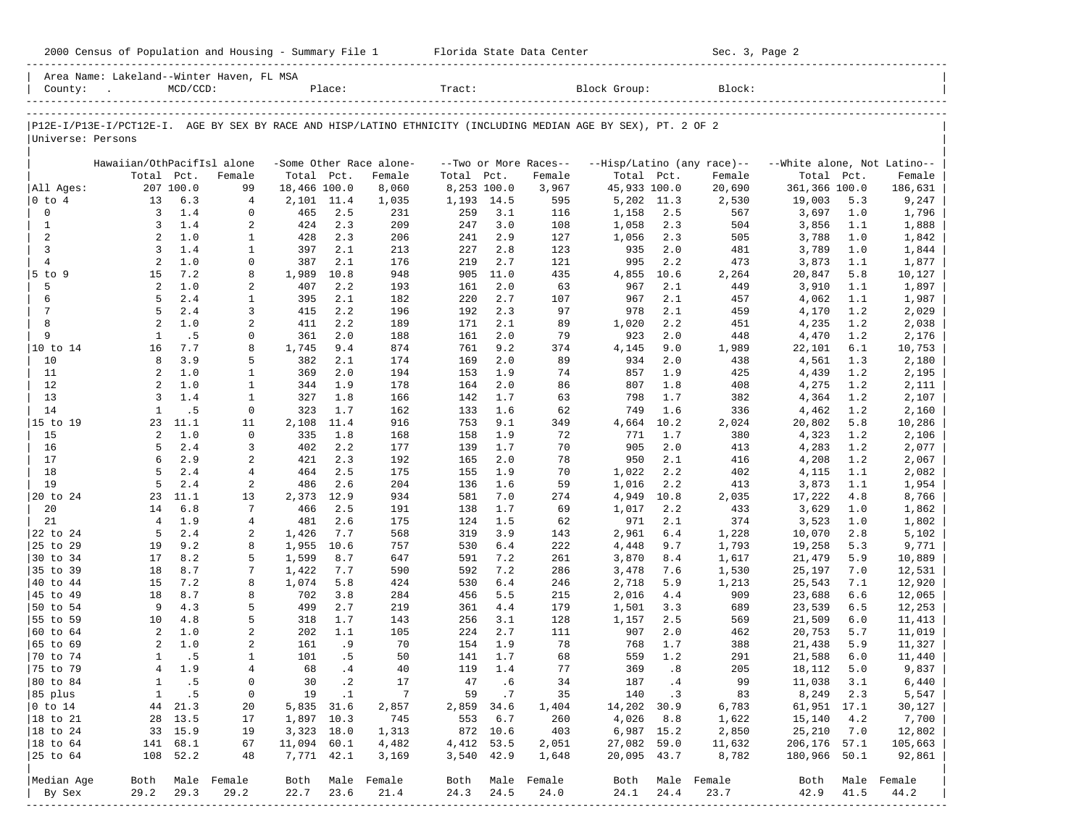| Area Name: Lakeland--Winter Haven, FL MSA<br>$MCD/CCD$ :<br>Tract:<br>Block Group:<br>Block:<br>county:<br>Place:<br>P12E-I/P13E-I/PCT12E-I. AGE BY SEX BY RACE AND HISP/LATINO ETHNICITY (INCLUDING MEDIAN AGE BY SEX), PT. 2 OF 2<br>Universe: Persons<br>Hawaiian/OthPacifIsl alone<br>-Some Other Race alone-<br>--Hisp/Latino (any race)--<br>--Two or More Races-- | --White alone, Not Latino--<br>Female<br>186,631<br>5.3<br>9,247<br>1.0<br>1,796<br>1.1<br>1,888 |
|--------------------------------------------------------------------------------------------------------------------------------------------------------------------------------------------------------------------------------------------------------------------------------------------------------------------------------------------------------------------------|--------------------------------------------------------------------------------------------------|
|                                                                                                                                                                                                                                                                                                                                                                          |                                                                                                  |
|                                                                                                                                                                                                                                                                                                                                                                          |                                                                                                  |
|                                                                                                                                                                                                                                                                                                                                                                          |                                                                                                  |
|                                                                                                                                                                                                                                                                                                                                                                          |                                                                                                  |
| Total Pct.<br>Total Pct.<br>Total Pct.<br>Total Pct.<br>Female<br>Female<br>Total Pct.<br>Female<br>Female                                                                                                                                                                                                                                                               |                                                                                                  |
| 207 100.0<br>18,466 100.0<br>8,253 100.0<br>3,967<br>45,933 100.0<br>20,690<br>361,366 100.0<br>All Ages:<br>99<br>8,060                                                                                                                                                                                                                                                 |                                                                                                  |
| 13<br>2,101 11.4<br>19,003<br>$ 0 \t{to} 4$<br>6.3<br>4<br>1,035<br>1,193 14.5<br>595<br>5,202 11.3<br>2,530                                                                                                                                                                                                                                                             |                                                                                                  |
| $\mathbf 0$<br>1.4<br>2.5<br>3,697<br>3<br>$\mathbf 0$<br>465<br>231<br>259<br>3.1<br>116<br>1,158<br>2.5<br>567                                                                                                                                                                                                                                                         |                                                                                                  |
| 1.4<br>1<br>3<br>2<br>424<br>2.3<br>209<br>247<br>3.0<br>108<br>1,058<br>2.3<br>504<br>3,856<br>2<br>1.0<br>2.9<br>2<br>1<br>428<br>206<br>241<br>127<br>505                                                                                                                                                                                                             |                                                                                                  |
| 2.3<br>1,056<br>2.3<br>3,788<br>3<br>1.4<br>397<br>3<br>2.1<br>213<br>227<br>2.8<br>123<br>935<br>2.0<br>481<br>3,789<br>1                                                                                                                                                                                                                                               | 1.0<br>1,842<br>1.0<br>1,844                                                                     |
| 1.0<br>995<br>4<br>2<br>$\mathbf 0$<br>387<br>2.1<br>176<br>219<br>2.7<br>121<br>2.2<br>473<br>3,873                                                                                                                                                                                                                                                                     | 1.1<br>1,877                                                                                     |
| $5$ to $9$<br>7.2<br>1,989<br>11.0<br>435<br>15<br>8<br>10.8<br>948<br>905<br>4,855<br>10.6<br>2,264<br>20,847                                                                                                                                                                                                                                                           | 5.8<br>10,127                                                                                    |
| 1.0<br>2.2<br>2.0<br>5<br>2<br>2<br>407<br>193<br>161<br>63<br>967<br>2.1<br>449<br>3,910                                                                                                                                                                                                                                                                                | 1.1<br>1,897                                                                                     |
| 6<br>2.4<br>395<br>5<br>$\mathbf{1}$<br>2.1<br>182<br>220<br>2.7<br>107<br>967<br>2.1<br>457<br>4,062                                                                                                                                                                                                                                                                    | 1.1<br>1,987                                                                                     |
| 7<br>5<br>2.4<br>2.3<br>97<br>978<br>3<br>415<br>2.2<br>196<br>192<br>2.1<br>459<br>4,170                                                                                                                                                                                                                                                                                | 1.2<br>2,029                                                                                     |
| 8<br>2<br>1.0<br>2<br>411<br>2.2<br>189<br>171<br>2.1<br>89<br>1,020<br>2.2<br>451<br>4,235                                                                                                                                                                                                                                                                              | 1.2<br>2,038                                                                                     |
| 9<br>.5<br>2.0<br>1<br>$\mathbf 0$<br>361<br>2.0<br>188<br>161<br>79<br>923<br>2.0<br>448<br>4,470                                                                                                                                                                                                                                                                       | 1.2<br>2,176                                                                                     |
| 874<br> 10 to 14<br>16<br>7.7<br>8<br>1,745<br>9.4<br>761<br>9.2<br>374<br>4,145<br>9.0<br>1,989<br>22,101                                                                                                                                                                                                                                                               | 6.1<br>10,753                                                                                    |
| 3.9<br>5<br>382<br>169<br>2.0<br>89<br>934<br>10<br>8<br>2.1<br>174<br>2.0<br>438<br>4,561                                                                                                                                                                                                                                                                               | 1.3<br>2,180                                                                                     |
| 11<br>1.0<br>369<br>153<br>1.9<br>74<br>2<br>$\mathbf{1}$<br>2.0<br>194<br>857<br>1.9<br>425<br>4,439                                                                                                                                                                                                                                                                    | 1.2<br>2,195                                                                                     |
| 12<br>1.0<br>1.9<br>2.0<br>4,275<br>2<br>1<br>344<br>178<br>164<br>86<br>807<br>1.8<br>408                                                                                                                                                                                                                                                                               | 1.2<br>2,111                                                                                     |
| 13<br>3<br>1.4<br>327<br>1.8<br>1.7<br>63<br>798<br>1<br>166<br>142<br>1.7<br>382<br>4,364                                                                                                                                                                                                                                                                               | 1.2<br>2,107                                                                                     |
| 14<br>.5<br>323<br>1.7<br>1.6<br>749<br>1<br>$\mathbf 0$<br>162<br>133<br>62<br>1.6<br>336<br>4,462                                                                                                                                                                                                                                                                      | 1.2<br>2,160                                                                                     |
| $ 15$ to 19<br>2,108<br>11.4<br>916<br>753<br>9.1<br>10.2<br>23<br>11.1<br>11<br>349<br>4,664<br>2,024<br>20,802                                                                                                                                                                                                                                                         | 5.8<br>10,286                                                                                    |
| 15<br>1.0<br>1.8<br>1.9<br>4,323<br>2<br>$\mathbf 0$<br>335<br>168<br>158<br>72<br>771<br>1.7<br>380                                                                                                                                                                                                                                                                     | 1.2<br>2,106                                                                                     |
| 16<br>2.4<br>3<br>2.2<br>1.7<br>70<br>905<br>4,283<br>5<br>402<br>177<br>139<br>2.0<br>413                                                                                                                                                                                                                                                                               | 1.2<br>2,077                                                                                     |
| 17<br>2.9<br>2<br>2.3<br>165<br>2.0<br>78<br>950<br>4,208<br>6<br>421<br>192<br>2.1<br>416                                                                                                                                                                                                                                                                               | 1.2<br>2,067                                                                                     |
| 18<br>5<br>2.4<br>2.5<br>175<br>155<br>1.9<br>4<br>464<br>70<br>1,022<br>2.2<br>402<br>4,115                                                                                                                                                                                                                                                                             | 1.1<br>2,082                                                                                     |
| 19<br>5<br>2.4<br>486<br>2.6<br>204<br>1.6<br>59<br>3,873<br>2<br>136<br>1,016<br>2.2<br>413                                                                                                                                                                                                                                                                             | 1.1<br>1,954                                                                                     |
| 11.1<br>12.9<br>934<br>7.0<br>20 to 24<br>23<br>13<br>2,373<br>581<br>274<br>4,949<br>10.8<br>2,035<br>17,222                                                                                                                                                                                                                                                            | 4.8<br>8,766                                                                                     |
| 20<br>6.8<br>466<br>2.5<br>1.7<br>69<br>433<br>3,629<br>14<br>7<br>191<br>138<br>1,017<br>2.2                                                                                                                                                                                                                                                                            | 1.0<br>1,862                                                                                     |
| 21<br>$\overline{4}$<br>1.9<br>$\overline{4}$<br>2.6<br>175<br>1.5<br>971<br>374<br>3,523<br>481<br>124<br>62<br>2.1                                                                                                                                                                                                                                                     | 1.0<br>1,802                                                                                     |
| 5<br>2.4<br>1,426<br>3.9<br>2,961<br>10,070<br>22 to 24<br>2<br>7.7<br>568<br>319<br>143<br>6.4<br>1,228                                                                                                                                                                                                                                                                 | 2.8<br>5,102                                                                                     |
| 25 to 29<br>9.2<br>1,955<br>10.6<br>6.4<br>222<br>1,793<br>19<br>8<br>757<br>530<br>4,448<br>9.7<br>19,258                                                                                                                                                                                                                                                               | 5.3<br>9,771                                                                                     |
| 30 to 34<br>8.2<br>1,599<br>8.7<br>21,479<br>17<br>5<br>647<br>591<br>7.2<br>261<br>3,870<br>8.4<br>1,617                                                                                                                                                                                                                                                                | 5.9<br>10,889                                                                                    |
| 18<br>8.7<br>7.2<br>35 to 39<br>7<br>1,422<br>7.7<br>590<br>592<br>286<br>3,478<br>7.6<br>1,530<br>25,197<br>7.2<br>8<br>1,074<br>5.8<br>6.4<br> 40 to 44<br>15<br>424<br>530<br>246<br>2,718<br>5.9<br>1,213<br>25,543                                                                                                                                                  | 7.0<br>12,531<br>7.1<br>12,920                                                                   |
| 8.7<br>3.8<br>5.5<br>909<br>45 to 49<br>18<br>8<br>702<br>284<br>456<br>215<br>2,016<br>4.4<br>23,688                                                                                                                                                                                                                                                                    | 6.6<br>12,065                                                                                    |
| 50 to 54<br>9<br>4.3<br>5<br>499<br>2.7<br>219<br>361<br>4.4<br>179<br>1,501<br>3.3<br>689<br>23,539                                                                                                                                                                                                                                                                     | 6.5<br>12,253                                                                                    |
| 55 to 59<br>4.8<br>10<br>5<br>318<br>1.7<br>143<br>256<br>3.1<br>128<br>1,157<br>2.5<br>569<br>21,509                                                                                                                                                                                                                                                                    | 6.0<br>11,413                                                                                    |
| 1.0<br>2<br>202<br>2.7<br>$ 60 \text{ to } 64$<br>2<br>1.1<br>105<br>224<br>111<br>907<br>2.0<br>462<br>20,753                                                                                                                                                                                                                                                           | 5.7<br>11,019                                                                                    |
| 2<br>1.0<br>161<br>. 9<br>70<br>154<br>1.9<br>78<br>$ 65 \t{to} 69$<br>2<br>768<br>1.7<br>388<br>21,438                                                                                                                                                                                                                                                                  | 5.9<br>11,327                                                                                    |
| 101<br>50<br>141 1.7<br>559<br>70 to 74<br>1.5<br>.5<br>68<br>1.2<br>291<br>21,588                                                                                                                                                                                                                                                                                       | 6.0<br>11,440                                                                                    |
| 1.9<br>.4<br>75 to 79<br>4<br>4<br>40<br>1.4<br>77<br>369<br>.8<br>205<br>18,112<br>68<br>119                                                                                                                                                                                                                                                                            | 5.0<br>9,837                                                                                     |
| .5<br>$\cdot$ 2<br>.6<br>80 to 84<br>0<br>30<br>17<br>47<br>34<br>187<br>99<br>11,038<br>1<br>.4                                                                                                                                                                                                                                                                         | 3.1<br>6,440                                                                                     |
| .5<br>19<br>$\cdot$ 1<br>8,249<br>85 plus<br>0<br>7<br>59<br>.7<br>35<br>140<br>$\cdot$ 3<br>83<br>1                                                                                                                                                                                                                                                                     | 2.3<br>5,547                                                                                     |
| 5,835<br>61,951 17.1<br>$ 0 \t{to} 14$<br>44<br>21.3<br>20<br>31.6<br>2,857<br>2,859<br>34.6<br>1,404<br>14,202<br>30.9<br>6,783                                                                                                                                                                                                                                         | 30,127                                                                                           |
| 13.5<br>$ 18 \text{ to } 21$<br>28<br>1,897<br>10.3<br>745<br>553<br>6.7<br>260<br>4,026<br>8.8<br>1,622<br>15,140<br>17                                                                                                                                                                                                                                                 | 4.2<br>7,700                                                                                     |
| 15.9<br>3,323 18.0<br>25,210<br> 18 to 24<br>33<br>19<br>1,313<br>872<br>10.6<br>403<br>6,987 15.2<br>2,850                                                                                                                                                                                                                                                              | 7.0<br>12,802                                                                                    |
| 11,094 60.1<br>206,176<br>$ 18 \text{ to } 64$<br>141<br>68.1<br>67<br>4,482<br>4,412<br>53.5<br>2,051<br>27,082<br>59.0<br>11,632                                                                                                                                                                                                                                       | 57.1<br>105,663                                                                                  |
| 7,771 42.1<br>25 to 64<br>108<br>52.2<br>48<br>3,169<br>3,540<br>42.9<br>1,648<br>20,095<br>43.7<br>8,782<br>180,966                                                                                                                                                                                                                                                     | 50.1<br>92,861                                                                                   |
|                                                                                                                                                                                                                                                                                                                                                                          |                                                                                                  |
| Median Age<br>Male Female<br>Both<br>Male<br>Female<br>Male Female<br>Both<br>Female<br>Both<br>Male<br>Both<br>Both                                                                                                                                                                                                                                                     | Male Female                                                                                      |
| 29.2<br>29.3<br>29.2<br>22.7<br>23.6<br>21.4<br>24.3<br>24.5<br>24.0<br>24.1<br>24.4<br>23.7<br>42.9<br>By Sex                                                                                                                                                                                                                                                           | 41.5<br>44.2                                                                                     |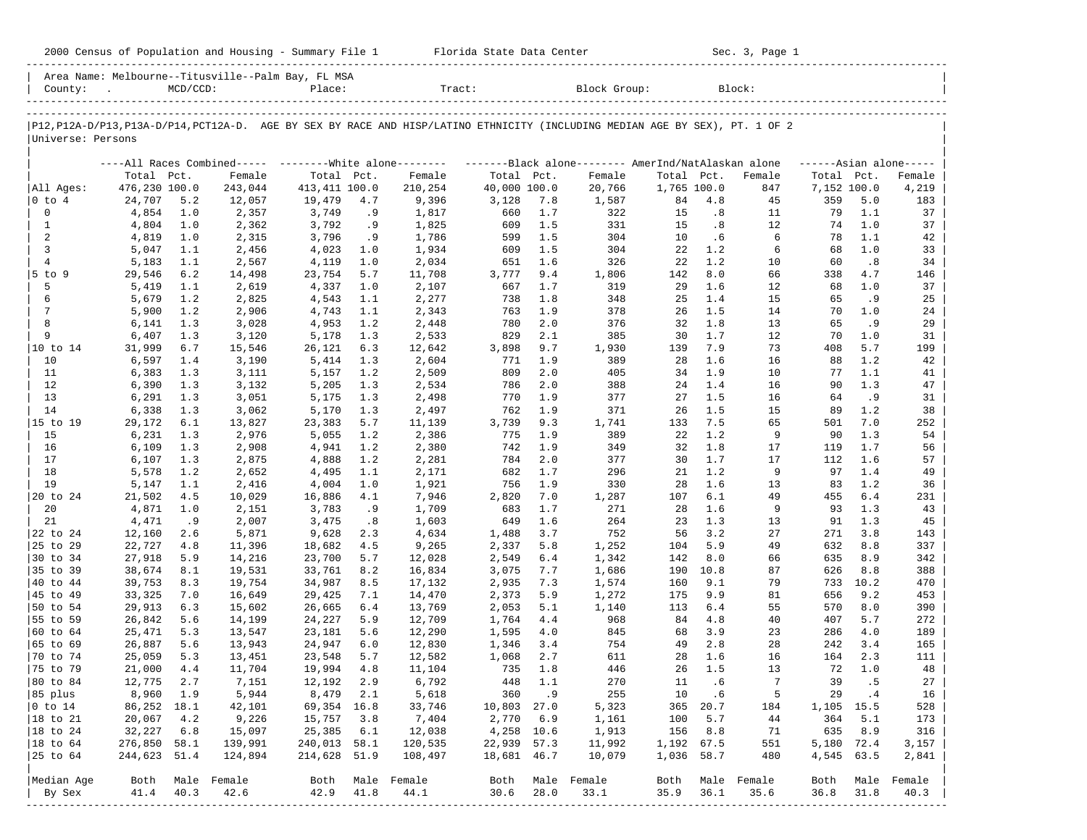|                           |                        |             |                                                    |                        |            | 2000 Census of Population and Housing - Summary File 1 Florida State Data Center                                              |                           |            |                 |              |             | Sec. 3, Page 1 |                   |            |                      |
|---------------------------|------------------------|-------------|----------------------------------------------------|------------------------|------------|-------------------------------------------------------------------------------------------------------------------------------|---------------------------|------------|-----------------|--------------|-------------|----------------|-------------------|------------|----------------------|
| County:                   |                        | $MCD/CCD$ : | Area Name: Melbourne--Titusville--Palm Bay, FL MSA | Place:                 |            |                                                                                                                               | $\texttt{Tract}$ :        |            | Block Group:    |              |             | Block:         |                   |            |                      |
|                           |                        |             |                                                    |                        |            | P12, P12A-D/P13, P13A-D/P14, PCT12A-D. AGE BY SEX BY RACE AND HISP/LATINO ETHNICITY (INCLUDING MEDIAN AGE BY SEX), PT. 1 OF 2 |                           |            |                 |              |             |                |                   |            |                      |
| Universe: Persons         |                        |             |                                                    |                        |            |                                                                                                                               |                           |            |                 |              |             |                |                   |            |                      |
|                           |                        |             |                                                    |                        |            | ----All Races Combined----- --------White alone-------- --------Black alone--------- AmerInd/NatAlaskan alone                 |                           |            |                 |              |             |                |                   |            | $----Asian alone---$ |
|                           | Total Pct.             |             | Female                                             | Total Pct.             |            | Female                                                                                                                        | Total Pct.                |            | Female          | Total Pct.   |             | Female         | Total Pct.        |            | Female               |
| All Ages:                 | 476,230 100.0          |             | 243,044                                            | 413,411 100.0          |            | 210,254                                                                                                                       | 40,000 100.0              |            | 20,766          | 1,765 100.0  |             | 847            | 7,152 100.0       |            | 4,219                |
| $ 0 \tto 4$               | 24,707                 | 5.2         | 12,057                                             | 19,479                 | 4.7        | 9,396                                                                                                                         | 3,128                     | 7.8        | 1,587           | 84           | 4.8         | 45             | 359               | 5.0        | 183                  |
| 0                         | 4,854                  | 1.0         | 2,357                                              | 3,749                  | .9         | 1,817                                                                                                                         | 660                       | 1.7        | 322             | 15           | .8          | 11             | 79                | 1.1        | 37                   |
| <sup>1</sup><br>2         | 4,804<br>4,819         | 1.0<br>1.0  | 2,362<br>2,315                                     | 3,792<br>3,796         | .9<br>.9   | 1,825<br>1,786                                                                                                                | 609<br>599                | 1.5<br>1.5 | 331<br>304      | 15<br>10     | .8<br>. 6   | 12<br>6        | 74<br>78          | 1.0<br>1.1 | 37<br>42             |
| 3                         | 5,047                  | 1.1         | 2,456                                              | 4,023                  | 1.0        | 1,934                                                                                                                         | 609                       | 1.5        | 304             | 22           | 1.2         | 6              | 68                | 1.0        | 33                   |
| $\overline{4}$            | 5,183                  | 1.1         | 2,567                                              | 4,119                  | 1.0        | 2,034                                                                                                                         | 651                       | 1.6        | 326             | 22           | 1.2         | 10             | 60                | .8         | 34                   |
| 5 to 9                    | 29,546                 | 6.2         | 14,498                                             | 23,754                 | 5.7        | 11,708                                                                                                                        | 3,777                     | 9.4        | 1,806           | 142          | 8.0         | 66             | 338               | 4.7        | 146                  |
| 5                         | 5,419                  | 1.1         | 2,619                                              | 4,337                  | 1.0        | 2,107                                                                                                                         | 667                       | 1.7        | 319             | 29           | 1.6         | 12             | 68                | 1.0        | 37                   |
| 6                         | 5,679                  | 1.2         | 2,825                                              | 4,543                  | 1.1        | 2,277                                                                                                                         | 738                       | 1.8        | 348             | 25           | 1.4         | 15             | 65                | . 9        | 25                   |
| 7                         | 5,900                  | 1.2         | 2,906                                              | 4,743                  | 1.1        | 2,343                                                                                                                         | 763                       | 1.9        | 378             | 26           | 1.5         | 14             | 70                | 1.0        | 24                   |
| 8                         | 6,141                  | 1.3         | 3,028                                              | 4,953                  | 1.2        | 2,448                                                                                                                         | 780                       | 2.0        | 376             | 32           | 1.8         | 13             | 65                | . 9        | 29                   |
| 9                         | 6,407                  | 1.3         | 3,120                                              | 5,178                  | 1.3        | 2,533                                                                                                                         | 829                       | 2.1        | 385             | 30           | 1.7         | 12             | 70                | 1.0        | 31                   |
| 10 to 14<br>10            | 31,999<br>6,597        | 6.7<br>1.4  | 15,546<br>3,190                                    | 26,121<br>5,414        | 6.3<br>1.3 | 12,642<br>2,604                                                                                                               | 3,898<br>771              | 9.7<br>1.9 | 1,930<br>389    | 139<br>28    | 7.9<br>1.6  | 73<br>16       | 408<br>88         | 5.7<br>1.2 | 199<br>42            |
| 11                        | 6,383                  | 1.3         | 3,111                                              | 5,157                  | 1.2        | 2,509                                                                                                                         | 809                       | 2.0        | 405             | 34           | 1.9         | 10             | 77                | 1.1        | 41                   |
| 12                        | 6,390                  | 1.3         | 3,132                                              | 5,205                  | 1.3        | 2,534                                                                                                                         | 786                       | 2.0        | 388             | 24           | 1.4         | 16             | 90                | 1.3        | 47                   |
| 13                        | 6,291                  | 1.3         | 3,051                                              | 5,175                  | 1.3        | 2,498                                                                                                                         | 770                       | 1.9        | 377             | 27           | 1.5         | 16             | 64                | . 9        | 31                   |
| 14                        | 6,338                  | 1.3         | 3,062                                              | 5,170                  | 1.3        | 2,497                                                                                                                         | 762                       | 1.9        | 371             | 26           | 1.5         | 15             | 89                | 1.2        | 38                   |
| 15 to 19                  | 29,172                 | 6.1         | 13,827                                             | 23,383                 | 5.7        | 11,139                                                                                                                        | 3,739                     | 9.3        | 1,741           | 133          | 7.5         | 65             | 501               | 7.0        | 252                  |
| 15                        | 6,231                  | 1.3         | 2,976                                              | 5,055                  | 1.2        | 2,386                                                                                                                         | 775                       | 1.9        | 389             | 22           | 1.2         | 9              | 90                | 1.3        | 54                   |
| 16                        | 6,109                  | 1.3         | 2,908                                              | 4,941                  | 1.2        | 2,380                                                                                                                         | 742                       | 1.9        | 349             | 32           | 1.8         | 17             | 119               | 1.7        | 56                   |
| 17                        | 6,107                  | 1.3         | 2,875                                              | 4,888                  | 1.2        | 2,281                                                                                                                         | 784                       | 2.0        | 377             | 30           | 1.7         | 17             | 112               | 1.6        | 57                   |
| 18<br>19                  | 5,578                  | 1.2         | 2,652                                              | 4,495                  | 1.1        | 2,171<br>1,921                                                                                                                | 682<br>756                | 1.7<br>1.9 | 296<br>330      | 21           | 1.2<br>1.6  | 9<br>13        | 97<br>83          | 1.4        | 49                   |
| 20 to 24                  | 5,147<br>21,502        | 1.1<br>4.5  | 2,416<br>10,029                                    | 4,004<br>16,886        | 1.0<br>4.1 | 7,946                                                                                                                         | 2,820                     | 7.0        | 1,287           | 28<br>107    | 6.1         | 49             | 455               | 1.2<br>6.4 | 36<br>231            |
| 20                        | 4,871                  | 1.0         | 2,151                                              | 3,783                  | .9         | 1,709                                                                                                                         | 683                       | 1.7        | 271             | 28           | 1.6         | 9              | 93                | 1.3        | 43                   |
| 21                        | 4,471                  | .9          | 2,007                                              | 3,475                  | .8         | 1,603                                                                                                                         | 649                       | 1.6        | 264             | 23           | 1.3         | 13             | 91                | 1.3        | 45                   |
| 22 to 24                  | 12,160                 | 2.6         | 5,871                                              | 9,628                  | 2.3        | 4,634                                                                                                                         | 1,488                     | 3.7        | 752             | 56           | 3.2         | 27             | 271               | 3.8        | 143                  |
| 25 to 29                  | 22,727                 | 4.8         | 11,396                                             | 18,682                 | 4.5        | 9,265                                                                                                                         | 2,337                     | 5.8        | 1,252           | 104          | 5.9         | 49             | 632               | 8.8        | 337                  |
| 30 to 34                  | 27,918                 | 5.9         | 14,216                                             | 23,700                 | 5.7        | 12,028                                                                                                                        | 2,549                     | 6.4        | 1,342           | 142          | 8.0         | 66             | 635               | 8.9        | 342                  |
| 35 to 39                  | 38,674                 | 8.1         | 19,531                                             | 33,761                 | 8.2        | 16,834                                                                                                                        | 3,075                     | 7.7        | 1,686           | 190          | 10.8        | 87             | 626               | 8.8        | 388                  |
| 40 to 44                  | 39,753                 | 8.3         | 19,754                                             | 34,987                 | 8.5        | 17,132                                                                                                                        | 2,935                     | 7.3        | 1,574           | 160          | 9.1         | 79             | 733               | 10.2       | 470                  |
| 45 to 49                  | 33,325                 | 7.0         | 16,649                                             | 29,425                 | 7.1        | 14,470                                                                                                                        | 2,373                     | 5.9        | 1,272           | 175          | 9.9         | 81             | 656               | 9.2        | 453                  |
| 50 to 54<br>55 to 59      | 29,913<br>26,842       | 6.3<br>5.6  | 15,602<br>14,199                                   | 26,665<br>24,227       | 6.4<br>5.9 | 13,769<br>12,709                                                                                                              | 2,053<br>1,764            | 5.1<br>4.4 | 1,140<br>968    | 113<br>84    | 6.4<br>4.8  | 55<br>40       | 570<br>407        | 8.0<br>5.7 | 390<br>272           |
| $ 60 \text{ to } 64$      | 25,471                 | 5.3         | 13,547                                             | 23,181                 | 5.6        | 12,290                                                                                                                        | 1,595                     | 4.0        | 845             | 68           | 3.9         | 23             | 286               | 4.0        | 189                  |
| 65 to 69                  | 26,887                 | 5.6         | 13,943                                             | 24,947                 | 6.0        | 12,830                                                                                                                        | 1,346                     | 3.4        | 754             | 49           | 2.8         | 28             | 242               | 3.4        | 165                  |
| 170 to 74                 | 25,059 5.3             |             | 13,451                                             | 23,548                 | 5.7        | 12,582                                                                                                                        | 1,068 2.7                 |            | 611             |              | 28 1.6      | 16             |                   | 164 2.3    | 111                  |
| 75 to 79                  | 21,000                 | 4.4         | 11,704                                             | 19,994                 | 4.8        | 11,104                                                                                                                        | 735                       | 1.8        | 446             | 26           | 1.5         | 13             | 72                | 1.0        | 48                   |
| 80 to 84                  | 12,775                 | 2.7         | 7,151                                              | 12,192                 | 2.9        | 6,792                                                                                                                         | 448                       | 1.1        | 270             | 11           | .6          | 7              | 39                | .5         | 27                   |
| 85 plus                   | 8,960                  | 1.9         | 5,944                                              | 8,479                  | 2.1        | 5,618                                                                                                                         | 360                       | .9         | 255             | 10           | . 6         | 5              | 29                | . 4        | 16                   |
| $ 0 \t\t \text{to} 14$    | 86,252 18.1            |             | 42,101                                             | 69,354                 | 16.8       | 33,746                                                                                                                        | 10,803 27.0               |            | 5,323           | 365          | 20.7        | 184            | 1,105 15.5        |            | 528                  |
| 18 to 21                  | 20,067                 | 4.2         | 9,226                                              | 15,757                 | 3.8        | 7,404                                                                                                                         | 2,770                     | 6.9        | 1,161           | 100          | 5.7         | 44             | 364               | 5.1        | 173                  |
| 18 to 24<br>$ 18$ to $64$ | 32,227<br>276,850 58.1 | 6.8         | 15,097<br>139,991                                  | 25,385<br>240,013 58.1 | 6.1        | 12,038<br>120,535                                                                                                             | 4,258 10.6<br>22,939 57.3 |            | 1,913<br>11,992 | 156<br>1,192 | 8.8<br>67.5 | 71<br>551      | 635<br>5,180 72.4 | 8.9        | 316<br>3,157         |
| 25 to 64                  | 244,623 51.4           |             | 124,894                                            | 214,628 51.9           |            | 108,497                                                                                                                       | 18,681 46.7               |            | 10,079          | 1,036 58.7   |             | 480            | 4,545 63.5        |            | 2,841                |
|                           |                        |             |                                                    |                        |            |                                                                                                                               |                           |            |                 |              |             |                |                   |            |                      |
| Median Age                | Both                   |             | Male Female                                        | Both                   |            | Male Female                                                                                                                   | Both                      |            | Male Female     | Both         |             | Male Female    | Both              |            | Male Female          |
| By Sex<br>--------------- | 41.4                   | 40.3        | 42.6<br>------------------------------             | 42.9                   | 41.8       | 44.1                                                                                                                          | 30.6                      | 28.0       | 33.1            | 35.9         | 36.1        | 35.6           | 36.8              | 31.8       | 40.3                 |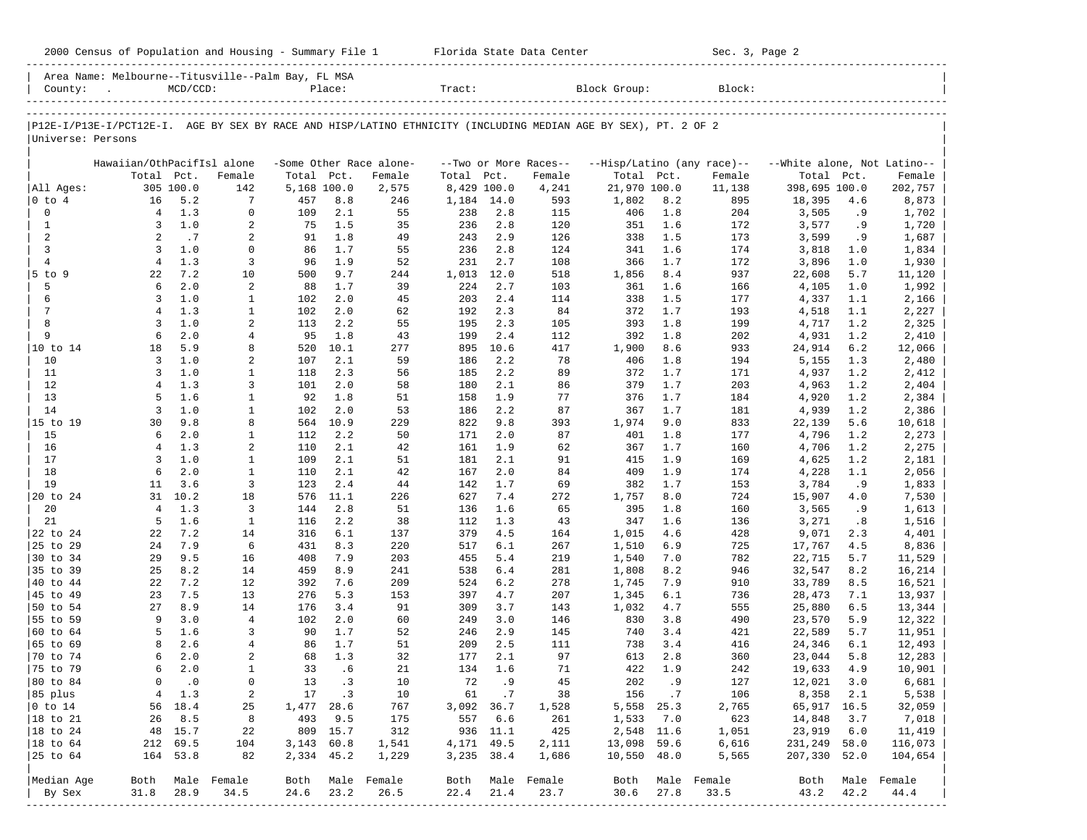|                      | 2000 Census of Population and Housing - Summary File 1 Florida State Data Center |             |                     |             |            |                         |              |             |                       |                                                                                                                |            | Sec. 3, Page 2             |                             |            |                  |
|----------------------|----------------------------------------------------------------------------------|-------------|---------------------|-------------|------------|-------------------------|--------------|-------------|-----------------------|----------------------------------------------------------------------------------------------------------------|------------|----------------------------|-----------------------------|------------|------------------|
| County:              | Area Name: Melbourne--Titusville--Palm Bay, FL MSA<br><b>Contract</b>            | $MCD/CCD$ : |                     |             | Place:     |                         | Tract:       |             |                       | Block Group:                                                                                                   |            | Block:                     |                             |            |                  |
|                      |                                                                                  |             |                     |             |            |                         |              |             |                       | P12E-I/P13E-I/PCT12E-I. AGE BY SEX BY RACE AND HISP/LATINO ETHNICITY (INCLUDING MEDIAN AGE BY SEX), PT. 2 OF 2 |            |                            |                             |            |                  |
| Universe: Persons    |                                                                                  |             |                     |             |            |                         |              |             |                       |                                                                                                                |            |                            |                             |            |                  |
|                      | Hawaiian/OthPacifIsl alone                                                       |             |                     |             |            | -Some Other Race alone- |              |             | --Two or More Races-- |                                                                                                                |            | --Hisp/Latino (any race)-- | --White alone, Not Latino-- |            |                  |
|                      | Total Pct.                                                                       |             | Female              | Total Pct.  |            | Female                  | Total Pct.   |             | Female                | Total Pct.                                                                                                     |            | Female                     | Total Pct.                  |            | Female           |
| All Ages:            |                                                                                  | 305 100.0   | 142                 | 5,168 100.0 |            | 2,575                   | 8,429 100.0  |             | 4,241                 | 21,970 100.0                                                                                                   |            | 11,138                     | 398,695 100.0               |            | 202,757          |
| $ 0 \t{to} 4$        | 16                                                                               | 5.2         | $7\phantom{.0}$     | 457         | 8.8        | 246                     | 1,184 14.0   |             | 593                   | 1,802                                                                                                          | 8.2        | 895                        | 18,395                      | 4.6        | 8,873            |
| $\mathbf 0$          | $\overline{4}$                                                                   | 1.3         | $\mathbf 0$         | 109         | 2.1        | 55                      | 238          | 2.8         | 115                   | 406                                                                                                            | 1.8        | 204                        | 3,505                       | .9         | 1,702            |
| $\mathbf{1}$         | $\overline{3}$                                                                   | 1.0         | 2                   | 75          | 1.5        | 35                      | 236          | 2.8         | 120                   | 351                                                                                                            | 1.6        | 172                        | 3,577                       | .9         | 1,720            |
| 2                    | 2                                                                                | .7          | 2                   | 91          | 1.8        | 49                      | 243          | 2.9         | 126                   | 338                                                                                                            | 1.5        | 173                        | 3,599                       | .9         | 1,687            |
| 3                    | $\overline{3}$                                                                   | 1.0         | $\mathbf 0$         | 86          | 1.7        | 55                      | 236          | 2.8         | 124                   | 341                                                                                                            | 1.6        | 174                        | 3,818                       | 1.0        | 1,834            |
| $\overline{4}$       | $\overline{4}$                                                                   | 1.3         | 3                   | 96          | 1.9        | 52                      | 231          | 2.7         | 108                   | 366                                                                                                            | 1.7        | 172                        | 3,896                       | 1.0        | 1,930            |
| $5$ to $9$<br>5      | 22<br>6                                                                          | 7.2<br>2.0  | 10<br>2             | 500<br>88   | 9.7<br>1.7 | 244<br>39               | 1,013<br>224 | 12.0<br>2.7 | 518<br>103            | 1,856<br>361                                                                                                   | 8.4<br>1.6 | 937<br>166                 | 22,608<br>4,105             | 5.7<br>1.0 | 11,120<br>1,992  |
| 6                    | 3                                                                                | 1.0         | $\mathbf{1}$        | 102         | 2.0        | 45                      | 203          | 2.4         | 114                   | 338                                                                                                            | 1.5        | 177                        | 4,337                       | 1.1        | 2,166            |
| 7                    | $\overline{4}$                                                                   | 1.3         | $\mathbf{1}$        | 102         | 2.0        | 62                      | 192          | 2.3         | 84                    | 372                                                                                                            | 1.7        | 193                        | 4,518                       | 1.1        | 2,227            |
| 8                    | $\overline{3}$                                                                   | 1.0         | $\overline{a}$      | 113         | 2.2        | 55                      | 195          | 2.3         | 105                   | 393                                                                                                            | 1.8        | 199                        | 4,717                       | 1.2        | 2,325            |
| 9                    | 6                                                                                | 2.0         | 4                   | 95          | 1.8        | 43                      | 199          | 2.4         | 112                   | 392                                                                                                            | 1.8        | 202                        | 4,931                       | 1.2        | 2,410            |
|                      | 18                                                                               | 5.9         | 8                   | 520         | 10.1       | 277                     | 895          | 10.6        | 417                   | 1,900                                                                                                          | 8.6        | 933                        | 24,914                      | 6.2        | 12,066           |
| 10                   | 3                                                                                | 1.0         | 2                   | 107         | 2.1        | 59                      | 186          | 2.2         | 78                    | 406                                                                                                            | 1.8        | 194                        | 5,155                       | 1.3        | 2,480            |
| 11                   | 3                                                                                | 1.0         | $\mathbf{1}$        | 118         | 2.3        | 56                      | 185          | 2.2         | 89                    | 372                                                                                                            | 1.7        | 171                        | 4,937                       | 1.2        | 2,412            |
| 12                   | $\overline{4}$                                                                   | 1.3         | 3                   | 101         | 2.0        | 58                      | 180          | 2.1         | 86                    | 379                                                                                                            | 1.7        | 203                        | 4,963                       | 1.2        | 2,404            |
| 13                   | 5                                                                                | 1.6         | $\mathbf{1}$        | 92          | 1.8        | 51                      | 158          | 1.9         | 77                    | 376                                                                                                            | 1.7        | 184                        | 4,920                       | 1.2        | 2,384            |
| 14                   | $\overline{3}$                                                                   | 1.0         | $\mathbf{1}$        | 102         | 2.0        | 53                      | 186          | 2.2         | 87                    | 367                                                                                                            | 1.7        | 181                        | 4,939                       | 1.2        | 2,386            |
| 15 to 19             | 30                                                                               | 9.8         | 8                   | 564         | 10.9       | 229                     | 822          | 9.8         | 393                   | 1,974                                                                                                          | 9.0        | 833                        | 22,139                      | 5.6        | 10,618           |
| 15                   | 6                                                                                | 2.0         | $\mathbf{1}$        | 112         | 2.2        | 50                      | 171          | 2.0         | 87                    | 401                                                                                                            | 1.8        | 177                        | 4,796                       | 1.2        | 2,273            |
| 16<br>17             | $\overline{4}$<br>3                                                              | 1.3<br>1.0  | 2<br>$\mathbf{1}$   | 110<br>109  | 2.1<br>2.1 | 42<br>51                | 161<br>181   | 1.9<br>2.1  | 62<br>91              | 367<br>415                                                                                                     | 1.7<br>1.9 | 160<br>169                 | 4,706                       | 1.2<br>1.2 | 2,275            |
| 18                   | 6                                                                                | 2.0         | $\mathbf{1}$        | 110         | 2.1        | 42                      | 167          | 2.0         | 84                    | 409                                                                                                            | 1.9        | 174                        | 4,625<br>4,228              | 1.1        | 2,181<br>2,056   |
| 19                   | 11                                                                               | 3.6         | 3                   | 123         | 2.4        | 44                      | 142          | 1.7         | 69                    | 382                                                                                                            | 1.7        | 153                        | 3,784                       | .9         | 1,833            |
| 20 to 24             | 31                                                                               | 10.2        | 18                  | 576         | 11.1       | 226                     | 627          | 7.4         | 272                   | 1,757                                                                                                          | 8.0        | 724                        | 15,907                      | 4.0        | 7,530            |
| 20                   | $\overline{4}$                                                                   | 1.3         | 3                   | 144         | 2.8        | 51                      | 136          | 1.6         | 65                    | 395                                                                                                            | 1.8        | 160                        | 3,565                       | .9         | 1,613            |
| 21                   | 5                                                                                | 1.6         | $\mathbf{1}$        | 116         | 2.2        | 38                      | 112          | 1.3         | 43                    | 347                                                                                                            | 1.6        | 136                        | 3,271                       | .8         | 1,516            |
| 22 to 24             | 22                                                                               | 7.2         | 14                  | 316         | 6.1        | 137                     | 379          | 4.5         | 164                   | 1,015                                                                                                          | 4.6        | 428                        | 9,071                       | 2.3        | 4,401            |
| 25 to 29             | 24                                                                               | 7.9         | 6                   | 431         | 8.3        | 220                     | 517          | 6.1         | 267                   | 1,510                                                                                                          | 6.9        | 725                        | 17,767                      | 4.5        | 8,836            |
| 30 to 34             | 29                                                                               | 9.5         | 16                  | 408         | 7.9        | 203                     | 455          | 5.4         | 219                   | 1,540                                                                                                          | 7.0        | 782                        | 22,715                      | 5.7        | 11,529           |
| 35 to 39             | 25                                                                               | 8.2         | 14                  | 459         | 8.9        | 241                     | 538          | 6.4         | 281                   | 1,808                                                                                                          | 8.2        | 946                        | 32,547                      | 8.2        | 16,214           |
| 40 to 44             | 22                                                                               | 7.2         | 12                  | 392         | 7.6        | 209                     | 524          | 6.2         | 278                   | 1,745                                                                                                          | 7.9        | 910                        | 33,789                      | 8.5        | 16,521           |
| 45 to 49             | 23                                                                               | 7.5         | 13                  | 276         | 5.3        | 153                     | 397          | 4.7         | 207                   | 1,345                                                                                                          | 6.1        | 736                        | 28,473                      | 7.1        | 13,937           |
| 50 to 54             | 27                                                                               | 8.9         | 14                  | 176         | 3.4        | 91                      | 309          | 3.7         | 143                   | 1,032                                                                                                          | 4.7        | 555                        | 25,880                      | 6.5        | 13,344           |
| 55 to 59<br>60 to 64 | 9<br>5                                                                           | 3.0<br>1.6  | $\overline{4}$<br>3 | 102<br>90   | 2.0<br>1.7 | 60<br>52                | 249<br>246   | 3.0<br>2.9  | 146<br>145            | 830<br>740                                                                                                     | 3.8<br>3.4 | 490<br>421                 | 23,570                      | 5.9<br>5.7 | 12,322<br>11,951 |
| 165 to 69            | 8                                                                                | 2.6         | $\overline{4}$      | 86          | 1.7        | 51                      | 209          | 2.5         | 111                   | 738                                                                                                            | 3.4        | 416                        | 22,589<br>24,346            | 6.1        | 12,493           |
| $ 70 \text{ to } 74$ | 6                                                                                | 2.0         |                     | 68          | 1.3        | 32                      | 177          | 2.1         | 97                    | 613                                                                                                            | 2.8        | 360                        | 23,044                      | 5.8        | 12,283           |
| 75 to 79             | 6                                                                                | 2.0         | $\mathbf{1}$        | 33          | .6         | 21                      | 134          | 1.6         | 71                    | 422                                                                                                            | 1.9        | 242                        | 19,633                      | 4.9        | 10,901           |
| 80 to 84             | $\mathbf 0$                                                                      | $\cdot$ 0   | $\mathbf 0$         | 13          | .3         | 10                      | 72           | . 9         | 45                    | 202                                                                                                            | .9         | 127                        | 12,021                      | 3.0        | 6,681            |
| 85 plus              | 4                                                                                | 1.3         | $\overline{a}$      | 17          | .3         | 10                      | 61           | .7          | 38                    | 156                                                                                                            | .7         | 106                        | 8,358                       | 2.1        | 5,538            |
| $ 0 \t{to} 14$       | 56                                                                               | 18.4        | 25                  | 1,477       | 28.6       | 767                     | 3,092 36.7   |             | 1,528                 | 5,558                                                                                                          | 25.3       | 2,765                      | 65,917 16.5                 |            | 32,059           |
| 18 to 21             | 26                                                                               | 8.5         | 8                   | 493         | 9.5        | 175                     | 557          | 6.6         | 261                   | 1,533                                                                                                          | 7.0        | 623                        | 14,848                      | 3.7        | 7,018            |
| 18 to 24             | 48                                                                               | 15.7        | 22                  | 809         | 15.7       | 312                     |              | 936 11.1    | 425                   | 2,548 11.6                                                                                                     |            | 1,051                      | 23,919                      | 6.0        | 11,419           |
| 18 to 64             | 212                                                                              | 69.5        | 104                 | 3,143 60.8  |            | 1,541                   | 4, 171 49.5  |             | 2,111                 | 13,098                                                                                                         | 59.6       | 6,616                      | 231,249                     | 58.0       | 116,073          |
| 25 to 64             |                                                                                  | 164 53.8    | 82                  | 2,334 45.2  |            | 1,229                   | 3,235 38.4   |             | 1,686                 | 10,550 48.0                                                                                                    |            | 5,565                      | 207,330                     | 52.0       | 104,654          |
| Median Age           | Both                                                                             |             | Male Female         | Both        |            | Male Female             | Both         |             | Male Female           | Both                                                                                                           |            | Male Female                | Both                        |            | Male Female      |

| By Sex 31.8 28.9 34.5 24.6 23.2 26.5 22.4 21.4 23.7 30.6 27.8 33.5 43.2 42.2 44.4 | -----------------------------------------------------------------------------------------------------------------------------------------------------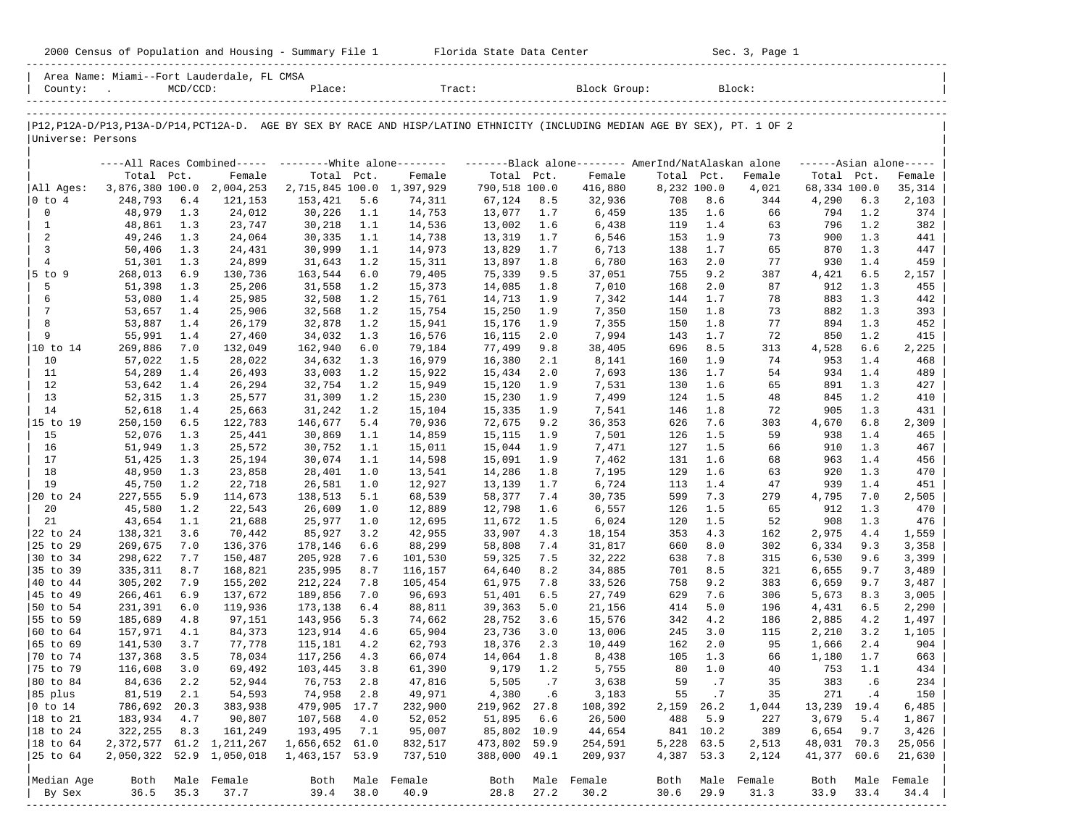|                              |                    |             |                                            |                           |            |                                                                                                                               |                              |            |                    |             |            | Sec. 3, Page 1 |                      |            |                         |
|------------------------------|--------------------|-------------|--------------------------------------------|---------------------------|------------|-------------------------------------------------------------------------------------------------------------------------------|------------------------------|------------|--------------------|-------------|------------|----------------|----------------------|------------|-------------------------|
|                              | County:            | $MCD/CCD$ : | Area Name: Miami--Fort Lauderdale, FL CMSA |                           |            | Place: Tract: Block Group: Block:                                                                                             |                              |            |                    |             |            |                |                      |            |                         |
|                              |                    |             |                                            |                           |            | P12, P12A-D/P13, P13A-D/P14, PCT12A-D. AGE BY SEX BY RACE AND HISP/LATINO ETHNICITY (INCLUDING MEDIAN AGE BY SEX), PT. 1 OF 2 |                              |            |                    |             |            |                |                      |            |                         |
| Universe: Persons            |                    |             |                                            |                           |            |                                                                                                                               |                              |            |                    |             |            |                |                      |            |                         |
|                              |                    |             |                                            |                           |            | ----All Races Combined----- ---------White alone-------- ---------Black alone-------- AmerInd/NatAlaskan alone                |                              |            |                    |             |            |                |                      |            | $---Asian alone---$     |
|                              | Total Pct.         |             | Female                                     | Total Pct.                |            | Female                                                                                                                        | Total Pct.                   |            | Female             | Total Pct.  |            | Female         | Total Pct.           |            | Female                  |
| All Ages:                    |                    |             | 3,876,380 100.0 2,004,253                  |                           |            | 2,715,845 100.0 1,397,929                                                                                                     | 790,518 100.0                |            | 416,880            | 8,232 100.0 |            | 4,021          | 68,334 100.0         |            | 35,314                  |
| $ 0 \t{to} 4$<br>$\mathbf 0$ | 248,793            | 6.4         | 121,153<br>24,012                          | 153,421                   | 5.6        | 74,311                                                                                                                        | 67,124<br>13,077             | 8.5        | 32,936             | 708         | 8.6        | 344            | 4,290                | 6.3        | 2,103                   |
| <sup>1</sup>                 | 48,979<br>48,861   | 1.3<br>1.3  | 23,747                                     | 30,226<br>30,218          | 1.1<br>1.1 | 14,753<br>14,536                                                                                                              | 13,002                       | 1.7<br>1.6 | 6,459<br>6,438     | 135<br>119  | 1.6<br>1.4 | 66<br>63       | 794<br>796           | 1.2<br>1.2 | 374<br>382              |
| 2                            | 49,246             | 1.3         | 24,064                                     | 30,335                    | 1.1        | 14,738                                                                                                                        | 13,319                       | 1.7        | 6,546              | 153         | 1.9        | 73             | 900                  | 1.3        | 441                     |
| $\overline{3}$               | 50,406             | 1.3         | 24,431                                     | 30,999                    | 1.1        | 14,973                                                                                                                        | 13,829                       | 1.7        | 6,713              | 138         | 1.7        | 65             | 870                  | 1.3        | 447                     |
| 4                            | 51,301             | 1.3         | 24,899                                     | 31,643                    | 1.2        | 15,311                                                                                                                        | 13,897                       | 1.8        | 6,780              | 163         | 2.0        | 77             | 930                  | 1.4        | 459                     |
| $5$ to $9$                   | 268,013            | 6.9         | 130,736                                    | 163,544                   | 6.0        | 79,405                                                                                                                        | 75,339                       | 9.5        | 37,051             | 755         | 9.2        | 387            | 4,421                | 6.5        | 2,157                   |
| 5                            | 51,398             | 1.3         | 25,206                                     | 31,558                    | 1.2        | 15,373                                                                                                                        | 14,085                       | 1.8        | 7,010              | 168         | 2.0        | 87             | 912                  | 1.3        | 455                     |
| 6                            | 53,080             | 1.4         | 25,985                                     | 32,508                    | 1.2        | 15,761                                                                                                                        | 14,713                       | 1.9        | 7,342              | 144         | 1.7        | 78             | 883                  | 1.3        | 442                     |
| 7                            | 53,657             | 1.4         | 25,906                                     | 32,568                    | 1.2        | 15,754                                                                                                                        | 15,250                       | 1.9        | 7,350              | 150         | 1.8        | 73             | 882                  | 1.3        | 393                     |
| 8<br>9                       | 53,887             | 1.4         | 26,179                                     | 32,878                    | 1.2        | 15,941                                                                                                                        | 15,176                       | 1.9        | 7,355              | 150         | 1.8        | 77             | 894                  | 1.3        | 452                     |
| 10 to 14                     | 55,991<br>269,886  | 1.4<br>7.0  | 27,460<br>132,049                          | 34,032<br>162,940         | 1.3<br>6.0 | 16,576<br>79,184                                                                                                              | 16,115<br>77,499             | 2.0<br>9.8 | 7,994<br>38,405    | 143<br>696  | 1.7<br>8.5 | 72<br>313      | 850<br>4,528         | 1.2<br>6.6 | 415<br>2,225            |
| 10                           | 57,022             | 1.5         | 28,022                                     | 34,632                    | 1.3        | 16,979                                                                                                                        | 16,380                       | 2.1        | 8,141              | 160         | 1.9        | 74             | 953                  | 1.4        | 468                     |
| 11                           | 54,289             | 1.4         | 26,493                                     | 33,003                    | 1.2        | 15,922                                                                                                                        | 15,434                       | 2.0        | 7,693              | 136         | 1.7        | 54             | 934                  | 1.4        | 489                     |
| 12                           | 53,642             | 1.4         | 26,294                                     | 32,754                    | 1.2        | 15,949                                                                                                                        | 15,120                       | 1.9        | 7,531              | 130         | 1.6        | 65             | 891                  | 1.3        | 427                     |
| 13                           | 52,315             | 1.3         | 25,577                                     | 31,309                    | 1.2        | 15,230                                                                                                                        | 15,230                       | 1.9        | 7,499              | 124         | 1.5        | 48             | 845                  | 1.2        | 410                     |
| 14                           | 52,618             | 1.4         | 25,663                                     | 31,242                    | 1.2        | 15,104                                                                                                                        | 15,335                       | 1.9        | 7,541              | 146         | 1.8        | 72             | 905                  | 1.3        | 431                     |
| 15 to 19                     | 250,150            | 6.5         | 122,783                                    | 146,677                   | 5.4        | 70,936                                                                                                                        | 72,675                       | 9.2        | 36,353             | 626         | 7.6        | 303            | 4,670                | 6.8        | 2,309                   |
| 15                           | 52,076             | 1.3         | 25,441                                     | 30,869                    | 1.1        | 14,859                                                                                                                        | 15,115                       | 1.9        | 7,501              | 126         | 1.5        | 59             | 938                  | 1.4        | 465                     |
| 16                           | 51,949             | 1.3         | 25,572                                     | 30,752                    | 1.1        | 15,011                                                                                                                        | 15,044                       | 1.9        | 7,471              | 127         | 1.5        | 66             | 910                  | 1.3        | 467                     |
| 17<br>18                     | 51,425<br>48,950   | 1.3<br>1.3  | 25,194<br>23,858                           | 30,074<br>28,401          | 1.1        | 14,598                                                                                                                        | 15,091                       | 1.9        | 7,462<br>7,195     | 131<br>129  | 1.6<br>1.6 | 68<br>63       | 963<br>920           | 1.4<br>1.3 | 456<br>470              |
| 19                           | 45,750             | 1.2         | 22,718                                     | 26,581                    | 1.0<br>1.0 | 13,541<br>12,927                                                                                                              | 14,286<br>13,139             | 1.8<br>1.7 | 6,724              | 113         | 1.4        | 47             | 939                  | 1.4        | 451                     |
| 20 to 24                     | 227,555            | 5.9         | 114,673                                    | 138,513                   | 5.1        | 68,539                                                                                                                        | 58,377                       | 7.4        | 30,735             | 599         | 7.3        | 279            | 4,795                | 7.0        | 2,505                   |
| 20                           | 45,580             | 1.2         | 22,543                                     | 26,609                    | 1.0        | 12,889                                                                                                                        | 12,798                       | 1.6        | 6,557              | 126         | 1.5        | 65             | 912                  | 1.3        | 470                     |
| 21                           | 43,654             | 1.1         | 21,688                                     | 25,977                    | 1.0        | 12,695                                                                                                                        | 11,672                       | 1.5        | 6,024              | 120         | 1.5        | 52             | 908                  | 1.3        | 476                     |
| 22 to 24                     | 138,321            | 3.6         | 70,442                                     | 85,927                    | 3.2        | 42,955                                                                                                                        | 33,907                       | 4.3        | 18,154             | 353         | 4.3        | 162            | 2,975                | 4.4        | 1,559                   |
| 25 to 29                     | 269,675            | 7.0         | 136,376                                    | 178,146                   | 6.6        | 88,299                                                                                                                        | 58,808                       | 7.4        | 31,817             | 660         | 8.0        | 302            | 6,334                | 9.3        | 3,358                   |
| 30 to 34                     | 298,622            | 7.7         | 150,487                                    | 205,928                   | 7.6        | 101,530                                                                                                                       | 59,325                       | 7.5        | 32,222             | 638         | 7.8        | 315            | 6,530                | 9.6        | 3,399                   |
| 35 to 39                     | 335,311            | 8.7         | 168,821                                    | 235,995                   | 8.7        | 116,157                                                                                                                       | 64,640                       | 8.2        | 34,885             | 701         | 8.5        | 321            | 6,655                | 9.7        | 3,489                   |
| 40 to 44                     | 305,202            | 7.9         | 155,202                                    | 212,224                   | 7.8        | 105,454                                                                                                                       | 61,975                       | 7.8        | 33,526             | 758         | 9.2        | 383            | 6,659                | 9.7        | 3,487                   |
| 45 to 49                     | 266,461            | 6.9         | 137,672                                    | 189,856<br>173,138        | 7.0        | 96,693                                                                                                                        | 51,401                       | 6.5        | 27,749<br>21,156   | 629         | 7.6        | 306            | 5,673                | 8.3        | 3,005                   |
| 50 to 54<br>55 to 59         | 231,391<br>185,689 | 6.0<br>4.8  | 119,936<br>97,151                          | 143,956                   | 6.4<br>5.3 | 88,811<br>74,662                                                                                                              | 39,363<br>28,752             | 5.0<br>3.6 | 15,576             | 414<br>342  | 5.0<br>4.2 | 196<br>186     | 4,431<br>2,885       | 6.5<br>4.2 | 2,290<br>1,497          |
| 60 to 64                     | 157,971            | 4.1         | 84,373                                     | 123,914                   | 4.6        | 65,904                                                                                                                        | 23,736                       | 3.0        | 13,006             | 245         | 3.0        | 115            | 2,210                | 3.2        | 1,105                   |
| $ 65 \t{to} 69$              | 141,530            | 3.7         | 77,778                                     | 115,181                   | 4.2        | 62,793                                                                                                                        | 18,376                       | 2.3        | 10,449             | 162         | 2.0        | 95             | 1,666                | 2.4        | 904                     |
| $ 70 \tto 74$                | 137,368            | 3.5         | 78,034                                     | 117,256                   | 4.3        | 66,074                                                                                                                        | 14,064 1.8                   |            | 8,438              |             | 105 1.3    | 66             |                      | 1,180 1.7  | 663                     |
| 75 to 79                     | 116,608            | 3.0         | 69,492                                     | 103,445                   | 3.8        | 61,390                                                                                                                        | 9,179                        | 1.2        | 5,755              | 80          | 1.0        | 40             | 753                  | 1.1        | 434                     |
| 80 to 84                     | 84,636             | 2.2         | 52,944                                     | 76,753                    | 2.8        | 47,816                                                                                                                        | 5,505                        | .7         | 3,638              | 59          | .7         | 35             | 383                  | .6         | 234                     |
| 85 plus                      | 81,519             | 2.1         | 54,593                                     | 74,958                    | 2.8        | 49,971                                                                                                                        | 4,380                        | .6         | 3,183              | 55          | .7         | 35             | 271                  | . 4        | 150                     |
| $ 0 \t{to} 14$               | 786,692            | 20.3        | 383,938                                    | 479,905 17.7              |            | 232,900                                                                                                                       | 219,962 27.8                 |            | 108,392            | 2,159       | 26.2       | 1,044          | 13,239 19.4          |            | 6,485                   |
| 18 to 21                     | 183,934            | 4.7         | 90,807                                     | 107,568                   | 4.0        | 52,052                                                                                                                        | 51,895                       | 6.6        | 26,500             | 488         | 5.9        | 227            | 3,679                | 5.4        | 1,867                   |
| 18 to 24                     | 322,255            | 8.3         | 161,249<br>2, 372, 577 61.2 1, 211, 267    | 193,495<br>1,656,652 61.0 | 7.1        | 95,007                                                                                                                        | 85,802 10.9                  |            | 44,654             | 5,228 63.5  | 841 10.2   | 389            | 6,654<br>48,031 70.3 | 9.7        | 3,426                   |
| $ 18$ to $64$<br>25 to 64    |                    |             | 2,050,322 52.9 1,050,018                   | 1,463,157 53.9            |            | 832,517<br>737,510                                                                                                            | 473,802 59.9<br>388,000 49.1 |            | 254,591<br>209,937 | 4,387 53.3  |            | 2,513<br>2,124 | 41,377 60.6          |            | 25,056<br>21,630        |
|                              |                    |             |                                            |                           |            |                                                                                                                               |                              |            |                    |             |            |                |                      |            |                         |
| Median Age                   | Both               |             | Male Female                                | Both                      |            | Male Female                                                                                                                   | Both                         |            | Male Female        | Both        |            | Male Female    | Both                 |            | Male Female             |
| By Sex                       | 36.5               | 35.3        | 37.7                                       | 39.4                      | 38.0       | 40.9                                                                                                                          | 28.8                         | 27.2       | 30.2               | 30.6        | 29.9       | 31.3           | 33.9                 | 33.4       | $34.4$                  |
|                              |                    |             |                                            |                           |            |                                                                                                                               |                              |            |                    |             |            |                |                      |            | ----------------------- |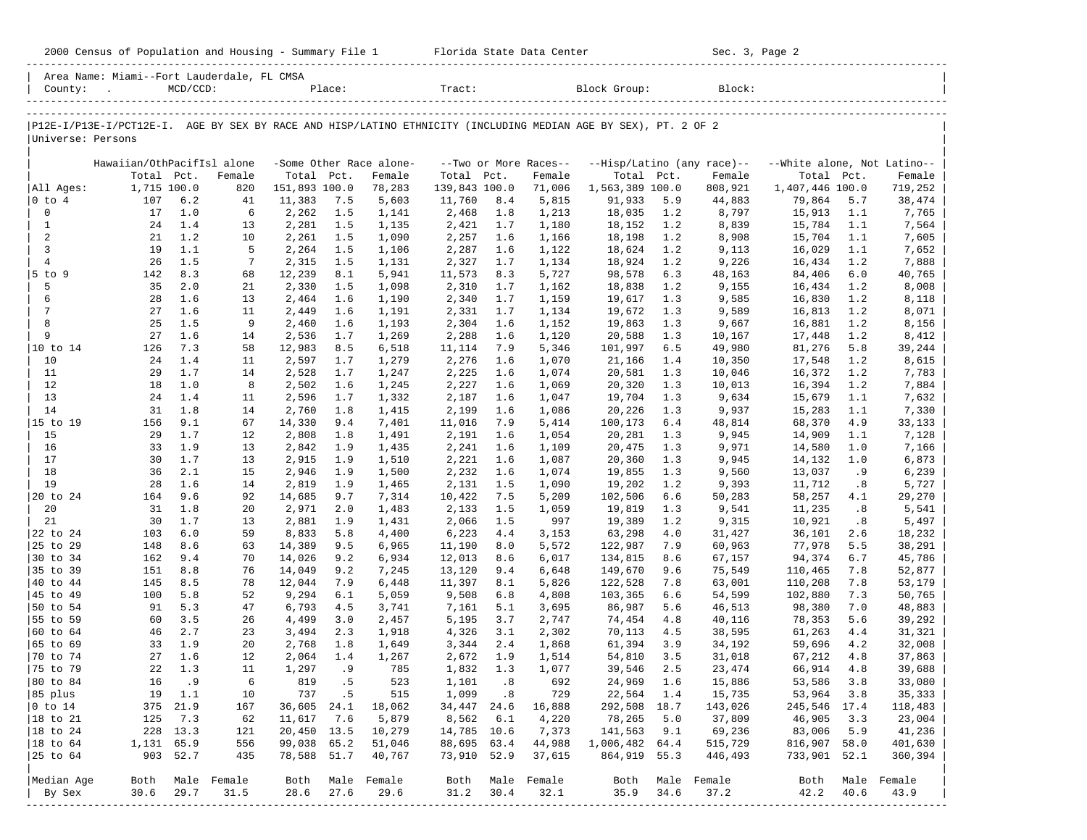|                        | Sec. 3, 2000 Census of Population and Housing - Summary File 1 Florida State Data Center Sec. 3, 2000 Census of Population and Housing - Summary File 1 Florida State Data Center                                                                                                                                                                                 |                |             |                 |            |                                   |                 |            |                                 |                    |            | Sec. 3, Page 2                       |                                           |            |                  |
|------------------------|-------------------------------------------------------------------------------------------------------------------------------------------------------------------------------------------------------------------------------------------------------------------------------------------------------------------------------------------------------------------|----------------|-------------|-----------------|------------|-----------------------------------|-----------------|------------|---------------------------------|--------------------|------------|--------------------------------------|-------------------------------------------|------------|------------------|
|                        | Area Name: Miami--Fort Lauderdale, FL CMSA<br>$\begin{tabular}{ l } \hline \multicolumn{1}{c}{\text{County:}} & \multicolumn{1}{c}{\text{MCD/CCD:}} & \multicolumn{1}{c}{\text{Place:}} & \multicolumn{1}{c}{\text{Trace}} \\ & & \multicolumn{1}{c}{\text{Trace}} & \multicolumn{1}{c}{\text{Trace}} & \multicolumn{1}{c}{\text{Trace}} \\ \hline \end{tabular}$ |                |             |                 |            |                                   |                 |            |                                 |                    |            |                                      |                                           |            |                  |
|                        |                                                                                                                                                                                                                                                                                                                                                                   |                |             |                 |            |                                   |                 |            |                                 |                    |            |                                      |                                           |            |                  |
| Universe: Persons      | P12E-I/P13E-I/PCT12E-I. AGE BY SEX BY RACE AND HISP/LATINO ETHNICITY (INCLUDING MEDIAN AGE BY SEX), PT. 2 OF 2                                                                                                                                                                                                                                                    |                |             |                 |            |                                   |                 |            |                                 |                    |            |                                      |                                           |            |                  |
|                        |                                                                                                                                                                                                                                                                                                                                                                   |                |             |                 |            |                                   |                 |            |                                 |                    |            |                                      |                                           |            |                  |
|                        | Hawaiian/OthPacifIsl alone<br>Total Pct.                                                                                                                                                                                                                                                                                                                          |                | Female      | Total Pct.      |            | -Some Other Race alone-<br>Female | Total Pct.      |            | --Two or More Races--<br>Female | Total Pct.         |            | --Hisp/Latino (any race)--<br>Female | --White alone, Not Latino--<br>Total Pct. |            | Female           |
| All Ages:              | 1,715 100.0                                                                                                                                                                                                                                                                                                                                                       |                | 820         | 151,893 100.0   |            | 78,283                            | 139,843 100.0   |            | 71,006                          | 1,563,389 100.0    |            | 808,921                              | 1,407,446 100.0                           |            | 719,252          |
| $ 0 \t{to} 4$          | 107                                                                                                                                                                                                                                                                                                                                                               | 6.2            | 41          | 11,383          | 7.5        | 5,603                             | 11,760          | 8.4        | 5,815                           | 91,933             | 5.9        | 44,883                               | 79,864                                    | 5.7        | 38,474           |
| 0                      | 17                                                                                                                                                                                                                                                                                                                                                                | 1.0            | 6           | 2,262           | 1.5        | 1,141                             | 2,468           | 1.8        | 1,213                           | 18,035             | 1.2        | 8,797                                | 15,913                                    | 1.1        | 7,765            |
| $\mathbf{1}$           | 24                                                                                                                                                                                                                                                                                                                                                                | 1.4            | 13          | 2,281           | 1.5        | 1,135                             | 2,421           | 1.7        | 1,180                           | 18,152             | 1.2        | 8,839                                | 15,784                                    | 1.1        | 7,564            |
| 2<br>$\overline{3}$    | 21<br>19                                                                                                                                                                                                                                                                                                                                                          | 1.2            | 10<br>5     | 2,261           | 1.5        | 1,090                             | 2,257           | 1.6        | 1,166                           | 18,198             | 1.2        | 8,908                                | 15,704                                    | 1.1        | 7,605            |
| $\overline{4}$         | 26                                                                                                                                                                                                                                                                                                                                                                | 1.1<br>1.5     | 7           | 2,264<br>2,315  | 1.5<br>1.5 | 1,106<br>1,131                    | 2,287<br>2,327  | 1.6<br>1.7 | 1,122<br>1,134                  | 18,624<br>18,924   | 1.2<br>1.2 | 9,113<br>9,226                       | 16,029<br>16,434                          | 1.1<br>1.2 | 7,652<br>7,888   |
| $5$ to $9$             | 142                                                                                                                                                                                                                                                                                                                                                               | 8.3            | 68          | 12,239          | 8.1        | 5,941                             | 11,573          | 8.3        | 5,727                           | 98,578             | 6.3        | 48,163                               | 84,406                                    | 6.0        | 40,765           |
| 5                      | 35                                                                                                                                                                                                                                                                                                                                                                | 2.0            | 21          | 2,330           | 1.5        | 1,098                             | 2,310           | 1.7        | 1,162                           | 18,838             | 1.2        | 9,155                                | 16,434                                    | 1.2        | 8,008            |
| 6                      | 28                                                                                                                                                                                                                                                                                                                                                                | 1.6            | 13          | 2,464           | 1.6        | 1,190                             | 2,340           | 1.7        | 1,159                           | 19,617             | 1.3        | 9,585                                | 16,830                                    | 1.2        | 8,118            |
| 7                      | 27                                                                                                                                                                                                                                                                                                                                                                | 1.6            | 11          | 2,449           | 1.6        | 1,191                             | 2,331           | 1.7        | 1,134                           | 19,672             | 1.3        | 9,589                                | 16,813                                    | 1.2        | 8,071            |
| 8<br>9                 | 25<br>27                                                                                                                                                                                                                                                                                                                                                          | 1.5<br>1.6     | 9<br>14     | 2,460           | 1.6        | 1,193                             | 2,304           | 1.6        | 1,152                           | 19,863<br>20,588   | 1.3        | 9,667                                | 16,881                                    | 1.2        | 8,156            |
| 10 to 14               | 126                                                                                                                                                                                                                                                                                                                                                               | 7.3            | 58          | 2,536<br>12,983 | 1.7<br>8.5 | 1,269<br>6,518                    | 2,288<br>11,114 | 1.6<br>7.9 | 1,120<br>5,346                  | 101,997            | 1.3<br>6.5 | 10,167<br>49,980                     | 17,448<br>81,276                          | 1.2<br>5.8 | 8,412<br>39,244  |
| 10                     | 24                                                                                                                                                                                                                                                                                                                                                                | 1.4            | 11          | 2,597           | 1.7        | 1,279                             | 2,276           | 1.6        | 1,070                           | 21,166             | 1.4        | 10,350                               | 17,548                                    | 1.2        | 8,615            |
| 11                     | 29                                                                                                                                                                                                                                                                                                                                                                | 1.7            | 14          | 2,528           | 1.7        | 1,247                             | 2,225           | 1.6        | 1,074                           | 20,581             | 1.3        | 10,046                               | 16,372                                    | 1.2        | 7,783            |
| 12                     | 18                                                                                                                                                                                                                                                                                                                                                                | 1.0            | 8           | 2,502           | 1.6        | 1,245                             | 2,227           | 1.6        | 1,069                           | 20,320             | 1.3        | 10,013                               | 16,394                                    | 1.2        | 7,884            |
| 13                     | 24                                                                                                                                                                                                                                                                                                                                                                | 1.4            | 11          | 2,596           | 1.7        | 1,332                             | 2,187           | 1.6        | 1,047                           | 19,704             | 1.3        | 9,634                                | 15,679                                    | 1.1        | 7,632            |
| 14<br>15 to 19         | 31<br>156                                                                                                                                                                                                                                                                                                                                                         | 1.8<br>9.1     | 14<br>67    | 2,760<br>14,330 | 1.8<br>9.4 | 1,415<br>7,401                    | 2,199<br>11,016 | 1.6<br>7.9 | 1,086<br>5,414                  | 20,226<br>100,173  | 1.3<br>6.4 | 9,937<br>48,814                      | 15,283<br>68,370                          | 1.1<br>4.9 | 7,330<br>33,133  |
| 15                     | 29                                                                                                                                                                                                                                                                                                                                                                | 1.7            | 12          | 2,808           | 1.8        | 1,491                             | 2,191           | 1.6        | 1,054                           | 20,281             | 1.3        | 9,945                                | 14,909                                    | 1.1        | 7,128            |
| 16                     | 33                                                                                                                                                                                                                                                                                                                                                                | 1.9            | 13          | 2,842           | 1.9        | 1,435                             | 2,241           | 1.6        | 1,109                           | 20,475             | 1.3        | 9,971                                | 14,580                                    | 1.0        | 7,166            |
| 17                     | 30                                                                                                                                                                                                                                                                                                                                                                | 1.7            | 13          | 2,915           | 1.9        | 1,510                             | 2,221           | 1.6        | 1,087                           | 20,360             | 1.3        | 9,945                                | 14,132                                    | 1.0        | 6,873            |
| 18                     | 36                                                                                                                                                                                                                                                                                                                                                                | 2.1            | 15          | 2,946           | 1.9        | 1,500                             | 2,232           | 1.6        | 1,074                           | 19,855             | 1.3        | 9,560                                | 13,037                                    | . 9        | 6,239            |
| 19                     | 28                                                                                                                                                                                                                                                                                                                                                                | 1.6            | 14          | 2,819           | 1.9        | 1,465                             | 2,131           | 1.5        | 1,090                           | 19,202             | 1.2        | 9,393                                | 11,712                                    | .8         | 5,727            |
| 20 to 24<br>20         | 164<br>31                                                                                                                                                                                                                                                                                                                                                         | 9.6<br>1.8     | 92<br>20    | 14,685<br>2,971 | 9.7<br>2.0 | 7,314<br>1,483                    | 10,422<br>2,133 | 7.5<br>1.5 | 5,209<br>1,059                  | 102,506<br>19,819  | 6.6<br>1.3 | 50,283<br>9,541                      | 58,257<br>11,235                          | 4.1<br>.8  | 29,270<br>5,541  |
| 21                     | 30                                                                                                                                                                                                                                                                                                                                                                | 1.7            | 13          | 2,881           | 1.9        | 1,431                             | 2,066           | 1.5        | 997                             | 19,389             | 1.2        | 9,315                                | 10,921                                    | .8         | 5,497            |
| 22 to 24               | 103                                                                                                                                                                                                                                                                                                                                                               | 6.0            | 59          | 8,833           | 5.8        | 4,400                             | 6,223           | 4.4        | 3,153                           | 63,298             | 4.0        | 31,427                               | 36,101                                    | 2.6        | 18,232           |
| 25 to 29               | 148                                                                                                                                                                                                                                                                                                                                                               | 8.6            | 63          | 14,389          | 9.5        | 6,965                             | 11,190          | 8.0        | 5,572                           | 122,987            | 7.9        | 60,963                               | 77,978                                    | 5.5        | 38,291           |
| 30 to 34               | 162                                                                                                                                                                                                                                                                                                                                                               | 9.4            | 70          | 14,026          | 9.2        | 6,934                             | 12,013          | 8.6        | 6,017                           | 134,815            | 8.6        | 67,157                               | 94,374                                    | 6.7        | 45,786           |
| 35 to 39               | 151                                                                                                                                                                                                                                                                                                                                                               | 8.8            | 76          | 14,049          | 9.2        | 7,245                             | 13,120          | 9.4        | 6,648                           | 149,670            | 9.6        | 75,549                               | 110,465                                   | 7.8        | 52,877           |
| 40 to 44<br>45 to 49   | 145<br>100                                                                                                                                                                                                                                                                                                                                                        | 8.5<br>5.8     | 78<br>52    | 12,044<br>9,294 | 7.9<br>6.1 | 6,448<br>5,059                    | 11,397<br>9,508 | 8.1<br>6.8 | 5,826<br>4,808                  | 122,528<br>103,365 | 7.8<br>6.6 | 63,001<br>54,599                     | 110,208<br>102,880                        | 7.8<br>7.3 | 53,179<br>50,765 |
| 50 to 54               | 91                                                                                                                                                                                                                                                                                                                                                                | 5.3            | 47          | 6,793           | 4.5        | 3,741                             | 7,161           | 5.1        | 3,695                           | 86,987             | 5.6        | 46,513                               | 98,380                                    | 7.0        | 48,883           |
| 55 to 59               | 60                                                                                                                                                                                                                                                                                                                                                                | 3.5            | 26          | 4,499           | 3.0        | 2,457                             | 5,195           | 3.7        | 2,747                           | 74,454             | 4.8        | 40,116                               | 78,353                                    | 5.6        | 39,292           |
| $ 60 \t\t\t to \t64$   | 46                                                                                                                                                                                                                                                                                                                                                                | 2.7            | 23          | 3,494           | 2.3        | 1,918                             | 4,326           | 3.1        | 2,302                           | 70,113             | 4.5        | 38,595                               | 61,263                                    | 4.4        | 31,321           |
| 65 to 69               | 33                                                                                                                                                                                                                                                                                                                                                                | 1.9            | 20          | 2,768           | 1.8        | 1,649                             | 3,344           | 2.4        | 1,868                           | 61,394             | 3.9        | 34,192                               | 59,696                                    | 4.2        | 32,008           |
| $ 70 \text{ to } 74$   |                                                                                                                                                                                                                                                                                                                                                                   | $27 \quad 1.6$ | 12          |                 | 2,064 1.4  | 1,267                             | $2,672$ 1.9     |            | 1,514                           | 54,810             | 3.5        | 31,018                               | 67,212                                    | 4.8        | 37,863           |
| 75 to 79<br>80 to 84   | 22<br>16                                                                                                                                                                                                                                                                                                                                                          | 1.3<br>.9      | 11<br>6     | 1,297<br>819    | .9<br>.5   | 785<br>523                        | 1,832<br>1,101  | 1.3<br>.8  | 1,077<br>692                    | 39,546<br>24,969   | 2.5<br>1.6 | 23,474<br>15,886                     | 66,914<br>53,586                          | 4.8<br>3.8 | 39,688<br>33,080 |
| 85 plus                | 19                                                                                                                                                                                                                                                                                                                                                                | 1.1            | 10          | 737             | .5         | 515                               | 1,099           | .8         | 729                             | 22,564             | 1.4        | 15,735                               | 53,964                                    | 3.8        | 35,333           |
| $ 0 \t\t \text{to} 14$ | 375                                                                                                                                                                                                                                                                                                                                                               | 21.9           | 167         | 36,605          | 24.1       | 18,062                            | 34,447          | 24.6       | 16,888                          | 292,508            | 18.7       | 143,026                              | 245,546 17.4                              |            | 118,483          |
| 18 to 21               | 125                                                                                                                                                                                                                                                                                                                                                               | 7.3            | 62          | 11,617          | 7.6        | 5,879                             | 8,562           | 6.1        | 4,220                           | 78,265             | 5.0        | 37,809                               | 46,905                                    | 3.3        | 23,004           |
| 18 to 24               | 228                                                                                                                                                                                                                                                                                                                                                               | 13.3           | 121         | 20,450          | 13.5       | 10,279                            | 14,785 10.6     |            | 7,373                           | 141,563            | 9.1        | 69,236                               | 83,006                                    | 5.9        | 41,236           |
| $ 18$ to $64$          | 1,131 65.9                                                                                                                                                                                                                                                                                                                                                        |                | 556         | 99,038          | 65.2       | 51,046                            | 88,695          | 63.4       | 44,988                          | 1,006,482 64.4     |            | 515,729                              | 816,907 58.0                              |            | 401,630          |
| 25 to 64               |                                                                                                                                                                                                                                                                                                                                                                   | 903 52.7       | 435         | 78,588          | 51.7       | 40,767                            | 73,910 52.9     |            | 37,615                          | 864,919            | 55.3       | 446,493                              | 733,901 52.1                              |            | 360,394          |
| Median Age             | Both                                                                                                                                                                                                                                                                                                                                                              |                | Male Female | Both            | Male       | Female                            | Both            |            | Male Female                     | Both               |            | Male Female                          | Both                                      |            | Male Female      |
| By Sex                 | 30.6                                                                                                                                                                                                                                                                                                                                                              | 29.7           | 31.5        | 28.6            | 27.6       | 29.6                              | 31.2            | 30.4       | 32.1                            | 35.9               | 34.6       | 37.2                                 | 42.2                                      | 40.6       | 43.9             |
|                        |                                                                                                                                                                                                                                                                                                                                                                   |                |             |                 |            |                                   |                 |            |                                 |                    |            |                                      |                                           |            |                  |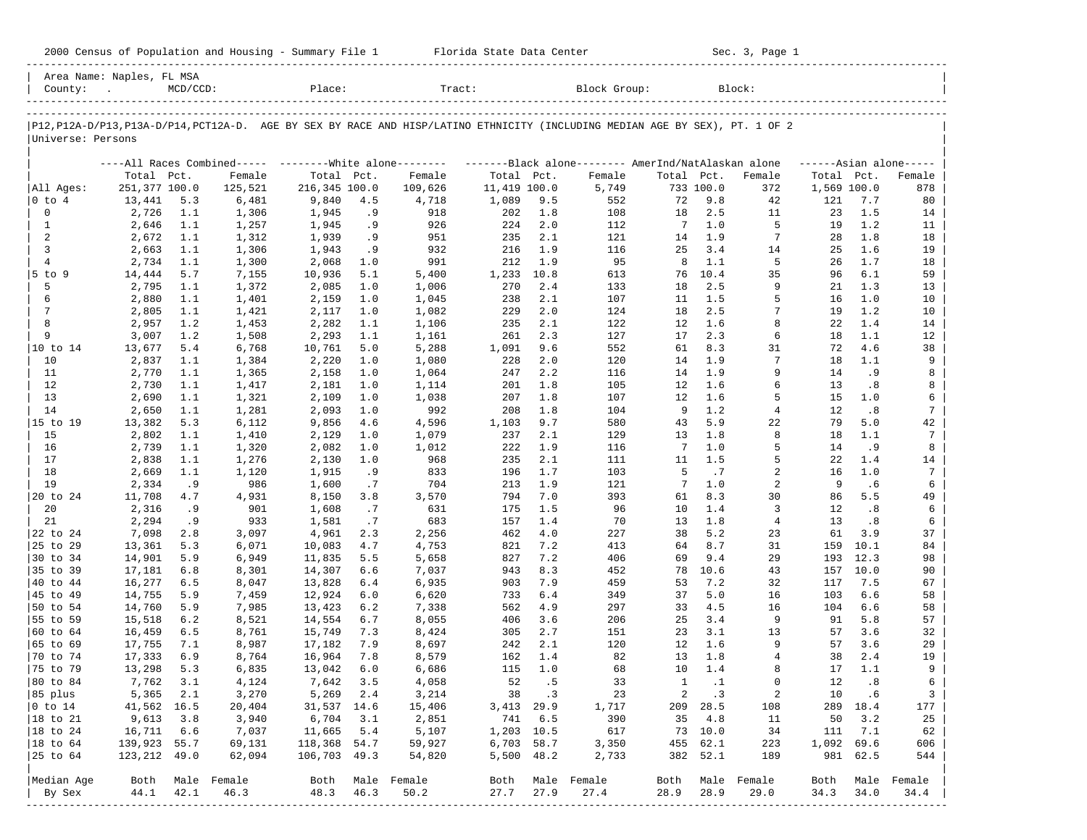|  |  |  | 2000 Census of Population and Housing - Summary File 1 |  |  |  |  |  |  |
|--|--|--|--------------------------------------------------------|--|--|--|--|--|--|
|--|--|--|--------------------------------------------------------|--|--|--|--|--|--|

2000 Florida State Data Center - Sec. 3, Page 1 -----------------------------------------------------------------------------------------------------------------------------------------------------

| Area Name: Naples, FL MSA<br>County: | $\sim 100$       | $MCD/CCD$ : |                | Place:           |                  | Tract:                                                                                                                        |              |            | Block Group: |              |            | Block:         |             |            |                     |
|--------------------------------------|------------------|-------------|----------------|------------------|------------------|-------------------------------------------------------------------------------------------------------------------------------|--------------|------------|--------------|--------------|------------|----------------|-------------|------------|---------------------|
| Universe: Persons                    |                  |             |                |                  |                  | P12, P12A-D/P13, P13A-D/P14, PCT12A-D. AGE BY SEX BY RACE AND HISP/LATINO ETHNICITY (INCLUDING MEDIAN AGE BY SEX), PT. 1 OF 2 |              |            |              |              |            |                |             |            |                     |
|                                      |                  |             |                |                  |                  | ----All Races Combined----- --------White alone-------- ---------Black alone-------- AmerInd/NatAlaskan alone                 |              |            |              |              |            |                |             |            | $---Asian alone---$ |
|                                      | Total Pct.       |             | Female         | Total Pct.       |                  | Female                                                                                                                        | Total Pct.   |            | Female       | Total Pct.   |            | Female         | Total Pct.  |            | Female              |
| All Ages:                            | 251,377 100.0    |             | 125,521        | 216,345 100.0    |                  | 109,626                                                                                                                       | 11,419 100.0 |            | 5,749        |              | 733 100.0  | 372            | 1,569 100.0 |            | 878                 |
| $ 0 \t{to} 4$                        | 13,441           | 5.3         | 6,481          | 9,840            | 4.5              | 4,718                                                                                                                         | 1,089        | 9.5        | 552          | 72           | 9.8        | 42             | 121         | 7.7        | 80                  |
| $\mathbf 0$                          | 2,726            | 1.1         | 1,306          | 1,945            | . 9              | 918                                                                                                                           | 202          | 1.8        | 108          | 18           | 2.5        | 11             | 23          | 1.5        | 14                  |
| $\mathbf{1}$                         | 2,646            | 1.1         | 1,257          | 1,945            | . 9              | 926                                                                                                                           | 224          | 2.0        | 112          | 7            | 1.0        | 5              | 19          | 1.2        | 11                  |
| 2                                    | 2,672            | 1.1         | 1,312          | 1,939            | . 9              | 951                                                                                                                           | 235          | 2.1        | 121          | 14           | 1.9        | 7              | 28          | 1.8        | 18                  |
| 3                                    | 2,663            | 1.1         | 1,306          | 1,943            | .9               | 932                                                                                                                           | 216          | 1.9        | 116          | 25           | 3.4        | 14             | 25          | 1.6        | 19                  |
| $\overline{4}$                       | 2,734            | 1.1         | 1,300          | 2,068            | 1.0              | 991                                                                                                                           | 212          | 1.9        | 95           | 8            | 1.1        | 5              | 26          | 1.7        | 18                  |
| $5$ to $9$                           | 14,444           | 5.7         | 7,155          | 10,936           | 5.1              | 5,400                                                                                                                         | 1,233        | 10.8       | 613          | 76           | 10.4       | 35             | 96          | 6.1        | 59                  |
| 5                                    | 2,795            | 1.1         | 1,372          | 2,085            | 1.0              | 1,006                                                                                                                         | 270          | 2.4        | 133          | 18           | 2.5        | 9              | 21          | 1.3        | 13                  |
| 6                                    | 2,880            | 1.1         | 1,401          | 2,159            | 1.0              | 1,045                                                                                                                         | 238          | 2.1        | 107          | 11           | 1.5        | 5              | 16          | 1.0        | 10                  |
| 7                                    | 2,805            | 1.1         | 1,421          | 2,117            | 1.0              | 1,082                                                                                                                         | 229          | 2.0        | 124          | 18           | 2.5        | 7              | 19          | 1.2        | 10                  |
| 8                                    | 2,957            | 1.2         | 1,453          | 2,282            | 1.1              | 1,106                                                                                                                         | 235          | 2.1        | 122          | 12           | 1.6        | 8              | 22          | 1.4        | 14                  |
| 9                                    | 3,007            | 1.2         | 1,508          | 2,293            | 1.1              | 1,161                                                                                                                         | 261          | 2.3        | 127          | 17           | 2.3        | 6              | 18          | 1.1        | 12                  |
| 10 to 14                             | 13,677           | 5.4         | 6,768          | 10,761           | 5.0              | 5,288                                                                                                                         | 1,091        | 9.6        | 552          | 61           | 8.3        | 31             | 72          | 4.6        | 38                  |
| 10                                   | 2,837            | 1.1         | 1,384          | 2,220            | 1.0              | 1,080                                                                                                                         | 228          | 2.0        | 120          | 14           | 1.9        | 7              | 18          | 1.1        | 9                   |
| 11                                   | 2,770            | 1.1         | 1,365          | 2,158            | 1.0              | 1,064                                                                                                                         | 247          | 2.2        | 116          | 14           | 1.9        | 9              | 14          | . 9        | 8                   |
| 12                                   | 2,730            | 1.1         | 1,417          | 2,181            | 1.0              | 1,114                                                                                                                         | 201          | 1.8        | 105          | 12           | 1.6        | 6              | 13          | . 8        | 8                   |
| 13                                   | 2,690            | 1.1         | 1,321          | 2,109            | 1.0              | 1,038                                                                                                                         | 207          | 1.8        | 107          | 12           | 1.6        | 5              | 15          | 1.0        | 6                   |
| 14                                   | 2,650            | 1.1         | 1,281          | 2,093            | 1.0              | 992                                                                                                                           | 208          | 1.8        | 104          | 9            | 1.2        | $\overline{4}$ | 12          | . 8        | 7                   |
| 15 to 19                             | 13,382           | 5.3         | 6,112          | 9,856            | 4.6              | 4,596                                                                                                                         | 1,103        | 9.7        | 580          | 43           | 5.9        | 22             | 79          | 5.0        | 42                  |
| 15                                   | 2,802            | 1.1         | 1,410          | 2,129            | 1.0              | 1,079                                                                                                                         | 237          | 2.1        | 129          | 13           | 1.8        | 8              | 18          | 1.1        | 7                   |
| 16                                   | 2,739            | 1.1         | 1,320          | 2,082            | 1.0              | 1,012                                                                                                                         | 222          | 1.9        | 116          | 7            | 1.0        | 5              | 14          | . 9        | 8                   |
| 17                                   | 2,838            | 1.1         | 1,276          | 2,130            | 1.0              | 968                                                                                                                           | 235          | 2.1        | 111          | 11           | 1.5        | 5              | 22          | 1.4        | 14                  |
| 18                                   | 2,669            | 1.1         | 1,120          | 1,915            | . 9              | 833                                                                                                                           | 196          | 1.7        | 103          | 5            | .7         | 2              | 16          | 1.0        | 7                   |
| 19                                   | 2,334            | . 9         | 986            | 1,600            | $\cdot$ 7        | 704                                                                                                                           | 213          | 1.9        | 121          | 7            | 1.0        | 2              | 9           | . 6        | 6                   |
| 20 to 24                             | 11,708           | 4.7         | 4,931          | 8,150            | 3.8              | 3,570                                                                                                                         | 794          | 7.0        | 393          | 61           | 8.3        | 30             | 86          | 5.5        | 49                  |
| 20                                   | 2,316            | . 9         | 901            | 1,608            | .7               | 631                                                                                                                           | 175          | 1.5        | 96           | 10           | 1.4        | 3              | 12          | . 8        | 6                   |
| 21                                   | 2,294            | .9          | 933            | 1,581            | .7               | 683                                                                                                                           | 157          | 1.4        | 70           | 13           | 1.8        | $\overline{4}$ | 13          | .8         | 6                   |
| 22 to 24                             | 7,098            | 2.8         | 3,097          | 4,961            | 2.3              | 2,256                                                                                                                         | 462          | 4.0        | 227          | 38           | 5.2        | 23             | 61          | 3.9        | 37                  |
| 25 to 29                             | 13,361           | 5.3         | 6,071          | 10,083           | 4.7              | 4,753                                                                                                                         | 821          | 7.2        | 413          | 64           | 8.7        | 31             | 159         | 10.1       | 84                  |
| 30 to 34                             | 14,901           | 5.9         | 6,949          | 11,835           | 5.5              | 5,658                                                                                                                         | 827          | 7.2        | 406          | 69           | 9.4        | 29             | 193         | 12.3       | 98                  |
| 35 to 39                             | 17,181           | 6.8         | 8,301          | 14,307           | 6.6              | 7,037                                                                                                                         | 943          | 8.3        | 452          | 78           | 10.6       | 43             | 157         | 10.0       | 90                  |
| 40 to 44                             | 16,277           | 6.5         | 8,047          | 13,828           | 6.4              | 6,935                                                                                                                         | 903          | 7.9        | 459          | 53           | 7.2        | 32             | 117         | 7.5        | 67                  |
| 45 to 49                             | 14,755           | 5.9         | 7,459          | 12,924           | 6.0              | 6,620                                                                                                                         | 733          | 6.4        | 349          | 37           | 5.0        | 16             | 103         | 6.6        | 58                  |
| 50 to 54                             | 14,760           | 5.9         | 7,985          | 13,423           | 6.2              | 7,338                                                                                                                         | 562          | 4.9        | 297          | 33           | 4.5        | 16             | 104         | 6.6        | 58                  |
| 55 to 59                             | 15,518           | 6.2         | 8,521          | 14,554           | 6.7              | 8,055                                                                                                                         | 406          | 3.6        | 206          | 25           | 3.4<br>3.1 | 9              | 91          | 5.8        | 57                  |
| 60 to 64                             | 16,459           | 6.5<br>7.1  | 8,761          | 15,749           | 7.3<br>7.9       | 8,424                                                                                                                         | 305<br>242   | 2.7<br>2.1 | 151          | 23<br>12     | 1.6        | 13<br>9        | 57<br>57    | 3.6<br>3.6 | 32<br>29            |
| 65 to 69<br>70 to 74                 | 17,755<br>17,333 | 6.9         | 8,987<br>8,764 | 17,182<br>16,964 | 7.8              | 8,697<br>8,579                                                                                                                | 162          | 1.4        | 120<br>82    | 13           | 1.8        | 4              | 38          | 2.4        | 19                  |
| 75 to 79                             | 13,298           | 5.3         | 6,835          | 13,042           | 6.0              | 6,686                                                                                                                         | 115          | 1.0        | 68           | 10           | 1.4        | 8              | 17          | 1.1        | 9                   |
| 80 to 84                             | 7,762            | 3.1         | 4,124          | 7,642            | 3.5              | 4,058                                                                                                                         | 52           | . 5        | 33           | $\mathbf{1}$ | $\cdot$ 1  | $\Omega$       | 12          | .8         | 6                   |
| 85 plus                              | 5,365            | 2.1         | 3,270          | 5,269 2.4        |                  | 3,214                                                                                                                         |              | 38 .3      | 23           | $\mathbf{2}$ | $\cdot$ 3  | 2              | 10          | .6         | $\mathbf{3}$        |
| $ 0 \t{to} 14$                       | 41,562 16.5      |             | 20,404         | 31,537 14.6      |                  | 15,406                                                                                                                        | 3,413 29.9   |            | 1,717        |              | 209 28.5   | 108            |             | 289 18.4   | 177                 |
| 18 to 21                             | 9,613            | 3.8         | 3,940          | 6,704            | 3.1              | 2,851                                                                                                                         | 741          | 6.5        | 390          | 35           | 4.8        | 11             | 50          | 3.2        | 25                  |
| 18 to 24                             | 16,711           | 6.6         | 7,037          | 11,665           | 5.4              | 5,107                                                                                                                         | 1,203 10.5   |            | 617          |              | 73 10.0    | 34             | 111         | 7.1        | 62                  |
| 18 to 64                             | 139,923 55.7     |             | 69,131         | 118,368 54.7     |                  | 59,927                                                                                                                        | 6,703 58.7   |            | 3,350        |              | 455 62.1   | 223            | 1,092 69.6  |            | 606                 |
| 25 to 64                             | 123,212 49.0     |             | 62,094         | 106,703 49.3     |                  | 54,820                                                                                                                        | 5,500 48.2   |            | 2,733        |              | 382 52.1   | 189            |             | 981 62.5   | 544                 |
|                                      |                  |             |                |                  |                  |                                                                                                                               |              |            |              |              |            |                |             |            |                     |
| Median Age                           | Both             |             | Male Female    |                  | Both Male Female |                                                                                                                               | Both         |            | Male Female  | Both         |            | Male Female    | Both        | Male       | Female              |
| By Sex                               | 44.1             | 42.1        | 46.3           | 48.3             | 46.3             | 50.2                                                                                                                          | 27.7         | 27.9       | 27.4         | 28.9         | 28.9       | 29.0           | 34.3        | 34.0       | 34.4                |
|                                      |                  |             |                |                  |                  |                                                                                                                               |              |            |              |              |            |                |             |            |                     |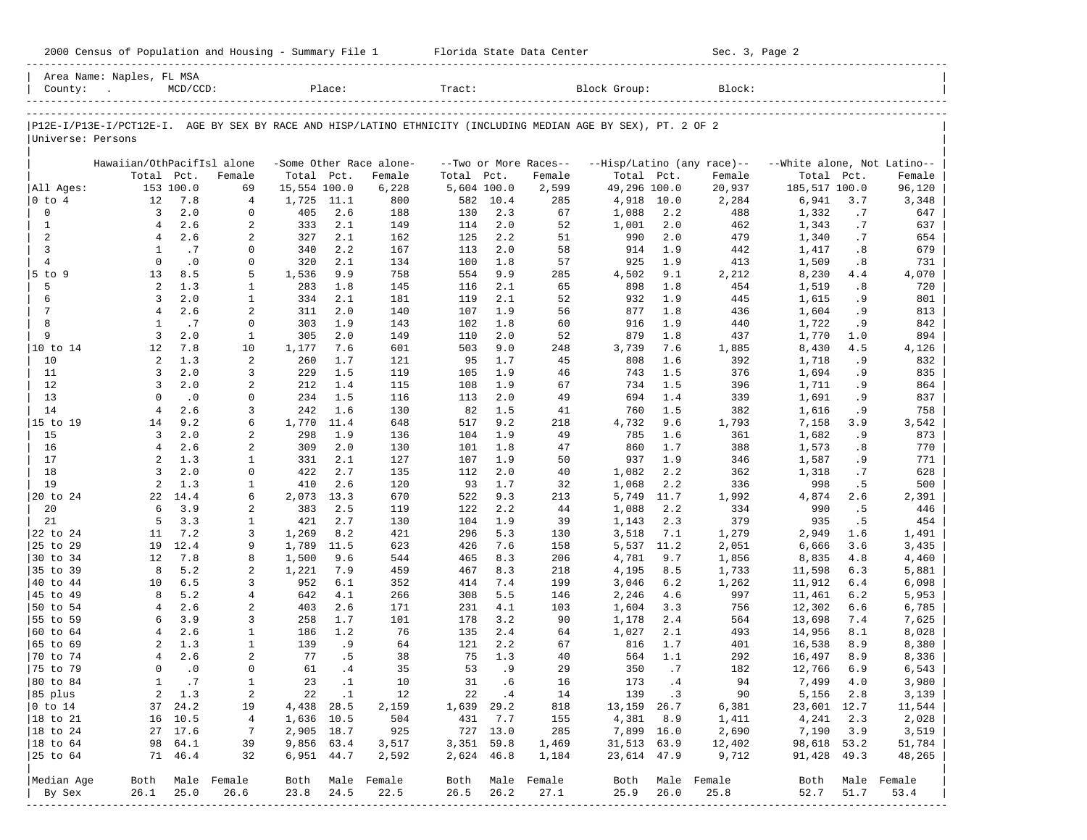|  |  |  | 2000 Census of Population and Housing - Summary File 1 |  |  |  |  |  |  |
|--|--|--|--------------------------------------------------------|--|--|--|--|--|--|
|--|--|--|--------------------------------------------------------|--|--|--|--|--|--|

2000 Florida State Data Center - Sec. 3, Page 2

|                      | Area Name: Naples, FL MSA  |               |                              |                |            |                         |             |            |                       |                                                                                                                |             |                            |                             |           |                  |
|----------------------|----------------------------|---------------|------------------------------|----------------|------------|-------------------------|-------------|------------|-----------------------|----------------------------------------------------------------------------------------------------------------|-------------|----------------------------|-----------------------------|-----------|------------------|
| County:              | $\sim$                     | $MCD/CCD$ :   |                              |                | Place:     |                         | Tract:      |            |                       | Block Group:                                                                                                   |             | Block:                     |                             |           |                  |
|                      |                            |               |                              |                |            |                         |             |            |                       |                                                                                                                |             |                            |                             |           |                  |
| Universe: Persons    |                            |               |                              |                |            |                         |             |            |                       | P12E-I/P13E-I/PCT12E-I. AGE BY SEX BY RACE AND HISP/LATINO ETHNICITY (INCLUDING MEDIAN AGE BY SEX), PT. 2 OF 2 |             |                            |                             |           |                  |
|                      | Hawaiian/OthPacifIsl alone |               |                              |                |            | -Some Other Race alone- |             |            | --Two or More Races-- |                                                                                                                |             | --Hisp/Latino (any race)-- | --White alone, Not Latino-- |           |                  |
|                      | Total                      | Pct.          | Female                       | Total Pct.     |            | Female                  | Total       | Pct.       | Female                | Total Pct.                                                                                                     |             | Female                     | Total                       | Pct.      | Female           |
| All Ages:            |                            | 153 100.0     | 69                           | 15,554 100.0   |            | 6,228                   | 5,604 100.0 |            | 2,599                 | 49,296 100.0                                                                                                   |             | 20,937                     | 185,517 100.0               |           | 96,120           |
| 0 to 4               | 12                         | 7.8           | 4                            | 1,725          | 11.1       | 800                     | 582         | 10.4       | 285                   | 4,918                                                                                                          | 10.0        | 2,284                      | 6,941                       | 3.7       | 3,348            |
| $\mathbf 0$          | 3                          | 2.0           | 0                            | 405            | 2.6        | 188                     | 130         | 2.3        | 67                    | 1,088                                                                                                          | 2.2         | 488                        | 1,332                       | .7        | 647              |
| $\mathbf{1}$         | $\overline{4}$             | 2.6           | 2                            | 333            | 2.1        | 149                     | 114         | 2.0        | 52                    | 1,001                                                                                                          | 2.0         | 462                        | 1,343                       | .7        | 637              |
| 2                    | $\overline{4}$             | 2.6           | 2                            | 327            | 2.1        | 162                     | 125         | 2.2        | 51                    | 990                                                                                                            | 2.0         | 479                        | 1,340                       | .7        | 654              |
| 3                    | 1                          | .7            | 0                            | 340            | 2.2        | 167                     | 113         | 2.0        | 58                    | 914                                                                                                            | 1.9         | 442                        | 1,417                       | .8        | 679              |
| $\overline{4}$       | $\mathbf 0$                | $\cdot$ 0     | 0                            | 320            | 2.1        | 134                     | 100         | 1.8        | 57                    | 925                                                                                                            | 1.9         | 413                        | 1,509                       | .8        | 731              |
| 5 to 9<br>5          | 13<br>2                    | 8.5<br>1.3    | 5                            | 1,536          | 9.9        | 758                     | 554         | 9.9<br>2.1 | 285                   | 4,502                                                                                                          | 9.1<br>1.8  | 2,212<br>454               | 8,230                       | 4.4       | 4,070            |
| 6                    | 3                          | 2.0           | $\mathbf{1}$<br>$\mathbf{1}$ | 283<br>334     | 1.8<br>2.1 | 145<br>181              | 116<br>119  | 2.1        | 65<br>52              | 898<br>932                                                                                                     | 1.9         | 445                        | 1,519<br>1,615              | .8<br>.9  | 720<br>801       |
| 7                    | $\overline{4}$             | 2.6           | 2                            | 311            | 2.0        | 140                     | 107         | 1.9        | 56                    | 877                                                                                                            | 1.8         | 436                        | 1,604                       | .9        | 813              |
| 8                    | $\mathbf{1}$               | .7            | $\mathbf 0$                  | 303            | 1.9        | 143                     | 102         | 1.8        | 60                    | 916                                                                                                            | 1.9         | 440                        | 1,722                       | .9        | 842              |
| 9                    | 3                          | 2.0           | 1                            | 305            | 2.0        | 149                     | 110         | 2.0        | 52                    | 879                                                                                                            | 1.8         | 437                        | 1,770                       | 1.0       | 894              |
| 10 to 14             | 12                         | 7.8           | 10                           | 1,177          | 7.6        | 601                     | 503         | 9.0        | 248                   | 3,739                                                                                                          | 7.6         | 1,885                      | 8,430                       | 4.5       | 4,126            |
| 10                   | 2                          | 1.3           | 2                            | 260            | 1.7        | 121                     | 95          | 1.7        | 45                    | 808                                                                                                            | 1.6         | 392                        | 1,718                       | .9        | 832              |
| 11                   | 3                          | 2.0           | 3                            | 229            | 1.5        | 119                     | 105         | 1.9        | 46                    | 743                                                                                                            | 1.5         | 376                        | 1,694                       | .9        | 835              |
| 12                   | 3                          | 2.0           | 2                            | 212            | 1.4        | 115                     | 108         | 1.9        | 67                    | 734                                                                                                            | 1.5         | 396                        | 1,711                       | .9        | 864              |
| 13                   | $\mathbf 0$                | $\cdot$ 0     | 0                            | 234            | 1.5        | 116                     | 113         | 2.0        | 49                    | 694                                                                                                            | 1.4         | 339                        | 1,691                       | .9        | 837              |
| 14                   | $\overline{4}$             | 2.6           | 3                            | 242            | 1.6        | 130                     | 82          | 1.5        | 41                    | 760                                                                                                            | 1.5         | 382                        | 1,616                       | .9        | 758              |
| 15 to 19             | 14                         | 9.2           | 6                            | 1,770          | 11.4       | 648                     | 517         | 9.2        | 218                   | 4,732                                                                                                          | 9.6         | 1,793                      | 7,158                       | 3.9       | 3,542            |
| 15                   | 3                          | 2.0           | 2                            | 298            | 1.9        | 136                     | 104         | 1.9        | 49                    | 785                                                                                                            | 1.6         | 361                        | 1,682                       | .9        | 873              |
| 16                   | $\overline{4}$             | 2.6           | 2                            | 309            | 2.0        | 130                     | 101         | 1.8        | 47                    | 860                                                                                                            | 1.7         | 388                        | 1,573                       | .8        | 770              |
| 17                   | $\overline{a}$             | 1.3           | 1                            | 331            | 2.1        | 127                     | 107         | 1.9        | 50                    | 937                                                                                                            | 1.9         | 346                        | 1,587                       | .9        | 771              |
| 18                   | 3                          | 2.0           | 0                            | 422            | 2.7        | 135                     | 112         | 2.0        | 40                    | 1,082                                                                                                          | 2.2         | 362                        | 1,318                       | .7        | 628              |
| 19                   | 2                          | 1.3           | 1                            | 410            | 2.6        | 120                     | 93          | 1.7        | 32                    | 1,068                                                                                                          | 2.2         | 336                        | 998                         | .5        | 500              |
| 20 to 24             | 22                         | 14.4          | 6                            | 2,073          | 13.3       | 670                     | 522         | 9.3        | 213                   | 5,749                                                                                                          | 11.7        | 1,992                      | 4,874                       | 2.6       | 2,391            |
| 20                   | 6<br>5                     | 3.9           | 2                            | 383            | 2.5        | 119                     | 122         | 2.2        | 44                    | 1,088                                                                                                          | 2.2         | 334                        | 990                         | .5        | 446              |
| 21<br>22 to 24       | 11                         | 3.3<br>7.2    | $\mathbf{1}$<br>3            | 421            | 2.7<br>8.2 | 130<br>421              | 104<br>296  | 1.9<br>5.3 | 39                    | 1,143                                                                                                          | 2.3         | 379<br>1,279               | 935                         | .5<br>1.6 | 454              |
| 25 to 29             | 19                         | 12.4          | 9                            | 1,269<br>1,789 | 11.5       | 623                     | 426         | 7.6        | 130<br>158            | 3,518<br>5,537                                                                                                 | 7.1<br>11.2 | 2,051                      | 2,949<br>6,666              | 3.6       | 1,491<br>3,435   |
| 30 to 34             | 12                         | 7.8           | 8                            | 1,500          | 9.6        | 544                     | 465         | 8.3        | 206                   | 4,781                                                                                                          | 9.7         | 1,856                      | 8,835                       | 4.8       | 4,460            |
| 35 to 39             | 8                          | 5.2           | 2                            | 1,221          | 7.9        | 459                     | 467         | 8.3        | 218                   | 4,195                                                                                                          | 8.5         | 1,733                      | 11,598                      | 6.3       | 5,881            |
| 40 to 44             | 10                         | 6.5           | 3                            | 952            | 6.1        | 352                     | 414         | 7.4        | 199                   | 3,046                                                                                                          | 6.2         | 1,262                      | 11,912                      | 6.4       | 6,098            |
| 45 to 49             | 8                          | 5.2           | $\overline{4}$               | 642            | 4.1        | 266                     | 308         | 5.5        | 146                   | 2,246                                                                                                          | 4.6         | 997                        | 11,461                      | 6.2       | 5,953            |
| 50 to 54             | $\overline{4}$             | 2.6           | 2                            | 403            | 2.6        | 171                     | 231         | 4.1        | 103                   | 1,604                                                                                                          | 3.3         | 756                        | 12,302                      | 6.6       | 6,785            |
| 55 to 59             | 6                          | 3.9           | 3                            | 258            | 1.7        | 101                     | 178         | 3.2        | 90                    | 1,178                                                                                                          | 2.4         | 564                        | 13,698                      | 7.4       | 7,625            |
| 60 to 64             | 4                          | 2.6           | $\mathbf{1}$                 | 186            | 1.2        | 76                      | 135         | 2.4        | 64                    | 1,027                                                                                                          | 2.1         | 493                        | 14,956                      | 8.1       | 8,028            |
| 65 to 69             | 2                          | 1.3           | $\mathbf{1}$                 | 139            | .9         | 64                      | 121         | 2.2        | 67                    | 816                                                                                                            | 1.7         | 401                        | 16,538                      | 8.9       | 8,380            |
| 70 to 74             | 4                          | 2.6           | 2                            | 77             | . 5        | 38                      | 75          | 1.3        | 40                    | 564                                                                                                            | 1.1         | 292                        | 16,497                      | 8.9       | 8,336            |
| 75 to 79             | $\mathbf 0$                | $\cdot$ 0     | $\mathbf 0$                  | 61             | .4         | 35                      | 53          | .9         | 29                    | 350                                                                                                            | .7          | 182                        | 12,766                      | 6.9       | 6,543            |
| 80 to 84             | $\mathbf{1}$               | .7            | $\mathbf{1}$                 | 23             | $\cdot$ 1  | 10                      | 31          | .6         | 16                    | 173                                                                                                            | .4          | 94                         | 7,499                       | 4.0       | 3,980            |
| 85 plus              |                            | $2 \quad 1.3$ | 2                            |                | 22.1       | 12                      |             | 22. 4      | 14                    |                                                                                                                | 139 .3      | 90                         | 5,156 2.8                   |           | 3,139            |
| $ 0 \t{to} 14$       |                            | 37 24.2       | 19                           | 4,438 28.5     |            | 2,159                   | 1,639 29.2  |            | 818                   | 13,159 26.7                                                                                                    |             | 6,381                      | 23,601 12.7                 |           | 11,544           |
| $ 18 \text{ to } 21$ |                            | 16 10.5       | 4                            | 1,636 10.5     |            | 504                     |             | 431 7.7    | 155                   |                                                                                                                | 4,381 8.9   | 1,411                      | 4,241 2.3                   |           | 2,028            |
| $ 18 \text{ to } 24$ |                            | 27 17.6       | 7                            | 2,905 18.7     |            | 925                     |             | 727 13.0   | 285                   | 7,899 16.0                                                                                                     |             | 2,690                      | 7,190 3.9                   |           | 3,519            |
| $ 18 \text{ to } 64$ |                            | 98 64.1       | 39                           | 9,856 63.4     |            | 3,517                   | 3,351 59.8  |            | 1,469                 | 31,513 63.9                                                                                                    |             | 12,402                     | 98,618 53.2                 |           | 51,784           |
| 25 to 64             |                            | 71 46.4       | 32                           |                | 6,951 44.7 | 2,592                   | 2,624 46.8  |            | 1,184                 | 23,614 47.9                                                                                                    |             | 9,712                      | 91,428 49.3                 |           | 48,265           |
| Median Age           |                            |               | Both Male Female             |                |            | Both Male Female        |             |            | Both Male Female      |                                                                                                                |             | Both Male Female           |                             |           | Both Male Female |
| By Sex               | 26.1                       | 25.0          | 26.6                         | 23.8 24.5      |            | 22.5                    | 26.5        | 26.2       | 27.1                  | 25.9                                                                                                           | 26.0        | 25.8                       | 52.7                        | 51.7      | 53.4             |
|                      |                            |               |                              |                |            |                         |             |            |                       |                                                                                                                |             |                            |                             |           |                  |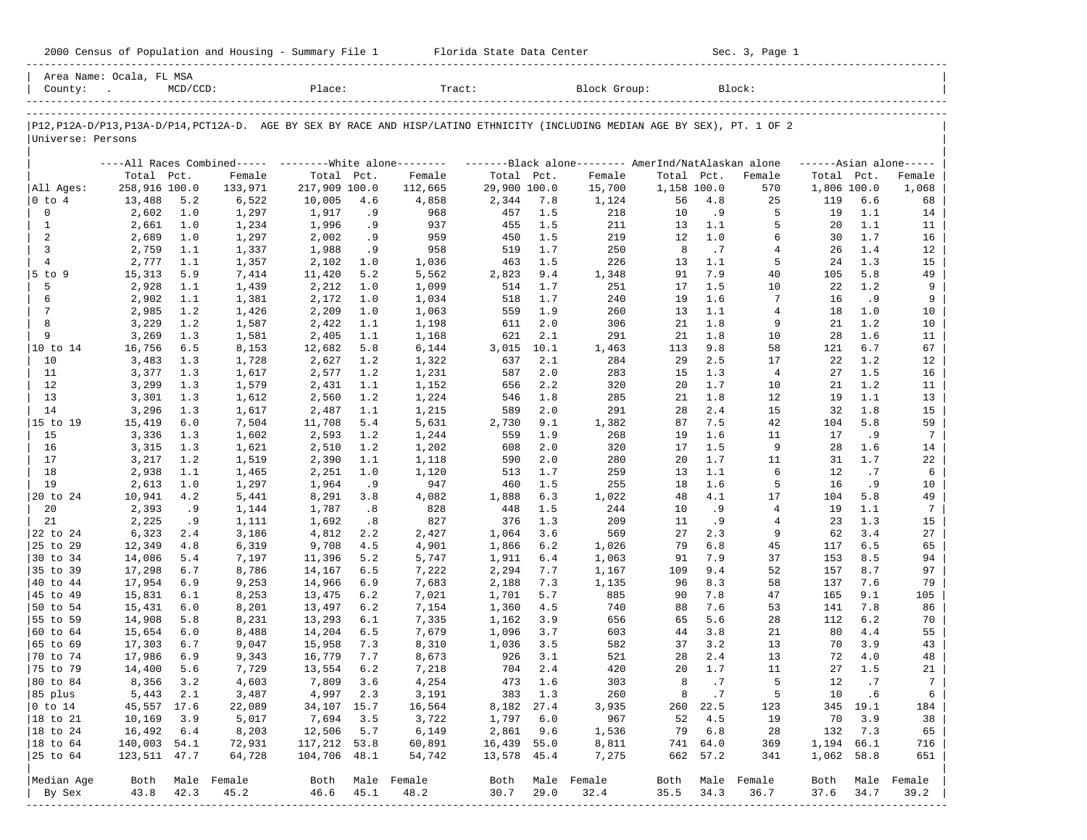|  |  |  | 2000 Census of Population and Housing - Summary File 1 |  |  |  |  |  |  |
|--|--|--|--------------------------------------------------------|--|--|--|--|--|--|
|--|--|--|--------------------------------------------------------|--|--|--|--|--|--|

2000 Florida State Data Center - Sec. 3, Page 1 -----------------------------------------------------------------------------------------------------------------------------------------------------

| County:              | Area Name: Ocala, FL MSA<br>$MCD/CCD$ :<br>Place: |            |                | Tract:         |           |                                                            |              | Block Group:<br>Block: |                                                                                                                               |             |           |                  |             |            |                     |
|----------------------|---------------------------------------------------|------------|----------------|----------------|-----------|------------------------------------------------------------|--------------|------------------------|-------------------------------------------------------------------------------------------------------------------------------|-------------|-----------|------------------|-------------|------------|---------------------|
|                      |                                                   |            |                |                |           |                                                            |              |                        |                                                                                                                               |             |           |                  |             |            |                     |
| Universe: Persons    |                                                   |            |                |                |           |                                                            |              |                        | P12, P12A-D/P13, P13A-D/P14, PCT12A-D. AGE BY SEX BY RACE AND HISP/LATINO ETHNICITY (INCLUDING MEDIAN AGE BY SEX), PT. 1 OF 2 |             |           |                  |             |            |                     |
|                      |                                                   |            |                |                |           |                                                            |              |                        |                                                                                                                               |             |           |                  |             |            |                     |
|                      |                                                   |            |                |                |           | ----All Races Combined-----    --------White alone-------- |              |                        | -------Black alone-------- AmerInd/NatAlaskan alone                                                                           |             |           |                  |             |            | $---Asian alone---$ |
|                      | Total Pct.                                        |            | Female         | Total Pct.     |           | Female                                                     | Total Pct.   |                        | Female                                                                                                                        | Total Pct.  |           | Female           | Total Pct.  |            | Female              |
| All Ages:            | 258,916 100.0                                     |            | 133,971        | 217,909 100.0  |           | 112,665                                                    | 29,900 100.0 |                        | 15,700                                                                                                                        | 1,158 100.0 | 4.8       | 570              | 1,806 100.0 |            | 1,068               |
| $ 0 \tto 4$<br>0     | 13,488                                            | 5.2        | 6,522          | 10,005         | 4.6       | 4,858<br>968                                               | 2,344        | 7.8                    | 1,124<br>218                                                                                                                  | 56<br>10    | . 9       | 25<br>5          | 119<br>19   | 6.6        | 68                  |
| $\mathbf{1}$         | 2,602<br>2,661                                    | 1.0<br>1.0 | 1,297          | 1,917<br>1,996 | . 9<br>.9 | 937                                                        | 457<br>455   | 1.5<br>1.5             | 211                                                                                                                           | 13          | 1.1       | 5                | 20          | 1.1<br>1.1 | 14<br>11            |
| 2                    | 2,689                                             | 1.0        | 1,234<br>1,297 | 2,002          | .9        | 959                                                        | 450          | 1.5                    | 219                                                                                                                           | 12          | 1.0       | 6                | 30          | 1.7        | 16                  |
| 3                    | 2,759                                             | 1.1        | 1,337          | 1,988          | .9        | 958                                                        | 519          | 1.7                    | 250                                                                                                                           | 8           | .7        | 4                | 26          | 1.4        | 12                  |
| $\overline{4}$       | 2,777                                             | 1.1        | 1,357          | 2,102          | 1.0       | 1,036                                                      | 463          | 1.5                    | 226                                                                                                                           | 13          | 1.1       | 5                | 24          | 1.3        | 15                  |
| $5$ to 9             | 15,313                                            | 5.9        | 7,414          | 11,420         | 5.2       | 5,562                                                      | 2,823        | 9.4                    | 1,348                                                                                                                         | 91          | 7.9       | 40               | 105         | 5.8        | 49                  |
| 5                    | 2,928                                             | 1.1        | 1,439          | 2,212          | 1.0       | 1,099                                                      | 514          | 1.7                    | 251                                                                                                                           | 17          | 1.5       | 10               | 22          | 1.2        | 9                   |
| 6                    | 2,902                                             | 1.1        | 1,381          | 2,172          | 1.0       | 1,034                                                      | 518          | 1.7                    | 240                                                                                                                           | 19          | 1.6       | 7                | 16          | . 9        | 9                   |
| 7                    | 2,985                                             | 1.2        | 1,426          | 2,209          | 1.0       | 1,063                                                      | 559          | 1.9                    | 260                                                                                                                           | 13          | 1.1       | 4                | 18          | 1.0        | 10                  |
| 8                    | 3,229                                             | 1.2        | 1,587          | 2,422          | 1.1       | 1,198                                                      | 611          | 2.0                    | 306                                                                                                                           | 21          | 1.8       | 9                | 21          | 1.2        | 10                  |
| 9                    | 3,269                                             | 1.3        | 1,581          | 2,405          | 1.1       | 1,168                                                      | 621          | 2.1                    | 291                                                                                                                           | 21          | 1.8       | 10               | 28          | 1.6        | 11                  |
|                      | 16,756                                            | 6.5        | 8,153          | 12,682         | 5.8       | 6,144                                                      | 3,015        | 10.1                   | 1,463                                                                                                                         | 113         | 9.8       | 58               | 121         | 6.7        | 67                  |
| 10                   | 3,483                                             | 1.3        | 1,728          | 2,627          | 1.2       | 1,322                                                      | 637          | 2.1                    | 284                                                                                                                           | 29          | 2.5       | 17               | 22          | 1.2        | 12                  |
| 11                   | 3,377                                             | 1.3        | 1,617          | 2,577          | 1.2       | 1,231                                                      | 587          | 2.0                    | 283                                                                                                                           | 15          | 1.3       | $\overline{4}$   | 27          | 1.5        | 16                  |
| 12                   | 3,299                                             | 1.3        | 1,579          | 2,431          | 1.1       | 1,152                                                      | 656          | 2.2                    | 320                                                                                                                           | 20          | 1.7       | 10               | 21          | 1.2        | 11                  |
| 13                   | 3,301                                             | 1.3        | 1,612          | 2,560          | 1.2       | 1,224                                                      | 546          | 1.8                    | 285                                                                                                                           | 21          | 1.8       | 12               | 19          | 1.1        | 13                  |
| 14                   | 3,296                                             | 1.3        | 1,617          | 2,487          | 1.1       | 1,215                                                      | 589          | 2.0                    | 291                                                                                                                           | 28          | 2.4       | 15               | 32          | 1.8        | 15                  |
| 15 to 19             | 15,419                                            | 6.0        | 7,504          | 11,708         | 5.4       | 5,631                                                      | 2,730        | 9.1                    | 1,382                                                                                                                         | 87          | 7.5       | 42               | 104         | 5.8        | 59                  |
| 15                   | 3,336                                             | 1.3        | 1,602          | 2,593          | 1.2       | 1,244                                                      | 559          | 1.9                    | 268                                                                                                                           | 19          | 1.6       | 11               | 17          | . 9        | 7                   |
| 16                   | 3,315                                             | 1.3        | 1,621          | 2,510          | 1.2       | 1,202                                                      | 608          | 2.0                    | 320                                                                                                                           | 17          | 1.5       | 9                | 28          | 1.6        | 14                  |
| 17                   | 3,217                                             | 1.2        | 1,519          | 2,390          | 1.1       | 1,118                                                      | 590          | 2.0                    | 280                                                                                                                           | 20          | 1.7       | 11               | 31          | 1.7        | 22                  |
| 18                   | 2,938                                             | 1.1        | 1,465          | 2,251          | 1.0       | 1,120                                                      | 513          | 1.7                    | 259                                                                                                                           | 13          | 1.1       | 6                | 12          | .7         | 6                   |
| 19                   | 2,613                                             | 1.0        | 1,297          | 1,964          | . 9       | 947                                                        | 460          | 1.5                    | 255                                                                                                                           | 18          | 1.6       | 5                | 16          | . 9        | 10                  |
| 20 to 24             | 10,941                                            | 4.2        | 5,441          | 8,291          | 3.8       | 4,082                                                      | 1,888        | 6.3                    | 1,022                                                                                                                         | 48          | 4.1       | 17               | 104         | 5.8        | 49                  |
| 20                   | 2,393                                             | . 9        | 1,144          | 1,787          | .8        | 828                                                        | 448          | 1.5                    | 244                                                                                                                           | 10          | . 9       | $\overline{4}$   | 19          | 1.1        | 7                   |
| 21                   | 2,225                                             | .9         | 1,111          | 1,692          | .8        | 827                                                        | 376          | 1.3                    | 209                                                                                                                           | 11          | . 9       | 4                | 23          | 1.3        | 15                  |
| 22 to 24             | 6,323                                             | 2.4        | 3,186          | 4,812          | 2.2       | 2,427                                                      | 1,064        | 3.6                    | 569                                                                                                                           | 27          | 2.3       | 9                | 62          | 3.4        | 27                  |
| 25 to 29             | 12,349                                            | 4.8        | 6,319          | 9,708          | 4.5       | 4,901                                                      | 1,866        | 6.2                    | 1,026                                                                                                                         | 79          | 6.8       | 45               | 117         | 6.5        | 65                  |
| 30 to 34             | 14,086                                            | 5.4        | 7,197          | 11,396         | 5.2       | 5,747                                                      | 1,911        | 6.4                    | 1,063                                                                                                                         | 91          | 7.9       | 37               | 153         | 8.5        | 94                  |
| 35 to 39             | 17,298                                            | 6.7        | 8,786          | 14,167         | 6.5       | 7,222                                                      | 2,294        | 7.7                    | 1,167                                                                                                                         | 109         | 9.4       | 52               | 157         | 8.7        | 97                  |
| 40 to 44             | 17,954                                            | 6.9        | 9,253          | 14,966         | 6.9       | 7,683                                                      | 2,188        | 7.3                    | 1,135                                                                                                                         | 96          | 8.3       | 58               | 137         | 7.6        | 79                  |
| 45 to 49             | 15,831                                            | 6.1        | 8,253          | 13,475         | 6.2       | 7,021                                                      | 1,701        | 5.7                    | 885                                                                                                                           | 90          | 7.8       | 47               | 165         | 9.1        | 105                 |
| 50 to 54             | 15,431                                            | 6.0        | 8,201          | 13,497         | 6.2       | 7,154                                                      | 1,360        | 4.5                    | 740                                                                                                                           | 88          | 7.6       | 53               | 141         | 7.8        | 86                  |
| 55 to 59             | 14,908                                            | 5.8        | 8,231          | 13,293         | 6.1       | 7,335                                                      | 1,162        | 3.9                    | 656                                                                                                                           | 65          | 5.6       | 28               | 112         | 6.2        | 70                  |
| 60 to 64             | 15,654                                            | 6.0        | 8,488          | 14,204         | 6.5       | 7,679                                                      | 1,096        | 3.7                    | 603                                                                                                                           | 44          | 3.8       | 21               | 80          | 4.4        | 55                  |
| 65 to 69             | 17,303                                            | 6.7        | 9,047          | 15,958         | 7.3       | 8,310                                                      | 1,036        | 3.5                    | 582                                                                                                                           | 37          | 3.2       | 13               | 70          | 3.9        | 43                  |
| 70 to 74             | 17,986                                            | 6.9        | 9,343          | 16,779         | 7.7       | 8,673                                                      | 926          | 3.1                    | 521                                                                                                                           | 28          | 2.4       | 13               | 72          | 4.0        | 48                  |
| 75 to 79             | 14,400                                            | 5.6        | 7,729          | 13,554         | 6.2       | 7,218                                                      | 704          | 2.4                    | 420                                                                                                                           | 20          | 1.7       | 11               | 27          | 1.5        | 21                  |
| $ 80 \text{ to } 84$ | 8,356                                             | 3.2        | 4,603          | 7,809          | 3.6       | 4,254                                                      | 473          | 1.6                    | 303                                                                                                                           | 8           | .7        | 5                | 12          | .7         | $7^{\circ}$         |
| 85 plus              | 5,443                                             | 2.1        | 3,487          | 4,997 2.3      |           | 3,191                                                      |              | 383 1.3                | 260                                                                                                                           | 8           | $\cdot$ 7 | 5                | 10          | .6         | 6                   |
| $ 0 \t{to} 14$       | 45,557 17.6                                       |            | 22,089         | 34,107 15.7    |           | 16,564                                                     | 8,182 27.4   |                        | 3,935                                                                                                                         |             | 260 22.5  | 123              |             | 345 19.1   | 184                 |
| $ 18 \text{ to } 21$ | 10,169                                            | 3.9        | 5,017          | 7,694          | 3.5       | 3,722                                                      | 1,797 6.0    |                        | 967                                                                                                                           | 52          | 4.5       | 19               | 70          | 3.9        | 38                  |
| $ 18 \text{ to } 24$ | 16,492                                            | 6.4        | 8,203          | 12,506         | 5.7       | 6,149                                                      | 2,861        | 9.6                    | 1,536                                                                                                                         |             | 79 6.8    | 28               | 132         | 7.3        | 65                  |
| $ 18 \text{ to } 64$ | 140,003 54.1                                      |            | 72,931         | 117,212 53.8   |           | 60,891                                                     | 16,439 55.0  |                        | 8,811                                                                                                                         |             | 741 64.0  | 369              | 1,194 66.1  |            | 716                 |
| 25 to 64             | 123,511 47.7                                      |            | 64,728         | 104,706 48.1   |           | 54,742                                                     | 13,578 45.4  |                        | 7,275                                                                                                                         |             | 662 57.2  | 341              | 1,062 58.8  |            | 651                 |
|                      |                                                   |            |                |                |           |                                                            |              |                        |                                                                                                                               |             |           |                  |             |            |                     |
| Median Age           | Both                                              |            | Male Female    | Both           |           | Male Female                                                |              |                        | Both Male Female                                                                                                              |             |           | Both Male Female | Both        |            | Male Female         |
| By Sex               | 43.8                                              | 42.3       | 45.2           | 46.6           | 45.1      | 48.2                                                       | 30.7         | 29.0                   | 32.4                                                                                                                          | 35.5        | 34.3      | 36.7             | 37.6        | 34.7       | 39.2                |
|                      |                                                   |            |                |                |           |                                                            |              |                        |                                                                                                                               |             |           |                  |             |            |                     |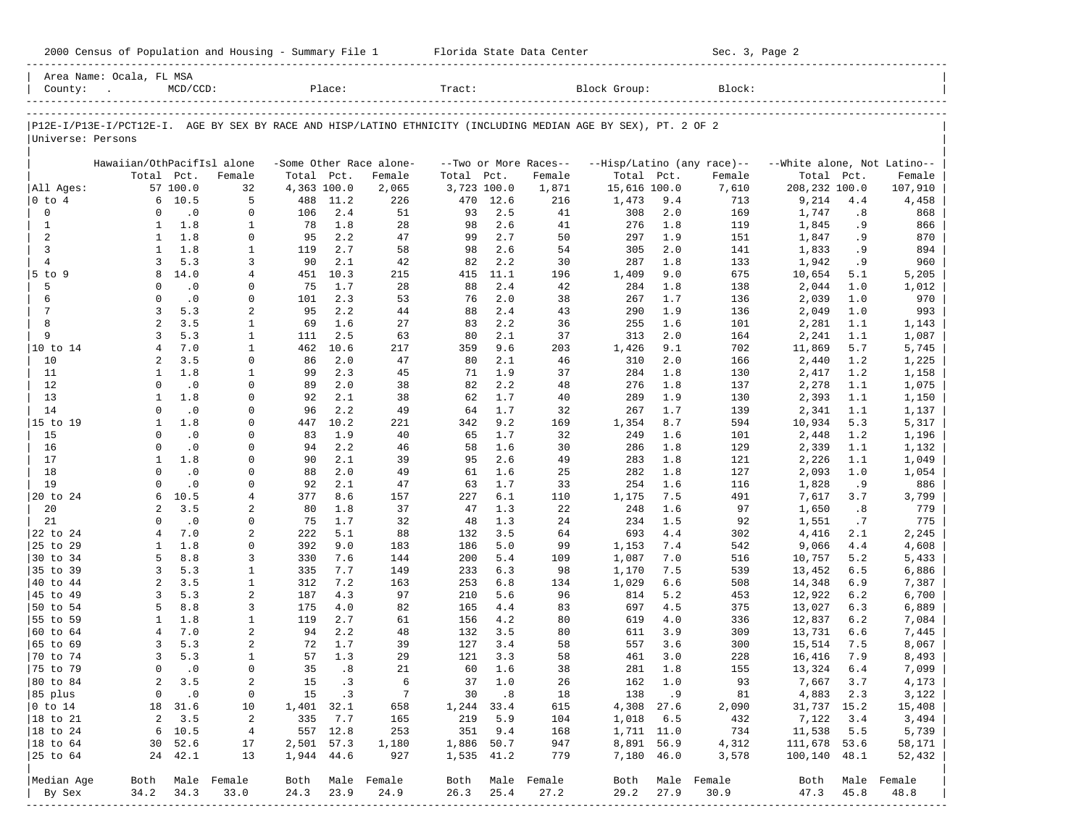| Block Group:<br>County:<br>$MCD/CCD$ :<br>Place:<br>Tract:<br>Block:<br>P12E-I/P13E-I/PCT12E-I. AGE BY SEX BY RACE AND HISP/LATINO ETHNICITY (INCLUDING MEDIAN AGE BY SEX), PT. 2 OF 2<br>Universe: Persons<br>Hawaiian/OthPacifIsl alone<br>-Some Other Race alone-<br>--Two or More Races--<br>--Hisp/Latino (any race)--<br>--White alone, Not Latino--<br>Total<br>Total<br>Total<br>Pct.<br>Female<br>Total<br>Pct.<br>Female<br>Total<br>Pct.<br>Female<br>Pct.<br>Female<br>Pct.<br>Female<br>57 100.0<br>208,232 100.0<br>32<br>4,363 100.0<br>2,065<br>3,723 100.0<br>1,871<br>15,616 100.0<br>7,610<br>107,910<br>9,214<br>6<br>10.5<br>5<br>1,473<br>0 to 4<br>488<br>11.2<br>226<br>470<br>12.6<br>216<br>9.4<br>713<br>4.4<br>4,458<br>$\mathbf 0$<br>$\cdot$ 0<br>2.4<br>51<br>41<br>169<br>.8<br>$\mathbf 0$<br>0<br>106<br>93<br>2.5<br>308<br>2.0<br>1,747<br>868<br>$\mathbf{1}$<br>1.8<br>$\mathbf{1}$<br>1.8<br>28<br>2.6<br>41<br>119<br>. 9<br>1<br>78<br>98<br>276<br>1.8<br>1,845<br>866<br>2<br>1.8<br>2.2<br>47<br>99<br>2.7<br>50<br>297<br>1.9<br>151<br>1<br>0<br>95<br>1,847<br>. 9<br>870<br>$\overline{3}$<br>$\mathbf{1}$<br>1.8<br>$\mathbf{1}$<br>2.7<br>58<br>2.6<br>54<br>2.0<br>141<br>. 9<br>119<br>98<br>305<br>1,833<br>894<br>$\overline{4}$<br>3<br>5.3<br>2.1<br>42<br>82<br>2.2<br>30<br>287<br>133<br>3<br>90<br>1.8<br>1,942<br>. 9<br>960<br>8<br>14.0<br>10.3<br>11.1<br>9.0<br>675<br>10,654<br>5 to 9<br>4<br>451<br>215<br>415<br>196<br>1,409<br>5.1<br>5,205<br>5<br>$\cdot$ 0<br>1.7<br>28<br>2.4<br>42<br>1.0<br>$\mathbf 0$<br>0<br>75<br>88<br>284<br>1.8<br>138<br>2,044<br>1,012<br>$\cdot$ 0<br>2.0<br>6<br>$\mathbf 0$<br>2.3<br>53<br>38<br>1.0<br>$\mathbf 0$<br>101<br>76<br>267<br>1.7<br>136<br>2,039<br>970<br>$7\phantom{.0}$<br>3<br>5.3<br>$\overline{\mathbf{c}}$<br>95<br>2.2<br>44<br>2.4<br>43<br>1.9<br>993<br>88<br>290<br>136<br>2,049<br>1.0<br>8<br>2<br>3.5<br>1.6<br>$\mathbf{1}$<br>27<br>2.2<br>36<br>255<br>1.6<br>101<br>2,281<br>1.1<br>69<br>83<br>1,143<br>9<br>3<br>5.3<br>$\mathbf{1}$<br>2.5<br>63<br>2.1<br>37<br>2.0<br>1.1<br>111<br>80<br>313<br>164<br>2,241<br>1,087<br>$\overline{4}$<br>7.0<br>$\mathbf{1}$<br>10.6<br>9.6<br>9.1<br>702<br>11,869<br>5.7<br>10 to 14<br>462<br>217<br>359<br>203<br>1,426<br>5,745<br>3.5<br>10<br>2<br>2.0<br>47<br>2.1<br>46<br>2.0<br>0<br>86<br>80<br>310<br>166<br>2,440<br>1.2<br>1,225<br>2.3<br>$\mathbf{1}$<br>1.8<br>$\mathbf{1}$<br>45<br>1.9<br>37<br>1.8<br>11<br>99<br>71<br>284<br>130<br>2,417<br>1.2<br>1,158<br>12<br>$\cdot$ 0<br>2.0<br>38<br>82<br>2.2<br>48<br>1.8<br>$\mathbf 0$<br>0<br>89<br>276<br>137<br>2,278<br>1.1<br>1,075<br>13<br>$\mathbf{1}$<br>1.8<br>$\mathbf 0$<br>2.1<br>38<br>1.7<br>40<br>289<br>1.9<br>2,393<br>1.1<br>92<br>62<br>130<br>1,150<br>14<br>$\cdot$ 0<br>2.2<br>49<br>1.7<br>32<br>$\Omega$<br>0<br>96<br>64<br>267<br>1.7<br>139<br>2,341<br>1.1<br>1,137<br>1.8<br>$\mathbf 0$<br>10.2<br>221<br>9.2<br>594<br>5.3<br>15 to 19<br>1<br>447<br>342<br>169<br>1,354<br>8.7<br>10,934<br>5,317<br>15<br>$\cdot$ 0<br>1.9<br>40<br>32<br>$\mathbf 0$<br>0<br>83<br>65<br>1.7<br>249<br>1.6<br>101<br>2,448<br>1.2<br>1,196<br>$\cdot$ 0<br>2.2<br>1.6<br>30<br>16<br>$\mathbf 0$<br>$\Omega$<br>94<br>46<br>58<br>286<br>1.8<br>129<br>2,339<br>1.1<br>1,132<br>17<br>1.8<br>2.1<br>39<br>2.6<br>49<br>121<br>1.1<br>$\mathbf{1}$<br>0<br>90<br>95<br>283<br>1.8<br>2,226<br>1,049<br>$\cdot$ 0<br>2.0<br>18<br>$\Omega$<br>49<br>1.6<br>25<br>282<br>127<br>1.0<br>$\Omega$<br>88<br>61<br>1.8<br>2,093<br>1,054<br>19<br>$\cdot$ 0<br>2.1<br>33<br>$\mathbf 0$<br>0<br>92<br>47<br>63<br>1.7<br>254<br>1.6<br>116<br>1,828<br>.9<br>886<br>6<br>10.5<br>8.6<br>6.1<br>7.5<br>491<br>20 to 24<br>4<br>377<br>157<br>227<br>110<br>1,175<br>7,617<br>3.7<br>3,799<br>20<br>2<br>3.5<br>37<br>22<br>97<br>2<br>80<br>1.8<br>47<br>1.3<br>248<br>1.6<br>1,650<br>.8<br>779<br>$\cdot$ 0<br>21<br>$\mathbf 0$<br>$\mathbf 0$<br>1.7<br>32<br>1.3<br>234<br>1.5<br>92<br>.7<br>75<br>48<br>24<br>1,551<br>775<br>7.0<br>$\overline{\mathbf{c}}$<br>222<br>5.1<br>88<br>3.5<br>693<br>4.4<br>302<br>22 to 24<br>4<br>132<br>64<br>4,416<br>2.1<br>2,245<br>25 to 29<br>$\mathbf{1}$<br>1.8<br>$\Omega$<br>392<br>9.0<br>5.0<br>99<br>7.4<br>4.4<br>183<br>186<br>1,153<br>542<br>9,066<br>4,608<br>30 to 34<br>5<br>8.8<br>330<br>3<br>7.6<br>144<br>200<br>5.4<br>109<br>1,087<br>7.0<br>516<br>10,757<br>5.2<br>5,433<br>35 to 39<br>3<br>5.3<br>$\mathbf{1}$<br>7.7<br>149<br>6.3<br>98<br>7.5<br>6.5<br>335<br>233<br>1,170<br>539<br>13,452<br>6,886<br>40 to 44<br>2<br>3.5<br>$\mathbf{1}$<br>312<br>7.2<br>253<br>163<br>6.8<br>134<br>1,029<br>6.6<br>508<br>14,348<br>6.9<br>7,387<br>3<br>2<br>5.3<br>4.3<br>97<br>5.6<br>96<br>5.2<br>6.2<br>45 to 49<br>187<br>210<br>814<br>453<br>12,922<br>6,700<br>50 to 54<br>5<br>8.8<br>82<br>83<br>697<br>4.5<br>3<br>175<br>4.0<br>165<br>4.4<br>375<br>13,027<br>6.3<br>6,889<br>55 to 59<br>$\mathbf{1}$<br>1.8<br>$\mathbf{1}$<br>2.7<br>61<br>4.2<br>80<br>6.2<br>119<br>156<br>619<br>4.0<br>336<br>12,837<br>7,084<br>60 to 64<br>7.0<br>2<br>2.2<br>48<br>3.5<br>80<br>3.9<br>4<br>94<br>132<br>611<br>309<br>13,731<br>6.6<br>7,445<br>65 to 69<br>3<br>5.3<br>2<br>1.7<br>39<br>3.4<br>58<br>3.6<br>72<br>127<br>557<br>300<br>15,514<br>7.5<br>8,067<br>70 to 74<br>3<br>5.3<br>1.3<br>29<br>3.3<br>58<br>7.9<br>1<br>57<br>121<br>461<br>3.0<br>228<br>16,416<br>8,493<br>$\cdot$ 0<br>75 to 79<br>$\mathbf 0$<br>$\mathbf 0$<br>35<br>.8<br>21<br>1.6<br>38<br>281<br>1.8<br>$6.4$<br>60<br>155<br>13,324<br>7,099<br>2<br>2<br>1.0<br>80 to 84<br>3.5<br>15<br>. 3<br>6<br>37<br>26<br>162<br>1.0<br>93<br>3.7<br>7,667<br>4,173<br>$7\phantom{.0}$<br>3,122<br>85 plus<br>0<br>$\cdot$ 0<br>0<br>15 .3<br>.8<br>18<br>138<br>.9<br>81<br>4,883 2.3<br>30<br>$0$ to $14$<br>18 31.6<br>10<br>1,401 32.1<br>658<br>1,244<br>33.4<br>615<br>4,308 27.6<br>2,090<br>31,737 15.2<br>15,408<br>$\overline{a}$<br>7.7<br>5.9<br>7,122<br>18 to 21<br>3.5<br>2<br>335<br>165<br>219<br>104<br>1,018<br>6.5<br>432<br>3.4<br>3,494<br>557 12.8<br>351<br>11,538<br>18 to 24<br>6<br>10.5<br>4<br>253<br>9.4<br>168<br>1,711 11.0<br>734<br>5.5<br>5,739<br>18 to 64<br>30<br>52.6<br>17<br>2,501 57.3<br>1,180<br>1,886<br>50.7<br>947<br>8,891<br>56.9<br>4,312<br>111,678 53.6<br>58,171<br>25 to 64<br>24 42.1<br>13<br>1,944 44.6<br>927<br>1,535 41.2<br>779<br>7,180 46.0<br>3,578<br>100,140 48.1<br>52,432<br>Male Female<br>Median Age<br>Both<br>Male Female<br>Both<br>Male<br>Female<br>Both<br>Male Female<br>Both<br>Both<br>Male<br>Female<br>By Sex<br>34.2<br>34.3<br>33.0<br>24.3<br>23.9<br>24.9<br>26.3<br>25.4<br>27.2<br>29.2<br>27.9<br>30.9<br>47.3<br>45.8<br>48.8 |           | Area Name: Ocala, FL MSA |  |  |  |  |  |  |  |
|---------------------------------------------------------------------------------------------------------------------------------------------------------------------------------------------------------------------------------------------------------------------------------------------------------------------------------------------------------------------------------------------------------------------------------------------------------------------------------------------------------------------------------------------------------------------------------------------------------------------------------------------------------------------------------------------------------------------------------------------------------------------------------------------------------------------------------------------------------------------------------------------------------------------------------------------------------------------------------------------------------------------------------------------------------------------------------------------------------------------------------------------------------------------------------------------------------------------------------------------------------------------------------------------------------------------------------------------------------------------------------------------------------------------------------------------------------------------------------------------------------------------------------------------------------------------------------------------------------------------------------------------------------------------------------------------------------------------------------------------------------------------------------------------------------------------------------------------------------------------------------------------------------------------------------------------------------------------------------------------------------------------------------------------------------------------------------------------------------------------------------------------------------------------------------------------------------------------------------------------------------------------------------------------------------------------------------------------------------------------------------------------------------------------------------------------------------------------------------------------------------------------------------------------------------------------------------------------------------------------------------------------------------------------------------------------------------------------------------------------------------------------------------------------------------------------------------------------------------------------------------------------------------------------------------------------------------------------------------------------------------------------------------------------------------------------------------------------------------------------------------------------------------------------------------------------------------------------------------------------------------------------------------------------------------------------------------------------------------------------------------------------------------------------------------------------------------------------------------------------------------------------------------------------------------------------------------------------------------------------------------------------------------------------------------------------------------------------------------------------------------------------------------------------------------------------------------------------------------------------------------------------------------------------------------------------------------------------------------------------------------------------------------------------------------------------------------------------------------------------------------------------------------------------------------------------------------------------------------------------------------------------------------------------------------------------------------------------------------------------------------------------------------------------------------------------------------------------------------------------------------------------------------------------------------------------------------------------------------------------------------------------------------------------------------------------------------------------------------------------------------------------------------------------------------------------------------------------------------------------------------------------------------------------------------------------------------------------------------------------------------------------------------------------------------------------------------------------------------------------------------------------------------------------------------------------------------------------------------------------------------------------------------------------------------------------------------------------------------------------------------------------------------------------------------------------------------------------------------------------------------------------------------------------------------------------------------------------------------------------------------------------------------------------------------------------------------------------------------------------------------------------------------------------------------------------------------------------------------------------------------------------------------------------------------------------------------------------------------------------------------------------------------------------------------------------------------------------------------------------------------------------------------------------------------------------------------------------------------------------------------------------------------------------------------------------------------------------------------------------------------------------------------------------------------------------------------------------------------------------------------------------------------------------------------------------------------------------------------------------------------------------------------------------------------------------------------------------------------------------------------------------------------------------------------------------------------------------|-----------|--------------------------|--|--|--|--|--|--|--|
|                                                                                                                                                                                                                                                                                                                                                                                                                                                                                                                                                                                                                                                                                                                                                                                                                                                                                                                                                                                                                                                                                                                                                                                                                                                                                                                                                                                                                                                                                                                                                                                                                                                                                                                                                                                                                                                                                                                                                                                                                                                                                                                                                                                                                                                                                                                                                                                                                                                                                                                                                                                                                                                                                                                                                                                                                                                                                                                                                                                                                                                                                                                                                                                                                                                                                                                                                                                                                                                                                                                                                                                                                                                                                                                                                                                                                                                                                                                                                                                                                                                                                                                                                                                                                                                                                                                                                                                                                                                                                                                                                                                                                                                                                                                                                                                                                                                                                                                                                                                                                                                                                                                                                                                                                                                                                                                                                                                                                                                                                                                                                                                                                                                                                                                                                                                                                                                                                                                                                                                                                                                                                                                                                                                                                                                                                                                                                                                                                                                                                                                                                                                                                                                                                                                                                                                                                                             |           |                          |  |  |  |  |  |  |  |
|                                                                                                                                                                                                                                                                                                                                                                                                                                                                                                                                                                                                                                                                                                                                                                                                                                                                                                                                                                                                                                                                                                                                                                                                                                                                                                                                                                                                                                                                                                                                                                                                                                                                                                                                                                                                                                                                                                                                                                                                                                                                                                                                                                                                                                                                                                                                                                                                                                                                                                                                                                                                                                                                                                                                                                                                                                                                                                                                                                                                                                                                                                                                                                                                                                                                                                                                                                                                                                                                                                                                                                                                                                                                                                                                                                                                                                                                                                                                                                                                                                                                                                                                                                                                                                                                                                                                                                                                                                                                                                                                                                                                                                                                                                                                                                                                                                                                                                                                                                                                                                                                                                                                                                                                                                                                                                                                                                                                                                                                                                                                                                                                                                                                                                                                                                                                                                                                                                                                                                                                                                                                                                                                                                                                                                                                                                                                                                                                                                                                                                                                                                                                                                                                                                                                                                                                                                             |           |                          |  |  |  |  |  |  |  |
|                                                                                                                                                                                                                                                                                                                                                                                                                                                                                                                                                                                                                                                                                                                                                                                                                                                                                                                                                                                                                                                                                                                                                                                                                                                                                                                                                                                                                                                                                                                                                                                                                                                                                                                                                                                                                                                                                                                                                                                                                                                                                                                                                                                                                                                                                                                                                                                                                                                                                                                                                                                                                                                                                                                                                                                                                                                                                                                                                                                                                                                                                                                                                                                                                                                                                                                                                                                                                                                                                                                                                                                                                                                                                                                                                                                                                                                                                                                                                                                                                                                                                                                                                                                                                                                                                                                                                                                                                                                                                                                                                                                                                                                                                                                                                                                                                                                                                                                                                                                                                                                                                                                                                                                                                                                                                                                                                                                                                                                                                                                                                                                                                                                                                                                                                                                                                                                                                                                                                                                                                                                                                                                                                                                                                                                                                                                                                                                                                                                                                                                                                                                                                                                                                                                                                                                                                                             |           |                          |  |  |  |  |  |  |  |
|                                                                                                                                                                                                                                                                                                                                                                                                                                                                                                                                                                                                                                                                                                                                                                                                                                                                                                                                                                                                                                                                                                                                                                                                                                                                                                                                                                                                                                                                                                                                                                                                                                                                                                                                                                                                                                                                                                                                                                                                                                                                                                                                                                                                                                                                                                                                                                                                                                                                                                                                                                                                                                                                                                                                                                                                                                                                                                                                                                                                                                                                                                                                                                                                                                                                                                                                                                                                                                                                                                                                                                                                                                                                                                                                                                                                                                                                                                                                                                                                                                                                                                                                                                                                                                                                                                                                                                                                                                                                                                                                                                                                                                                                                                                                                                                                                                                                                                                                                                                                                                                                                                                                                                                                                                                                                                                                                                                                                                                                                                                                                                                                                                                                                                                                                                                                                                                                                                                                                                                                                                                                                                                                                                                                                                                                                                                                                                                                                                                                                                                                                                                                                                                                                                                                                                                                                                             |           |                          |  |  |  |  |  |  |  |
|                                                                                                                                                                                                                                                                                                                                                                                                                                                                                                                                                                                                                                                                                                                                                                                                                                                                                                                                                                                                                                                                                                                                                                                                                                                                                                                                                                                                                                                                                                                                                                                                                                                                                                                                                                                                                                                                                                                                                                                                                                                                                                                                                                                                                                                                                                                                                                                                                                                                                                                                                                                                                                                                                                                                                                                                                                                                                                                                                                                                                                                                                                                                                                                                                                                                                                                                                                                                                                                                                                                                                                                                                                                                                                                                                                                                                                                                                                                                                                                                                                                                                                                                                                                                                                                                                                                                                                                                                                                                                                                                                                                                                                                                                                                                                                                                                                                                                                                                                                                                                                                                                                                                                                                                                                                                                                                                                                                                                                                                                                                                                                                                                                                                                                                                                                                                                                                                                                                                                                                                                                                                                                                                                                                                                                                                                                                                                                                                                                                                                                                                                                                                                                                                                                                                                                                                                                             |           |                          |  |  |  |  |  |  |  |
|                                                                                                                                                                                                                                                                                                                                                                                                                                                                                                                                                                                                                                                                                                                                                                                                                                                                                                                                                                                                                                                                                                                                                                                                                                                                                                                                                                                                                                                                                                                                                                                                                                                                                                                                                                                                                                                                                                                                                                                                                                                                                                                                                                                                                                                                                                                                                                                                                                                                                                                                                                                                                                                                                                                                                                                                                                                                                                                                                                                                                                                                                                                                                                                                                                                                                                                                                                                                                                                                                                                                                                                                                                                                                                                                                                                                                                                                                                                                                                                                                                                                                                                                                                                                                                                                                                                                                                                                                                                                                                                                                                                                                                                                                                                                                                                                                                                                                                                                                                                                                                                                                                                                                                                                                                                                                                                                                                                                                                                                                                                                                                                                                                                                                                                                                                                                                                                                                                                                                                                                                                                                                                                                                                                                                                                                                                                                                                                                                                                                                                                                                                                                                                                                                                                                                                                                                                             |           |                          |  |  |  |  |  |  |  |
|                                                                                                                                                                                                                                                                                                                                                                                                                                                                                                                                                                                                                                                                                                                                                                                                                                                                                                                                                                                                                                                                                                                                                                                                                                                                                                                                                                                                                                                                                                                                                                                                                                                                                                                                                                                                                                                                                                                                                                                                                                                                                                                                                                                                                                                                                                                                                                                                                                                                                                                                                                                                                                                                                                                                                                                                                                                                                                                                                                                                                                                                                                                                                                                                                                                                                                                                                                                                                                                                                                                                                                                                                                                                                                                                                                                                                                                                                                                                                                                                                                                                                                                                                                                                                                                                                                                                                                                                                                                                                                                                                                                                                                                                                                                                                                                                                                                                                                                                                                                                                                                                                                                                                                                                                                                                                                                                                                                                                                                                                                                                                                                                                                                                                                                                                                                                                                                                                                                                                                                                                                                                                                                                                                                                                                                                                                                                                                                                                                                                                                                                                                                                                                                                                                                                                                                                                                             |           |                          |  |  |  |  |  |  |  |
|                                                                                                                                                                                                                                                                                                                                                                                                                                                                                                                                                                                                                                                                                                                                                                                                                                                                                                                                                                                                                                                                                                                                                                                                                                                                                                                                                                                                                                                                                                                                                                                                                                                                                                                                                                                                                                                                                                                                                                                                                                                                                                                                                                                                                                                                                                                                                                                                                                                                                                                                                                                                                                                                                                                                                                                                                                                                                                                                                                                                                                                                                                                                                                                                                                                                                                                                                                                                                                                                                                                                                                                                                                                                                                                                                                                                                                                                                                                                                                                                                                                                                                                                                                                                                                                                                                                                                                                                                                                                                                                                                                                                                                                                                                                                                                                                                                                                                                                                                                                                                                                                                                                                                                                                                                                                                                                                                                                                                                                                                                                                                                                                                                                                                                                                                                                                                                                                                                                                                                                                                                                                                                                                                                                                                                                                                                                                                                                                                                                                                                                                                                                                                                                                                                                                                                                                                                             |           |                          |  |  |  |  |  |  |  |
|                                                                                                                                                                                                                                                                                                                                                                                                                                                                                                                                                                                                                                                                                                                                                                                                                                                                                                                                                                                                                                                                                                                                                                                                                                                                                                                                                                                                                                                                                                                                                                                                                                                                                                                                                                                                                                                                                                                                                                                                                                                                                                                                                                                                                                                                                                                                                                                                                                                                                                                                                                                                                                                                                                                                                                                                                                                                                                                                                                                                                                                                                                                                                                                                                                                                                                                                                                                                                                                                                                                                                                                                                                                                                                                                                                                                                                                                                                                                                                                                                                                                                                                                                                                                                                                                                                                                                                                                                                                                                                                                                                                                                                                                                                                                                                                                                                                                                                                                                                                                                                                                                                                                                                                                                                                                                                                                                                                                                                                                                                                                                                                                                                                                                                                                                                                                                                                                                                                                                                                                                                                                                                                                                                                                                                                                                                                                                                                                                                                                                                                                                                                                                                                                                                                                                                                                                                             | All Ages: |                          |  |  |  |  |  |  |  |
|                                                                                                                                                                                                                                                                                                                                                                                                                                                                                                                                                                                                                                                                                                                                                                                                                                                                                                                                                                                                                                                                                                                                                                                                                                                                                                                                                                                                                                                                                                                                                                                                                                                                                                                                                                                                                                                                                                                                                                                                                                                                                                                                                                                                                                                                                                                                                                                                                                                                                                                                                                                                                                                                                                                                                                                                                                                                                                                                                                                                                                                                                                                                                                                                                                                                                                                                                                                                                                                                                                                                                                                                                                                                                                                                                                                                                                                                                                                                                                                                                                                                                                                                                                                                                                                                                                                                                                                                                                                                                                                                                                                                                                                                                                                                                                                                                                                                                                                                                                                                                                                                                                                                                                                                                                                                                                                                                                                                                                                                                                                                                                                                                                                                                                                                                                                                                                                                                                                                                                                                                                                                                                                                                                                                                                                                                                                                                                                                                                                                                                                                                                                                                                                                                                                                                                                                                                             |           |                          |  |  |  |  |  |  |  |
|                                                                                                                                                                                                                                                                                                                                                                                                                                                                                                                                                                                                                                                                                                                                                                                                                                                                                                                                                                                                                                                                                                                                                                                                                                                                                                                                                                                                                                                                                                                                                                                                                                                                                                                                                                                                                                                                                                                                                                                                                                                                                                                                                                                                                                                                                                                                                                                                                                                                                                                                                                                                                                                                                                                                                                                                                                                                                                                                                                                                                                                                                                                                                                                                                                                                                                                                                                                                                                                                                                                                                                                                                                                                                                                                                                                                                                                                                                                                                                                                                                                                                                                                                                                                                                                                                                                                                                                                                                                                                                                                                                                                                                                                                                                                                                                                                                                                                                                                                                                                                                                                                                                                                                                                                                                                                                                                                                                                                                                                                                                                                                                                                                                                                                                                                                                                                                                                                                                                                                                                                                                                                                                                                                                                                                                                                                                                                                                                                                                                                                                                                                                                                                                                                                                                                                                                                                             |           |                          |  |  |  |  |  |  |  |
|                                                                                                                                                                                                                                                                                                                                                                                                                                                                                                                                                                                                                                                                                                                                                                                                                                                                                                                                                                                                                                                                                                                                                                                                                                                                                                                                                                                                                                                                                                                                                                                                                                                                                                                                                                                                                                                                                                                                                                                                                                                                                                                                                                                                                                                                                                                                                                                                                                                                                                                                                                                                                                                                                                                                                                                                                                                                                                                                                                                                                                                                                                                                                                                                                                                                                                                                                                                                                                                                                                                                                                                                                                                                                                                                                                                                                                                                                                                                                                                                                                                                                                                                                                                                                                                                                                                                                                                                                                                                                                                                                                                                                                                                                                                                                                                                                                                                                                                                                                                                                                                                                                                                                                                                                                                                                                                                                                                                                                                                                                                                                                                                                                                                                                                                                                                                                                                                                                                                                                                                                                                                                                                                                                                                                                                                                                                                                                                                                                                                                                                                                                                                                                                                                                                                                                                                                                             |           |                          |  |  |  |  |  |  |  |
|                                                                                                                                                                                                                                                                                                                                                                                                                                                                                                                                                                                                                                                                                                                                                                                                                                                                                                                                                                                                                                                                                                                                                                                                                                                                                                                                                                                                                                                                                                                                                                                                                                                                                                                                                                                                                                                                                                                                                                                                                                                                                                                                                                                                                                                                                                                                                                                                                                                                                                                                                                                                                                                                                                                                                                                                                                                                                                                                                                                                                                                                                                                                                                                                                                                                                                                                                                                                                                                                                                                                                                                                                                                                                                                                                                                                                                                                                                                                                                                                                                                                                                                                                                                                                                                                                                                                                                                                                                                                                                                                                                                                                                                                                                                                                                                                                                                                                                                                                                                                                                                                                                                                                                                                                                                                                                                                                                                                                                                                                                                                                                                                                                                                                                                                                                                                                                                                                                                                                                                                                                                                                                                                                                                                                                                                                                                                                                                                                                                                                                                                                                                                                                                                                                                                                                                                                                             |           |                          |  |  |  |  |  |  |  |
|                                                                                                                                                                                                                                                                                                                                                                                                                                                                                                                                                                                                                                                                                                                                                                                                                                                                                                                                                                                                                                                                                                                                                                                                                                                                                                                                                                                                                                                                                                                                                                                                                                                                                                                                                                                                                                                                                                                                                                                                                                                                                                                                                                                                                                                                                                                                                                                                                                                                                                                                                                                                                                                                                                                                                                                                                                                                                                                                                                                                                                                                                                                                                                                                                                                                                                                                                                                                                                                                                                                                                                                                                                                                                                                                                                                                                                                                                                                                                                                                                                                                                                                                                                                                                                                                                                                                                                                                                                                                                                                                                                                                                                                                                                                                                                                                                                                                                                                                                                                                                                                                                                                                                                                                                                                                                                                                                                                                                                                                                                                                                                                                                                                                                                                                                                                                                                                                                                                                                                                                                                                                                                                                                                                                                                                                                                                                                                                                                                                                                                                                                                                                                                                                                                                                                                                                                                             |           |                          |  |  |  |  |  |  |  |
|                                                                                                                                                                                                                                                                                                                                                                                                                                                                                                                                                                                                                                                                                                                                                                                                                                                                                                                                                                                                                                                                                                                                                                                                                                                                                                                                                                                                                                                                                                                                                                                                                                                                                                                                                                                                                                                                                                                                                                                                                                                                                                                                                                                                                                                                                                                                                                                                                                                                                                                                                                                                                                                                                                                                                                                                                                                                                                                                                                                                                                                                                                                                                                                                                                                                                                                                                                                                                                                                                                                                                                                                                                                                                                                                                                                                                                                                                                                                                                                                                                                                                                                                                                                                                                                                                                                                                                                                                                                                                                                                                                                                                                                                                                                                                                                                                                                                                                                                                                                                                                                                                                                                                                                                                                                                                                                                                                                                                                                                                                                                                                                                                                                                                                                                                                                                                                                                                                                                                                                                                                                                                                                                                                                                                                                                                                                                                                                                                                                                                                                                                                                                                                                                                                                                                                                                                                             |           |                          |  |  |  |  |  |  |  |
|                                                                                                                                                                                                                                                                                                                                                                                                                                                                                                                                                                                                                                                                                                                                                                                                                                                                                                                                                                                                                                                                                                                                                                                                                                                                                                                                                                                                                                                                                                                                                                                                                                                                                                                                                                                                                                                                                                                                                                                                                                                                                                                                                                                                                                                                                                                                                                                                                                                                                                                                                                                                                                                                                                                                                                                                                                                                                                                                                                                                                                                                                                                                                                                                                                                                                                                                                                                                                                                                                                                                                                                                                                                                                                                                                                                                                                                                                                                                                                                                                                                                                                                                                                                                                                                                                                                                                                                                                                                                                                                                                                                                                                                                                                                                                                                                                                                                                                                                                                                                                                                                                                                                                                                                                                                                                                                                                                                                                                                                                                                                                                                                                                                                                                                                                                                                                                                                                                                                                                                                                                                                                                                                                                                                                                                                                                                                                                                                                                                                                                                                                                                                                                                                                                                                                                                                                                             |           |                          |  |  |  |  |  |  |  |
|                                                                                                                                                                                                                                                                                                                                                                                                                                                                                                                                                                                                                                                                                                                                                                                                                                                                                                                                                                                                                                                                                                                                                                                                                                                                                                                                                                                                                                                                                                                                                                                                                                                                                                                                                                                                                                                                                                                                                                                                                                                                                                                                                                                                                                                                                                                                                                                                                                                                                                                                                                                                                                                                                                                                                                                                                                                                                                                                                                                                                                                                                                                                                                                                                                                                                                                                                                                                                                                                                                                                                                                                                                                                                                                                                                                                                                                                                                                                                                                                                                                                                                                                                                                                                                                                                                                                                                                                                                                                                                                                                                                                                                                                                                                                                                                                                                                                                                                                                                                                                                                                                                                                                                                                                                                                                                                                                                                                                                                                                                                                                                                                                                                                                                                                                                                                                                                                                                                                                                                                                                                                                                                                                                                                                                                                                                                                                                                                                                                                                                                                                                                                                                                                                                                                                                                                                                             |           |                          |  |  |  |  |  |  |  |
|                                                                                                                                                                                                                                                                                                                                                                                                                                                                                                                                                                                                                                                                                                                                                                                                                                                                                                                                                                                                                                                                                                                                                                                                                                                                                                                                                                                                                                                                                                                                                                                                                                                                                                                                                                                                                                                                                                                                                                                                                                                                                                                                                                                                                                                                                                                                                                                                                                                                                                                                                                                                                                                                                                                                                                                                                                                                                                                                                                                                                                                                                                                                                                                                                                                                                                                                                                                                                                                                                                                                                                                                                                                                                                                                                                                                                                                                                                                                                                                                                                                                                                                                                                                                                                                                                                                                                                                                                                                                                                                                                                                                                                                                                                                                                                                                                                                                                                                                                                                                                                                                                                                                                                                                                                                                                                                                                                                                                                                                                                                                                                                                                                                                                                                                                                                                                                                                                                                                                                                                                                                                                                                                                                                                                                                                                                                                                                                                                                                                                                                                                                                                                                                                                                                                                                                                                                             |           |                          |  |  |  |  |  |  |  |
|                                                                                                                                                                                                                                                                                                                                                                                                                                                                                                                                                                                                                                                                                                                                                                                                                                                                                                                                                                                                                                                                                                                                                                                                                                                                                                                                                                                                                                                                                                                                                                                                                                                                                                                                                                                                                                                                                                                                                                                                                                                                                                                                                                                                                                                                                                                                                                                                                                                                                                                                                                                                                                                                                                                                                                                                                                                                                                                                                                                                                                                                                                                                                                                                                                                                                                                                                                                                                                                                                                                                                                                                                                                                                                                                                                                                                                                                                                                                                                                                                                                                                                                                                                                                                                                                                                                                                                                                                                                                                                                                                                                                                                                                                                                                                                                                                                                                                                                                                                                                                                                                                                                                                                                                                                                                                                                                                                                                                                                                                                                                                                                                                                                                                                                                                                                                                                                                                                                                                                                                                                                                                                                                                                                                                                                                                                                                                                                                                                                                                                                                                                                                                                                                                                                                                                                                                                             |           |                          |  |  |  |  |  |  |  |
|                                                                                                                                                                                                                                                                                                                                                                                                                                                                                                                                                                                                                                                                                                                                                                                                                                                                                                                                                                                                                                                                                                                                                                                                                                                                                                                                                                                                                                                                                                                                                                                                                                                                                                                                                                                                                                                                                                                                                                                                                                                                                                                                                                                                                                                                                                                                                                                                                                                                                                                                                                                                                                                                                                                                                                                                                                                                                                                                                                                                                                                                                                                                                                                                                                                                                                                                                                                                                                                                                                                                                                                                                                                                                                                                                                                                                                                                                                                                                                                                                                                                                                                                                                                                                                                                                                                                                                                                                                                                                                                                                                                                                                                                                                                                                                                                                                                                                                                                                                                                                                                                                                                                                                                                                                                                                                                                                                                                                                                                                                                                                                                                                                                                                                                                                                                                                                                                                                                                                                                                                                                                                                                                                                                                                                                                                                                                                                                                                                                                                                                                                                                                                                                                                                                                                                                                                                             |           |                          |  |  |  |  |  |  |  |
|                                                                                                                                                                                                                                                                                                                                                                                                                                                                                                                                                                                                                                                                                                                                                                                                                                                                                                                                                                                                                                                                                                                                                                                                                                                                                                                                                                                                                                                                                                                                                                                                                                                                                                                                                                                                                                                                                                                                                                                                                                                                                                                                                                                                                                                                                                                                                                                                                                                                                                                                                                                                                                                                                                                                                                                                                                                                                                                                                                                                                                                                                                                                                                                                                                                                                                                                                                                                                                                                                                                                                                                                                                                                                                                                                                                                                                                                                                                                                                                                                                                                                                                                                                                                                                                                                                                                                                                                                                                                                                                                                                                                                                                                                                                                                                                                                                                                                                                                                                                                                                                                                                                                                                                                                                                                                                                                                                                                                                                                                                                                                                                                                                                                                                                                                                                                                                                                                                                                                                                                                                                                                                                                                                                                                                                                                                                                                                                                                                                                                                                                                                                                                                                                                                                                                                                                                                             |           |                          |  |  |  |  |  |  |  |
|                                                                                                                                                                                                                                                                                                                                                                                                                                                                                                                                                                                                                                                                                                                                                                                                                                                                                                                                                                                                                                                                                                                                                                                                                                                                                                                                                                                                                                                                                                                                                                                                                                                                                                                                                                                                                                                                                                                                                                                                                                                                                                                                                                                                                                                                                                                                                                                                                                                                                                                                                                                                                                                                                                                                                                                                                                                                                                                                                                                                                                                                                                                                                                                                                                                                                                                                                                                                                                                                                                                                                                                                                                                                                                                                                                                                                                                                                                                                                                                                                                                                                                                                                                                                                                                                                                                                                                                                                                                                                                                                                                                                                                                                                                                                                                                                                                                                                                                                                                                                                                                                                                                                                                                                                                                                                                                                                                                                                                                                                                                                                                                                                                                                                                                                                                                                                                                                                                                                                                                                                                                                                                                                                                                                                                                                                                                                                                                                                                                                                                                                                                                                                                                                                                                                                                                                                                             |           |                          |  |  |  |  |  |  |  |
|                                                                                                                                                                                                                                                                                                                                                                                                                                                                                                                                                                                                                                                                                                                                                                                                                                                                                                                                                                                                                                                                                                                                                                                                                                                                                                                                                                                                                                                                                                                                                                                                                                                                                                                                                                                                                                                                                                                                                                                                                                                                                                                                                                                                                                                                                                                                                                                                                                                                                                                                                                                                                                                                                                                                                                                                                                                                                                                                                                                                                                                                                                                                                                                                                                                                                                                                                                                                                                                                                                                                                                                                                                                                                                                                                                                                                                                                                                                                                                                                                                                                                                                                                                                                                                                                                                                                                                                                                                                                                                                                                                                                                                                                                                                                                                                                                                                                                                                                                                                                                                                                                                                                                                                                                                                                                                                                                                                                                                                                                                                                                                                                                                                                                                                                                                                                                                                                                                                                                                                                                                                                                                                                                                                                                                                                                                                                                                                                                                                                                                                                                                                                                                                                                                                                                                                                                                             |           |                          |  |  |  |  |  |  |  |
|                                                                                                                                                                                                                                                                                                                                                                                                                                                                                                                                                                                                                                                                                                                                                                                                                                                                                                                                                                                                                                                                                                                                                                                                                                                                                                                                                                                                                                                                                                                                                                                                                                                                                                                                                                                                                                                                                                                                                                                                                                                                                                                                                                                                                                                                                                                                                                                                                                                                                                                                                                                                                                                                                                                                                                                                                                                                                                                                                                                                                                                                                                                                                                                                                                                                                                                                                                                                                                                                                                                                                                                                                                                                                                                                                                                                                                                                                                                                                                                                                                                                                                                                                                                                                                                                                                                                                                                                                                                                                                                                                                                                                                                                                                                                                                                                                                                                                                                                                                                                                                                                                                                                                                                                                                                                                                                                                                                                                                                                                                                                                                                                                                                                                                                                                                                                                                                                                                                                                                                                                                                                                                                                                                                                                                                                                                                                                                                                                                                                                                                                                                                                                                                                                                                                                                                                                                             |           |                          |  |  |  |  |  |  |  |
|                                                                                                                                                                                                                                                                                                                                                                                                                                                                                                                                                                                                                                                                                                                                                                                                                                                                                                                                                                                                                                                                                                                                                                                                                                                                                                                                                                                                                                                                                                                                                                                                                                                                                                                                                                                                                                                                                                                                                                                                                                                                                                                                                                                                                                                                                                                                                                                                                                                                                                                                                                                                                                                                                                                                                                                                                                                                                                                                                                                                                                                                                                                                                                                                                                                                                                                                                                                                                                                                                                                                                                                                                                                                                                                                                                                                                                                                                                                                                                                                                                                                                                                                                                                                                                                                                                                                                                                                                                                                                                                                                                                                                                                                                                                                                                                                                                                                                                                                                                                                                                                                                                                                                                                                                                                                                                                                                                                                                                                                                                                                                                                                                                                                                                                                                                                                                                                                                                                                                                                                                                                                                                                                                                                                                                                                                                                                                                                                                                                                                                                                                                                                                                                                                                                                                                                                                                             |           |                          |  |  |  |  |  |  |  |
|                                                                                                                                                                                                                                                                                                                                                                                                                                                                                                                                                                                                                                                                                                                                                                                                                                                                                                                                                                                                                                                                                                                                                                                                                                                                                                                                                                                                                                                                                                                                                                                                                                                                                                                                                                                                                                                                                                                                                                                                                                                                                                                                                                                                                                                                                                                                                                                                                                                                                                                                                                                                                                                                                                                                                                                                                                                                                                                                                                                                                                                                                                                                                                                                                                                                                                                                                                                                                                                                                                                                                                                                                                                                                                                                                                                                                                                                                                                                                                                                                                                                                                                                                                                                                                                                                                                                                                                                                                                                                                                                                                                                                                                                                                                                                                                                                                                                                                                                                                                                                                                                                                                                                                                                                                                                                                                                                                                                                                                                                                                                                                                                                                                                                                                                                                                                                                                                                                                                                                                                                                                                                                                                                                                                                                                                                                                                                                                                                                                                                                                                                                                                                                                                                                                                                                                                                                             |           |                          |  |  |  |  |  |  |  |
|                                                                                                                                                                                                                                                                                                                                                                                                                                                                                                                                                                                                                                                                                                                                                                                                                                                                                                                                                                                                                                                                                                                                                                                                                                                                                                                                                                                                                                                                                                                                                                                                                                                                                                                                                                                                                                                                                                                                                                                                                                                                                                                                                                                                                                                                                                                                                                                                                                                                                                                                                                                                                                                                                                                                                                                                                                                                                                                                                                                                                                                                                                                                                                                                                                                                                                                                                                                                                                                                                                                                                                                                                                                                                                                                                                                                                                                                                                                                                                                                                                                                                                                                                                                                                                                                                                                                                                                                                                                                                                                                                                                                                                                                                                                                                                                                                                                                                                                                                                                                                                                                                                                                                                                                                                                                                                                                                                                                                                                                                                                                                                                                                                                                                                                                                                                                                                                                                                                                                                                                                                                                                                                                                                                                                                                                                                                                                                                                                                                                                                                                                                                                                                                                                                                                                                                                                                             |           |                          |  |  |  |  |  |  |  |
|                                                                                                                                                                                                                                                                                                                                                                                                                                                                                                                                                                                                                                                                                                                                                                                                                                                                                                                                                                                                                                                                                                                                                                                                                                                                                                                                                                                                                                                                                                                                                                                                                                                                                                                                                                                                                                                                                                                                                                                                                                                                                                                                                                                                                                                                                                                                                                                                                                                                                                                                                                                                                                                                                                                                                                                                                                                                                                                                                                                                                                                                                                                                                                                                                                                                                                                                                                                                                                                                                                                                                                                                                                                                                                                                                                                                                                                                                                                                                                                                                                                                                                                                                                                                                                                                                                                                                                                                                                                                                                                                                                                                                                                                                                                                                                                                                                                                                                                                                                                                                                                                                                                                                                                                                                                                                                                                                                                                                                                                                                                                                                                                                                                                                                                                                                                                                                                                                                                                                                                                                                                                                                                                                                                                                                                                                                                                                                                                                                                                                                                                                                                                                                                                                                                                                                                                                                             |           |                          |  |  |  |  |  |  |  |
|                                                                                                                                                                                                                                                                                                                                                                                                                                                                                                                                                                                                                                                                                                                                                                                                                                                                                                                                                                                                                                                                                                                                                                                                                                                                                                                                                                                                                                                                                                                                                                                                                                                                                                                                                                                                                                                                                                                                                                                                                                                                                                                                                                                                                                                                                                                                                                                                                                                                                                                                                                                                                                                                                                                                                                                                                                                                                                                                                                                                                                                                                                                                                                                                                                                                                                                                                                                                                                                                                                                                                                                                                                                                                                                                                                                                                                                                                                                                                                                                                                                                                                                                                                                                                                                                                                                                                                                                                                                                                                                                                                                                                                                                                                                                                                                                                                                                                                                                                                                                                                                                                                                                                                                                                                                                                                                                                                                                                                                                                                                                                                                                                                                                                                                                                                                                                                                                                                                                                                                                                                                                                                                                                                                                                                                                                                                                                                                                                                                                                                                                                                                                                                                                                                                                                                                                                                             |           |                          |  |  |  |  |  |  |  |
|                                                                                                                                                                                                                                                                                                                                                                                                                                                                                                                                                                                                                                                                                                                                                                                                                                                                                                                                                                                                                                                                                                                                                                                                                                                                                                                                                                                                                                                                                                                                                                                                                                                                                                                                                                                                                                                                                                                                                                                                                                                                                                                                                                                                                                                                                                                                                                                                                                                                                                                                                                                                                                                                                                                                                                                                                                                                                                                                                                                                                                                                                                                                                                                                                                                                                                                                                                                                                                                                                                                                                                                                                                                                                                                                                                                                                                                                                                                                                                                                                                                                                                                                                                                                                                                                                                                                                                                                                                                                                                                                                                                                                                                                                                                                                                                                                                                                                                                                                                                                                                                                                                                                                                                                                                                                                                                                                                                                                                                                                                                                                                                                                                                                                                                                                                                                                                                                                                                                                                                                                                                                                                                                                                                                                                                                                                                                                                                                                                                                                                                                                                                                                                                                                                                                                                                                                                             |           |                          |  |  |  |  |  |  |  |
|                                                                                                                                                                                                                                                                                                                                                                                                                                                                                                                                                                                                                                                                                                                                                                                                                                                                                                                                                                                                                                                                                                                                                                                                                                                                                                                                                                                                                                                                                                                                                                                                                                                                                                                                                                                                                                                                                                                                                                                                                                                                                                                                                                                                                                                                                                                                                                                                                                                                                                                                                                                                                                                                                                                                                                                                                                                                                                                                                                                                                                                                                                                                                                                                                                                                                                                                                                                                                                                                                                                                                                                                                                                                                                                                                                                                                                                                                                                                                                                                                                                                                                                                                                                                                                                                                                                                                                                                                                                                                                                                                                                                                                                                                                                                                                                                                                                                                                                                                                                                                                                                                                                                                                                                                                                                                                                                                                                                                                                                                                                                                                                                                                                                                                                                                                                                                                                                                                                                                                                                                                                                                                                                                                                                                                                                                                                                                                                                                                                                                                                                                                                                                                                                                                                                                                                                                                             |           |                          |  |  |  |  |  |  |  |
|                                                                                                                                                                                                                                                                                                                                                                                                                                                                                                                                                                                                                                                                                                                                                                                                                                                                                                                                                                                                                                                                                                                                                                                                                                                                                                                                                                                                                                                                                                                                                                                                                                                                                                                                                                                                                                                                                                                                                                                                                                                                                                                                                                                                                                                                                                                                                                                                                                                                                                                                                                                                                                                                                                                                                                                                                                                                                                                                                                                                                                                                                                                                                                                                                                                                                                                                                                                                                                                                                                                                                                                                                                                                                                                                                                                                                                                                                                                                                                                                                                                                                                                                                                                                                                                                                                                                                                                                                                                                                                                                                                                                                                                                                                                                                                                                                                                                                                                                                                                                                                                                                                                                                                                                                                                                                                                                                                                                                                                                                                                                                                                                                                                                                                                                                                                                                                                                                                                                                                                                                                                                                                                                                                                                                                                                                                                                                                                                                                                                                                                                                                                                                                                                                                                                                                                                                                             |           |                          |  |  |  |  |  |  |  |
|                                                                                                                                                                                                                                                                                                                                                                                                                                                                                                                                                                                                                                                                                                                                                                                                                                                                                                                                                                                                                                                                                                                                                                                                                                                                                                                                                                                                                                                                                                                                                                                                                                                                                                                                                                                                                                                                                                                                                                                                                                                                                                                                                                                                                                                                                                                                                                                                                                                                                                                                                                                                                                                                                                                                                                                                                                                                                                                                                                                                                                                                                                                                                                                                                                                                                                                                                                                                                                                                                                                                                                                                                                                                                                                                                                                                                                                                                                                                                                                                                                                                                                                                                                                                                                                                                                                                                                                                                                                                                                                                                                                                                                                                                                                                                                                                                                                                                                                                                                                                                                                                                                                                                                                                                                                                                                                                                                                                                                                                                                                                                                                                                                                                                                                                                                                                                                                                                                                                                                                                                                                                                                                                                                                                                                                                                                                                                                                                                                                                                                                                                                                                                                                                                                                                                                                                                                             |           |                          |  |  |  |  |  |  |  |
|                                                                                                                                                                                                                                                                                                                                                                                                                                                                                                                                                                                                                                                                                                                                                                                                                                                                                                                                                                                                                                                                                                                                                                                                                                                                                                                                                                                                                                                                                                                                                                                                                                                                                                                                                                                                                                                                                                                                                                                                                                                                                                                                                                                                                                                                                                                                                                                                                                                                                                                                                                                                                                                                                                                                                                                                                                                                                                                                                                                                                                                                                                                                                                                                                                                                                                                                                                                                                                                                                                                                                                                                                                                                                                                                                                                                                                                                                                                                                                                                                                                                                                                                                                                                                                                                                                                                                                                                                                                                                                                                                                                                                                                                                                                                                                                                                                                                                                                                                                                                                                                                                                                                                                                                                                                                                                                                                                                                                                                                                                                                                                                                                                                                                                                                                                                                                                                                                                                                                                                                                                                                                                                                                                                                                                                                                                                                                                                                                                                                                                                                                                                                                                                                                                                                                                                                                                             |           |                          |  |  |  |  |  |  |  |
|                                                                                                                                                                                                                                                                                                                                                                                                                                                                                                                                                                                                                                                                                                                                                                                                                                                                                                                                                                                                                                                                                                                                                                                                                                                                                                                                                                                                                                                                                                                                                                                                                                                                                                                                                                                                                                                                                                                                                                                                                                                                                                                                                                                                                                                                                                                                                                                                                                                                                                                                                                                                                                                                                                                                                                                                                                                                                                                                                                                                                                                                                                                                                                                                                                                                                                                                                                                                                                                                                                                                                                                                                                                                                                                                                                                                                                                                                                                                                                                                                                                                                                                                                                                                                                                                                                                                                                                                                                                                                                                                                                                                                                                                                                                                                                                                                                                                                                                                                                                                                                                                                                                                                                                                                                                                                                                                                                                                                                                                                                                                                                                                                                                                                                                                                                                                                                                                                                                                                                                                                                                                                                                                                                                                                                                                                                                                                                                                                                                                                                                                                                                                                                                                                                                                                                                                                                             |           |                          |  |  |  |  |  |  |  |
|                                                                                                                                                                                                                                                                                                                                                                                                                                                                                                                                                                                                                                                                                                                                                                                                                                                                                                                                                                                                                                                                                                                                                                                                                                                                                                                                                                                                                                                                                                                                                                                                                                                                                                                                                                                                                                                                                                                                                                                                                                                                                                                                                                                                                                                                                                                                                                                                                                                                                                                                                                                                                                                                                                                                                                                                                                                                                                                                                                                                                                                                                                                                                                                                                                                                                                                                                                                                                                                                                                                                                                                                                                                                                                                                                                                                                                                                                                                                                                                                                                                                                                                                                                                                                                                                                                                                                                                                                                                                                                                                                                                                                                                                                                                                                                                                                                                                                                                                                                                                                                                                                                                                                                                                                                                                                                                                                                                                                                                                                                                                                                                                                                                                                                                                                                                                                                                                                                                                                                                                                                                                                                                                                                                                                                                                                                                                                                                                                                                                                                                                                                                                                                                                                                                                                                                                                                             |           |                          |  |  |  |  |  |  |  |
|                                                                                                                                                                                                                                                                                                                                                                                                                                                                                                                                                                                                                                                                                                                                                                                                                                                                                                                                                                                                                                                                                                                                                                                                                                                                                                                                                                                                                                                                                                                                                                                                                                                                                                                                                                                                                                                                                                                                                                                                                                                                                                                                                                                                                                                                                                                                                                                                                                                                                                                                                                                                                                                                                                                                                                                                                                                                                                                                                                                                                                                                                                                                                                                                                                                                                                                                                                                                                                                                                                                                                                                                                                                                                                                                                                                                                                                                                                                                                                                                                                                                                                                                                                                                                                                                                                                                                                                                                                                                                                                                                                                                                                                                                                                                                                                                                                                                                                                                                                                                                                                                                                                                                                                                                                                                                                                                                                                                                                                                                                                                                                                                                                                                                                                                                                                                                                                                                                                                                                                                                                                                                                                                                                                                                                                                                                                                                                                                                                                                                                                                                                                                                                                                                                                                                                                                                                             |           |                          |  |  |  |  |  |  |  |
|                                                                                                                                                                                                                                                                                                                                                                                                                                                                                                                                                                                                                                                                                                                                                                                                                                                                                                                                                                                                                                                                                                                                                                                                                                                                                                                                                                                                                                                                                                                                                                                                                                                                                                                                                                                                                                                                                                                                                                                                                                                                                                                                                                                                                                                                                                                                                                                                                                                                                                                                                                                                                                                                                                                                                                                                                                                                                                                                                                                                                                                                                                                                                                                                                                                                                                                                                                                                                                                                                                                                                                                                                                                                                                                                                                                                                                                                                                                                                                                                                                                                                                                                                                                                                                                                                                                                                                                                                                                                                                                                                                                                                                                                                                                                                                                                                                                                                                                                                                                                                                                                                                                                                                                                                                                                                                                                                                                                                                                                                                                                                                                                                                                                                                                                                                                                                                                                                                                                                                                                                                                                                                                                                                                                                                                                                                                                                                                                                                                                                                                                                                                                                                                                                                                                                                                                                                             |           |                          |  |  |  |  |  |  |  |
|                                                                                                                                                                                                                                                                                                                                                                                                                                                                                                                                                                                                                                                                                                                                                                                                                                                                                                                                                                                                                                                                                                                                                                                                                                                                                                                                                                                                                                                                                                                                                                                                                                                                                                                                                                                                                                                                                                                                                                                                                                                                                                                                                                                                                                                                                                                                                                                                                                                                                                                                                                                                                                                                                                                                                                                                                                                                                                                                                                                                                                                                                                                                                                                                                                                                                                                                                                                                                                                                                                                                                                                                                                                                                                                                                                                                                                                                                                                                                                                                                                                                                                                                                                                                                                                                                                                                                                                                                                                                                                                                                                                                                                                                                                                                                                                                                                                                                                                                                                                                                                                                                                                                                                                                                                                                                                                                                                                                                                                                                                                                                                                                                                                                                                                                                                                                                                                                                                                                                                                                                                                                                                                                                                                                                                                                                                                                                                                                                                                                                                                                                                                                                                                                                                                                                                                                                                             |           |                          |  |  |  |  |  |  |  |
|                                                                                                                                                                                                                                                                                                                                                                                                                                                                                                                                                                                                                                                                                                                                                                                                                                                                                                                                                                                                                                                                                                                                                                                                                                                                                                                                                                                                                                                                                                                                                                                                                                                                                                                                                                                                                                                                                                                                                                                                                                                                                                                                                                                                                                                                                                                                                                                                                                                                                                                                                                                                                                                                                                                                                                                                                                                                                                                                                                                                                                                                                                                                                                                                                                                                                                                                                                                                                                                                                                                                                                                                                                                                                                                                                                                                                                                                                                                                                                                                                                                                                                                                                                                                                                                                                                                                                                                                                                                                                                                                                                                                                                                                                                                                                                                                                                                                                                                                                                                                                                                                                                                                                                                                                                                                                                                                                                                                                                                                                                                                                                                                                                                                                                                                                                                                                                                                                                                                                                                                                                                                                                                                                                                                                                                                                                                                                                                                                                                                                                                                                                                                                                                                                                                                                                                                                                             |           |                          |  |  |  |  |  |  |  |
|                                                                                                                                                                                                                                                                                                                                                                                                                                                                                                                                                                                                                                                                                                                                                                                                                                                                                                                                                                                                                                                                                                                                                                                                                                                                                                                                                                                                                                                                                                                                                                                                                                                                                                                                                                                                                                                                                                                                                                                                                                                                                                                                                                                                                                                                                                                                                                                                                                                                                                                                                                                                                                                                                                                                                                                                                                                                                                                                                                                                                                                                                                                                                                                                                                                                                                                                                                                                                                                                                                                                                                                                                                                                                                                                                                                                                                                                                                                                                                                                                                                                                                                                                                                                                                                                                                                                                                                                                                                                                                                                                                                                                                                                                                                                                                                                                                                                                                                                                                                                                                                                                                                                                                                                                                                                                                                                                                                                                                                                                                                                                                                                                                                                                                                                                                                                                                                                                                                                                                                                                                                                                                                                                                                                                                                                                                                                                                                                                                                                                                                                                                                                                                                                                                                                                                                                                                             |           |                          |  |  |  |  |  |  |  |
|                                                                                                                                                                                                                                                                                                                                                                                                                                                                                                                                                                                                                                                                                                                                                                                                                                                                                                                                                                                                                                                                                                                                                                                                                                                                                                                                                                                                                                                                                                                                                                                                                                                                                                                                                                                                                                                                                                                                                                                                                                                                                                                                                                                                                                                                                                                                                                                                                                                                                                                                                                                                                                                                                                                                                                                                                                                                                                                                                                                                                                                                                                                                                                                                                                                                                                                                                                                                                                                                                                                                                                                                                                                                                                                                                                                                                                                                                                                                                                                                                                                                                                                                                                                                                                                                                                                                                                                                                                                                                                                                                                                                                                                                                                                                                                                                                                                                                                                                                                                                                                                                                                                                                                                                                                                                                                                                                                                                                                                                                                                                                                                                                                                                                                                                                                                                                                                                                                                                                                                                                                                                                                                                                                                                                                                                                                                                                                                                                                                                                                                                                                                                                                                                                                                                                                                                                                             |           |                          |  |  |  |  |  |  |  |
|                                                                                                                                                                                                                                                                                                                                                                                                                                                                                                                                                                                                                                                                                                                                                                                                                                                                                                                                                                                                                                                                                                                                                                                                                                                                                                                                                                                                                                                                                                                                                                                                                                                                                                                                                                                                                                                                                                                                                                                                                                                                                                                                                                                                                                                                                                                                                                                                                                                                                                                                                                                                                                                                                                                                                                                                                                                                                                                                                                                                                                                                                                                                                                                                                                                                                                                                                                                                                                                                                                                                                                                                                                                                                                                                                                                                                                                                                                                                                                                                                                                                                                                                                                                                                                                                                                                                                                                                                                                                                                                                                                                                                                                                                                                                                                                                                                                                                                                                                                                                                                                                                                                                                                                                                                                                                                                                                                                                                                                                                                                                                                                                                                                                                                                                                                                                                                                                                                                                                                                                                                                                                                                                                                                                                                                                                                                                                                                                                                                                                                                                                                                                                                                                                                                                                                                                                                             |           |                          |  |  |  |  |  |  |  |
|                                                                                                                                                                                                                                                                                                                                                                                                                                                                                                                                                                                                                                                                                                                                                                                                                                                                                                                                                                                                                                                                                                                                                                                                                                                                                                                                                                                                                                                                                                                                                                                                                                                                                                                                                                                                                                                                                                                                                                                                                                                                                                                                                                                                                                                                                                                                                                                                                                                                                                                                                                                                                                                                                                                                                                                                                                                                                                                                                                                                                                                                                                                                                                                                                                                                                                                                                                                                                                                                                                                                                                                                                                                                                                                                                                                                                                                                                                                                                                                                                                                                                                                                                                                                                                                                                                                                                                                                                                                                                                                                                                                                                                                                                                                                                                                                                                                                                                                                                                                                                                                                                                                                                                                                                                                                                                                                                                                                                                                                                                                                                                                                                                                                                                                                                                                                                                                                                                                                                                                                                                                                                                                                                                                                                                                                                                                                                                                                                                                                                                                                                                                                                                                                                                                                                                                                                                             |           |                          |  |  |  |  |  |  |  |
|                                                                                                                                                                                                                                                                                                                                                                                                                                                                                                                                                                                                                                                                                                                                                                                                                                                                                                                                                                                                                                                                                                                                                                                                                                                                                                                                                                                                                                                                                                                                                                                                                                                                                                                                                                                                                                                                                                                                                                                                                                                                                                                                                                                                                                                                                                                                                                                                                                                                                                                                                                                                                                                                                                                                                                                                                                                                                                                                                                                                                                                                                                                                                                                                                                                                                                                                                                                                                                                                                                                                                                                                                                                                                                                                                                                                                                                                                                                                                                                                                                                                                                                                                                                                                                                                                                                                                                                                                                                                                                                                                                                                                                                                                                                                                                                                                                                                                                                                                                                                                                                                                                                                                                                                                                                                                                                                                                                                                                                                                                                                                                                                                                                                                                                                                                                                                                                                                                                                                                                                                                                                                                                                                                                                                                                                                                                                                                                                                                                                                                                                                                                                                                                                                                                                                                                                                                             |           |                          |  |  |  |  |  |  |  |
|                                                                                                                                                                                                                                                                                                                                                                                                                                                                                                                                                                                                                                                                                                                                                                                                                                                                                                                                                                                                                                                                                                                                                                                                                                                                                                                                                                                                                                                                                                                                                                                                                                                                                                                                                                                                                                                                                                                                                                                                                                                                                                                                                                                                                                                                                                                                                                                                                                                                                                                                                                                                                                                                                                                                                                                                                                                                                                                                                                                                                                                                                                                                                                                                                                                                                                                                                                                                                                                                                                                                                                                                                                                                                                                                                                                                                                                                                                                                                                                                                                                                                                                                                                                                                                                                                                                                                                                                                                                                                                                                                                                                                                                                                                                                                                                                                                                                                                                                                                                                                                                                                                                                                                                                                                                                                                                                                                                                                                                                                                                                                                                                                                                                                                                                                                                                                                                                                                                                                                                                                                                                                                                                                                                                                                                                                                                                                                                                                                                                                                                                                                                                                                                                                                                                                                                                                                             |           |                          |  |  |  |  |  |  |  |
|                                                                                                                                                                                                                                                                                                                                                                                                                                                                                                                                                                                                                                                                                                                                                                                                                                                                                                                                                                                                                                                                                                                                                                                                                                                                                                                                                                                                                                                                                                                                                                                                                                                                                                                                                                                                                                                                                                                                                                                                                                                                                                                                                                                                                                                                                                                                                                                                                                                                                                                                                                                                                                                                                                                                                                                                                                                                                                                                                                                                                                                                                                                                                                                                                                                                                                                                                                                                                                                                                                                                                                                                                                                                                                                                                                                                                                                                                                                                                                                                                                                                                                                                                                                                                                                                                                                                                                                                                                                                                                                                                                                                                                                                                                                                                                                                                                                                                                                                                                                                                                                                                                                                                                                                                                                                                                                                                                                                                                                                                                                                                                                                                                                                                                                                                                                                                                                                                                                                                                                                                                                                                                                                                                                                                                                                                                                                                                                                                                                                                                                                                                                                                                                                                                                                                                                                                                             |           |                          |  |  |  |  |  |  |  |
|                                                                                                                                                                                                                                                                                                                                                                                                                                                                                                                                                                                                                                                                                                                                                                                                                                                                                                                                                                                                                                                                                                                                                                                                                                                                                                                                                                                                                                                                                                                                                                                                                                                                                                                                                                                                                                                                                                                                                                                                                                                                                                                                                                                                                                                                                                                                                                                                                                                                                                                                                                                                                                                                                                                                                                                                                                                                                                                                                                                                                                                                                                                                                                                                                                                                                                                                                                                                                                                                                                                                                                                                                                                                                                                                                                                                                                                                                                                                                                                                                                                                                                                                                                                                                                                                                                                                                                                                                                                                                                                                                                                                                                                                                                                                                                                                                                                                                                                                                                                                                                                                                                                                                                                                                                                                                                                                                                                                                                                                                                                                                                                                                                                                                                                                                                                                                                                                                                                                                                                                                                                                                                                                                                                                                                                                                                                                                                                                                                                                                                                                                                                                                                                                                                                                                                                                                                             |           |                          |  |  |  |  |  |  |  |
|                                                                                                                                                                                                                                                                                                                                                                                                                                                                                                                                                                                                                                                                                                                                                                                                                                                                                                                                                                                                                                                                                                                                                                                                                                                                                                                                                                                                                                                                                                                                                                                                                                                                                                                                                                                                                                                                                                                                                                                                                                                                                                                                                                                                                                                                                                                                                                                                                                                                                                                                                                                                                                                                                                                                                                                                                                                                                                                                                                                                                                                                                                                                                                                                                                                                                                                                                                                                                                                                                                                                                                                                                                                                                                                                                                                                                                                                                                                                                                                                                                                                                                                                                                                                                                                                                                                                                                                                                                                                                                                                                                                                                                                                                                                                                                                                                                                                                                                                                                                                                                                                                                                                                                                                                                                                                                                                                                                                                                                                                                                                                                                                                                                                                                                                                                                                                                                                                                                                                                                                                                                                                                                                                                                                                                                                                                                                                                                                                                                                                                                                                                                                                                                                                                                                                                                                                                             |           |                          |  |  |  |  |  |  |  |
|                                                                                                                                                                                                                                                                                                                                                                                                                                                                                                                                                                                                                                                                                                                                                                                                                                                                                                                                                                                                                                                                                                                                                                                                                                                                                                                                                                                                                                                                                                                                                                                                                                                                                                                                                                                                                                                                                                                                                                                                                                                                                                                                                                                                                                                                                                                                                                                                                                                                                                                                                                                                                                                                                                                                                                                                                                                                                                                                                                                                                                                                                                                                                                                                                                                                                                                                                                                                                                                                                                                                                                                                                                                                                                                                                                                                                                                                                                                                                                                                                                                                                                                                                                                                                                                                                                                                                                                                                                                                                                                                                                                                                                                                                                                                                                                                                                                                                                                                                                                                                                                                                                                                                                                                                                                                                                                                                                                                                                                                                                                                                                                                                                                                                                                                                                                                                                                                                                                                                                                                                                                                                                                                                                                                                                                                                                                                                                                                                                                                                                                                                                                                                                                                                                                                                                                                                                             |           |                          |  |  |  |  |  |  |  |
|                                                                                                                                                                                                                                                                                                                                                                                                                                                                                                                                                                                                                                                                                                                                                                                                                                                                                                                                                                                                                                                                                                                                                                                                                                                                                                                                                                                                                                                                                                                                                                                                                                                                                                                                                                                                                                                                                                                                                                                                                                                                                                                                                                                                                                                                                                                                                                                                                                                                                                                                                                                                                                                                                                                                                                                                                                                                                                                                                                                                                                                                                                                                                                                                                                                                                                                                                                                                                                                                                                                                                                                                                                                                                                                                                                                                                                                                                                                                                                                                                                                                                                                                                                                                                                                                                                                                                                                                                                                                                                                                                                                                                                                                                                                                                                                                                                                                                                                                                                                                                                                                                                                                                                                                                                                                                                                                                                                                                                                                                                                                                                                                                                                                                                                                                                                                                                                                                                                                                                                                                                                                                                                                                                                                                                                                                                                                                                                                                                                                                                                                                                                                                                                                                                                                                                                                                                             |           |                          |  |  |  |  |  |  |  |
|                                                                                                                                                                                                                                                                                                                                                                                                                                                                                                                                                                                                                                                                                                                                                                                                                                                                                                                                                                                                                                                                                                                                                                                                                                                                                                                                                                                                                                                                                                                                                                                                                                                                                                                                                                                                                                                                                                                                                                                                                                                                                                                                                                                                                                                                                                                                                                                                                                                                                                                                                                                                                                                                                                                                                                                                                                                                                                                                                                                                                                                                                                                                                                                                                                                                                                                                                                                                                                                                                                                                                                                                                                                                                                                                                                                                                                                                                                                                                                                                                                                                                                                                                                                                                                                                                                                                                                                                                                                                                                                                                                                                                                                                                                                                                                                                                                                                                                                                                                                                                                                                                                                                                                                                                                                                                                                                                                                                                                                                                                                                                                                                                                                                                                                                                                                                                                                                                                                                                                                                                                                                                                                                                                                                                                                                                                                                                                                                                                                                                                                                                                                                                                                                                                                                                                                                                                             |           |                          |  |  |  |  |  |  |  |
|                                                                                                                                                                                                                                                                                                                                                                                                                                                                                                                                                                                                                                                                                                                                                                                                                                                                                                                                                                                                                                                                                                                                                                                                                                                                                                                                                                                                                                                                                                                                                                                                                                                                                                                                                                                                                                                                                                                                                                                                                                                                                                                                                                                                                                                                                                                                                                                                                                                                                                                                                                                                                                                                                                                                                                                                                                                                                                                                                                                                                                                                                                                                                                                                                                                                                                                                                                                                                                                                                                                                                                                                                                                                                                                                                                                                                                                                                                                                                                                                                                                                                                                                                                                                                                                                                                                                                                                                                                                                                                                                                                                                                                                                                                                                                                                                                                                                                                                                                                                                                                                                                                                                                                                                                                                                                                                                                                                                                                                                                                                                                                                                                                                                                                                                                                                                                                                                                                                                                                                                                                                                                                                                                                                                                                                                                                                                                                                                                                                                                                                                                                                                                                                                                                                                                                                                                                             |           |                          |  |  |  |  |  |  |  |
|                                                                                                                                                                                                                                                                                                                                                                                                                                                                                                                                                                                                                                                                                                                                                                                                                                                                                                                                                                                                                                                                                                                                                                                                                                                                                                                                                                                                                                                                                                                                                                                                                                                                                                                                                                                                                                                                                                                                                                                                                                                                                                                                                                                                                                                                                                                                                                                                                                                                                                                                                                                                                                                                                                                                                                                                                                                                                                                                                                                                                                                                                                                                                                                                                                                                                                                                                                                                                                                                                                                                                                                                                                                                                                                                                                                                                                                                                                                                                                                                                                                                                                                                                                                                                                                                                                                                                                                                                                                                                                                                                                                                                                                                                                                                                                                                                                                                                                                                                                                                                                                                                                                                                                                                                                                                                                                                                                                                                                                                                                                                                                                                                                                                                                                                                                                                                                                                                                                                                                                                                                                                                                                                                                                                                                                                                                                                                                                                                                                                                                                                                                                                                                                                                                                                                                                                                                             |           |                          |  |  |  |  |  |  |  |
|                                                                                                                                                                                                                                                                                                                                                                                                                                                                                                                                                                                                                                                                                                                                                                                                                                                                                                                                                                                                                                                                                                                                                                                                                                                                                                                                                                                                                                                                                                                                                                                                                                                                                                                                                                                                                                                                                                                                                                                                                                                                                                                                                                                                                                                                                                                                                                                                                                                                                                                                                                                                                                                                                                                                                                                                                                                                                                                                                                                                                                                                                                                                                                                                                                                                                                                                                                                                                                                                                                                                                                                                                                                                                                                                                                                                                                                                                                                                                                                                                                                                                                                                                                                                                                                                                                                                                                                                                                                                                                                                                                                                                                                                                                                                                                                                                                                                                                                                                                                                                                                                                                                                                                                                                                                                                                                                                                                                                                                                                                                                                                                                                                                                                                                                                                                                                                                                                                                                                                                                                                                                                                                                                                                                                                                                                                                                                                                                                                                                                                                                                                                                                                                                                                                                                                                                                                             |           |                          |  |  |  |  |  |  |  |
|                                                                                                                                                                                                                                                                                                                                                                                                                                                                                                                                                                                                                                                                                                                                                                                                                                                                                                                                                                                                                                                                                                                                                                                                                                                                                                                                                                                                                                                                                                                                                                                                                                                                                                                                                                                                                                                                                                                                                                                                                                                                                                                                                                                                                                                                                                                                                                                                                                                                                                                                                                                                                                                                                                                                                                                                                                                                                                                                                                                                                                                                                                                                                                                                                                                                                                                                                                                                                                                                                                                                                                                                                                                                                                                                                                                                                                                                                                                                                                                                                                                                                                                                                                                                                                                                                                                                                                                                                                                                                                                                                                                                                                                                                                                                                                                                                                                                                                                                                                                                                                                                                                                                                                                                                                                                                                                                                                                                                                                                                                                                                                                                                                                                                                                                                                                                                                                                                                                                                                                                                                                                                                                                                                                                                                                                                                                                                                                                                                                                                                                                                                                                                                                                                                                                                                                                                                             |           |                          |  |  |  |  |  |  |  |
|                                                                                                                                                                                                                                                                                                                                                                                                                                                                                                                                                                                                                                                                                                                                                                                                                                                                                                                                                                                                                                                                                                                                                                                                                                                                                                                                                                                                                                                                                                                                                                                                                                                                                                                                                                                                                                                                                                                                                                                                                                                                                                                                                                                                                                                                                                                                                                                                                                                                                                                                                                                                                                                                                                                                                                                                                                                                                                                                                                                                                                                                                                                                                                                                                                                                                                                                                                                                                                                                                                                                                                                                                                                                                                                                                                                                                                                                                                                                                                                                                                                                                                                                                                                                                                                                                                                                                                                                                                                                                                                                                                                                                                                                                                                                                                                                                                                                                                                                                                                                                                                                                                                                                                                                                                                                                                                                                                                                                                                                                                                                                                                                                                                                                                                                                                                                                                                                                                                                                                                                                                                                                                                                                                                                                                                                                                                                                                                                                                                                                                                                                                                                                                                                                                                                                                                                                                             |           |                          |  |  |  |  |  |  |  |
|                                                                                                                                                                                                                                                                                                                                                                                                                                                                                                                                                                                                                                                                                                                                                                                                                                                                                                                                                                                                                                                                                                                                                                                                                                                                                                                                                                                                                                                                                                                                                                                                                                                                                                                                                                                                                                                                                                                                                                                                                                                                                                                                                                                                                                                                                                                                                                                                                                                                                                                                                                                                                                                                                                                                                                                                                                                                                                                                                                                                                                                                                                                                                                                                                                                                                                                                                                                                                                                                                                                                                                                                                                                                                                                                                                                                                                                                                                                                                                                                                                                                                                                                                                                                                                                                                                                                                                                                                                                                                                                                                                                                                                                                                                                                                                                                                                                                                                                                                                                                                                                                                                                                                                                                                                                                                                                                                                                                                                                                                                                                                                                                                                                                                                                                                                                                                                                                                                                                                                                                                                                                                                                                                                                                                                                                                                                                                                                                                                                                                                                                                                                                                                                                                                                                                                                                                                             |           |                          |  |  |  |  |  |  |  |
|                                                                                                                                                                                                                                                                                                                                                                                                                                                                                                                                                                                                                                                                                                                                                                                                                                                                                                                                                                                                                                                                                                                                                                                                                                                                                                                                                                                                                                                                                                                                                                                                                                                                                                                                                                                                                                                                                                                                                                                                                                                                                                                                                                                                                                                                                                                                                                                                                                                                                                                                                                                                                                                                                                                                                                                                                                                                                                                                                                                                                                                                                                                                                                                                                                                                                                                                                                                                                                                                                                                                                                                                                                                                                                                                                                                                                                                                                                                                                                                                                                                                                                                                                                                                                                                                                                                                                                                                                                                                                                                                                                                                                                                                                                                                                                                                                                                                                                                                                                                                                                                                                                                                                                                                                                                                                                                                                                                                                                                                                                                                                                                                                                                                                                                                                                                                                                                                                                                                                                                                                                                                                                                                                                                                                                                                                                                                                                                                                                                                                                                                                                                                                                                                                                                                                                                                                                             |           |                          |  |  |  |  |  |  |  |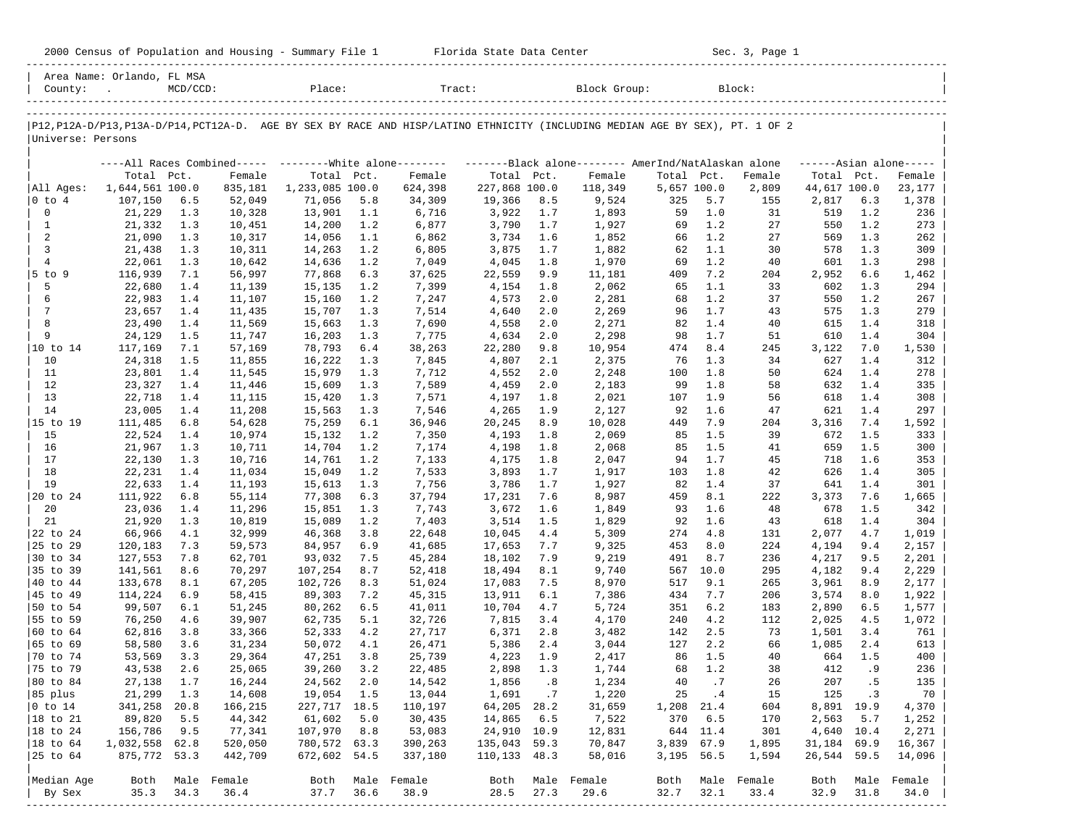| 2000<br>and<br>Population<br>Housing<br>.summa<br>Census | Center<br>lorida:<br>- Data<br>blale | Sec<br>Page |
|----------------------------------------------------------|--------------------------------------|-------------|
|                                                          |                                      |             |

2000 Florida State Data Center - Sec. 3, Page 1

|                      | Area Name: Orlando, FL MSA |             |                  |                   |            |                                                           |                  |            |                                                                                                                               |             |            |                  |                |            |                     |
|----------------------|----------------------------|-------------|------------------|-------------------|------------|-----------------------------------------------------------|------------------|------------|-------------------------------------------------------------------------------------------------------------------------------|-------------|------------|------------------|----------------|------------|---------------------|
| County:              |                            | $MCD/CCD$ : |                  | Place:            |            | Tract:                                                    |                  |            | Block Group:                                                                                                                  |             |            | Block:           |                |            |                     |
|                      |                            |             |                  |                   |            |                                                           |                  |            |                                                                                                                               |             |            |                  |                |            |                     |
| Universe: Persons    |                            |             |                  |                   |            |                                                           |                  |            | P12, P12A-D/P13, P13A-D/P14, PCT12A-D. AGE BY SEX BY RACE AND HISP/LATINO ETHNICITY (INCLUDING MEDIAN AGE BY SEX), PT. 1 OF 2 |             |            |                  |                |            |                     |
|                      |                            |             |                  |                   |            | ----All Races Combined----- --------- White alone-------- |                  |            | -------Black alone-------- AmerInd/NatAlaskan alone                                                                           |             |            |                  |                |            | $---Asian alone---$ |
|                      | Total Pct.                 |             | Female           | Total Pct.        |            | Female                                                    | Total Pct.       |            | Female                                                                                                                        | Total Pct.  |            | Female           | Total Pct.     |            | Female              |
| All Ages:            | 1,644,561 100.0            |             | 835,181          | 1,233,085 100.0   |            | 624,398                                                   | 227,868 100.0    |            | 118,349                                                                                                                       | 5,657 100.0 |            | 2,809            | 44,617 100.0   |            | 23,177              |
| $ 0 \tto 4$          | 107,150                    | 6.5         | 52,049           | 71,056            | 5.8        | 34,309                                                    | 19,366           | 8.5        | 9,524                                                                                                                         | 325         | 5.7        | 155              | 2,817          | 6.3        | 1,378               |
| 0                    | 21,229                     | 1.3         | 10,328           | 13,901            | 1.1        | 6,716                                                     | 3,922            | 1.7        | 1,893                                                                                                                         | 59          | 1.0        | 31               | 519            | 1.2        | 236                 |
| $\mathbf{1}$         | 21,332                     | 1.3         | 10,451           | 14,200            | 1.2        | 6,877                                                     | 3,790            | 1.7        | 1,927                                                                                                                         | 69          | 1.2        | 27               | 550            | 1.2        | 273                 |
| 2<br>3               | 21,090                     | 1.3         | 10,317           | 14,056            | 1.1        | 6,862                                                     | 3,734            | 1.6        | 1,852                                                                                                                         | 66          | 1.2        | 27               | 569            | 1.3<br>1.3 | 262                 |
| $\overline{4}$       | 21,438<br>22,061           | 1.3<br>1.3  | 10,311<br>10,642 | 14,263<br>14,636  | 1.2<br>1.2 | 6,805<br>7,049                                            | 3,875<br>4,045   | 1.7<br>1.8 | 1,882<br>1,970                                                                                                                | 62<br>69    | 1.1<br>1.2 | 30<br>40         | 578<br>601     | 1.3        | 309<br>298          |
| $5$ to 9             | 116,939                    | 7.1         | 56,997           | 77,868            | 6.3        | 37,625                                                    | 22,559           | 9.9        | 11,181                                                                                                                        | 409         | 7.2        | 204              | 2,952          | 6.6        | 1,462               |
| 5                    | 22,680                     | 1.4         | 11,139           | 15,135            | 1.2        | 7,399                                                     | 4,154            | 1.8        | 2,062                                                                                                                         | 65          | 1.1        | 33               | 602            | 1.3        | 294                 |
| 6                    | 22,983                     | 1.4         | 11,107           | 15,160            | 1.2        | 7,247                                                     | 4,573            | 2.0        | 2,281                                                                                                                         | 68          | 1.2        | 37               | 550            | 1.2        | 267                 |
| 7                    | 23,657                     | 1.4         | 11,435           | 15,707            | 1.3        | 7,514                                                     | 4,640            | 2.0        | 2,269                                                                                                                         | 96          | 1.7        | 43               | 575            | 1.3        | 279                 |
| 8                    | 23,490                     | 1.4         | 11,569           | 15,663            | 1.3        | 7,690                                                     | 4,558            | 2.0        | 2,271                                                                                                                         | 82          | 1.4        | 40               | 615            | 1.4        | 318                 |
| 9                    | 24,129                     | 1.5         | 11,747           | 16,203            | 1.3        | 7,775                                                     | 4,634            | 2.0        | 2,298                                                                                                                         | 98          | 1.7        | 51               | 610            | 1.4        | 304                 |
|                      | 117,169                    | 7.1         | 57,169           | 78,793            | 6.4        | 38,263                                                    | 22,280           | 9.8        | 10,954                                                                                                                        | 474         | 8.4        | 245              | 3,122          | 7.0        | 1,530               |
| 10                   | 24,318                     | 1.5         | 11,855           | 16,222            | 1.3        | 7,845                                                     | 4,807            | 2.1        | 2,375                                                                                                                         | 76          | 1.3        | 34               | 627            | 1.4        | 312                 |
| 11                   | 23,801                     | 1.4         | 11,545           | 15,979            | 1.3        | 7,712                                                     | 4,552            | 2.0        | 2,248                                                                                                                         | 100         | 1.8        | 50               | 624            | 1.4        | 278                 |
| 12                   | 23,327                     | 1.4         | 11,446           | 15,609            | 1.3        | 7,589                                                     | 4,459            | 2.0        | 2,183                                                                                                                         | 99          | 1.8        | 58               | 632            | 1.4        | 335                 |
| 13                   | 22,718                     | 1.4         | 11,115           | 15,420            | 1.3        | 7,571                                                     | 4,197            | 1.8        | 2,021                                                                                                                         | 107         | 1.9        | 56               | 618            | 1.4        | 308                 |
| 14                   | 23,005                     | 1.4         | 11,208           | 15,563            | 1.3        | 7,546                                                     | 4,265            | 1.9        | 2,127                                                                                                                         | 92          | 1.6        | 47               | 621            | 1.4        | 297                 |
| 15 to 19             | 111,485                    | 6.8         | 54,628           | 75,259            | 6.1        | 36,946                                                    | 20,245           | 8.9        | 10,028                                                                                                                        | 449         | 7.9        | 204              | 3,316          | 7.4        | 1,592               |
| 15                   | 22,524                     | 1.4         | 10,974           | 15,132            | 1.2        | 7,350                                                     | 4,193            | 1.8        | 2,069                                                                                                                         | 85          | 1.5        | 39               | 672            | 1.5        | 333                 |
| 16                   | 21,967                     | 1.3         | 10,711           | 14,704            | 1.2        | 7,174                                                     | 4,198            | 1.8        | 2,068                                                                                                                         | 85          | 1.5        | 41               | 659            | 1.5        | 300                 |
| 17                   | 22,130                     | 1.3         | 10,716           | 14,761            | 1.2        | 7,133                                                     | 4,175            | 1.8        | 2,047                                                                                                                         | 94          | 1.7        | 45               | 718            | 1.6        | 353                 |
| 18                   | 22,231                     | 1.4         | 11,034           | 15,049            | 1.2        | 7,533                                                     | 3,893            | 1.7        | 1,917                                                                                                                         | 103         | 1.8        | 42               | 626            | 1.4        | 305                 |
| 19                   | 22,633                     | 1.4         | 11,193           | 15,613            | 1.3        | 7,756                                                     | 3,786            | 1.7        | 1,927                                                                                                                         | 82          | 1.4        | 37               | 641            | 1.4        | 301                 |
| 20 to 24             | 111,922                    | 6.8         | 55,114           | 77,308            | 6.3        | 37,794                                                    | 17,231           | 7.6        | 8,987                                                                                                                         | 459         | 8.1        | 222              | 3,373          | 7.6        | 1,665               |
| 20                   | 23,036                     | 1.4         | 11,296           | 15,851            | 1.3        | 7,743                                                     | 3,672            | 1.6        | 1,849                                                                                                                         | 93          | 1.6        | 48               | 678            | 1.5        | 342                 |
| 21                   | 21,920                     | 1.3         | 10,819           | 15,089            | 1.2        | 7,403                                                     | 3,514            | 1.5        | 1,829                                                                                                                         | 92          | 1.6        | 43               | 618            | 1.4        | 304                 |
| 22 to 24             | 66,966                     | 4.1         | 32,999           | 46,368            | 3.8        | 22,648                                                    | 10,045           | 4.4        | 5,309                                                                                                                         | 274         | 4.8        | 131              | 2,077          | 4.7        | 1,019               |
| 25 to 29             | 120,183                    | 7.3         | 59,573           | 84,957            | 6.9        | 41,685                                                    | 17,653           | 7.7        | 9,325                                                                                                                         | 453         | 8.0        | 224              | 4,194          | 9.4        | 2,157               |
| 30 to 34             | 127,553                    | 7.8         | 62,701           | 93,032            | 7.5        | 45,284                                                    | 18,102           | 7.9        | 9,219                                                                                                                         | 491         | 8.7        | 236              | 4,217          | 9.5        | 2,201               |
| 35 to 39             | 141,561                    | 8.6         | 70,297           | 107,254           | 8.7        | 52,418                                                    | 18,494           | 8.1        | 9,740                                                                                                                         | 567         | 10.0       | 295              | 4,182          | 9.4        | 2,229               |
| 40 to 44<br>45 to 49 | 133,678<br>114,224         | 8.1<br>6.9  | 67,205<br>58,415 | 102,726<br>89,303 | 8.3<br>7.2 | 51,024<br>45,315                                          | 17,083<br>13,911 | 7.5<br>6.1 | 8,970<br>7,386                                                                                                                | 517<br>434  | 9.1<br>7.7 | 265<br>206       | 3,961<br>3,574 | 8.9<br>8.0 | 2,177<br>1,922      |
| 50 to 54             | 99,507                     | 6.1         | 51,245           | 80,262            | 6.5        | 41,011                                                    | 10,704           | 4.7        | 5,724                                                                                                                         | 351         | 6.2        | 183              | 2,890          | 6.5        | 1,577               |
| 55 to 59             | 76,250                     | 4.6         | 39,907           | 62,735            | 5.1        | 32,726                                                    | 7,815            | 3.4        | 4,170                                                                                                                         | 240         | 4.2        | 112              | 2,025          | 4.5        | 1,072               |
| 60 to 64             | 62,816                     | 3.8         | 33,366           | 52,333            | 4.2        | 27,717                                                    | 6,371            | 2.8        | 3,482                                                                                                                         | 142         | 2.5        | 73               | 1,501          | 3.4        | 761                 |
| 65 to 69             | 58,580                     | 3.6         | 31,234           | 50,072            | 4.1        | 26,471                                                    | 5,386            | 2.4        | 3,044                                                                                                                         | 127         | 2.2        | 66               | 1,085          | 2.4        | 613                 |
| 70 to 74             | 53,569                     | 3.3         | 29,364           | 47,251            | 3.8        | 25,739                                                    | 4,223            | 1.9        | 2,417                                                                                                                         | 86          | 1.5        | 40               | 664            | 1.5        | 400                 |
| 75 to 79             | 43,538                     | 2.6         | 25,065           | 39,260            | 3.2        | 22,485                                                    | 2,898            | 1.3        | 1,744                                                                                                                         | 68          | 1.2        | 38               | 412            | .9         | 236                 |
| $ 80 \text{ to } 84$ | 27,138                     | 1.7         | 16,244           | 24,562            | 2.0        | 14,542                                                    | 1,856            | .8         | 1,234                                                                                                                         | 40          | .7         | 26               | 207            | . 5        | 135                 |
| 85 plus              | 21,299                     | 1.3         | 14,608           | 19,054 1.5        |            | 13,044                                                    | 1,691            | $\cdot$ 7  | 1,220                                                                                                                         | 25          | $\cdot$ 4  | 15               | 125            | $\cdot$ 3  | 70                  |
| $ 0 \t{to} 14$       | 341,258 20.8               |             | 166,215          | 227, 717 18.5     |            | 110,197                                                   | 64,205 28.2      |            | 31,659                                                                                                                        | 1,208 21.4  |            | 604              | 8,891 19.9     |            | 4,370               |
| $ 18 \text{ to } 21$ | 89,820                     | 5.5         | 44,342           | 61,602            | 5.0        | 30,435                                                    | 14,865           | 6.5        | 7,522                                                                                                                         | 370         | 6.5        | 170              | 2,563          | 5.7        | 1,252               |
| $ 18 \text{ to } 24$ | 156,786                    | 9.5         | 77,341           | 107,970           | 8.8        | 53,083                                                    | 24,910 10.9      |            | 12,831                                                                                                                        |             | 644 11.4   | 301              | 4,640 10.4     |            | 2,271               |
| $ 18 \text{ to } 64$ | 1,032,558 62.8             |             | 520,050          | 780,572 63.3      |            | 390,263                                                   | 135,043 59.3     |            | 70,847                                                                                                                        | 3,839 67.9  |            | 1,895            | 31,184 69.9    |            | 16,367              |
| 25 to 64             | 875,772 53.3               |             | 442,709          | 672,602 54.5      |            | 337,180                                                   | 110,133 48.3     |            | 58,016                                                                                                                        | 3,195 56.5  |            | 1,594            | 26,544 59.5    |            | 14,096              |
|                      |                            |             |                  |                   |            |                                                           |                  |            |                                                                                                                               |             |            |                  |                |            |                     |
| Median Age           | Both                       |             | Male Female      |                   |            | Both Male Female                                          |                  |            | Both Male Female                                                                                                              |             |            | Both Male Female | Both           | Male       | Female              |
| By Sex               | 35.3                       | 34.3        | 36.4             | 37.7              | 36.6       | 38.9                                                      | 28.5             | 27.3       | 29.6                                                                                                                          | 32.7        | 32.1       | 33.4             | 32.9           | 31.8       | 34.0                |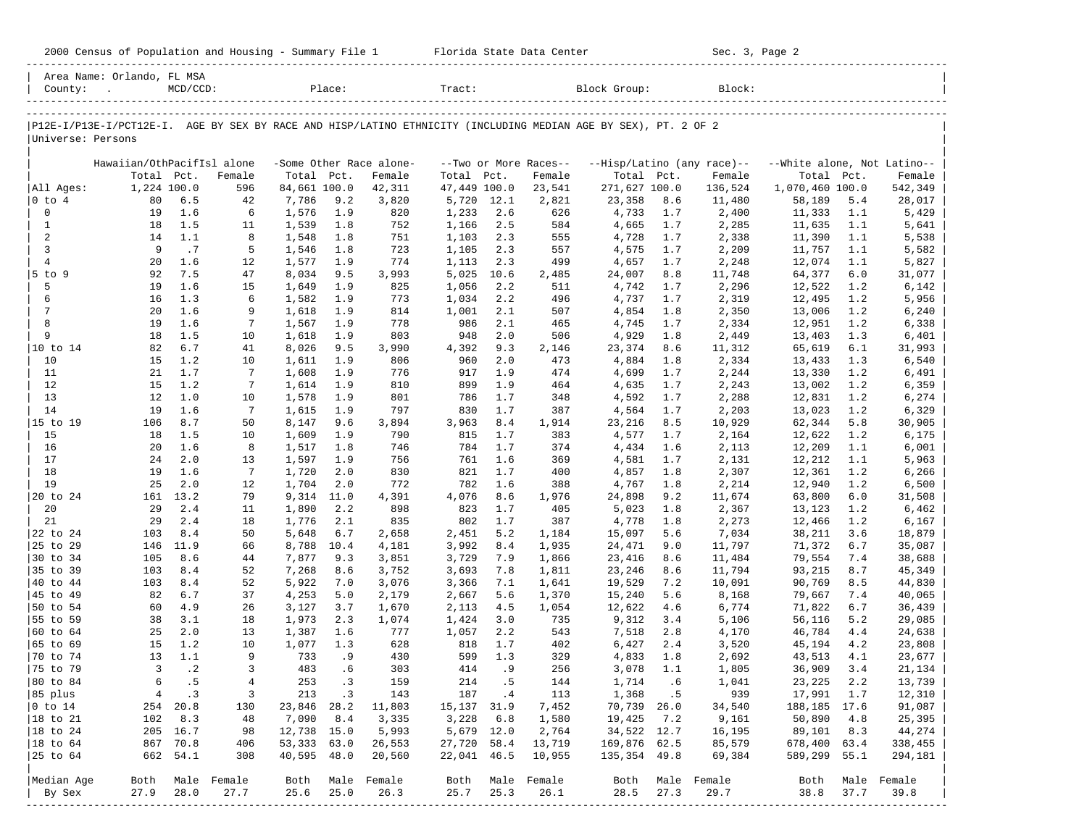|  |  |  | 2000 Census of Population and Housing - Summary File 1 |  |  |  |  |  |  |
|--|--|--|--------------------------------------------------------|--|--|--|--|--|--|
|--|--|--|--------------------------------------------------------|--|--|--|--|--|--|

2000 Florida State Data Center - Sec. 3, Page 2

| Place:<br>Block Group:<br>$MCD/CCD$ :<br>P12E-I/P13E-I/PCT12E-I. AGE BY SEX BY RACE AND HISP/LATINO ETHNICITY (INCLUDING MEDIAN AGE BY SEX), PT. 2 OF 2<br>Universe: Persons<br>Hawaiian/OthPacifIsl alone<br>--Hisp/Latino (any race)--<br>--White alone, Not Latino--<br>-Some Other Race alone-<br>--Two or More Races--<br>Total Pct.<br>Total Pct.<br>Total Pct.<br>Total Pct.<br>Total<br>Pct.<br>Female<br>Female<br>Female<br>Female<br>All Ages:<br>1,224 100.0<br>84,661 100.0<br>47,449 100.0<br>271,627 100.0<br>136,524<br>1,070,460 100.0<br>596<br>42,311<br>23,541<br>$0$ to $4$<br>80<br>6.5<br>7,786<br>9.2<br>3,820<br>5,720<br>12.1<br>23,358<br>8.6<br>11,480<br>58,189<br>5.4<br>42<br>2,821<br>$\mathbb O$<br>1.6<br>1.9<br>1,233<br>2.6<br>19<br>6<br>1,576<br>820<br>626<br>4,733<br>1.7<br>2,400<br>11,333<br>1.1<br>1.5<br>$\mathbf{1}$<br>1.8<br>1,166<br>2.5<br>4,665<br>1.1<br>18<br>11<br>1,539<br>752<br>584<br>1.7<br>2,285<br>11,635<br>$\overline{a}$<br>1.1<br>1.8<br>2.3<br>1.1<br>14<br>8<br>1,548<br>751<br>1,103<br>555<br>4,728<br>1.7<br>2,338<br>11,390<br>$\mathbf{3}$<br>.7<br>9<br>1.8<br>2.3<br>2,209<br>1.1<br>5<br>1,546<br>723<br>1,105<br>557<br>4,575<br>1.7<br>11,757<br>$\overline{4}$<br>20<br>1.6<br>1.9<br>2.3<br>2,248<br>1.1<br>12<br>1,577<br>774<br>1,113<br>499<br>4,657<br>1.7<br>12,074<br>7.5<br>92<br>47<br>9.5<br>5,025<br>10.6<br>11,748<br>6.0<br>5 to 9<br>8,034<br>3,993<br>2,485<br>24,007<br>8.8<br>64,377<br>5<br>1.6<br>19<br>1.9<br>1,056<br>2.2<br>1.2<br>15<br>1,649<br>825<br>511<br>4,742<br>1.7<br>2,296<br>12,522<br>1.3<br>6<br>1.9<br>1,034<br>2.2<br>496<br>4,737<br>2,319<br>12,495<br>1.2<br>16<br>6<br>1,582<br>773<br>1.7<br>$7\phantom{.0}$<br>20<br>1.6<br>1.9<br>2.1<br>507<br>1.2<br>9<br>1,618<br>814<br>1,001<br>4,854<br>1.8<br>2,350<br>13,006<br>8<br>1.6<br>19<br>7<br>1.9<br>778<br>986<br>2.1<br>465<br>4,745<br>2,334<br>12,951<br>1.2<br>1,567<br>1.7<br>9<br>1.5<br>18<br>1.9<br>803<br>948<br>2.0<br>506<br>2,449<br>1.3<br>10<br>1,618<br>4,929<br>1.8<br>13,403<br>82<br>6.7<br>41<br>9.5<br>4,392<br>9.3<br>65,619<br>6.1<br>10 to 14<br>8,026<br>3,990<br>2,146<br>23,374<br>8.6<br>11,312<br>1.2<br>10<br>1.9<br>960<br>2.0<br>1.3<br>15<br>10<br>1,611<br>806<br>473<br>4,884<br>1.8<br>2,334<br>13,433<br>1.7<br>11<br>21<br>7<br>1.9<br>917<br>1.9<br>474<br>4,699<br>2,244<br>1.2<br>1,608<br>776<br>1.7<br>13,330<br>1.2<br>1.9<br>12<br>15<br>7<br>1.9<br>810<br>899<br>1.2<br>1,614<br>464<br>4,635<br>1.7<br>2,243<br>13,002<br>13<br>1.0<br>12<br>1.9<br>1.7<br>1.2<br>10<br>1,578<br>801<br>786<br>348<br>4,592<br>1.7<br>2,288<br>12,831<br>14<br>1.6<br>19<br>1.9<br>797<br>1.7<br>1.2<br>7<br>1,615<br>830<br>387<br>4,564<br>1.7<br>2,203<br>13,023<br>8.7<br>15 to 19<br>9.6<br>3,963<br>8.4<br>10,929<br>62,344<br>5.8<br>106<br>50<br>8,147<br>3,894<br>1,914<br>23,216<br>8.5<br>15<br>1.5<br>1.9<br>1.7<br>1.2<br>18<br>10<br>1,609<br>790<br>815<br>383<br>4,577<br>1.7<br>2,164<br>12,622<br>1.6<br>16<br>8<br>1.8<br>1.7<br>1.1<br>20<br>1,517<br>746<br>784<br>374<br>4,434<br>1.6<br>2,113<br>12,209<br>2.0<br>17<br>1.9<br>1.6<br>1.1<br>24<br>13<br>1,597<br>756<br>761<br>369<br>4,581<br>1.7<br>2,131<br>12,212<br>18<br>1.6<br>19<br>7<br>2.0<br>821<br>1.7<br>400<br>2,307<br>12,361<br>1.2<br>1,720<br>830<br>4,857<br>1.8<br>19<br>2.0<br>25<br>2.0<br>772<br>782<br>1.6<br>1.2<br>12<br>1,704<br>388<br>4,767<br>1.8<br>2,214<br>12,940<br>13.2<br>20 to 24<br>11.0<br>4,391<br>4,076<br>8.6<br>11,674<br>6.0<br>161<br>79<br>9,314<br>1,976<br>24,898<br>9.2<br>63,800<br>2.4<br>1.7<br>20<br>29<br>2.2<br>898<br>823<br>1.2<br>11<br>1,890<br>405<br>5,023<br>1.8<br>2,367<br>13,123<br>2.4<br>21<br>29<br>18<br>1,776<br>2.1<br>835<br>802<br>1.7<br>387<br>4,778<br>2,273<br>12,466<br>1.2<br>1.8<br>8.4<br>22 to 24<br>6.7<br>5.2<br>7,034<br>103<br>50<br>5,648<br>2,658<br>2,451<br>1,184<br>15,097<br>5.6<br>38,211<br>3.6<br>25 to 29<br>11.9<br>10.4<br>3,992<br>8.4<br>71,372<br>6.7<br>146<br>66<br>8,788<br>4,181<br>1,935<br>24,471<br>9.0<br>11,797<br>30 to 34<br>8.6<br>7.9<br>105<br>44<br>7,877<br>9.3<br>3,851<br>3,729<br>1,866<br>23,416<br>8.6<br>11,484<br>79,554<br>7.4<br>35 to 39<br>8.4<br>8.6<br>3,693<br>93,215<br>8.7<br>103<br>52<br>7,268<br>3,752<br>7.8<br>1,811<br>23,246<br>8.6<br>11,794<br>40 to 44<br>8.4<br>103<br>52<br>5,922<br>7.0<br>3,076<br>3,366<br>7.1<br>1,641<br>19,529<br>7.2<br>10,091<br>90,769<br>8.5<br>45 to 49<br>6.7<br>82<br>37<br>4,253<br>5.0<br>2,179<br>2,667<br>5.6<br>1,370<br>15,240<br>5.6<br>8,168<br>79,667<br>7.4<br>4.9<br>50 to 54<br>60<br>6,774<br>6.7<br>26<br>3,127<br>3.7<br>2,113<br>4.5<br>1,054<br>12,622<br>4.6<br>71,822<br>1,670<br>3.1<br>55 to 59<br>38<br>56,116<br>5.2<br>18<br>1,973<br>2.3<br>1,074<br>1,424<br>3.0<br>735<br>9,312<br>3.4<br>5,106<br>2.0<br>60 to 64<br>25<br>1.6<br>2.2<br>13<br>1,387<br>777<br>1,057<br>543<br>7,518<br>2.8<br>4,170<br>46,784<br>4.4<br>1.2<br>65 to 69<br>1.3<br>15<br>10<br>1,077<br>628<br>818<br>1.7<br>402<br>6,427<br>2.4<br>3,520<br>45,194<br>4.2<br>1.1<br>70 to 74<br>1.3<br>13<br>9<br>733<br>. 9<br>430<br>599<br>329<br>4,833<br>1.8<br>2,692<br>43,513<br>4.1<br>$\cdot$ 2<br>75 to 79<br>3<br>483<br>. 6<br>414<br>.9<br>256<br>3<br>303<br>3,078<br>1.1<br>1,805<br>36,909<br>3.4<br>. 5<br>80 to 84<br>6<br>253<br>. 3<br>214<br>. 5<br>144<br>2.2<br>4<br>159<br>1,714<br>.6<br>1,041<br>23,225<br>143<br>17,991 1.7<br>85 plus<br>$\overline{4}$<br>$\cdot$ 3<br>3<br>213<br>$\cdot$ 3<br>187<br>$\cdot$ 4<br>113<br>1,368<br>.5<br>939<br>$ 0 \t{to} 14$<br>254 20.8<br>130<br>23,846 28.2<br>11,803<br>15, 137 31.9<br>7,452<br>70,739 26.0<br>34,540<br>188, 185 17.6<br>18 to 21<br>8.3<br>8.4<br>3,335<br>3,228<br>6.8<br>50,890<br>102<br>48<br>7,090<br>1,580<br>19,425<br>7.2<br>9,161<br>4.8<br>$ 18$ to 24<br>12,738 15.0<br>5,679 12.0<br>89,101<br>205 16.7<br>98<br>5,993<br>2,764<br>34,522 12.7<br>16,195<br>8.3<br>53,333 63.0<br>27,720 58.4<br>169,876 62.5<br>678,400 63.4<br>$ 18$ to $64$<br>867 70.8<br>406<br>26,553<br>13,719<br>85,579<br>40,595 48.0<br>25 to 64<br>662 54.1<br>308<br>20,560<br>22,041 46.5<br>10,955<br>135, 354 49.8<br>69,384<br>589,299 55.1<br>Median Age<br>Both Male Female<br>Both Male Female<br>Male Female<br>Both Male Female<br>Both<br>Both Male Female |         | Area Name: Orlando, FL MSA |  |  |        |  |  |        |  |         |
|--------------------------------------------------------------------------------------------------------------------------------------------------------------------------------------------------------------------------------------------------------------------------------------------------------------------------------------------------------------------------------------------------------------------------------------------------------------------------------------------------------------------------------------------------------------------------------------------------------------------------------------------------------------------------------------------------------------------------------------------------------------------------------------------------------------------------------------------------------------------------------------------------------------------------------------------------------------------------------------------------------------------------------------------------------------------------------------------------------------------------------------------------------------------------------------------------------------------------------------------------------------------------------------------------------------------------------------------------------------------------------------------------------------------------------------------------------------------------------------------------------------------------------------------------------------------------------------------------------------------------------------------------------------------------------------------------------------------------------------------------------------------------------------------------------------------------------------------------------------------------------------------------------------------------------------------------------------------------------------------------------------------------------------------------------------------------------------------------------------------------------------------------------------------------------------------------------------------------------------------------------------------------------------------------------------------------------------------------------------------------------------------------------------------------------------------------------------------------------------------------------------------------------------------------------------------------------------------------------------------------------------------------------------------------------------------------------------------------------------------------------------------------------------------------------------------------------------------------------------------------------------------------------------------------------------------------------------------------------------------------------------------------------------------------------------------------------------------------------------------------------------------------------------------------------------------------------------------------------------------------------------------------------------------------------------------------------------------------------------------------------------------------------------------------------------------------------------------------------------------------------------------------------------------------------------------------------------------------------------------------------------------------------------------------------------------------------------------------------------------------------------------------------------------------------------------------------------------------------------------------------------------------------------------------------------------------------------------------------------------------------------------------------------------------------------------------------------------------------------------------------------------------------------------------------------------------------------------------------------------------------------------------------------------------------------------------------------------------------------------------------------------------------------------------------------------------------------------------------------------------------------------------------------------------------------------------------------------------------------------------------------------------------------------------------------------------------------------------------------------------------------------------------------------------------------------------------------------------------------------------------------------------------------------------------------------------------------------------------------------------------------------------------------------------------------------------------------------------------------------------------------------------------------------------------------------------------------------------------------------------------------------------------------------------------------------------------------------------------------------------------------------------------------------------------------------------------------------------------------------------------------------------------------------------------------------------------------------------------------------------------------------------------------------------------------------------------------------------------------------------------------------------------------------------------------------------------------------------------------------------------------------------------------------------------------------------------------------------------------------------------------------------------------------------------------------------------------------------------------------------------------------------------------------------------------------------------------------------------------------------------------------------------------------------------------------------------------------------------------------------------------------------------------------|---------|----------------------------|--|--|--------|--|--|--------|--|---------|
|                                                                                                                                                                                                                                                                                                                                                                                                                                                                                                                                                                                                                                                                                                                                                                                                                                                                                                                                                                                                                                                                                                                                                                                                                                                                                                                                                                                                                                                                                                                                                                                                                                                                                                                                                                                                                                                                                                                                                                                                                                                                                                                                                                                                                                                                                                                                                                                                                                                                                                                                                                                                                                                                                                                                                                                                                                                                                                                                                                                                                                                                                                                                                                                                                                                                                                                                                                                                                                                                                                                                                                                                                                                                                                                                                                                                                                                                                                                                                                                                                                                                                                                                                                                                                                                                                                                                                                                                                                                                                                                                                                                                                                                                                                                                                                                                                                                                                                                                                                                                                                                                                                                                                                                                                                                                                                                                                                                                                                                                                                                                                                                                                                                                                                                                                                                                                                                                                                                                                                                                                                                                                                                                                                                                                                                                                                                                                                                                                    | County: |                            |  |  | Tract: |  |  | Block: |  |         |
|                                                                                                                                                                                                                                                                                                                                                                                                                                                                                                                                                                                                                                                                                                                                                                                                                                                                                                                                                                                                                                                                                                                                                                                                                                                                                                                                                                                                                                                                                                                                                                                                                                                                                                                                                                                                                                                                                                                                                                                                                                                                                                                                                                                                                                                                                                                                                                                                                                                                                                                                                                                                                                                                                                                                                                                                                                                                                                                                                                                                                                                                                                                                                                                                                                                                                                                                                                                                                                                                                                                                                                                                                                                                                                                                                                                                                                                                                                                                                                                                                                                                                                                                                                                                                                                                                                                                                                                                                                                                                                                                                                                                                                                                                                                                                                                                                                                                                                                                                                                                                                                                                                                                                                                                                                                                                                                                                                                                                                                                                                                                                                                                                                                                                                                                                                                                                                                                                                                                                                                                                                                                                                                                                                                                                                                                                                                                                                                                                    |         |                            |  |  |        |  |  |        |  |         |
|                                                                                                                                                                                                                                                                                                                                                                                                                                                                                                                                                                                                                                                                                                                                                                                                                                                                                                                                                                                                                                                                                                                                                                                                                                                                                                                                                                                                                                                                                                                                                                                                                                                                                                                                                                                                                                                                                                                                                                                                                                                                                                                                                                                                                                                                                                                                                                                                                                                                                                                                                                                                                                                                                                                                                                                                                                                                                                                                                                                                                                                                                                                                                                                                                                                                                                                                                                                                                                                                                                                                                                                                                                                                                                                                                                                                                                                                                                                                                                                                                                                                                                                                                                                                                                                                                                                                                                                                                                                                                                                                                                                                                                                                                                                                                                                                                                                                                                                                                                                                                                                                                                                                                                                                                                                                                                                                                                                                                                                                                                                                                                                                                                                                                                                                                                                                                                                                                                                                                                                                                                                                                                                                                                                                                                                                                                                                                                                                                    |         |                            |  |  |        |  |  |        |  |         |
|                                                                                                                                                                                                                                                                                                                                                                                                                                                                                                                                                                                                                                                                                                                                                                                                                                                                                                                                                                                                                                                                                                                                                                                                                                                                                                                                                                                                                                                                                                                                                                                                                                                                                                                                                                                                                                                                                                                                                                                                                                                                                                                                                                                                                                                                                                                                                                                                                                                                                                                                                                                                                                                                                                                                                                                                                                                                                                                                                                                                                                                                                                                                                                                                                                                                                                                                                                                                                                                                                                                                                                                                                                                                                                                                                                                                                                                                                                                                                                                                                                                                                                                                                                                                                                                                                                                                                                                                                                                                                                                                                                                                                                                                                                                                                                                                                                                                                                                                                                                                                                                                                                                                                                                                                                                                                                                                                                                                                                                                                                                                                                                                                                                                                                                                                                                                                                                                                                                                                                                                                                                                                                                                                                                                                                                                                                                                                                                                                    |         |                            |  |  |        |  |  |        |  |         |
|                                                                                                                                                                                                                                                                                                                                                                                                                                                                                                                                                                                                                                                                                                                                                                                                                                                                                                                                                                                                                                                                                                                                                                                                                                                                                                                                                                                                                                                                                                                                                                                                                                                                                                                                                                                                                                                                                                                                                                                                                                                                                                                                                                                                                                                                                                                                                                                                                                                                                                                                                                                                                                                                                                                                                                                                                                                                                                                                                                                                                                                                                                                                                                                                                                                                                                                                                                                                                                                                                                                                                                                                                                                                                                                                                                                                                                                                                                                                                                                                                                                                                                                                                                                                                                                                                                                                                                                                                                                                                                                                                                                                                                                                                                                                                                                                                                                                                                                                                                                                                                                                                                                                                                                                                                                                                                                                                                                                                                                                                                                                                                                                                                                                                                                                                                                                                                                                                                                                                                                                                                                                                                                                                                                                                                                                                                                                                                                                                    |         |                            |  |  |        |  |  |        |  | Female  |
|                                                                                                                                                                                                                                                                                                                                                                                                                                                                                                                                                                                                                                                                                                                                                                                                                                                                                                                                                                                                                                                                                                                                                                                                                                                                                                                                                                                                                                                                                                                                                                                                                                                                                                                                                                                                                                                                                                                                                                                                                                                                                                                                                                                                                                                                                                                                                                                                                                                                                                                                                                                                                                                                                                                                                                                                                                                                                                                                                                                                                                                                                                                                                                                                                                                                                                                                                                                                                                                                                                                                                                                                                                                                                                                                                                                                                                                                                                                                                                                                                                                                                                                                                                                                                                                                                                                                                                                                                                                                                                                                                                                                                                                                                                                                                                                                                                                                                                                                                                                                                                                                                                                                                                                                                                                                                                                                                                                                                                                                                                                                                                                                                                                                                                                                                                                                                                                                                                                                                                                                                                                                                                                                                                                                                                                                                                                                                                                                                    |         |                            |  |  |        |  |  |        |  | 542,349 |
|                                                                                                                                                                                                                                                                                                                                                                                                                                                                                                                                                                                                                                                                                                                                                                                                                                                                                                                                                                                                                                                                                                                                                                                                                                                                                                                                                                                                                                                                                                                                                                                                                                                                                                                                                                                                                                                                                                                                                                                                                                                                                                                                                                                                                                                                                                                                                                                                                                                                                                                                                                                                                                                                                                                                                                                                                                                                                                                                                                                                                                                                                                                                                                                                                                                                                                                                                                                                                                                                                                                                                                                                                                                                                                                                                                                                                                                                                                                                                                                                                                                                                                                                                                                                                                                                                                                                                                                                                                                                                                                                                                                                                                                                                                                                                                                                                                                                                                                                                                                                                                                                                                                                                                                                                                                                                                                                                                                                                                                                                                                                                                                                                                                                                                                                                                                                                                                                                                                                                                                                                                                                                                                                                                                                                                                                                                                                                                                                                    |         |                            |  |  |        |  |  |        |  | 28,017  |
|                                                                                                                                                                                                                                                                                                                                                                                                                                                                                                                                                                                                                                                                                                                                                                                                                                                                                                                                                                                                                                                                                                                                                                                                                                                                                                                                                                                                                                                                                                                                                                                                                                                                                                                                                                                                                                                                                                                                                                                                                                                                                                                                                                                                                                                                                                                                                                                                                                                                                                                                                                                                                                                                                                                                                                                                                                                                                                                                                                                                                                                                                                                                                                                                                                                                                                                                                                                                                                                                                                                                                                                                                                                                                                                                                                                                                                                                                                                                                                                                                                                                                                                                                                                                                                                                                                                                                                                                                                                                                                                                                                                                                                                                                                                                                                                                                                                                                                                                                                                                                                                                                                                                                                                                                                                                                                                                                                                                                                                                                                                                                                                                                                                                                                                                                                                                                                                                                                                                                                                                                                                                                                                                                                                                                                                                                                                                                                                                                    |         |                            |  |  |        |  |  |        |  | 5,429   |
|                                                                                                                                                                                                                                                                                                                                                                                                                                                                                                                                                                                                                                                                                                                                                                                                                                                                                                                                                                                                                                                                                                                                                                                                                                                                                                                                                                                                                                                                                                                                                                                                                                                                                                                                                                                                                                                                                                                                                                                                                                                                                                                                                                                                                                                                                                                                                                                                                                                                                                                                                                                                                                                                                                                                                                                                                                                                                                                                                                                                                                                                                                                                                                                                                                                                                                                                                                                                                                                                                                                                                                                                                                                                                                                                                                                                                                                                                                                                                                                                                                                                                                                                                                                                                                                                                                                                                                                                                                                                                                                                                                                                                                                                                                                                                                                                                                                                                                                                                                                                                                                                                                                                                                                                                                                                                                                                                                                                                                                                                                                                                                                                                                                                                                                                                                                                                                                                                                                                                                                                                                                                                                                                                                                                                                                                                                                                                                                                                    |         |                            |  |  |        |  |  |        |  | 5,641   |
|                                                                                                                                                                                                                                                                                                                                                                                                                                                                                                                                                                                                                                                                                                                                                                                                                                                                                                                                                                                                                                                                                                                                                                                                                                                                                                                                                                                                                                                                                                                                                                                                                                                                                                                                                                                                                                                                                                                                                                                                                                                                                                                                                                                                                                                                                                                                                                                                                                                                                                                                                                                                                                                                                                                                                                                                                                                                                                                                                                                                                                                                                                                                                                                                                                                                                                                                                                                                                                                                                                                                                                                                                                                                                                                                                                                                                                                                                                                                                                                                                                                                                                                                                                                                                                                                                                                                                                                                                                                                                                                                                                                                                                                                                                                                                                                                                                                                                                                                                                                                                                                                                                                                                                                                                                                                                                                                                                                                                                                                                                                                                                                                                                                                                                                                                                                                                                                                                                                                                                                                                                                                                                                                                                                                                                                                                                                                                                                                                    |         |                            |  |  |        |  |  |        |  | 5,538   |
|                                                                                                                                                                                                                                                                                                                                                                                                                                                                                                                                                                                                                                                                                                                                                                                                                                                                                                                                                                                                                                                                                                                                                                                                                                                                                                                                                                                                                                                                                                                                                                                                                                                                                                                                                                                                                                                                                                                                                                                                                                                                                                                                                                                                                                                                                                                                                                                                                                                                                                                                                                                                                                                                                                                                                                                                                                                                                                                                                                                                                                                                                                                                                                                                                                                                                                                                                                                                                                                                                                                                                                                                                                                                                                                                                                                                                                                                                                                                                                                                                                                                                                                                                                                                                                                                                                                                                                                                                                                                                                                                                                                                                                                                                                                                                                                                                                                                                                                                                                                                                                                                                                                                                                                                                                                                                                                                                                                                                                                                                                                                                                                                                                                                                                                                                                                                                                                                                                                                                                                                                                                                                                                                                                                                                                                                                                                                                                                                                    |         |                            |  |  |        |  |  |        |  | 5,582   |
|                                                                                                                                                                                                                                                                                                                                                                                                                                                                                                                                                                                                                                                                                                                                                                                                                                                                                                                                                                                                                                                                                                                                                                                                                                                                                                                                                                                                                                                                                                                                                                                                                                                                                                                                                                                                                                                                                                                                                                                                                                                                                                                                                                                                                                                                                                                                                                                                                                                                                                                                                                                                                                                                                                                                                                                                                                                                                                                                                                                                                                                                                                                                                                                                                                                                                                                                                                                                                                                                                                                                                                                                                                                                                                                                                                                                                                                                                                                                                                                                                                                                                                                                                                                                                                                                                                                                                                                                                                                                                                                                                                                                                                                                                                                                                                                                                                                                                                                                                                                                                                                                                                                                                                                                                                                                                                                                                                                                                                                                                                                                                                                                                                                                                                                                                                                                                                                                                                                                                                                                                                                                                                                                                                                                                                                                                                                                                                                                                    |         |                            |  |  |        |  |  |        |  | 5,827   |
|                                                                                                                                                                                                                                                                                                                                                                                                                                                                                                                                                                                                                                                                                                                                                                                                                                                                                                                                                                                                                                                                                                                                                                                                                                                                                                                                                                                                                                                                                                                                                                                                                                                                                                                                                                                                                                                                                                                                                                                                                                                                                                                                                                                                                                                                                                                                                                                                                                                                                                                                                                                                                                                                                                                                                                                                                                                                                                                                                                                                                                                                                                                                                                                                                                                                                                                                                                                                                                                                                                                                                                                                                                                                                                                                                                                                                                                                                                                                                                                                                                                                                                                                                                                                                                                                                                                                                                                                                                                                                                                                                                                                                                                                                                                                                                                                                                                                                                                                                                                                                                                                                                                                                                                                                                                                                                                                                                                                                                                                                                                                                                                                                                                                                                                                                                                                                                                                                                                                                                                                                                                                                                                                                                                                                                                                                                                                                                                                                    |         |                            |  |  |        |  |  |        |  | 31,077  |
|                                                                                                                                                                                                                                                                                                                                                                                                                                                                                                                                                                                                                                                                                                                                                                                                                                                                                                                                                                                                                                                                                                                                                                                                                                                                                                                                                                                                                                                                                                                                                                                                                                                                                                                                                                                                                                                                                                                                                                                                                                                                                                                                                                                                                                                                                                                                                                                                                                                                                                                                                                                                                                                                                                                                                                                                                                                                                                                                                                                                                                                                                                                                                                                                                                                                                                                                                                                                                                                                                                                                                                                                                                                                                                                                                                                                                                                                                                                                                                                                                                                                                                                                                                                                                                                                                                                                                                                                                                                                                                                                                                                                                                                                                                                                                                                                                                                                                                                                                                                                                                                                                                                                                                                                                                                                                                                                                                                                                                                                                                                                                                                                                                                                                                                                                                                                                                                                                                                                                                                                                                                                                                                                                                                                                                                                                                                                                                                                                    |         |                            |  |  |        |  |  |        |  | 6,142   |
|                                                                                                                                                                                                                                                                                                                                                                                                                                                                                                                                                                                                                                                                                                                                                                                                                                                                                                                                                                                                                                                                                                                                                                                                                                                                                                                                                                                                                                                                                                                                                                                                                                                                                                                                                                                                                                                                                                                                                                                                                                                                                                                                                                                                                                                                                                                                                                                                                                                                                                                                                                                                                                                                                                                                                                                                                                                                                                                                                                                                                                                                                                                                                                                                                                                                                                                                                                                                                                                                                                                                                                                                                                                                                                                                                                                                                                                                                                                                                                                                                                                                                                                                                                                                                                                                                                                                                                                                                                                                                                                                                                                                                                                                                                                                                                                                                                                                                                                                                                                                                                                                                                                                                                                                                                                                                                                                                                                                                                                                                                                                                                                                                                                                                                                                                                                                                                                                                                                                                                                                                                                                                                                                                                                                                                                                                                                                                                                                                    |         |                            |  |  |        |  |  |        |  | 5,956   |
|                                                                                                                                                                                                                                                                                                                                                                                                                                                                                                                                                                                                                                                                                                                                                                                                                                                                                                                                                                                                                                                                                                                                                                                                                                                                                                                                                                                                                                                                                                                                                                                                                                                                                                                                                                                                                                                                                                                                                                                                                                                                                                                                                                                                                                                                                                                                                                                                                                                                                                                                                                                                                                                                                                                                                                                                                                                                                                                                                                                                                                                                                                                                                                                                                                                                                                                                                                                                                                                                                                                                                                                                                                                                                                                                                                                                                                                                                                                                                                                                                                                                                                                                                                                                                                                                                                                                                                                                                                                                                                                                                                                                                                                                                                                                                                                                                                                                                                                                                                                                                                                                                                                                                                                                                                                                                                                                                                                                                                                                                                                                                                                                                                                                                                                                                                                                                                                                                                                                                                                                                                                                                                                                                                                                                                                                                                                                                                                                                    |         |                            |  |  |        |  |  |        |  | 6,240   |
|                                                                                                                                                                                                                                                                                                                                                                                                                                                                                                                                                                                                                                                                                                                                                                                                                                                                                                                                                                                                                                                                                                                                                                                                                                                                                                                                                                                                                                                                                                                                                                                                                                                                                                                                                                                                                                                                                                                                                                                                                                                                                                                                                                                                                                                                                                                                                                                                                                                                                                                                                                                                                                                                                                                                                                                                                                                                                                                                                                                                                                                                                                                                                                                                                                                                                                                                                                                                                                                                                                                                                                                                                                                                                                                                                                                                                                                                                                                                                                                                                                                                                                                                                                                                                                                                                                                                                                                                                                                                                                                                                                                                                                                                                                                                                                                                                                                                                                                                                                                                                                                                                                                                                                                                                                                                                                                                                                                                                                                                                                                                                                                                                                                                                                                                                                                                                                                                                                                                                                                                                                                                                                                                                                                                                                                                                                                                                                                                                    |         |                            |  |  |        |  |  |        |  | 6,338   |
|                                                                                                                                                                                                                                                                                                                                                                                                                                                                                                                                                                                                                                                                                                                                                                                                                                                                                                                                                                                                                                                                                                                                                                                                                                                                                                                                                                                                                                                                                                                                                                                                                                                                                                                                                                                                                                                                                                                                                                                                                                                                                                                                                                                                                                                                                                                                                                                                                                                                                                                                                                                                                                                                                                                                                                                                                                                                                                                                                                                                                                                                                                                                                                                                                                                                                                                                                                                                                                                                                                                                                                                                                                                                                                                                                                                                                                                                                                                                                                                                                                                                                                                                                                                                                                                                                                                                                                                                                                                                                                                                                                                                                                                                                                                                                                                                                                                                                                                                                                                                                                                                                                                                                                                                                                                                                                                                                                                                                                                                                                                                                                                                                                                                                                                                                                                                                                                                                                                                                                                                                                                                                                                                                                                                                                                                                                                                                                                                                    |         |                            |  |  |        |  |  |        |  | 6,401   |
|                                                                                                                                                                                                                                                                                                                                                                                                                                                                                                                                                                                                                                                                                                                                                                                                                                                                                                                                                                                                                                                                                                                                                                                                                                                                                                                                                                                                                                                                                                                                                                                                                                                                                                                                                                                                                                                                                                                                                                                                                                                                                                                                                                                                                                                                                                                                                                                                                                                                                                                                                                                                                                                                                                                                                                                                                                                                                                                                                                                                                                                                                                                                                                                                                                                                                                                                                                                                                                                                                                                                                                                                                                                                                                                                                                                                                                                                                                                                                                                                                                                                                                                                                                                                                                                                                                                                                                                                                                                                                                                                                                                                                                                                                                                                                                                                                                                                                                                                                                                                                                                                                                                                                                                                                                                                                                                                                                                                                                                                                                                                                                                                                                                                                                                                                                                                                                                                                                                                                                                                                                                                                                                                                                                                                                                                                                                                                                                                                    |         |                            |  |  |        |  |  |        |  | 31,993  |
|                                                                                                                                                                                                                                                                                                                                                                                                                                                                                                                                                                                                                                                                                                                                                                                                                                                                                                                                                                                                                                                                                                                                                                                                                                                                                                                                                                                                                                                                                                                                                                                                                                                                                                                                                                                                                                                                                                                                                                                                                                                                                                                                                                                                                                                                                                                                                                                                                                                                                                                                                                                                                                                                                                                                                                                                                                                                                                                                                                                                                                                                                                                                                                                                                                                                                                                                                                                                                                                                                                                                                                                                                                                                                                                                                                                                                                                                                                                                                                                                                                                                                                                                                                                                                                                                                                                                                                                                                                                                                                                                                                                                                                                                                                                                                                                                                                                                                                                                                                                                                                                                                                                                                                                                                                                                                                                                                                                                                                                                                                                                                                                                                                                                                                                                                                                                                                                                                                                                                                                                                                                                                                                                                                                                                                                                                                                                                                                                                    |         |                            |  |  |        |  |  |        |  | 6,540   |
|                                                                                                                                                                                                                                                                                                                                                                                                                                                                                                                                                                                                                                                                                                                                                                                                                                                                                                                                                                                                                                                                                                                                                                                                                                                                                                                                                                                                                                                                                                                                                                                                                                                                                                                                                                                                                                                                                                                                                                                                                                                                                                                                                                                                                                                                                                                                                                                                                                                                                                                                                                                                                                                                                                                                                                                                                                                                                                                                                                                                                                                                                                                                                                                                                                                                                                                                                                                                                                                                                                                                                                                                                                                                                                                                                                                                                                                                                                                                                                                                                                                                                                                                                                                                                                                                                                                                                                                                                                                                                                                                                                                                                                                                                                                                                                                                                                                                                                                                                                                                                                                                                                                                                                                                                                                                                                                                                                                                                                                                                                                                                                                                                                                                                                                                                                                                                                                                                                                                                                                                                                                                                                                                                                                                                                                                                                                                                                                                                    |         |                            |  |  |        |  |  |        |  | 6,491   |
|                                                                                                                                                                                                                                                                                                                                                                                                                                                                                                                                                                                                                                                                                                                                                                                                                                                                                                                                                                                                                                                                                                                                                                                                                                                                                                                                                                                                                                                                                                                                                                                                                                                                                                                                                                                                                                                                                                                                                                                                                                                                                                                                                                                                                                                                                                                                                                                                                                                                                                                                                                                                                                                                                                                                                                                                                                                                                                                                                                                                                                                                                                                                                                                                                                                                                                                                                                                                                                                                                                                                                                                                                                                                                                                                                                                                                                                                                                                                                                                                                                                                                                                                                                                                                                                                                                                                                                                                                                                                                                                                                                                                                                                                                                                                                                                                                                                                                                                                                                                                                                                                                                                                                                                                                                                                                                                                                                                                                                                                                                                                                                                                                                                                                                                                                                                                                                                                                                                                                                                                                                                                                                                                                                                                                                                                                                                                                                                                                    |         |                            |  |  |        |  |  |        |  | 6,359   |
|                                                                                                                                                                                                                                                                                                                                                                                                                                                                                                                                                                                                                                                                                                                                                                                                                                                                                                                                                                                                                                                                                                                                                                                                                                                                                                                                                                                                                                                                                                                                                                                                                                                                                                                                                                                                                                                                                                                                                                                                                                                                                                                                                                                                                                                                                                                                                                                                                                                                                                                                                                                                                                                                                                                                                                                                                                                                                                                                                                                                                                                                                                                                                                                                                                                                                                                                                                                                                                                                                                                                                                                                                                                                                                                                                                                                                                                                                                                                                                                                                                                                                                                                                                                                                                                                                                                                                                                                                                                                                                                                                                                                                                                                                                                                                                                                                                                                                                                                                                                                                                                                                                                                                                                                                                                                                                                                                                                                                                                                                                                                                                                                                                                                                                                                                                                                                                                                                                                                                                                                                                                                                                                                                                                                                                                                                                                                                                                                                    |         |                            |  |  |        |  |  |        |  | 6,274   |
|                                                                                                                                                                                                                                                                                                                                                                                                                                                                                                                                                                                                                                                                                                                                                                                                                                                                                                                                                                                                                                                                                                                                                                                                                                                                                                                                                                                                                                                                                                                                                                                                                                                                                                                                                                                                                                                                                                                                                                                                                                                                                                                                                                                                                                                                                                                                                                                                                                                                                                                                                                                                                                                                                                                                                                                                                                                                                                                                                                                                                                                                                                                                                                                                                                                                                                                                                                                                                                                                                                                                                                                                                                                                                                                                                                                                                                                                                                                                                                                                                                                                                                                                                                                                                                                                                                                                                                                                                                                                                                                                                                                                                                                                                                                                                                                                                                                                                                                                                                                                                                                                                                                                                                                                                                                                                                                                                                                                                                                                                                                                                                                                                                                                                                                                                                                                                                                                                                                                                                                                                                                                                                                                                                                                                                                                                                                                                                                                                    |         |                            |  |  |        |  |  |        |  | 6,329   |
|                                                                                                                                                                                                                                                                                                                                                                                                                                                                                                                                                                                                                                                                                                                                                                                                                                                                                                                                                                                                                                                                                                                                                                                                                                                                                                                                                                                                                                                                                                                                                                                                                                                                                                                                                                                                                                                                                                                                                                                                                                                                                                                                                                                                                                                                                                                                                                                                                                                                                                                                                                                                                                                                                                                                                                                                                                                                                                                                                                                                                                                                                                                                                                                                                                                                                                                                                                                                                                                                                                                                                                                                                                                                                                                                                                                                                                                                                                                                                                                                                                                                                                                                                                                                                                                                                                                                                                                                                                                                                                                                                                                                                                                                                                                                                                                                                                                                                                                                                                                                                                                                                                                                                                                                                                                                                                                                                                                                                                                                                                                                                                                                                                                                                                                                                                                                                                                                                                                                                                                                                                                                                                                                                                                                                                                                                                                                                                                                                    |         |                            |  |  |        |  |  |        |  | 30,905  |
|                                                                                                                                                                                                                                                                                                                                                                                                                                                                                                                                                                                                                                                                                                                                                                                                                                                                                                                                                                                                                                                                                                                                                                                                                                                                                                                                                                                                                                                                                                                                                                                                                                                                                                                                                                                                                                                                                                                                                                                                                                                                                                                                                                                                                                                                                                                                                                                                                                                                                                                                                                                                                                                                                                                                                                                                                                                                                                                                                                                                                                                                                                                                                                                                                                                                                                                                                                                                                                                                                                                                                                                                                                                                                                                                                                                                                                                                                                                                                                                                                                                                                                                                                                                                                                                                                                                                                                                                                                                                                                                                                                                                                                                                                                                                                                                                                                                                                                                                                                                                                                                                                                                                                                                                                                                                                                                                                                                                                                                                                                                                                                                                                                                                                                                                                                                                                                                                                                                                                                                                                                                                                                                                                                                                                                                                                                                                                                                                                    |         |                            |  |  |        |  |  |        |  | 6,175   |
|                                                                                                                                                                                                                                                                                                                                                                                                                                                                                                                                                                                                                                                                                                                                                                                                                                                                                                                                                                                                                                                                                                                                                                                                                                                                                                                                                                                                                                                                                                                                                                                                                                                                                                                                                                                                                                                                                                                                                                                                                                                                                                                                                                                                                                                                                                                                                                                                                                                                                                                                                                                                                                                                                                                                                                                                                                                                                                                                                                                                                                                                                                                                                                                                                                                                                                                                                                                                                                                                                                                                                                                                                                                                                                                                                                                                                                                                                                                                                                                                                                                                                                                                                                                                                                                                                                                                                                                                                                                                                                                                                                                                                                                                                                                                                                                                                                                                                                                                                                                                                                                                                                                                                                                                                                                                                                                                                                                                                                                                                                                                                                                                                                                                                                                                                                                                                                                                                                                                                                                                                                                                                                                                                                                                                                                                                                                                                                                                                    |         |                            |  |  |        |  |  |        |  | 6,001   |
|                                                                                                                                                                                                                                                                                                                                                                                                                                                                                                                                                                                                                                                                                                                                                                                                                                                                                                                                                                                                                                                                                                                                                                                                                                                                                                                                                                                                                                                                                                                                                                                                                                                                                                                                                                                                                                                                                                                                                                                                                                                                                                                                                                                                                                                                                                                                                                                                                                                                                                                                                                                                                                                                                                                                                                                                                                                                                                                                                                                                                                                                                                                                                                                                                                                                                                                                                                                                                                                                                                                                                                                                                                                                                                                                                                                                                                                                                                                                                                                                                                                                                                                                                                                                                                                                                                                                                                                                                                                                                                                                                                                                                                                                                                                                                                                                                                                                                                                                                                                                                                                                                                                                                                                                                                                                                                                                                                                                                                                                                                                                                                                                                                                                                                                                                                                                                                                                                                                                                                                                                                                                                                                                                                                                                                                                                                                                                                                                                    |         |                            |  |  |        |  |  |        |  | 5,963   |
|                                                                                                                                                                                                                                                                                                                                                                                                                                                                                                                                                                                                                                                                                                                                                                                                                                                                                                                                                                                                                                                                                                                                                                                                                                                                                                                                                                                                                                                                                                                                                                                                                                                                                                                                                                                                                                                                                                                                                                                                                                                                                                                                                                                                                                                                                                                                                                                                                                                                                                                                                                                                                                                                                                                                                                                                                                                                                                                                                                                                                                                                                                                                                                                                                                                                                                                                                                                                                                                                                                                                                                                                                                                                                                                                                                                                                                                                                                                                                                                                                                                                                                                                                                                                                                                                                                                                                                                                                                                                                                                                                                                                                                                                                                                                                                                                                                                                                                                                                                                                                                                                                                                                                                                                                                                                                                                                                                                                                                                                                                                                                                                                                                                                                                                                                                                                                                                                                                                                                                                                                                                                                                                                                                                                                                                                                                                                                                                                                    |         |                            |  |  |        |  |  |        |  | 6,266   |
|                                                                                                                                                                                                                                                                                                                                                                                                                                                                                                                                                                                                                                                                                                                                                                                                                                                                                                                                                                                                                                                                                                                                                                                                                                                                                                                                                                                                                                                                                                                                                                                                                                                                                                                                                                                                                                                                                                                                                                                                                                                                                                                                                                                                                                                                                                                                                                                                                                                                                                                                                                                                                                                                                                                                                                                                                                                                                                                                                                                                                                                                                                                                                                                                                                                                                                                                                                                                                                                                                                                                                                                                                                                                                                                                                                                                                                                                                                                                                                                                                                                                                                                                                                                                                                                                                                                                                                                                                                                                                                                                                                                                                                                                                                                                                                                                                                                                                                                                                                                                                                                                                                                                                                                                                                                                                                                                                                                                                                                                                                                                                                                                                                                                                                                                                                                                                                                                                                                                                                                                                                                                                                                                                                                                                                                                                                                                                                                                                    |         |                            |  |  |        |  |  |        |  | 6,500   |
|                                                                                                                                                                                                                                                                                                                                                                                                                                                                                                                                                                                                                                                                                                                                                                                                                                                                                                                                                                                                                                                                                                                                                                                                                                                                                                                                                                                                                                                                                                                                                                                                                                                                                                                                                                                                                                                                                                                                                                                                                                                                                                                                                                                                                                                                                                                                                                                                                                                                                                                                                                                                                                                                                                                                                                                                                                                                                                                                                                                                                                                                                                                                                                                                                                                                                                                                                                                                                                                                                                                                                                                                                                                                                                                                                                                                                                                                                                                                                                                                                                                                                                                                                                                                                                                                                                                                                                                                                                                                                                                                                                                                                                                                                                                                                                                                                                                                                                                                                                                                                                                                                                                                                                                                                                                                                                                                                                                                                                                                                                                                                                                                                                                                                                                                                                                                                                                                                                                                                                                                                                                                                                                                                                                                                                                                                                                                                                                                                    |         |                            |  |  |        |  |  |        |  | 31,508  |
|                                                                                                                                                                                                                                                                                                                                                                                                                                                                                                                                                                                                                                                                                                                                                                                                                                                                                                                                                                                                                                                                                                                                                                                                                                                                                                                                                                                                                                                                                                                                                                                                                                                                                                                                                                                                                                                                                                                                                                                                                                                                                                                                                                                                                                                                                                                                                                                                                                                                                                                                                                                                                                                                                                                                                                                                                                                                                                                                                                                                                                                                                                                                                                                                                                                                                                                                                                                                                                                                                                                                                                                                                                                                                                                                                                                                                                                                                                                                                                                                                                                                                                                                                                                                                                                                                                                                                                                                                                                                                                                                                                                                                                                                                                                                                                                                                                                                                                                                                                                                                                                                                                                                                                                                                                                                                                                                                                                                                                                                                                                                                                                                                                                                                                                                                                                                                                                                                                                                                                                                                                                                                                                                                                                                                                                                                                                                                                                                                    |         |                            |  |  |        |  |  |        |  | 6,462   |
|                                                                                                                                                                                                                                                                                                                                                                                                                                                                                                                                                                                                                                                                                                                                                                                                                                                                                                                                                                                                                                                                                                                                                                                                                                                                                                                                                                                                                                                                                                                                                                                                                                                                                                                                                                                                                                                                                                                                                                                                                                                                                                                                                                                                                                                                                                                                                                                                                                                                                                                                                                                                                                                                                                                                                                                                                                                                                                                                                                                                                                                                                                                                                                                                                                                                                                                                                                                                                                                                                                                                                                                                                                                                                                                                                                                                                                                                                                                                                                                                                                                                                                                                                                                                                                                                                                                                                                                                                                                                                                                                                                                                                                                                                                                                                                                                                                                                                                                                                                                                                                                                                                                                                                                                                                                                                                                                                                                                                                                                                                                                                                                                                                                                                                                                                                                                                                                                                                                                                                                                                                                                                                                                                                                                                                                                                                                                                                                                                    |         |                            |  |  |        |  |  |        |  | 6,167   |
|                                                                                                                                                                                                                                                                                                                                                                                                                                                                                                                                                                                                                                                                                                                                                                                                                                                                                                                                                                                                                                                                                                                                                                                                                                                                                                                                                                                                                                                                                                                                                                                                                                                                                                                                                                                                                                                                                                                                                                                                                                                                                                                                                                                                                                                                                                                                                                                                                                                                                                                                                                                                                                                                                                                                                                                                                                                                                                                                                                                                                                                                                                                                                                                                                                                                                                                                                                                                                                                                                                                                                                                                                                                                                                                                                                                                                                                                                                                                                                                                                                                                                                                                                                                                                                                                                                                                                                                                                                                                                                                                                                                                                                                                                                                                                                                                                                                                                                                                                                                                                                                                                                                                                                                                                                                                                                                                                                                                                                                                                                                                                                                                                                                                                                                                                                                                                                                                                                                                                                                                                                                                                                                                                                                                                                                                                                                                                                                                                    |         |                            |  |  |        |  |  |        |  | 18,879  |
|                                                                                                                                                                                                                                                                                                                                                                                                                                                                                                                                                                                                                                                                                                                                                                                                                                                                                                                                                                                                                                                                                                                                                                                                                                                                                                                                                                                                                                                                                                                                                                                                                                                                                                                                                                                                                                                                                                                                                                                                                                                                                                                                                                                                                                                                                                                                                                                                                                                                                                                                                                                                                                                                                                                                                                                                                                                                                                                                                                                                                                                                                                                                                                                                                                                                                                                                                                                                                                                                                                                                                                                                                                                                                                                                                                                                                                                                                                                                                                                                                                                                                                                                                                                                                                                                                                                                                                                                                                                                                                                                                                                                                                                                                                                                                                                                                                                                                                                                                                                                                                                                                                                                                                                                                                                                                                                                                                                                                                                                                                                                                                                                                                                                                                                                                                                                                                                                                                                                                                                                                                                                                                                                                                                                                                                                                                                                                                                                                    |         |                            |  |  |        |  |  |        |  | 35,087  |
|                                                                                                                                                                                                                                                                                                                                                                                                                                                                                                                                                                                                                                                                                                                                                                                                                                                                                                                                                                                                                                                                                                                                                                                                                                                                                                                                                                                                                                                                                                                                                                                                                                                                                                                                                                                                                                                                                                                                                                                                                                                                                                                                                                                                                                                                                                                                                                                                                                                                                                                                                                                                                                                                                                                                                                                                                                                                                                                                                                                                                                                                                                                                                                                                                                                                                                                                                                                                                                                                                                                                                                                                                                                                                                                                                                                                                                                                                                                                                                                                                                                                                                                                                                                                                                                                                                                                                                                                                                                                                                                                                                                                                                                                                                                                                                                                                                                                                                                                                                                                                                                                                                                                                                                                                                                                                                                                                                                                                                                                                                                                                                                                                                                                                                                                                                                                                                                                                                                                                                                                                                                                                                                                                                                                                                                                                                                                                                                                                    |         |                            |  |  |        |  |  |        |  | 38,688  |
|                                                                                                                                                                                                                                                                                                                                                                                                                                                                                                                                                                                                                                                                                                                                                                                                                                                                                                                                                                                                                                                                                                                                                                                                                                                                                                                                                                                                                                                                                                                                                                                                                                                                                                                                                                                                                                                                                                                                                                                                                                                                                                                                                                                                                                                                                                                                                                                                                                                                                                                                                                                                                                                                                                                                                                                                                                                                                                                                                                                                                                                                                                                                                                                                                                                                                                                                                                                                                                                                                                                                                                                                                                                                                                                                                                                                                                                                                                                                                                                                                                                                                                                                                                                                                                                                                                                                                                                                                                                                                                                                                                                                                                                                                                                                                                                                                                                                                                                                                                                                                                                                                                                                                                                                                                                                                                                                                                                                                                                                                                                                                                                                                                                                                                                                                                                                                                                                                                                                                                                                                                                                                                                                                                                                                                                                                                                                                                                                                    |         |                            |  |  |        |  |  |        |  | 45,349  |
|                                                                                                                                                                                                                                                                                                                                                                                                                                                                                                                                                                                                                                                                                                                                                                                                                                                                                                                                                                                                                                                                                                                                                                                                                                                                                                                                                                                                                                                                                                                                                                                                                                                                                                                                                                                                                                                                                                                                                                                                                                                                                                                                                                                                                                                                                                                                                                                                                                                                                                                                                                                                                                                                                                                                                                                                                                                                                                                                                                                                                                                                                                                                                                                                                                                                                                                                                                                                                                                                                                                                                                                                                                                                                                                                                                                                                                                                                                                                                                                                                                                                                                                                                                                                                                                                                                                                                                                                                                                                                                                                                                                                                                                                                                                                                                                                                                                                                                                                                                                                                                                                                                                                                                                                                                                                                                                                                                                                                                                                                                                                                                                                                                                                                                                                                                                                                                                                                                                                                                                                                                                                                                                                                                                                                                                                                                                                                                                                                    |         |                            |  |  |        |  |  |        |  | 44,830  |
|                                                                                                                                                                                                                                                                                                                                                                                                                                                                                                                                                                                                                                                                                                                                                                                                                                                                                                                                                                                                                                                                                                                                                                                                                                                                                                                                                                                                                                                                                                                                                                                                                                                                                                                                                                                                                                                                                                                                                                                                                                                                                                                                                                                                                                                                                                                                                                                                                                                                                                                                                                                                                                                                                                                                                                                                                                                                                                                                                                                                                                                                                                                                                                                                                                                                                                                                                                                                                                                                                                                                                                                                                                                                                                                                                                                                                                                                                                                                                                                                                                                                                                                                                                                                                                                                                                                                                                                                                                                                                                                                                                                                                                                                                                                                                                                                                                                                                                                                                                                                                                                                                                                                                                                                                                                                                                                                                                                                                                                                                                                                                                                                                                                                                                                                                                                                                                                                                                                                                                                                                                                                                                                                                                                                                                                                                                                                                                                                                    |         |                            |  |  |        |  |  |        |  | 40,065  |
|                                                                                                                                                                                                                                                                                                                                                                                                                                                                                                                                                                                                                                                                                                                                                                                                                                                                                                                                                                                                                                                                                                                                                                                                                                                                                                                                                                                                                                                                                                                                                                                                                                                                                                                                                                                                                                                                                                                                                                                                                                                                                                                                                                                                                                                                                                                                                                                                                                                                                                                                                                                                                                                                                                                                                                                                                                                                                                                                                                                                                                                                                                                                                                                                                                                                                                                                                                                                                                                                                                                                                                                                                                                                                                                                                                                                                                                                                                                                                                                                                                                                                                                                                                                                                                                                                                                                                                                                                                                                                                                                                                                                                                                                                                                                                                                                                                                                                                                                                                                                                                                                                                                                                                                                                                                                                                                                                                                                                                                                                                                                                                                                                                                                                                                                                                                                                                                                                                                                                                                                                                                                                                                                                                                                                                                                                                                                                                                                                    |         |                            |  |  |        |  |  |        |  | 36,439  |
|                                                                                                                                                                                                                                                                                                                                                                                                                                                                                                                                                                                                                                                                                                                                                                                                                                                                                                                                                                                                                                                                                                                                                                                                                                                                                                                                                                                                                                                                                                                                                                                                                                                                                                                                                                                                                                                                                                                                                                                                                                                                                                                                                                                                                                                                                                                                                                                                                                                                                                                                                                                                                                                                                                                                                                                                                                                                                                                                                                                                                                                                                                                                                                                                                                                                                                                                                                                                                                                                                                                                                                                                                                                                                                                                                                                                                                                                                                                                                                                                                                                                                                                                                                                                                                                                                                                                                                                                                                                                                                                                                                                                                                                                                                                                                                                                                                                                                                                                                                                                                                                                                                                                                                                                                                                                                                                                                                                                                                                                                                                                                                                                                                                                                                                                                                                                                                                                                                                                                                                                                                                                                                                                                                                                                                                                                                                                                                                                                    |         |                            |  |  |        |  |  |        |  | 29,085  |
|                                                                                                                                                                                                                                                                                                                                                                                                                                                                                                                                                                                                                                                                                                                                                                                                                                                                                                                                                                                                                                                                                                                                                                                                                                                                                                                                                                                                                                                                                                                                                                                                                                                                                                                                                                                                                                                                                                                                                                                                                                                                                                                                                                                                                                                                                                                                                                                                                                                                                                                                                                                                                                                                                                                                                                                                                                                                                                                                                                                                                                                                                                                                                                                                                                                                                                                                                                                                                                                                                                                                                                                                                                                                                                                                                                                                                                                                                                                                                                                                                                                                                                                                                                                                                                                                                                                                                                                                                                                                                                                                                                                                                                                                                                                                                                                                                                                                                                                                                                                                                                                                                                                                                                                                                                                                                                                                                                                                                                                                                                                                                                                                                                                                                                                                                                                                                                                                                                                                                                                                                                                                                                                                                                                                                                                                                                                                                                                                                    |         |                            |  |  |        |  |  |        |  | 24,638  |
|                                                                                                                                                                                                                                                                                                                                                                                                                                                                                                                                                                                                                                                                                                                                                                                                                                                                                                                                                                                                                                                                                                                                                                                                                                                                                                                                                                                                                                                                                                                                                                                                                                                                                                                                                                                                                                                                                                                                                                                                                                                                                                                                                                                                                                                                                                                                                                                                                                                                                                                                                                                                                                                                                                                                                                                                                                                                                                                                                                                                                                                                                                                                                                                                                                                                                                                                                                                                                                                                                                                                                                                                                                                                                                                                                                                                                                                                                                                                                                                                                                                                                                                                                                                                                                                                                                                                                                                                                                                                                                                                                                                                                                                                                                                                                                                                                                                                                                                                                                                                                                                                                                                                                                                                                                                                                                                                                                                                                                                                                                                                                                                                                                                                                                                                                                                                                                                                                                                                                                                                                                                                                                                                                                                                                                                                                                                                                                                                                    |         |                            |  |  |        |  |  |        |  | 23,808  |
|                                                                                                                                                                                                                                                                                                                                                                                                                                                                                                                                                                                                                                                                                                                                                                                                                                                                                                                                                                                                                                                                                                                                                                                                                                                                                                                                                                                                                                                                                                                                                                                                                                                                                                                                                                                                                                                                                                                                                                                                                                                                                                                                                                                                                                                                                                                                                                                                                                                                                                                                                                                                                                                                                                                                                                                                                                                                                                                                                                                                                                                                                                                                                                                                                                                                                                                                                                                                                                                                                                                                                                                                                                                                                                                                                                                                                                                                                                                                                                                                                                                                                                                                                                                                                                                                                                                                                                                                                                                                                                                                                                                                                                                                                                                                                                                                                                                                                                                                                                                                                                                                                                                                                                                                                                                                                                                                                                                                                                                                                                                                                                                                                                                                                                                                                                                                                                                                                                                                                                                                                                                                                                                                                                                                                                                                                                                                                                                                                    |         |                            |  |  |        |  |  |        |  | 23,677  |
|                                                                                                                                                                                                                                                                                                                                                                                                                                                                                                                                                                                                                                                                                                                                                                                                                                                                                                                                                                                                                                                                                                                                                                                                                                                                                                                                                                                                                                                                                                                                                                                                                                                                                                                                                                                                                                                                                                                                                                                                                                                                                                                                                                                                                                                                                                                                                                                                                                                                                                                                                                                                                                                                                                                                                                                                                                                                                                                                                                                                                                                                                                                                                                                                                                                                                                                                                                                                                                                                                                                                                                                                                                                                                                                                                                                                                                                                                                                                                                                                                                                                                                                                                                                                                                                                                                                                                                                                                                                                                                                                                                                                                                                                                                                                                                                                                                                                                                                                                                                                                                                                                                                                                                                                                                                                                                                                                                                                                                                                                                                                                                                                                                                                                                                                                                                                                                                                                                                                                                                                                                                                                                                                                                                                                                                                                                                                                                                                                    |         |                            |  |  |        |  |  |        |  | 21,134  |
|                                                                                                                                                                                                                                                                                                                                                                                                                                                                                                                                                                                                                                                                                                                                                                                                                                                                                                                                                                                                                                                                                                                                                                                                                                                                                                                                                                                                                                                                                                                                                                                                                                                                                                                                                                                                                                                                                                                                                                                                                                                                                                                                                                                                                                                                                                                                                                                                                                                                                                                                                                                                                                                                                                                                                                                                                                                                                                                                                                                                                                                                                                                                                                                                                                                                                                                                                                                                                                                                                                                                                                                                                                                                                                                                                                                                                                                                                                                                                                                                                                                                                                                                                                                                                                                                                                                                                                                                                                                                                                                                                                                                                                                                                                                                                                                                                                                                                                                                                                                                                                                                                                                                                                                                                                                                                                                                                                                                                                                                                                                                                                                                                                                                                                                                                                                                                                                                                                                                                                                                                                                                                                                                                                                                                                                                                                                                                                                                                    |         |                            |  |  |        |  |  |        |  | 13,739  |
|                                                                                                                                                                                                                                                                                                                                                                                                                                                                                                                                                                                                                                                                                                                                                                                                                                                                                                                                                                                                                                                                                                                                                                                                                                                                                                                                                                                                                                                                                                                                                                                                                                                                                                                                                                                                                                                                                                                                                                                                                                                                                                                                                                                                                                                                                                                                                                                                                                                                                                                                                                                                                                                                                                                                                                                                                                                                                                                                                                                                                                                                                                                                                                                                                                                                                                                                                                                                                                                                                                                                                                                                                                                                                                                                                                                                                                                                                                                                                                                                                                                                                                                                                                                                                                                                                                                                                                                                                                                                                                                                                                                                                                                                                                                                                                                                                                                                                                                                                                                                                                                                                                                                                                                                                                                                                                                                                                                                                                                                                                                                                                                                                                                                                                                                                                                                                                                                                                                                                                                                                                                                                                                                                                                                                                                                                                                                                                                                                    |         |                            |  |  |        |  |  |        |  |         |
|                                                                                                                                                                                                                                                                                                                                                                                                                                                                                                                                                                                                                                                                                                                                                                                                                                                                                                                                                                                                                                                                                                                                                                                                                                                                                                                                                                                                                                                                                                                                                                                                                                                                                                                                                                                                                                                                                                                                                                                                                                                                                                                                                                                                                                                                                                                                                                                                                                                                                                                                                                                                                                                                                                                                                                                                                                                                                                                                                                                                                                                                                                                                                                                                                                                                                                                                                                                                                                                                                                                                                                                                                                                                                                                                                                                                                                                                                                                                                                                                                                                                                                                                                                                                                                                                                                                                                                                                                                                                                                                                                                                                                                                                                                                                                                                                                                                                                                                                                                                                                                                                                                                                                                                                                                                                                                                                                                                                                                                                                                                                                                                                                                                                                                                                                                                                                                                                                                                                                                                                                                                                                                                                                                                                                                                                                                                                                                                                                    |         |                            |  |  |        |  |  |        |  | 12,310  |
|                                                                                                                                                                                                                                                                                                                                                                                                                                                                                                                                                                                                                                                                                                                                                                                                                                                                                                                                                                                                                                                                                                                                                                                                                                                                                                                                                                                                                                                                                                                                                                                                                                                                                                                                                                                                                                                                                                                                                                                                                                                                                                                                                                                                                                                                                                                                                                                                                                                                                                                                                                                                                                                                                                                                                                                                                                                                                                                                                                                                                                                                                                                                                                                                                                                                                                                                                                                                                                                                                                                                                                                                                                                                                                                                                                                                                                                                                                                                                                                                                                                                                                                                                                                                                                                                                                                                                                                                                                                                                                                                                                                                                                                                                                                                                                                                                                                                                                                                                                                                                                                                                                                                                                                                                                                                                                                                                                                                                                                                                                                                                                                                                                                                                                                                                                                                                                                                                                                                                                                                                                                                                                                                                                                                                                                                                                                                                                                                                    |         |                            |  |  |        |  |  |        |  | 91,087  |
|                                                                                                                                                                                                                                                                                                                                                                                                                                                                                                                                                                                                                                                                                                                                                                                                                                                                                                                                                                                                                                                                                                                                                                                                                                                                                                                                                                                                                                                                                                                                                                                                                                                                                                                                                                                                                                                                                                                                                                                                                                                                                                                                                                                                                                                                                                                                                                                                                                                                                                                                                                                                                                                                                                                                                                                                                                                                                                                                                                                                                                                                                                                                                                                                                                                                                                                                                                                                                                                                                                                                                                                                                                                                                                                                                                                                                                                                                                                                                                                                                                                                                                                                                                                                                                                                                                                                                                                                                                                                                                                                                                                                                                                                                                                                                                                                                                                                                                                                                                                                                                                                                                                                                                                                                                                                                                                                                                                                                                                                                                                                                                                                                                                                                                                                                                                                                                                                                                                                                                                                                                                                                                                                                                                                                                                                                                                                                                                                                    |         |                            |  |  |        |  |  |        |  | 25,395  |
|                                                                                                                                                                                                                                                                                                                                                                                                                                                                                                                                                                                                                                                                                                                                                                                                                                                                                                                                                                                                                                                                                                                                                                                                                                                                                                                                                                                                                                                                                                                                                                                                                                                                                                                                                                                                                                                                                                                                                                                                                                                                                                                                                                                                                                                                                                                                                                                                                                                                                                                                                                                                                                                                                                                                                                                                                                                                                                                                                                                                                                                                                                                                                                                                                                                                                                                                                                                                                                                                                                                                                                                                                                                                                                                                                                                                                                                                                                                                                                                                                                                                                                                                                                                                                                                                                                                                                                                                                                                                                                                                                                                                                                                                                                                                                                                                                                                                                                                                                                                                                                                                                                                                                                                                                                                                                                                                                                                                                                                                                                                                                                                                                                                                                                                                                                                                                                                                                                                                                                                                                                                                                                                                                                                                                                                                                                                                                                                                                    |         |                            |  |  |        |  |  |        |  | 44,274  |
|                                                                                                                                                                                                                                                                                                                                                                                                                                                                                                                                                                                                                                                                                                                                                                                                                                                                                                                                                                                                                                                                                                                                                                                                                                                                                                                                                                                                                                                                                                                                                                                                                                                                                                                                                                                                                                                                                                                                                                                                                                                                                                                                                                                                                                                                                                                                                                                                                                                                                                                                                                                                                                                                                                                                                                                                                                                                                                                                                                                                                                                                                                                                                                                                                                                                                                                                                                                                                                                                                                                                                                                                                                                                                                                                                                                                                                                                                                                                                                                                                                                                                                                                                                                                                                                                                                                                                                                                                                                                                                                                                                                                                                                                                                                                                                                                                                                                                                                                                                                                                                                                                                                                                                                                                                                                                                                                                                                                                                                                                                                                                                                                                                                                                                                                                                                                                                                                                                                                                                                                                                                                                                                                                                                                                                                                                                                                                                                                                    |         |                            |  |  |        |  |  |        |  | 338,455 |
|                                                                                                                                                                                                                                                                                                                                                                                                                                                                                                                                                                                                                                                                                                                                                                                                                                                                                                                                                                                                                                                                                                                                                                                                                                                                                                                                                                                                                                                                                                                                                                                                                                                                                                                                                                                                                                                                                                                                                                                                                                                                                                                                                                                                                                                                                                                                                                                                                                                                                                                                                                                                                                                                                                                                                                                                                                                                                                                                                                                                                                                                                                                                                                                                                                                                                                                                                                                                                                                                                                                                                                                                                                                                                                                                                                                                                                                                                                                                                                                                                                                                                                                                                                                                                                                                                                                                                                                                                                                                                                                                                                                                                                                                                                                                                                                                                                                                                                                                                                                                                                                                                                                                                                                                                                                                                                                                                                                                                                                                                                                                                                                                                                                                                                                                                                                                                                                                                                                                                                                                                                                                                                                                                                                                                                                                                                                                                                                                                    |         |                            |  |  |        |  |  |        |  | 294,181 |
|                                                                                                                                                                                                                                                                                                                                                                                                                                                                                                                                                                                                                                                                                                                                                                                                                                                                                                                                                                                                                                                                                                                                                                                                                                                                                                                                                                                                                                                                                                                                                                                                                                                                                                                                                                                                                                                                                                                                                                                                                                                                                                                                                                                                                                                                                                                                                                                                                                                                                                                                                                                                                                                                                                                                                                                                                                                                                                                                                                                                                                                                                                                                                                                                                                                                                                                                                                                                                                                                                                                                                                                                                                                                                                                                                                                                                                                                                                                                                                                                                                                                                                                                                                                                                                                                                                                                                                                                                                                                                                                                                                                                                                                                                                                                                                                                                                                                                                                                                                                                                                                                                                                                                                                                                                                                                                                                                                                                                                                                                                                                                                                                                                                                                                                                                                                                                                                                                                                                                                                                                                                                                                                                                                                                                                                                                                                                                                                                                    |         |                            |  |  |        |  |  |        |  |         |
|                                                                                                                                                                                                                                                                                                                                                                                                                                                                                                                                                                                                                                                                                                                                                                                                                                                                                                                                                                                                                                                                                                                                                                                                                                                                                                                                                                                                                                                                                                                                                                                                                                                                                                                                                                                                                                                                                                                                                                                                                                                                                                                                                                                                                                                                                                                                                                                                                                                                                                                                                                                                                                                                                                                                                                                                                                                                                                                                                                                                                                                                                                                                                                                                                                                                                                                                                                                                                                                                                                                                                                                                                                                                                                                                                                                                                                                                                                                                                                                                                                                                                                                                                                                                                                                                                                                                                                                                                                                                                                                                                                                                                                                                                                                                                                                                                                                                                                                                                                                                                                                                                                                                                                                                                                                                                                                                                                                                                                                                                                                                                                                                                                                                                                                                                                                                                                                                                                                                                                                                                                                                                                                                                                                                                                                                                                                                                                                                                    |         |                            |  |  |        |  |  |        |  |         |
| 27.9<br>38.8<br>By Sex<br>28.0<br>27.7<br>25.6<br>25.0<br>26.3<br>25.7<br>25.3<br>26.1<br>28.5<br>27.3<br>29.7<br>37.7<br>--------                                                                                                                                                                                                                                                                                                                                                                                                                                                                                                                                                                                                                                                                                                                                                                                                                                                                                                                                                                                                                                                                                                                                                                                                                                                                                                                                                                                                                                                                                                                                                                                                                                                                                                                                                                                                                                                                                                                                                                                                                                                                                                                                                                                                                                                                                                                                                                                                                                                                                                                                                                                                                                                                                                                                                                                                                                                                                                                                                                                                                                                                                                                                                                                                                                                                                                                                                                                                                                                                                                                                                                                                                                                                                                                                                                                                                                                                                                                                                                                                                                                                                                                                                                                                                                                                                                                                                                                                                                                                                                                                                                                                                                                                                                                                                                                                                                                                                                                                                                                                                                                                                                                                                                                                                                                                                                                                                                                                                                                                                                                                                                                                                                                                                                                                                                                                                                                                                                                                                                                                                                                                                                                                                                                                                                                                                 |         |                            |  |  |        |  |  |        |  | 39.8    |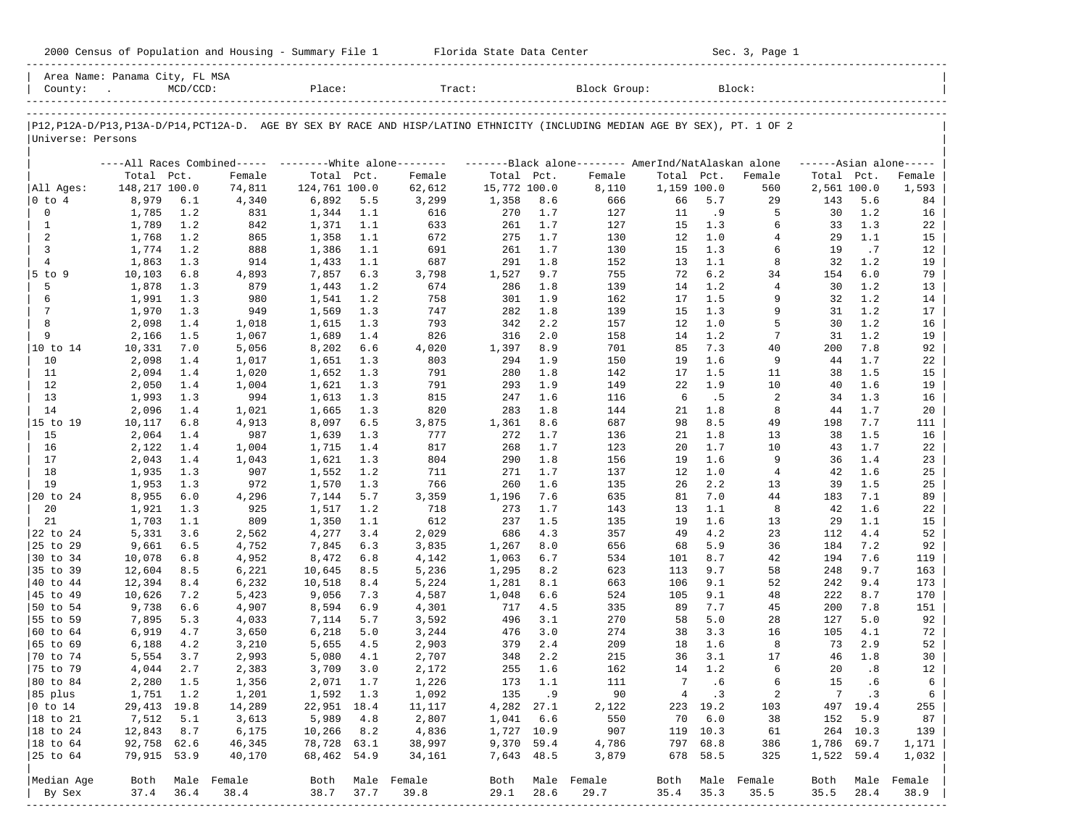| 2000 Census<br>Housing<br>Population and<br>Summary<br>- ot | Tlorida .<br>Center<br>Data<br>State | Page<br>Sec<br>. JUL. |  |
|-------------------------------------------------------------|--------------------------------------|-----------------------|--|
|                                                             |                                      |                       |  |

|                      | Area Name: Panama City, FL MSA |             |                                                            |                |            |                                                                                                                               |              |            |                                                     |                 |            |                     |                 |              |                     |
|----------------------|--------------------------------|-------------|------------------------------------------------------------|----------------|------------|-------------------------------------------------------------------------------------------------------------------------------|--------------|------------|-----------------------------------------------------|-----------------|------------|---------------------|-----------------|--------------|---------------------|
| County:              |                                | $MCD/CCD$ : |                                                            | Place:         |            | Tract:                                                                                                                        |              |            | Block Group:                                        |                 |            | Block:              |                 |              |                     |
|                      |                                |             |                                                            |                |            |                                                                                                                               |              |            |                                                     |                 |            |                     |                 |              |                     |
|                      |                                |             |                                                            |                |            | P12, P12A-D/P13, P13A-D/P14, PCT12A-D. AGE BY SEX BY RACE AND HISP/LATINO ETHNICITY (INCLUDING MEDIAN AGE BY SEX), PT. 1 OF 2 |              |            |                                                     |                 |            |                     |                 |              |                     |
| Universe: Persons    |                                |             |                                                            |                |            |                                                                                                                               |              |            |                                                     |                 |            |                     |                 |              |                     |
|                      |                                |             |                                                            |                |            |                                                                                                                               |              |            |                                                     |                 |            |                     |                 |              |                     |
|                      |                                |             | ----All Races Combined-----    --------White alone-------- |                |            |                                                                                                                               |              |            | -------Black alone-------- AmerInd/NatAlaskan alone |                 |            |                     |                 |              | $---Asian alone---$ |
|                      | Total Pct.                     |             | Female                                                     | Total Pct.     |            | Female                                                                                                                        | Total Pct.   |            | Female                                              | Total Pct.      |            | Female              | Total Pct.      |              | Female              |
| All Ages:            | 148,217 100.0                  |             | 74,811                                                     | 124,761 100.0  |            | 62,612                                                                                                                        | 15,772 100.0 |            | 8,110                                               | 1,159 100.0     |            | 560                 | 2,561 100.0     |              | 1,593               |
| $ 0 \tto 4$<br>0     | 8,979<br>1,785                 | 6.1         | 4,340                                                      | 6,892          | 5.5        | 3,299                                                                                                                         | 1,358<br>270 | 8.6        | 666<br>127                                          | 66              | 5.7<br>.9  | 29<br>5             | 143<br>30       | 5.6          | 84                  |
| 1                    | 1,789                          | 1.2<br>1.2  | 831<br>842                                                 | 1,344<br>1,371 | 1.1<br>1.1 | 616<br>633                                                                                                                    | 261          | 1.7<br>1.7 | 127                                                 | 11<br>15        | 1.3        | 6                   | 33              | 1.2<br>1.3   | 16<br>22            |
| 2                    | 1,768                          | 1.2         | 865                                                        | 1,358          | 1.1        | 672                                                                                                                           | 275          | 1.7        | 130                                                 | 12              | 1.0        | 4                   | 29              | 1.1          | 15                  |
| 3                    | 1,774                          | 1.2         | 888                                                        | 1,386          | 1.1        | 691                                                                                                                           | 261          | 1.7        | 130                                                 | 15              | 1.3        | 6                   | 19              | .7           | 12                  |
| $\overline{4}$       | 1,863                          | 1.3         | 914                                                        | 1,433          | 1.1        | 687                                                                                                                           | 291          | 1.8        | 152                                                 | 13              | 1.1        | 8                   | 32              | 1.2          | 19                  |
| $5$ to $9$           | 10,103                         | 6.8         | 4,893                                                      | 7,857          | 6.3        | 3,798                                                                                                                         | 1,527        | 9.7        | 755                                                 | 72              | 6.2        | 34                  | 154             | 6.0          | 79                  |
| 5                    | 1,878                          | 1.3         | 879                                                        | 1,443          | 1.2        | 674                                                                                                                           | 286          | 1.8        | 139                                                 | 14              | 1.2        | $\overline{4}$      | 30              | 1.2          | 13                  |
| 6                    | 1,991                          | 1.3         | 980                                                        | 1,541          | 1.2        | 758                                                                                                                           | 301          | 1.9        | 162                                                 | 17              | 1.5        | 9                   | 32              | 1.2          | 14                  |
| 7                    | 1,970                          | 1.3         | 949                                                        | 1,569          | 1.3        | 747                                                                                                                           | 282          | 1.8        | 139                                                 | 15              | 1.3        | 9                   | 31              | 1.2          | 17                  |
| 8                    | 2,098                          | 1.4         | 1,018                                                      | 1,615          | 1.3        | 793                                                                                                                           | 342          | 2.2        | 157                                                 | 12              | 1.0        | 5                   | 30              | 1.2          | 16                  |
| 9                    | 2,166                          | 1.5         | 1,067                                                      | 1,689          | 1.4        | 826                                                                                                                           | 316          | 2.0        | 158                                                 | 14              | 1.2        | 7                   | 31              | 1.2          | 19                  |
| 10 to 14             | 10,331                         | 7.0         | 5,056                                                      | 8,202          | 6.6        | 4,020                                                                                                                         | 1,397        | 8.9        | 701                                                 | 85              | 7.3        | 40                  | 200             | 7.8          | 92                  |
| 10                   | 2,098                          | 1.4         | 1,017                                                      | 1,651          | 1.3        | 803                                                                                                                           | 294          | 1.9        | 150                                                 | 19              | 1.6        | 9                   | 44              | 1.7          | 22                  |
| 11                   | 2,094                          | 1.4         | 1,020                                                      | 1,652          | 1.3        | 791                                                                                                                           | 280          | 1.8        | 142                                                 | 17              | 1.5        | 11                  | 38              | 1.5          | 15                  |
| 12                   | 2,050                          | 1.4         | 1,004                                                      | 1,621          | 1.3        | 791                                                                                                                           | 293          | 1.9        | 149                                                 | 22              | 1.9        | 10                  | 40              | 1.6          | 19                  |
| 13<br>14             | 1,993                          | 1.3         | 994                                                        | 1,613          | 1.3        | 815<br>820                                                                                                                    | 247<br>283   | 1.6        | 116                                                 | 6<br>21         | .5<br>1.8  | 2<br>8              | 34<br>44        | 1.3<br>1.7   | 16                  |
| 15 to 19             | 2,096<br>10,117                | 1.4<br>6.8  | 1,021<br>4,913                                             | 1,665<br>8,097 | 1.3<br>6.5 | 3,875                                                                                                                         | 1,361        | 1.8<br>8.6 | 144<br>687                                          | 98              | 8.5        | 49                  | 198             | 7.7          | 20<br>111           |
| 15                   | 2,064                          | 1.4         | 987                                                        | 1,639          | 1.3        | 777                                                                                                                           | 272          | 1.7        | 136                                                 | 21              | 1.8        | 13                  | 38              | 1.5          | 16                  |
| 16                   | 2,122                          | 1.4         | 1,004                                                      | 1,715          | 1.4        | 817                                                                                                                           | 268          | 1.7        | 123                                                 | 20              | 1.7        | 10                  | 43              | 1.7          | 22                  |
| 17                   | 2,043                          | 1.4         | 1,043                                                      | 1,621          | 1.3        | 804                                                                                                                           | 290          | 1.8        | 156                                                 | 19              | 1.6        | 9                   | 36              | 1.4          | 23                  |
| 18                   | 1,935                          | 1.3         | 907                                                        | 1,552          | 1.2        | 711                                                                                                                           | 271          | 1.7        | 137                                                 | 12              | 1.0        | 4                   | 42              | 1.6          | 25                  |
| 19                   | 1,953                          | 1.3         | 972                                                        | 1,570          | 1.3        | 766                                                                                                                           | 260          | 1.6        | 135                                                 | 26              | 2.2        | 13                  | 39              | 1.5          | 25                  |
| 20 to 24             | 8,955                          | 6.0         | 4,296                                                      | 7,144          | 5.7        | 3,359                                                                                                                         | 1,196        | 7.6        | 635                                                 | 81              | 7.0        | 44                  | 183             | 7.1          | 89                  |
| 20                   | 1,921                          | 1.3         | 925                                                        | 1,517          | 1.2        | 718                                                                                                                           | 273          | 1.7        | 143                                                 | 13              | 1.1        | 8                   | 42              | 1.6          | 22                  |
| 21                   | 1,703                          | 1.1         | 809                                                        | 1,350          | 1.1        | 612                                                                                                                           | 237          | 1.5        | 135                                                 | 19              | 1.6        | 13                  | 29              | 1.1          | 15                  |
| 22 to 24             | 5,331                          | 3.6         | 2,562                                                      | 4,277          | 3.4        | 2,029                                                                                                                         | 686          | 4.3        | 357                                                 | 49              | 4.2        | 23                  | 112             | 4.4          | 52                  |
| 25 to 29             | 9,661                          | 6.5         | 4,752                                                      | 7,845          | 6.3        | 3,835                                                                                                                         | 1,267        | 8.0        | 656                                                 | 68              | 5.9        | 36                  | 184             | 7.2          | 92                  |
| 30 to 34             | 10,078                         | 6.8         | 4,952                                                      | 8,472          | 6.8        | 4,142                                                                                                                         | 1,063        | 6.7        | 534                                                 | 101             | 8.7        | 42                  | 194             | 7.6          | 119                 |
| 35 to 39             | 12,604                         | 8.5         | 6,221                                                      | 10,645         | 8.5        | 5,236                                                                                                                         | 1,295        | 8.2        | 623                                                 | 113             | 9.7        | 58                  | 248             | 9.7          | 163                 |
| 40 to 44             | 12,394                         | 8.4         | 6,232                                                      | 10,518         | 8.4        | 5,224                                                                                                                         | 1,281        | 8.1        | 663                                                 | 106             | 9.1        | 52                  | 242             | 9.4          | 173                 |
| 45 to 49<br>50 to 54 | 10,626<br>9,738                | 7.2<br>6.6  | 5,423<br>4,907                                             | 9,056<br>8,594 | 7.3<br>6.9 | 4,587<br>4,301                                                                                                                | 1,048<br>717 | 6.6<br>4.5 | 524<br>335                                          | 105<br>89       | 9.1<br>7.7 | 48<br>45            | 222<br>200      | 8.7<br>7.8   | 170<br>151          |
| 55 to 59             | 7,895                          | 5.3         | 4,033                                                      | 7,114          | 5.7        | 3,592                                                                                                                         | 496          | 3.1        | 270                                                 | 58              | 5.0        | 28                  | 127             | 5.0          | 92                  |
| 60 to 64             | 6,919                          | 4.7         | 3,650                                                      | 6,218          | 5.0        | 3,244                                                                                                                         | 476          | 3.0        | 274                                                 | 38              | 3.3        | 16                  | 105             | 4.1          | 72                  |
| 65 to 69             | 6,188                          | 4.2         | 3,210                                                      | 5,655          | 4.5        | 2,903                                                                                                                         | 379          | 2.4        | 209                                                 | 18              | 1.6        | 8                   | 73              | 2.9          | 52                  |
| 70 to 74             | 5,554                          | 3.7         | 2,993                                                      | 5,080          | 4.1        | 2,707                                                                                                                         | 348          | 2.2        | 215                                                 | 36              | 3.1        | 17                  | 46              | 1.8          | 30                  |
| 75 to 79             | 4,044                          | 2.7         | 2,383                                                      | 3,709          | 3.0        | 2,172                                                                                                                         | 255          | 1.6        | 162                                                 | 14              | 1.2        | 6                   | 20              | .8           | 12                  |
| 80 to 84             | 2,280                          | 1.5         | 1,356                                                      | 2,071          | 1.7        | 1,226                                                                                                                         | 173          | 1.1        | 111                                                 | $7\overline{ }$ | .6         | 6                   | 15              | .6           | 6                   |
| 85 plus              | 1,751 1.2                      |             | 1,201                                                      | 1,592 1.3      |            | 1,092                                                                                                                         |              | 135 .9     | 90                                                  | 4               | $\cdot$ 3  | 2                   | $7\phantom{.0}$ | $\cdot$ 3    | 6                   |
| $ 0 \t{to} 14$       | 29,413 19.8                    |             | 14,289                                                     | 22,951 18.4    |            | 11,117                                                                                                                        | 4,282 27.1   |            | 2,122                                               |                 | 223 19.2   | 103                 |                 | 497 19.4     | 255                 |
| $ 18$ to $21$        | 7,512                          | 5.1         | 3,613                                                      | 5,989          | 4.8        | 2,807                                                                                                                         | 1,041        | 6.6        | 550                                                 | 70              | 6.0        | 38                  | 152             | 5.9          | 87                  |
| $ 18$ to $24$        | 12,843                         | 8.7         | 6,175                                                      | 10,266         | 8.2        | 4,836                                                                                                                         | 1,727 10.9   |            | 907                                                 |                 | 119 10.3   | 61                  |                 | 264 10.3     | 139                 |
| $ 18$ to $64$        | 92,758 62.6                    |             | 46,345                                                     | 78,728 63.1    |            | 38,997                                                                                                                        | 9,370 59.4   |            | 4,786                                               | 797             | 68.8       | 386                 | 1,786 69.7      |              | 1,171               |
| 25 to 64             | 79,915 53.9                    |             | 40,170                                                     | 68,462         | 54.9       | 34,161                                                                                                                        | 7,643 48.5   |            | 3,879                                               | 678             | 58.5       | 325                 | 1,522 59.4      |              | 1,032               |
|                      |                                |             |                                                            |                |            |                                                                                                                               |              |            |                                                     |                 |            |                     |                 |              |                     |
| Median Age           | Both<br>37.4                   | 36.4        | Male Female<br>38.4                                        | Both<br>38.7   | 37.7       | Male Female<br>39.8                                                                                                           | Both<br>29.1 | 28.6       | Male Female<br>29.7                                 | Both<br>35.4    | 35.3       | Male Female<br>35.5 | Both<br>35.5    | Male<br>28.4 | Female<br>38.9      |
| By Sex               |                                |             |                                                            |                |            |                                                                                                                               |              |            | ---------------------------                         |                 |            |                     |                 |              |                     |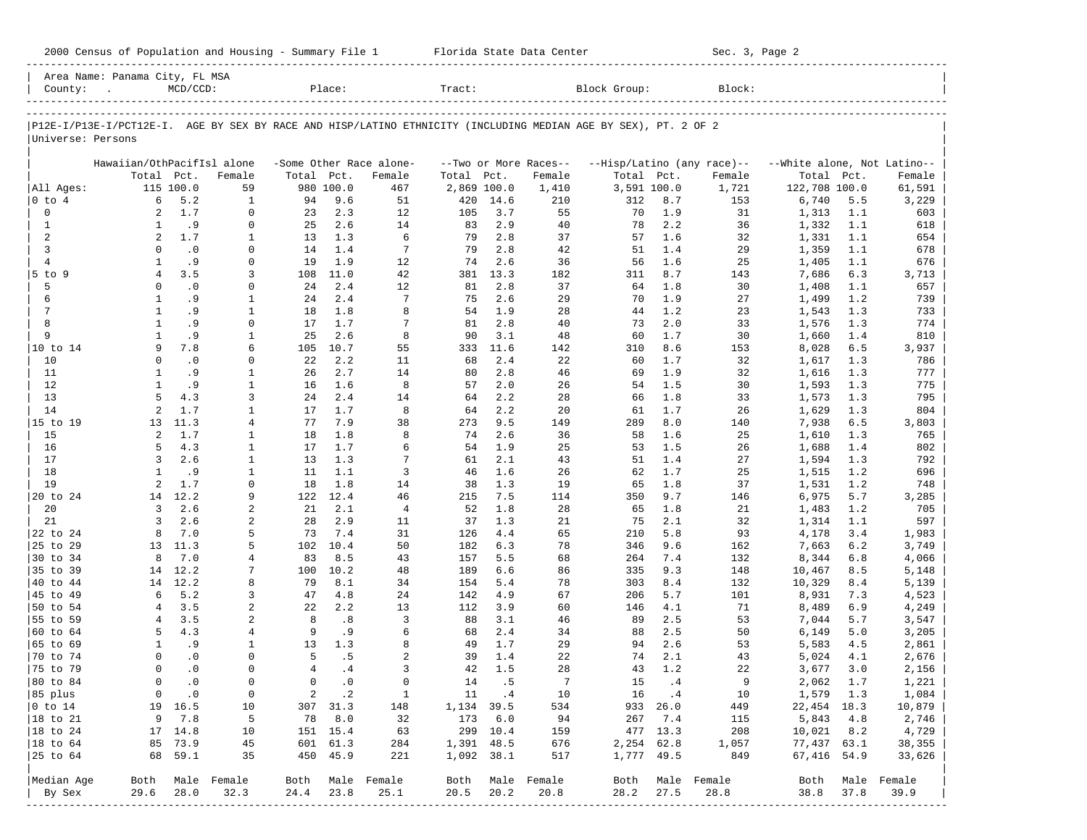2000 Census of Population and Housing - Summary File 1 Florida State Data Center Sec. 3, Page 2 ----------------------------------------------------------------------------------------------------------------------------------------------------- Area Name: Panama City, FL MSA | County: . MCD/CCD: Place: Tract: Block Group: Block: | ----------------------------------------------------------------------------------------------------------------------------------------------------- ----------------------------------------------------------------------------------------------------------------------------------------------------- |P12E-I/P13E-I/PCT12E-I. AGE BY SEX BY RACE AND HISP/LATINO ETHNICITY (INCLUDING MEDIAN AGE BY SEX), PT. 2 OF 2 | |Universe: Persons | | | Hawaiian/OthPacifIsl alone -Some Other Race alone- --Two or More Races-- --Hisp/Latino (any race)-- --White alone, Not Latino--| Total Pct. Female Total Pct. Female Total Pct. Female Total Pct. Female Total Pct. Female | |All Ages: 115 100.0 59 980 100.0 467 2,869 100.0 1,410 3,591 100.0 1,721 122,708 100.0 61,591 | |0 to 4 6 5.2 1 94 9.6 51 420 14.6 210 312 8.7 153 6,740 5.5 3,229 | | 0 2 1.7 0 23 2.3 12 105 3.7 55 70 1.9 31 1,313 1.1 603 | | 1 1 .9 0 25 2.6 14 83 2.9 40 78 2.2 36 1,332 1.1 618 | | 2 2 1.7 1 13 1.3 6 79 2.8 37 57 1.6 32 1,331 1.1 654 | | 3 0 .0 0 14 1.4 7 79 2.8 42 51 1.4 29 1,359 1.1 678 | | 4 1 .9 0 19 1.9 12 74 2.6 36 56 1.6 25 1,405 1.1 676 | |5 to 9 4 3.5 3 108 11.0 42 381 13.3 182 311 8.7 143 7,686 6.3 3,713 | | 5 0 .0 0 24 2.4 12 81 2.8 37 64 1.8 30 1,408 1.1 657 | | 6 1 .9 1 24 2.4 7 75 2.6 29 70 1.9 27 1,499 1.2 739 | | 7 1 .9 1 18 1.8 8 54 1.9 28 44 1.2 23 1,543 1.3 733 | | 8 1 .9 0 17 1.7 7 81 2.8 40 73 2.0 33 1,576 1.3 774 | | 9 1 .9 1 25 2.6 8 90 3.1 48 60 1.7 30 1,660 1.4 810 | |10 to 14 9 7.8 6 105 10.7 55 333 11.6 142 310 8.6 153 8,028 6.5 3,937 | | 10 0 .0 0 22 2.2 11 68 2.4 22 60 1.7 32 1,617 1.3 786 | | 11 1 .9 1 26 2.7 14 80 2.8 46 69 1.9 32 1,616 1.3 777 | | 12 1 .9 1 16 1.6 8 57 2.0 26 54 1.5 30 1,593 1.3 775 | | 13 5 4.3 3 24 2.4 14 64 2.2 28 66 1.8 33 1,573 1.3 795 | | 14 2 1.7 1 17 1.7 8 64 2.2 20 61 1.7 26 1,629 1.3 804 |

|15 to 19 13 11.3 4 77 7.9 38 273 9.5 149 289 8.0 140 7,938 6.5 3,803 | | 15 2 1.7 1 18 1.8 8 74 2.6 36 58 1.6 25 1,610 1.3 765 | | 16 5 4.3 1 17 1.7 6 54 1.9 25 53 1.5 26 1,688 1.4 802 | | 17 3 2.6 1 13 1.3 7 61 2.1 43 51 1.4 27 1,594 1.3 792 | | 18 1 .9 1 11 1.1 3 46 1.6 26 62 1.7 25 1,515 1.2 696 | | 19 2 1.7 0 18 1.8 14 38 1.3 19 65 1.8 37 1,531 1.2 748 | |20 to 24 14 12.2 9 122 12.4 46 215 7.5 114 350 9.7 146 6,975 5.7 3,285 | | 20 3 2.6 2 21 2.1 4 52 1.8 28 65 1.8 21 1,483 1.2 705 | | 21 3 2.6 2 28 2.9 11 37 1.3 21 75 2.1 32 1,314 1.1 597 | |22 to 24 8 7.0 5 73 7.4 31 126 4.4 65 210 5.8 93 4,178 3.4 1,983 | |25 to 29 13 11.3 5 102 10.4 50 182 6.3 78 346 9.6 162 7,663 6.2 3,749 | |30 to 34 8 7.0 4 83 8.5 43 157 5.5 68 264 7.4 132 8,344 6.8 4,066 | |35 to 39 14 12.2 7 100 10.2 48 189 6.6 86 335 9.3 148 10,467 8.5 5,148 | |40 to 44 14 12.2 8 79 8.1 34 154 5.4 78 303 8.4 132 10,329 8.4 5,139 | |45 to 49 6 5.2 3 47 4.8 24 142 4.9 67 206 5.7 101 8,931 7.3 4,523 | |50 to 54 4 3.5 2 22 2.2 13 112 3.9 60 146 4.1 71 8,489 6.9 4,249 | |55 to 59 4 3.5 2 8 .8 3 88 3.1 46 89 2.5 53 7,044 5.7 3,547 | |60 to 64 5 4.3 4 9 .9 6 68 2.4 34 88 2.5 50 6,149 5.0 3,205 | |65 to 69 1 .9 1 13 1.3 8 49 1.7 29 94 2.6 53 5,583 4.5 2,861 | |70 to 74 0 .0 0 5 .5 2 39 1.4 22 74 2.1 43 5,024 4.1 2,676 | |75 to 79 0 .0 0 4 .4 3 42 1.5 28 43 1.2 22 3,677 3.0 2,156 | |80 to 84 0 .0 0 0 .0 0 14 .5 7 15 .4 9 2,062 1.7 1,221 | |85 plus 0 .0 0 2 .2 1 11 .4 10 16 .4 10 1,579 1.3 1,084 | |0 to 14 19 16.5 10 307 31.3 148 1,134 39.5 534 933 26.0 449 22,454 18.3 10,879 | |18 to 21 9 7.8 5 78 8.0 32 173 6.0 94 267 7.4 115 5,843 4.8 2,746 | |18 to 24 17 14.8 10 151 15.4 63 299 10.4 159 477 13.3 208 10,021 8.2 4,729 | |18 to 64 85 73.9 45 601 61.3 284 1,391 48.5 676 2,254 62.8 1,057 77,437 63.1 38,355 | |25 to 64 68 59.1 35 450 45.9 221 1,092 38.1 517 1,777 49.5 849 67,416 54.9 33,626 | | | |Median Age Both Male Female Both Male Female Both Male Female Both Male Female Both Male Female | By Sex 29.6 28.0 32.3 24.4 23.8 25.1 20.5 20.2 20.8 28.2 27.5 28.8 38.8 37.8 39.9 | -----------------------------------------------------------------------------------------------------------------------------------------------------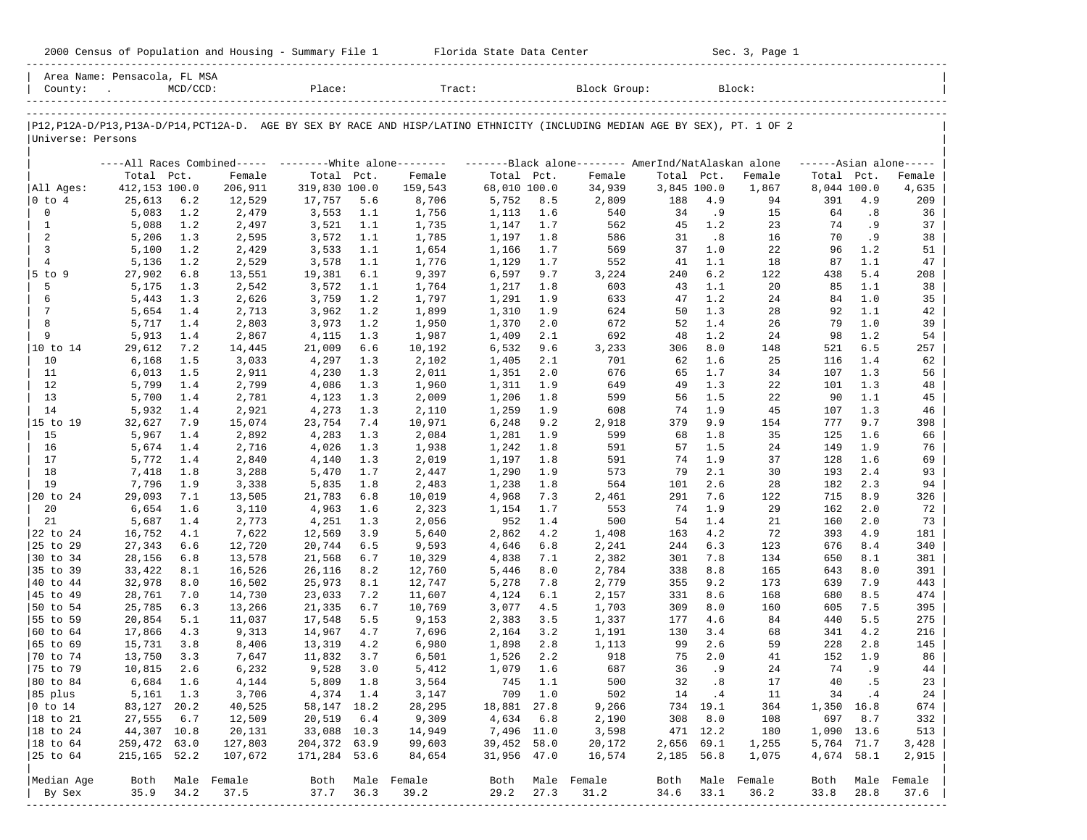|  |  |  | 2000 Census of Population and Housing - Summary File 1 |  |  |  |  |  |  |
|--|--|--|--------------------------------------------------------|--|--|--|--|--|--|
|--|--|--|--------------------------------------------------------|--|--|--|--|--|--|

2000 Florida State Data Center - Sec. 3, Page 1 -----------------------------------------------------------------------------------------------------------------------------------------------------

| Area Name: Pensacola, FL MSA<br>County: |                  | $MCD/CCD$ : |                  | Place:           |            | Tract:                                                                                                                        |                |            | Block Group:   |             |            | Block:           |            |             |                      |
|-----------------------------------------|------------------|-------------|------------------|------------------|------------|-------------------------------------------------------------------------------------------------------------------------------|----------------|------------|----------------|-------------|------------|------------------|------------|-------------|----------------------|
|                                         |                  |             |                  |                  |            |                                                                                                                               |                |            |                |             |            |                  |            |             |                      |
|                                         |                  |             |                  |                  |            | P12, P12A-D/P13, P13A-D/P14, PCT12A-D. AGE BY SEX BY RACE AND HISP/LATINO ETHNICITY (INCLUDING MEDIAN AGE BY SEX), PT. 1 OF 2 |                |            |                |             |            |                  |            |             |                      |
| Universe: Persons                       |                  |             |                  |                  |            |                                                                                                                               |                |            |                |             |            |                  |            |             |                      |
|                                         |                  |             |                  |                  |            | ----All Races Combined----- --------White alone-------- --------Black alone-------- AmerInd/NatAlaskan alone                  |                |            |                |             |            |                  |            |             | $----Asian alone---$ |
|                                         | Total Pct.       |             | Female           | Total Pct.       |            | Female                                                                                                                        | Total Pct.     |            | Female         | Total       | Pct.       | Female           | Total Pct. |             | Female               |
| All Ages:                               | 412,153 100.0    |             | 206,911          | 319,830 100.0    |            | 159,543                                                                                                                       | 68,010 100.0   |            | 34,939         | 3,845 100.0 |            | 1,867            |            | 8,044 100.0 | 4,635                |
| $ 0 \tto 4$                             | 25,613           | 6.2         | 12,529           | 17,757           | 5.6        | 8,706                                                                                                                         | 5,752          | 8.5        | 2,809          | 188         | 4.9        | 94               | 391        | 4.9         | 209                  |
| 0                                       | 5,083            | 1.2         | 2,479            | 3,553            | 1.1        | 1,756                                                                                                                         | 1,113          | 1.6        | 540            | 34          | . 9        | 15               | 64         | .8          | 36                   |
| $\mathbf{1}$                            | 5,088            | 1.2         | 2,497            | 3,521            | 1.1        | 1,735                                                                                                                         | 1,147          | 1.7        | 562            | 45          | 1.2        | 23               | 74         | . 9         | 37                   |
| 2<br>3                                  | 5,206            | 1.3         | 2,595            | 3,572            | 1.1        | 1,785                                                                                                                         | 1,197          | 1.8        | 586            | 31          | .8         | 16               | 70<br>96   | . 9         | 38                   |
| $\overline{4}$                          | 5,100<br>5,136   | 1.2<br>1.2  | 2,429<br>2,529   | 3,533<br>3,578   | 1.1<br>1.1 | 1,654<br>1,776                                                                                                                | 1,166<br>1,129 | 1.7<br>1.7 | 569<br>552     | 37<br>41    | 1.0<br>1.1 | 22<br>18         | 87         | 1.2<br>1.1  | 51<br>47             |
| $5$ to 9                                | 27,902           | 6.8         | 13,551           | 19,381           | 6.1        | 9,397                                                                                                                         | 6,597          | 9.7        | 3,224          | 240         | 6.2        | 122              | 438        | 5.4         | 208                  |
| 5                                       | 5,175            | 1.3         | 2,542            | 3,572            | 1.1        | 1,764                                                                                                                         | 1,217          | 1.8        | 603            | 43          | 1.1        | 20               | 85         | 1.1         | 38                   |
| 6                                       | 5,443            | 1.3         | 2,626            | 3,759            | 1.2        | 1,797                                                                                                                         | 1,291          | 1.9        | 633            | 47          | 1.2        | 24               | 84         | 1.0         | 35                   |
| 7                                       | 5,654            | 1.4         | 2,713            | 3,962            | 1.2        | 1,899                                                                                                                         | 1,310          | 1.9        | 624            | 50          | 1.3        | 28               | 92         | 1.1         | 42                   |
| 8                                       | 5,717            | 1.4         | 2,803            | 3,973            | 1.2        | 1,950                                                                                                                         | 1,370          | 2.0        | 672            | 52          | 1.4        | 26               | 79         | 1.0         | 39                   |
| 9                                       | 5,913            | 1.4         | 2,867            | 4,115            | 1.3        | 1,987                                                                                                                         | 1,409          | 2.1        | 692            | 48          | 1.2        | 24               | 98         | 1.2         | 54                   |
|                                         | 29,612           | 7.2         | 14,445           | 21,009           | 6.6        | 10,192                                                                                                                        | 6,532          | 9.6        | 3,233          | 306         | 8.0        | 148              | 521        | 6.5         | 257                  |
| 10                                      | 6,168            | 1.5         | 3,033            | 4,297            | 1.3        | 2,102                                                                                                                         | 1,405          | 2.1        | 701            | 62          | 1.6        | 25               | 116        | 1.4         | 62                   |
| 11                                      | 6,013            | 1.5         | 2,911            | 4,230            | 1.3        | 2,011                                                                                                                         | 1,351          | 2.0        | 676            | 65          | 1.7        | 34               | 107        | 1.3         | 56                   |
| 12                                      | 5,799            | 1.4         | 2,799            | 4,086            | 1.3        | 1,960                                                                                                                         | 1,311          | 1.9        | 649            | 49          | 1.3        | 22               | 101        | 1.3         | 48                   |
| 13                                      | 5,700            | 1.4         | 2,781            | 4,123            | 1.3        | 2,009                                                                                                                         | 1,206          | 1.8        | 599            | 56          | 1.5        | 22               | 90         | 1.1         | 45                   |
| 14                                      | 5,932            | 1.4         | 2,921            | 4,273            | 1.3        | 2,110                                                                                                                         | 1,259          | 1.9        | 608            | 74          | 1.9        | 45               | 107        | 1.3         | 46                   |
| 15 to 19                                | 32,627           | 7.9         | 15,074           | 23,754           | 7.4        | 10,971                                                                                                                        | 6,248          | 9.2        | 2,918          | 379         | 9.9        | 154              | 777        | 9.7         | 398                  |
| 15                                      | 5,967            | 1.4         | 2,892            | 4,283            | 1.3        | 2,084                                                                                                                         | 1,281          | 1.9        | 599            | 68          | 1.8        | 35               | 125        | 1.6         | 66                   |
| 16                                      | 5,674            | 1.4         | 2,716            | 4,026            | 1.3        | 1,938                                                                                                                         | 1,242          | 1.8        | 591            | 57          | 1.5        | 24               | 149        | 1.9         | 76                   |
| 17                                      | 5,772            | 1.4         | 2,840            | 4,140            | 1.3        | 2,019                                                                                                                         | 1,197          | 1.8        | 591            | 74          | 1.9        | 37               | 128        | 1.6         | 69                   |
| 18                                      | 7,418            | 1.8         | 3,288            | 5,470            | 1.7        | 2,447                                                                                                                         | 1,290          | 1.9        | 573            | 79          | 2.1        | 30               | 193        | 2.4         | 93                   |
| 19                                      | 7,796            | 1.9         | 3,338            | 5,835            | 1.8        | 2,483                                                                                                                         | 1,238          | 1.8        | 564            | 101         | 2.6        | 28               | 182        | 2.3         | 94                   |
| 20 to 24                                | 29,093           | 7.1         | 13,505           | 21,783           | 6.8        | 10,019                                                                                                                        | 4,968          | 7.3        | 2,461          | 291         | 7.6        | 122              | 715        | 8.9         | 326                  |
| 20                                      | 6,654            | 1.6         | 3,110            | 4,963            | 1.6        | 2,323                                                                                                                         | 1,154          | 1.7        | 553            | 74          | 1.9        | 29               | 162        | 2.0         | 72                   |
| 21                                      | 5,687            | 1.4         | 2,773            | 4,251            | 1.3        | 2,056                                                                                                                         | 952            | 1.4        | 500            | 54          | 1.4        | 21               | 160        | 2.0         | 73                   |
| 22 to 24                                | 16,752           | 4.1         | 7,622            | 12,569           | 3.9        | 5,640                                                                                                                         | 2,862          | 4.2        | 1,408          | 163         | 4.2        | 72               | 393        | 4.9         | 181                  |
| 25 to 29                                | 27,343           | 6.6         | 12,720           | 20,744           | 6.5        | 9,593                                                                                                                         | 4,646          | 6.8        | 2,241          | 244         | 6.3        | 123              | 676        | 8.4         | 340                  |
| 30 to 34                                | 28,156           | 6.8         | 13,578           | 21,568           | 6.7        | 10,329                                                                                                                        | 4,838          | 7.1        | 2,382          | 301         | 7.8        | 134              | 650        | 8.1         | 381                  |
| 35 to 39                                | 33,422           | 8.1         | 16,526           | 26,116           | 8.2        | 12,760                                                                                                                        | 5,446          | 8.0        | 2,784          | 338         | 8.8        | 165              | 643        | 8.0         | 391                  |
| 40 to 44                                | 32,978           | 8.0         | 16,502           | 25,973           | 8.1        | 12,747                                                                                                                        | 5,278          | 7.8        | 2,779          | 355         | 9.2        | 173              | 639        | 7.9         | 443                  |
| 45 to 49<br>50 to 54                    | 28,761<br>25,785 | 7.0<br>6.3  | 14,730<br>13,266 | 23,033<br>21,335 | 7.2<br>6.7 | 11,607<br>10,769                                                                                                              | 4,124<br>3,077 | 6.1<br>4.5 | 2,157<br>1,703 | 331<br>309  | 8.6<br>8.0 | 168<br>160       | 680<br>605 | 8.5<br>7.5  | 474<br>395           |
| 55 to 59                                | 20,854           | 5.1         | 11,037           | 17,548           | 5.5        | 9,153                                                                                                                         | 2,383          | 3.5        | 1,337          | 177         | 4.6        | 84               | 440        | 5.5         | 275                  |
| 60 to 64                                | 17,866           | 4.3         | 9,313            | 14,967           | 4.7        | 7,696                                                                                                                         | 2,164          | 3.2        | 1,191          | 130         | 3.4        | 68               | 341        | 4.2         | 216                  |
| 65 to 69                                | 15,731           | 3.8         | 8,406            | 13,319           | 4.2        | 6,980                                                                                                                         | 1,898          | 2.8        | 1,113          | 99          | 2.6        | 59               | 228        | 2.8         | 145                  |
| 70 to 74                                | 13,750           | 3.3         | 7,647            | 11,832           | 3.7        | 6,501                                                                                                                         | 1,526          | 2.2        | 918            | 75          | 2.0        | 41               | 152        | 1.9         | 86                   |
| 75 to 79                                | 10,815           | 2.6         | 6,232            | 9,528            | 3.0        | 5,412                                                                                                                         | 1,079          | 1.6        | 687            | 36          | . 9        | 24               | 74         | . 9         | 44                   |
| $ 80 \text{ to } 84$                    | 6,684            | 1.6         | 4,144            | 5,809            | 1.8        | 3,564                                                                                                                         | 745            | 1.1        | 500            | 32          | .8         | 17               | 40         | . 5         | 23                   |
| 85 plus                                 | 5,161            | 1.3         | 3,706            | 4,374 1.4        |            | 3,147                                                                                                                         |                | 709 1.0    | 502            | 14          | $\cdot$ 4  | 11               | 34         | $\cdot$ 4   | 24                   |
| $ 0 \t{to} 14$                          | 83,127 20.2      |             | 40,525           | 58,147 18.2      |            | 28,295                                                                                                                        | 18,881 27.8    |            | 9,266          |             | 734 19.1   | 364              |            | 1,350 16.8  | 674                  |
| $ 18 \text{ to } 21$                    | 27,555           | 6.7         | 12,509           | 20,519           | 6.4        | 9,309                                                                                                                         | 4,634 6.8      |            | 2,190          | 308         | 8.0        | 108              | 697        | 8.7         | 332                  |
| $ 18 \text{ to } 24$                    | 44,307 10.8      |             | 20,131           | 33,088 10.3      |            | 14,949                                                                                                                        | 7,496 11.0     |            | 3,598          |             | 471 12.2   | 180              |            | 1,090 13.6  | 513                  |
| $ 18 \text{ to } 64$                    | 259,472 63.0     |             | 127,803          | 204,372 63.9     |            | 99,603                                                                                                                        | 39,452 58.0    |            | 20,172         | 2,656 69.1  |            | 1,255            |            | 5,764 71.7  | 3,428                |
| 25 to 64                                | 215, 165 52.2    |             | 107,672          | 171,284 53.6     |            | 84,654                                                                                                                        | 31,956 47.0    |            | 16,574         | 2,185 56.8  |            | 1,075            | 4,674 58.1 |             | 2,915                |
|                                         |                  |             |                  |                  |            |                                                                                                                               |                |            |                |             |            |                  |            |             |                      |
| Median Age                              | Both             |             | Male Female      |                  |            | Both Male Female                                                                                                              | Both           |            | Male Female    |             |            | Both Male Female | Both       | Male        | Female               |
| By Sex                                  | 35.9             | 34.2        | 37.5             | 37.7             | 36.3       | 39.2                                                                                                                          | 29.2           | 27.3       | 31.2           | 34.6        | 33.1       | 36.2             | 33.8       | 28.8        | 37.6                 |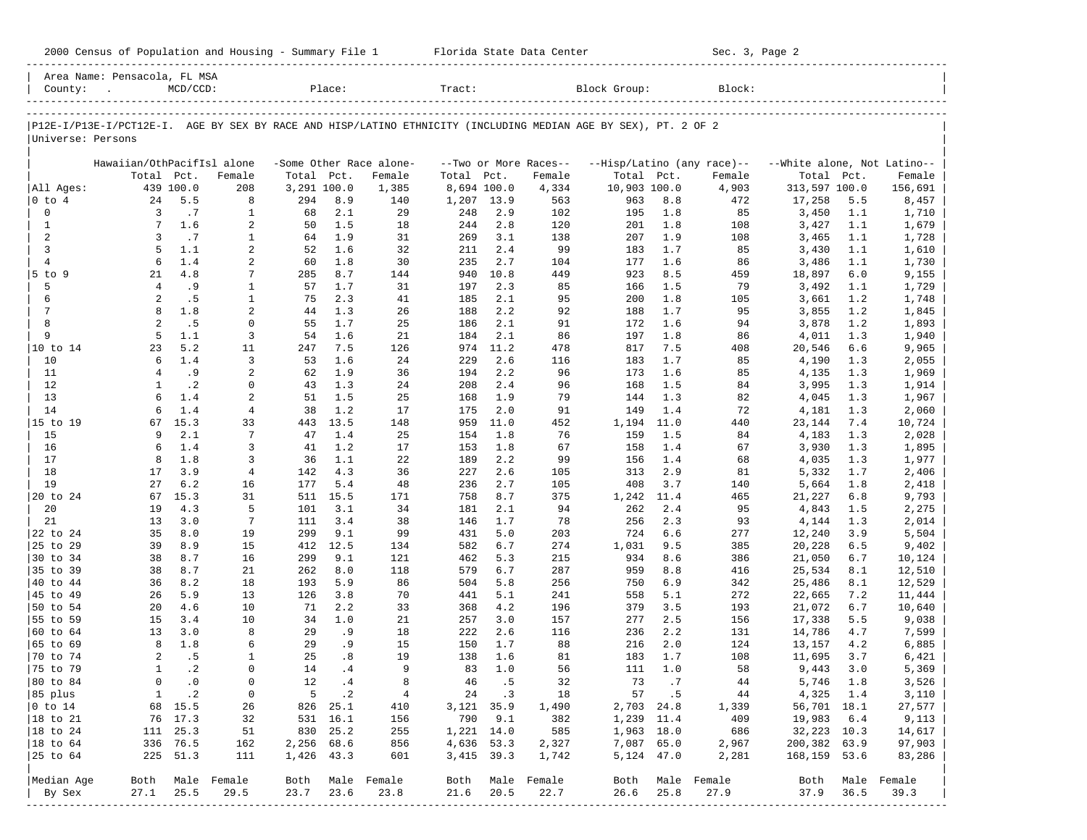2000 Census of Population and Housing - Summary File 1 Florida State Data Center Sec. 3, Page 2 ----------------------------------------------------------------------------------------------------------------------------------------------------- Area Name: Pensacola, FL MSA | County: . MCD/CCD: Place: Tract: Block Group: Block: | ----------------------------------------------------------------------------------------------------------------------------------------------------- ----------------------------------------------------------------------------------------------------------------------------------------------------- |P12E-I/P13E-I/PCT12E-I. AGE BY SEX BY RACE AND HISP/LATINO ETHNICITY (INCLUDING MEDIAN AGE BY SEX), PT. 2 OF 2 | |Universe: Persons | | | | Hawaiian/OthPacifIsl alone -Some Other Race alone- --Two or More Races-- --Hisp/Latino (any race)-- --White alone, Not Latino-- | | Total Pct. Female Total Pct. Female Total Pct. Female Total Pct. Female Total Pct. Female | |All Ages: 439 100.0 208 3,291 100.0 1,385 8,694 100.0 4,334 10,903 100.0 4,903 313,597 100.0 156,691 | |0 to 4 24 5.5 8 294 8.9 140 1,207 13.9 563 963 8.8 472 17,258 5.5 8,457 | | 0 3 .7 1 68 2.1 29 248 2.9 102 195 1.8 85 3,450 1.1 1,710 | | 1 7 1.6 2 50 1.5 18 244 2.8 120 201 1.8 108 3,427 1.1 1,679 | | 2 3 .7 1 64 1.9 31 269 3.1 138 207 1.9 108 3,465 1.1 1,728 | | 3 5 1.1 2 52 1.6 32 211 2.4 99 183 1.7 85 3,430 1.1 1,610 | | 4 6 1.4 2 60 1.8 30 235 2.7 104 177 1.6 86 3,486 1.1 1,730 | |5 to 9 21 4.8 7 285 8.7 144 940 10.8 449 923 8.5 459 18,897 6.0 9,155 | | 5 4 .9 1 57 1.7 31 197 2.3 85 166 1.5 79 3,492 1.1 1,729 | | 6 2 .5 1 75 2.3 41 185 2.1 95 200 1.8 105 3,661 1.2 1,748 | | 7 8 1.8 2 44 1.3 26 188 2.2 92 188 1.7 95 3,855 1.2 1,845 | | 8 2 .5 0 55 1.7 25 186 2.1 91 172 1.6 94 3,878 1.2 1,893 | | 9 5 1.1 3 54 1.6 21 184 2.1 86 197 1.8 86 4,011 1.3 1,940 | |10 to 14 23 5.2 11 247 7.5 126 974 11.2 478 817 7.5 408 20,546 6.6 9,965 | | 10 6 1.4 3 53 1.6 24 229 2.6 116 183 1.7 85 4,190 1.3 2,055 | | 11 4 .9 2 62 1.9 36 194 2.2 96 173 1.6 85 4,135 1.3 1,969 | | 12 1 .2 0 43 1.3 24 208 2.4 96 168 1.5 84 3,995 1.3 1,914 | | 13 6 1.4 2 51 1.5 25 168 1.9 79 144 1.3 82 4,045 1.3 1,967 | | 14 6 1.4 4 38 1.2 17 175 2.0 91 149 1.4 72 4,181 1.3 2,060 | |15 to 19 67 15.3 33 443 13.5 148 959 11.0 452 1,194 11.0 440 23,144 7.4 10,724 | | 15 9 2.1 7 47 1.4 25 154 1.8 76 159 1.5 84 4,183 1.3 2,028 | | 16 6 1.4 3 41 1.2 17 153 1.8 67 158 1.4 67 3,930 1.3 1,895 | | 17 8 1.8 3 36 1.1 22 189 2.2 99 156 1.4 68 4,035 1.3 1,977 | | 18 17 3.9 4 142 4.3 36 227 2.6 105 313 2.9 81 5,332 1.7 2,406 | | 19 27 6.2 16 177 5.4 48 236 2.7 105 408 3.7 140 5,664 1.8 2,418 | |20 to 24 67 15.3 31 511 15.5 171 758 8.7 375 1,242 11.4 465 21,227 6.8 9,793 | | 20 19 4.3 5 101 3.1 34 181 2.1 94 262 2.4 95 4,843 1.5 2,275 | | 21 13 3.0 7 111 3.4 38 146 1.7 78 256 2.3 93 4,144 1.3 2,014 | |22 to 24 35 8.0 19 299 9.1 99 431 5.0 203 724 6.6 277 12,240 3.9 5,504 | |25 to 29 39 8.9 15 412 12.5 134 582 6.7 274 1,031 9.5 385 20,228 6.5 9,402 | |30 to 34 38 8.7 16 299 9.1 121 462 5.3 215 934 8.6 386 21,050 6.7 10,124 | |35 to 39 38 8.7 21 262 8.0 118 579 6.7 287 959 8.8 416 25,534 8.1 12,510 | |40 to 44 36 8.2 18 193 5.9 86 504 5.8 256 750 6.9 342 25,486 8.1 12,529 | |45 to 49 26 5.9 13 126 3.8 70 441 5.1 241 558 5.1 272 22,665 7.2 11,444 | |50 to 54 20 4.6 10 71 2.2 33 368 4.2 196 379 3.5 193 21,072 6.7 10,640 | |55 to 59 15 3.4 10 34 1.0 21 257 3.0 157 277 2.5 156 17,338 5.5 9,038 | |60 to 64 13 3.0 8 29 .9 18 222 2.6 116 236 2.2 131 14,786 4.7 7,599 | |65 to 69 8 1.8 6 29 .9 15 150 1.7 88 216 2.0 124 13,157 4.2 6,885 | |70 to 74 2 .5 1 25 .8 19 138 1.6 81 183 1.7 108 11,695 3.7 6,421 | |75 to 79 1 .2 0 14 .4 9 83 1.0 56 111 1.0 58 9,443 3.0 5,369 | |80 to 84 0 .0 0 12 .4 8 46 .5 32 73 .7 44 5,746 1.8 3,526 |

|85 plus 1 .2 0 5 .2 4 24 .3 18 57 .5 44 4,325 1.4 3,110 | |0 to 14 68 15.5 26 826 25.1 410 3,121 35.9 1,490 2,703 24.8 1,339 56,701 18.1 27,577 | |18 to 21 76 17.3 32 531 16.1 156 790 9.1 382 1,239 11.4 409 19,983 6.4 9,113 | |18 to 24 111 25.3 51 830 25.2 255 1,221 14.0 585 1,963 18.0 686 32,223 10.3 14,617 | |18 to 64 336 76.5 162 2,256 68.6 856 4,636 53.3 2,327 7,087 65.0 2,967 200,382 63.9 97,903 | |25 to 64 225 51.3 111 1,426 43.3 601 3,415 39.3 1,742 5,124 47.0 2,281 168,159 53.6 83,286 | | | |<br>|Median Age Both Male Female Both Male Female Both Male Female Both Male Female | By Sex 27.1 25.5 29.5 23.7 23.6 23.8 21.6 20.5 22.7 26.6 25.8 27.9 37.9 36.5 39.3 | -----------------------------------------------------------------------------------------------------------------------------------------------------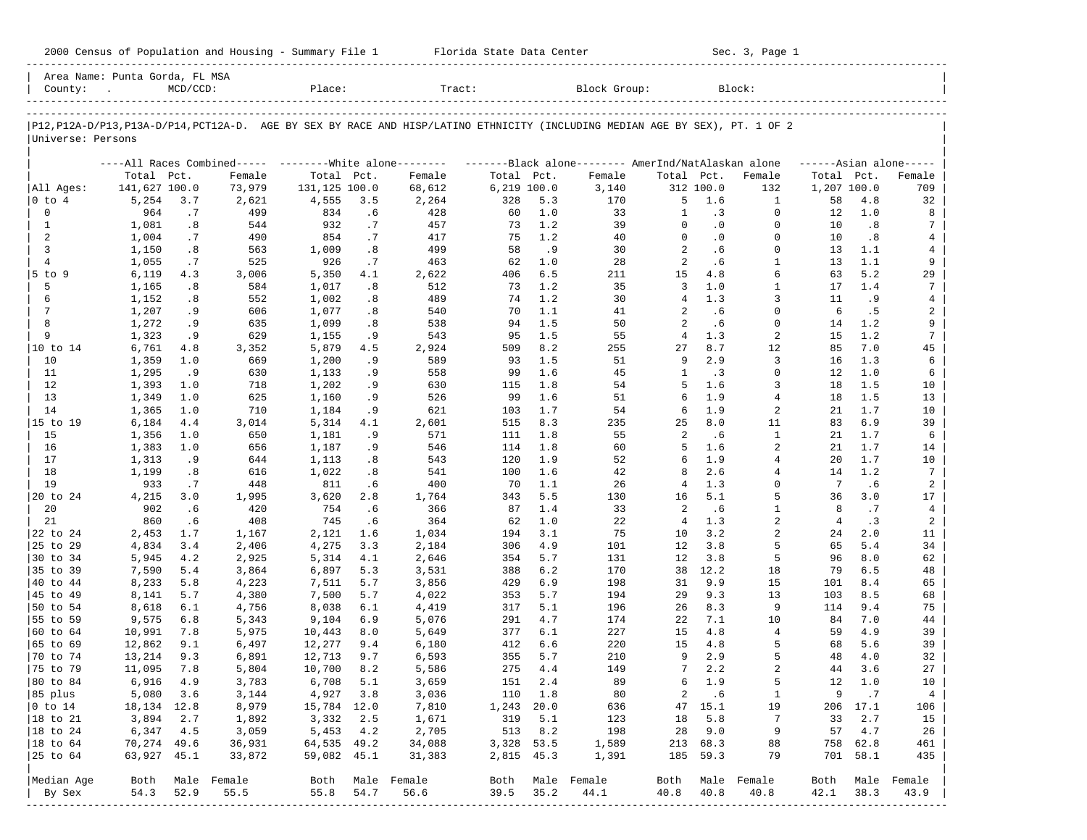|  |  |  | 2000 Census of Population and Housing - Summary File 1 |  |  |  |  |  |  |
|--|--|--|--------------------------------------------------------|--|--|--|--|--|--|
|--|--|--|--------------------------------------------------------|--|--|--|--|--|--|

2000 Florida State Data Center - Sec. 3, Page 1 -----------------------------------------------------------------------------------------------------------------------------------------------------

| Area Name: Punta Gorda, FL MSA<br>County: | $\sim$ $\sim$    | $MCD/CCD$ : |                  | Place:           |            | Tract:                                                                                                                        |             |            | Block Group:     |                |            | Block:               |                |            |                     |
|-------------------------------------------|------------------|-------------|------------------|------------------|------------|-------------------------------------------------------------------------------------------------------------------------------|-------------|------------|------------------|----------------|------------|----------------------|----------------|------------|---------------------|
|                                           |                  |             |                  |                  |            |                                                                                                                               |             |            |                  |                |            |                      |                |            |                     |
| Universe: Persons                         |                  |             |                  |                  |            | P12, P12A-D/P13, P13A-D/P14, PCT12A-D. AGE BY SEX BY RACE AND HISP/LATINO ETHNICITY (INCLUDING MEDIAN AGE BY SEX), PT. 1 OF 2 |             |            |                  |                |            |                      |                |            |                     |
|                                           |                  |             |                  |                  |            | ----All Races Combined----- --------White alone-------- --------Black alone-------- AmerInd/NatAlaskan alone                  |             |            |                  |                |            |                      |                |            | $---Asian alone---$ |
|                                           | Total Pct.       |             | Female           | Total Pct.       |            | Female                                                                                                                        | Total Pct.  |            | Female           | Total Pct.     |            | Female               | Total Pct.     |            | Female              |
| All Ages:                                 | 141,627 100.0    |             | 73,979           | 131,125 100.0    |            | 68,612                                                                                                                        | 6,219 100.0 |            | 3,140            |                | 312 100.0  | 132                  | 1,207 100.0    |            | 709                 |
| 0 to 4                                    | 5,254            | 3.7         | 2,621            | 4,555            | 3.5        | 2,264                                                                                                                         | 328         | 5.3        | 170              | 5              | 1.6        | 1                    | 58             | 4.8        | 32                  |
| 0                                         | 964              | .7          | 499              | 834              | .6         | 428                                                                                                                           | 60          | 1.0        | 33               | 1              | .3         | $\Omega$             | 12             | 1.0        | 8                   |
| $\mathbf{1}$                              | 1,081            | .8          | 544              | 932              | .7         | 457                                                                                                                           | 73          | 1.2        | 39               | $\Omega$       | .0         | $\Omega$             | 10             | .8         | 7                   |
| 2                                         | 1,004            | .7          | 490              | 854              | .7         | 417                                                                                                                           | 75          | 1.2        | 40               | $\Omega$       | $\cdot$ 0  | $\Omega$             | 10             | .8         | 4                   |
| 3                                         | 1,150            | .8          | 563              | 1,009            | .8         | 499                                                                                                                           | 58          | .9         | 30               | 2              | .6         | $\Omega$             | 13             | 1.1        | 4                   |
| $\overline{4}$                            | 1,055            | .7          | 525              | 926              | .7         | 463                                                                                                                           | 62          | 1.0        | 28               | 2              | . 6        | $\mathbf{1}$<br>6    | 13             | 1.1        | 9                   |
| 5 to 9<br>5                               | 6,119            | 4.3         | 3,006<br>584     | 5,350            | 4.1        | 2,622<br>512                                                                                                                  | 406<br>73   | 6.5<br>1.2 | 211<br>35        | 15<br>3        | 4.8<br>1.0 | $\mathbf{1}$         | 63<br>17       | 5.2<br>1.4 | 29<br>7             |
| 6                                         | 1,165<br>1,152   | .8<br>.8    | 552              | 1,017<br>1,002   | .8<br>.8   | 489                                                                                                                           | 74          | 1.2        | 30               | $\overline{4}$ | 1.3        | 3                    | 11             | .9         | 4                   |
| 7                                         | 1,207            | .9          | 606              | 1,077            | .8         | 540                                                                                                                           | 70          | 1.1        | 41               | 2              | . 6        | $\Omega$             | -6             | .5         | 2                   |
| 8                                         | 1,272            | .9          | 635              | 1,099            | .8         | 538                                                                                                                           | 94          | 1.5        | 50               | 2              | . 6        | $\Omega$             | 14             | 1.2        | 9                   |
| 9                                         | 1,323            | .9          | 629              | 1,155            | .9         | 543                                                                                                                           | 95          | 1.5        | 55               | 4              | 1.3        | $\overline{a}$       | 15             | 1.2        | 7                   |
| 10 to 14                                  | 6,761            | 4.8         | 3,352            | 5,879            | 4.5        | 2,924                                                                                                                         | 509         | 8.2        | 255              | 27             | 8.7        | 12                   | 85             | 7.0        | 45                  |
| 10                                        | 1,359            | 1.0         | 669              | 1,200            | .9         | 589                                                                                                                           | 93          | 1.5        | 51               | 9              | 2.9        | 3                    | 16             | 1.3        | 6                   |
| 11                                        | 1,295            | .9          | 630              | 1,133            | .9         | 558                                                                                                                           | 99          | 1.6        | 45               | $\mathbf{1}$   | $\cdot$ 3  | $\Omega$             | 12             | 1.0        | 6                   |
| 12                                        | 1,393            | 1.0         | 718              | 1,202            | . 9        | 630                                                                                                                           | 115         | 1.8        | 54               | 5              | 1.6        | 3                    | 18             | 1.5        | 10                  |
| 13                                        | 1,349            | 1.0         | 625              | 1,160            | .9         | 526                                                                                                                           | 99          | 1.6        | 51               | 6              | 1.9        | 4                    | 18             | 1.5        | 13                  |
| 14                                        | 1,365            | 1.0         | 710              | 1,184            | .9         | 621                                                                                                                           | 103         | 1.7        | 54               | 6              | 1.9        | 2                    | 21             | 1.7        | 10                  |
| 15 to 19                                  | 6,184            | 4.4         | 3,014            | 5,314            | 4.1        | 2,601                                                                                                                         | 515         | 8.3        | 235              | 25             | 8.0        | 11                   | 83             | 6.9        | 39                  |
| 15                                        | 1,356            | 1.0         | 650              | 1,181            | .9         | 571                                                                                                                           | 111         | 1.8        | 55               | 2              | . 6        | $\mathbf{1}$         | 21             | 1.7        | 6                   |
| 16                                        | 1,383            | 1.0         | 656              | 1,187            | .9         | 546                                                                                                                           | 114         | 1.8        | 60               | 5              | 1.6        | 2                    | 21             | 1.7        | 14                  |
| 17                                        | 1,313            | .9          | 644              | 1,113            | .8         | 543                                                                                                                           | 120         | 1.9        | 52               | 6              | 1.9        | $\overline{4}$       | 20             | 1.7        | 10                  |
| 18                                        | 1,199            | .8          | 616              | 1,022            | .8         | 541                                                                                                                           | 100         | 1.6        | 42               | 8              | 2.6        | 4                    | 14             | 1.2        | $7\phantom{.0}$     |
| 19                                        | 933              | .7          | 448              | 811              | .6         | 400                                                                                                                           | 70          | 1.1        | 26               | 4              | 1.3        | $\Omega$             | 7              | .6         | $\overline{a}$      |
| 20 to 24                                  | 4,215            | 3.0         | 1,995            | 3,620            | 2.8        | 1,764                                                                                                                         | 343         | 5.5        | 130              | 16             | 5.1        | 5                    | 36             | 3.0        | 17                  |
| 20                                        | 902              | .6          | 420              | 754              | .6         | 366                                                                                                                           | 87          | 1.4        | 33               | 2              | .6         | $\mathbf{1}$         | 8              | .7         | $\overline{4}$      |
| 21                                        | 860              | .6          | 408              | 745              | .6         | 364                                                                                                                           | 62          | 1.0        | 22               | $\overline{4}$ | 1.3        | 2                    | $\overline{4}$ | $\cdot$ 3  | $\overline{a}$      |
| 22 to 24                                  | 2,453            | 1.7         | 1,167            | 2,121            | 1.6        | 1,034                                                                                                                         | 194         | 3.1        | 75               | 10             | 3.2        | 2                    | 24             | 2.0        | 11                  |
| 25 to 29                                  | 4,834            | 3.4         | 2,406            | 4,275            | 3.3        | 2,184                                                                                                                         | 306         | 4.9        | 101              | 12             | 3.8        | 5                    | 65             | 5.4        | 34                  |
| 30 to 34                                  | 5,945            | 4.2         | 2,925            | 5,314            | 4.1        | 2,646                                                                                                                         | 354         | 5.7        | 131              | 12             | 3.8        | 5                    | 96             | 8.0        | 62                  |
| 35 to 39                                  | 7,590            | 5.4         | 3,864            | 6,897            | 5.3        | 3,531                                                                                                                         | 388         | 6.2        | 170              | 38             | 12.2       | 18                   | 79             | 6.5        | 48                  |
| 40 to 44                                  | 8,233            | 5.8         | 4,223            | 7,511            | 5.7        | 3,856                                                                                                                         | 429         | 6.9        | 198              | 31             | 9.9        | 15                   | 101            | 8.4        | 65                  |
| 45 to 49                                  | 8,141            | 5.7         | 4,380            | 7,500            | 5.7        | 4,022                                                                                                                         | 353         | 5.7        | 194              | 29             | 9.3        | 13                   | 103            | 8.5        | 68                  |
| 50 to 54                                  | 8,618            | 6.1         | 4,756            | 8,038            | 6.1        | 4,419                                                                                                                         | 317         | 5.1        | 196              | 26             | 8.3        | 9                    | 114            | 9.4        | 75                  |
| 55 to 59                                  | 9,575            | 6.8         | 5,343            | 9,104            | 6.9        | 5,076                                                                                                                         | 291         | 4.7        | 174              | 22             | 7.1        | 10<br>$\overline{4}$ | 84             | 7.0        | 44                  |
| 60 to 64<br>65 to 69                      | 10,991           | 7.8         | 5,975            | 10,443           | 8.0<br>9.4 | 5,649                                                                                                                         | 377<br>412  | 6.1        | 227<br>220       | 15<br>15       | 4.8<br>4.8 | 5                    | 59<br>68       | 4.9<br>5.6 | 39<br>39            |
| 70 to 74                                  | 12,862<br>13,214 | 9.1<br>9.3  | 6,497<br>6,891   | 12,277<br>12,713 | 9.7        | 6,180<br>6,593                                                                                                                | 355         | 6.6<br>5.7 | 210              | 9              | 2.9        | 5                    | 48             | 4.0        | 32                  |
| 75 to 79                                  | 11,095           | 7.8         | 5,804            | 10,700           | 8.2        | 5,586                                                                                                                         | 275         | 4.4        | 149              | 7              | 2.2        | 2                    | 44             | 3.6        | 27                  |
| 80 to 84                                  | 6,916            | 4.9         | 3,783            | 6,708            | 5.1        | 3,659                                                                                                                         | 151         | 2.4        | 89               | 6              | 1.9        | 5                    | 12             | 1.0        | 10                  |
| 85 plus                                   | 5,080 3.6        |             | 3,144            | 4,927 3.8        |            | 3,036                                                                                                                         |             | 110 1.8    | 80               |                | 2 .6       | $\mathbf{1}$         | 9              | $\cdot$ 7  | 4                   |
| $ 0 \t\t \text{to} \t\t 14$               | 18,134 12.8      |             | 8,979            | 15,784 12.0      |            | 7,810                                                                                                                         | 1,243 20.0  |            | 636              |                | 47 15.1    | 19                   |                | 206 17.1   | 106                 |
| 18 to 21                                  | 3,894            | 2.7         | 1,892            | 3,332 2.5        |            | 1,671                                                                                                                         |             | 319 5.1    | 123              | 18             | 5.8        | $\overline{7}$       | 33             | 2.7        | 15                  |
| $ 18$ to $24$                             | 6,347            | 4.5         | 3,059            | 5,453 4.2        |            | 2,705                                                                                                                         |             | 513 8.2    | 198              |                | 28 9.0     | 9                    | 57             | 4.7        | 26                  |
| 18 to 64                                  | 70,274 49.6      |             | 36,931           | 64,535 49.2      |            | 34,088                                                                                                                        | 3,328 53.5  |            | 1,589            |                | 213 68.3   | 88                   |                | 758 62.8   | 461                 |
| 25 to 64                                  | 63,927 45.1      |             | 33,872           | 59,082 45.1      |            | 31,383                                                                                                                        | 2,815 45.3  |            | 1,391            |                | 185 59.3   | 79                   |                | 701 58.1   | 435                 |
|                                           |                  |             |                  |                  |            |                                                                                                                               |             |            |                  |                |            |                      |                |            |                     |
| Median Age                                |                  |             | Both Male Female |                  |            | Both Male Female                                                                                                              |             |            | Both Male Female |                |            | Both Male Female     |                |            | Both Male Female    |
| By Sex                                    | 54.3             | 52.9        | 55.5             | 55.8             | 54.7       | 56.6                                                                                                                          | 39.5        | 35.2       | 44.1             | 40.8           | 40.8       | 40.8                 | 42.1           | 38.3       | 43.9                |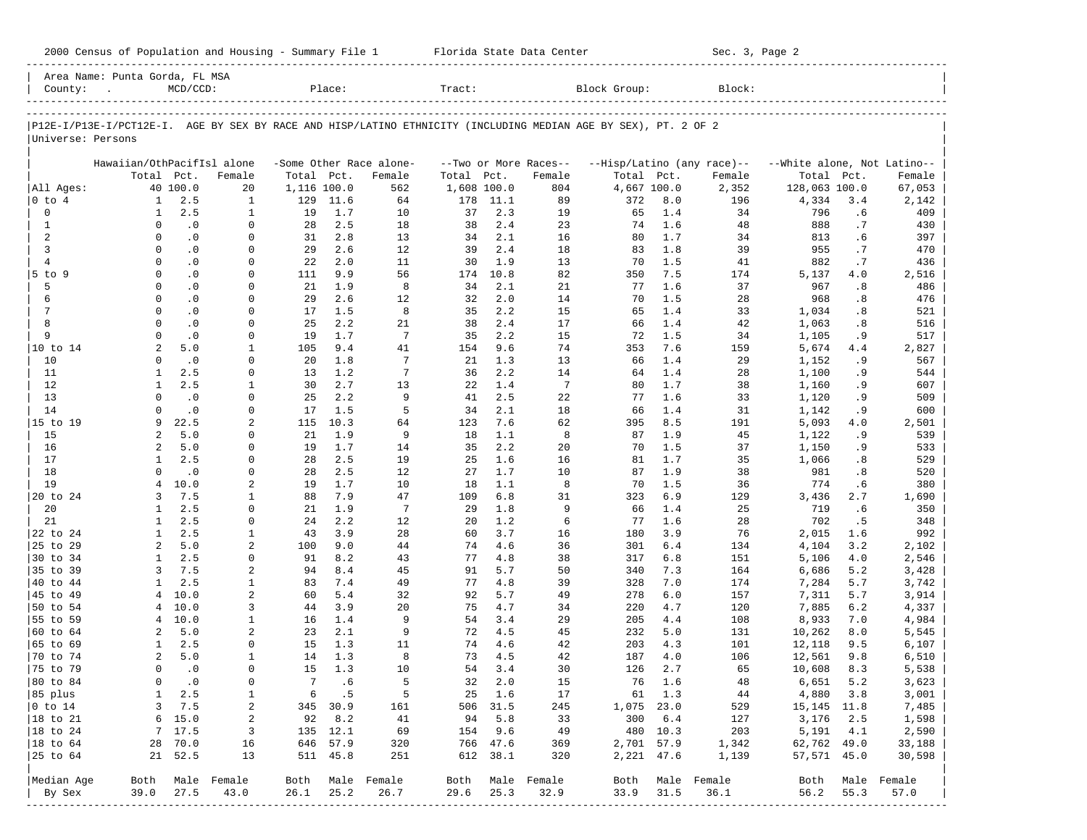| Block Group:<br>$MCD/CCD$ :<br>Place:<br>Tract:<br>Block:<br>County:<br>P12E-I/P13E-I/PCT12E-I. AGE BY SEX BY RACE AND HISP/LATINO ETHNICITY (INCLUDING MEDIAN AGE BY SEX), PT. 2 OF 2<br>Universe: Persons<br>Hawaiian/OthPacifIsl alone<br>-Some Other Race alone-<br>--Two or More Races--<br>--Hisp/Latino (any race)--<br>--White alone, Not Latino--<br>Total<br>Total<br>Total<br>Pct.<br>Female<br>Total<br>Pct.<br>Female<br>Total<br>Pct.<br>Female<br>Pct.<br>Female<br>Pct.<br>40 100.0<br>128,063 100.0<br>All Ages:<br>20<br>1,116 100.0<br>562<br>1,608 100.0<br>804<br>4,667 100.0<br>2,352<br>2.5<br>89<br>4,334<br>0 to 4<br>1<br>1<br>129<br>11.6<br>64<br>178<br>11.1<br>372<br>8.0<br>196<br>3.4<br>$\mathbf 0$<br>2.5<br>19<br>1<br>1<br>19<br>1.7<br>10<br>37<br>2.3<br>65<br>1.4<br>34<br>796<br>$\mathbf{1}$<br>$\cdot$ 0<br>2.5<br>18<br>2.4<br>23<br>1.6<br>48<br>$\mathbf 0$<br>0<br>28<br>38<br>74<br>888<br>2<br>$\cdot$ 0<br>2.8<br>13<br>2.1<br>16<br>1.7<br>$\mathbf 0$<br>0<br>31<br>34<br>80<br>34<br>813<br>$\overline{3}$<br>2.6<br>$\cdot$ 0<br>29<br>12<br>2.4<br>18<br>1.8<br>39<br>955<br>$\Omega$<br>0<br>39<br>83<br>$\overline{4}$<br>$\cdot$ 0<br>2.0<br>11<br>1.9<br>13<br>1.5<br>41<br>882<br>.7<br>$\Omega$<br>0<br>22<br>30<br>70<br>$\Omega$<br>$\cdot$ 0<br>9.9<br>56<br>10.8<br>82<br>7.5<br>4.0<br>5 to 9<br>0<br>111<br>174<br>350<br>174<br>5,137<br>5<br>$\cdot$ 0<br>21<br>1.9<br>8<br>2.1<br>21<br>1.6<br>37<br>.8<br>$\Omega$<br>0<br>34<br>77<br>967<br>6<br>$\Omega$<br>$\cdot$ 0<br>29<br>2.6<br>2.0<br>14<br>28<br>968<br>0<br>12<br>32<br>70<br>1.5<br>7<br>$\cdot$ 0<br>1.5<br>8<br>2.2<br>15<br>1.4<br>33<br>$\Omega$<br>0<br>17<br>35<br>65<br>1,034<br>8<br>$\Omega$<br>$\cdot$ 0<br>$\mathbf 0$<br>25<br>2.2<br>21<br>38<br>2.4<br>17<br>1.4<br>42<br>1,063<br>66<br>9<br>$\cdot$ 0<br>1.7<br>7<br>35<br>2.2<br>15<br>1.5<br>$\Omega$<br>0<br>19<br>72<br>34<br>1,105<br>2<br>5.0<br>$\mathbf{1}$<br>9.4<br>41<br>9.6<br>74<br>7.6<br>10 to 14<br>105<br>154<br>353<br>159<br>5,674<br>4.4<br>10<br>$\cdot$ 0<br>1.8<br>7<br>13<br>1.4<br>29<br>$\mathbf 0$<br>0<br>20<br>21<br>1.3<br>66<br>1,152<br>$7\phantom{.0}$<br>2.5<br>$\mathbf 0$<br>1.2<br>2.2<br>14<br>1.4<br>11<br>1<br>13<br>36<br>64<br>28<br>1,100<br>12<br>2.5<br>2.7<br>13<br>1.4<br>$7\phantom{.0}$<br>1.7<br>1<br>1<br>30<br>22<br>80<br>38<br>1,160 | Female<br>67,053 |
|-----------------------------------------------------------------------------------------------------------------------------------------------------------------------------------------------------------------------------------------------------------------------------------------------------------------------------------------------------------------------------------------------------------------------------------------------------------------------------------------------------------------------------------------------------------------------------------------------------------------------------------------------------------------------------------------------------------------------------------------------------------------------------------------------------------------------------------------------------------------------------------------------------------------------------------------------------------------------------------------------------------------------------------------------------------------------------------------------------------------------------------------------------------------------------------------------------------------------------------------------------------------------------------------------------------------------------------------------------------------------------------------------------------------------------------------------------------------------------------------------------------------------------------------------------------------------------------------------------------------------------------------------------------------------------------------------------------------------------------------------------------------------------------------------------------------------------------------------------------------------------------------------------------------------------------------------------------------------------------------------------------------------------------------------------------------------------------------------------------------------------------------------------------------------------------------------------------------------------------------------------------------------------------------------------------------------------------------------------------------------------------------------|------------------|
|                                                                                                                                                                                                                                                                                                                                                                                                                                                                                                                                                                                                                                                                                                                                                                                                                                                                                                                                                                                                                                                                                                                                                                                                                                                                                                                                                                                                                                                                                                                                                                                                                                                                                                                                                                                                                                                                                                                                                                                                                                                                                                                                                                                                                                                                                                                                                                                               |                  |
|                                                                                                                                                                                                                                                                                                                                                                                                                                                                                                                                                                                                                                                                                                                                                                                                                                                                                                                                                                                                                                                                                                                                                                                                                                                                                                                                                                                                                                                                                                                                                                                                                                                                                                                                                                                                                                                                                                                                                                                                                                                                                                                                                                                                                                                                                                                                                                                               |                  |
|                                                                                                                                                                                                                                                                                                                                                                                                                                                                                                                                                                                                                                                                                                                                                                                                                                                                                                                                                                                                                                                                                                                                                                                                                                                                                                                                                                                                                                                                                                                                                                                                                                                                                                                                                                                                                                                                                                                                                                                                                                                                                                                                                                                                                                                                                                                                                                                               |                  |
|                                                                                                                                                                                                                                                                                                                                                                                                                                                                                                                                                                                                                                                                                                                                                                                                                                                                                                                                                                                                                                                                                                                                                                                                                                                                                                                                                                                                                                                                                                                                                                                                                                                                                                                                                                                                                                                                                                                                                                                                                                                                                                                                                                                                                                                                                                                                                                                               |                  |
|                                                                                                                                                                                                                                                                                                                                                                                                                                                                                                                                                                                                                                                                                                                                                                                                                                                                                                                                                                                                                                                                                                                                                                                                                                                                                                                                                                                                                                                                                                                                                                                                                                                                                                                                                                                                                                                                                                                                                                                                                                                                                                                                                                                                                                                                                                                                                                                               |                  |
|                                                                                                                                                                                                                                                                                                                                                                                                                                                                                                                                                                                                                                                                                                                                                                                                                                                                                                                                                                                                                                                                                                                                                                                                                                                                                                                                                                                                                                                                                                                                                                                                                                                                                                                                                                                                                                                                                                                                                                                                                                                                                                                                                                                                                                                                                                                                                                                               |                  |
|                                                                                                                                                                                                                                                                                                                                                                                                                                                                                                                                                                                                                                                                                                                                                                                                                                                                                                                                                                                                                                                                                                                                                                                                                                                                                                                                                                                                                                                                                                                                                                                                                                                                                                                                                                                                                                                                                                                                                                                                                                                                                                                                                                                                                                                                                                                                                                                               |                  |
|                                                                                                                                                                                                                                                                                                                                                                                                                                                                                                                                                                                                                                                                                                                                                                                                                                                                                                                                                                                                                                                                                                                                                                                                                                                                                                                                                                                                                                                                                                                                                                                                                                                                                                                                                                                                                                                                                                                                                                                                                                                                                                                                                                                                                                                                                                                                                                                               |                  |
|                                                                                                                                                                                                                                                                                                                                                                                                                                                                                                                                                                                                                                                                                                                                                                                                                                                                                                                                                                                                                                                                                                                                                                                                                                                                                                                                                                                                                                                                                                                                                                                                                                                                                                                                                                                                                                                                                                                                                                                                                                                                                                                                                                                                                                                                                                                                                                                               |                  |
|                                                                                                                                                                                                                                                                                                                                                                                                                                                                                                                                                                                                                                                                                                                                                                                                                                                                                                                                                                                                                                                                                                                                                                                                                                                                                                                                                                                                                                                                                                                                                                                                                                                                                                                                                                                                                                                                                                                                                                                                                                                                                                                                                                                                                                                                                                                                                                                               | 2,142            |
|                                                                                                                                                                                                                                                                                                                                                                                                                                                                                                                                                                                                                                                                                                                                                                                                                                                                                                                                                                                                                                                                                                                                                                                                                                                                                                                                                                                                                                                                                                                                                                                                                                                                                                                                                                                                                                                                                                                                                                                                                                                                                                                                                                                                                                                                                                                                                                                               | . 6<br>409       |
|                                                                                                                                                                                                                                                                                                                                                                                                                                                                                                                                                                                                                                                                                                                                                                                                                                                                                                                                                                                                                                                                                                                                                                                                                                                                                                                                                                                                                                                                                                                                                                                                                                                                                                                                                                                                                                                                                                                                                                                                                                                                                                                                                                                                                                                                                                                                                                                               | .7<br>430        |
|                                                                                                                                                                                                                                                                                                                                                                                                                                                                                                                                                                                                                                                                                                                                                                                                                                                                                                                                                                                                                                                                                                                                                                                                                                                                                                                                                                                                                                                                                                                                                                                                                                                                                                                                                                                                                                                                                                                                                                                                                                                                                                                                                                                                                                                                                                                                                                                               | 397<br>. 6       |
|                                                                                                                                                                                                                                                                                                                                                                                                                                                                                                                                                                                                                                                                                                                                                                                                                                                                                                                                                                                                                                                                                                                                                                                                                                                                                                                                                                                                                                                                                                                                                                                                                                                                                                                                                                                                                                                                                                                                                                                                                                                                                                                                                                                                                                                                                                                                                                                               | .7<br>470        |
|                                                                                                                                                                                                                                                                                                                                                                                                                                                                                                                                                                                                                                                                                                                                                                                                                                                                                                                                                                                                                                                                                                                                                                                                                                                                                                                                                                                                                                                                                                                                                                                                                                                                                                                                                                                                                                                                                                                                                                                                                                                                                                                                                                                                                                                                                                                                                                                               | 436              |
|                                                                                                                                                                                                                                                                                                                                                                                                                                                                                                                                                                                                                                                                                                                                                                                                                                                                                                                                                                                                                                                                                                                                                                                                                                                                                                                                                                                                                                                                                                                                                                                                                                                                                                                                                                                                                                                                                                                                                                                                                                                                                                                                                                                                                                                                                                                                                                                               | 2,516<br>486     |
|                                                                                                                                                                                                                                                                                                                                                                                                                                                                                                                                                                                                                                                                                                                                                                                                                                                                                                                                                                                                                                                                                                                                                                                                                                                                                                                                                                                                                                                                                                                                                                                                                                                                                                                                                                                                                                                                                                                                                                                                                                                                                                                                                                                                                                                                                                                                                                                               | .8<br>476        |
|                                                                                                                                                                                                                                                                                                                                                                                                                                                                                                                                                                                                                                                                                                                                                                                                                                                                                                                                                                                                                                                                                                                                                                                                                                                                                                                                                                                                                                                                                                                                                                                                                                                                                                                                                                                                                                                                                                                                                                                                                                                                                                                                                                                                                                                                                                                                                                                               | .8<br>521        |
|                                                                                                                                                                                                                                                                                                                                                                                                                                                                                                                                                                                                                                                                                                                                                                                                                                                                                                                                                                                                                                                                                                                                                                                                                                                                                                                                                                                                                                                                                                                                                                                                                                                                                                                                                                                                                                                                                                                                                                                                                                                                                                                                                                                                                                                                                                                                                                                               | .8<br>516        |
|                                                                                                                                                                                                                                                                                                                                                                                                                                                                                                                                                                                                                                                                                                                                                                                                                                                                                                                                                                                                                                                                                                                                                                                                                                                                                                                                                                                                                                                                                                                                                                                                                                                                                                                                                                                                                                                                                                                                                                                                                                                                                                                                                                                                                                                                                                                                                                                               | .9<br>517        |
|                                                                                                                                                                                                                                                                                                                                                                                                                                                                                                                                                                                                                                                                                                                                                                                                                                                                                                                                                                                                                                                                                                                                                                                                                                                                                                                                                                                                                                                                                                                                                                                                                                                                                                                                                                                                                                                                                                                                                                                                                                                                                                                                                                                                                                                                                                                                                                                               | 2,827            |
|                                                                                                                                                                                                                                                                                                                                                                                                                                                                                                                                                                                                                                                                                                                                                                                                                                                                                                                                                                                                                                                                                                                                                                                                                                                                                                                                                                                                                                                                                                                                                                                                                                                                                                                                                                                                                                                                                                                                                                                                                                                                                                                                                                                                                                                                                                                                                                                               | . 9<br>567       |
|                                                                                                                                                                                                                                                                                                                                                                                                                                                                                                                                                                                                                                                                                                                                                                                                                                                                                                                                                                                                                                                                                                                                                                                                                                                                                                                                                                                                                                                                                                                                                                                                                                                                                                                                                                                                                                                                                                                                                                                                                                                                                                                                                                                                                                                                                                                                                                                               | . 9<br>544       |
|                                                                                                                                                                                                                                                                                                                                                                                                                                                                                                                                                                                                                                                                                                                                                                                                                                                                                                                                                                                                                                                                                                                                                                                                                                                                                                                                                                                                                                                                                                                                                                                                                                                                                                                                                                                                                                                                                                                                                                                                                                                                                                                                                                                                                                                                                                                                                                                               | . 9<br>607       |
| 13<br>$\mathbf 0$<br>$\cdot$ 0<br>$\Omega$<br>25<br>2.2<br>9<br>41<br>2.5<br>22<br>1.6<br>33<br>77<br>1,120                                                                                                                                                                                                                                                                                                                                                                                                                                                                                                                                                                                                                                                                                                                                                                                                                                                                                                                                                                                                                                                                                                                                                                                                                                                                                                                                                                                                                                                                                                                                                                                                                                                                                                                                                                                                                                                                                                                                                                                                                                                                                                                                                                                                                                                                                   | . 9<br>509       |
| 14<br>$\cdot$ 0<br>1.5<br>5<br>18<br>1.4<br>31<br>$\Omega$<br>0<br>17<br>34<br>2.1<br>66<br>1,142                                                                                                                                                                                                                                                                                                                                                                                                                                                                                                                                                                                                                                                                                                                                                                                                                                                                                                                                                                                                                                                                                                                                                                                                                                                                                                                                                                                                                                                                                                                                                                                                                                                                                                                                                                                                                                                                                                                                                                                                                                                                                                                                                                                                                                                                                             | . 9<br>600       |
| 22.5<br>2<br>10.3<br>7.6<br>62<br>8.5<br>15 to 19<br>9<br>115<br>64<br>123<br>395<br>191<br>5,093<br>4.0                                                                                                                                                                                                                                                                                                                                                                                                                                                                                                                                                                                                                                                                                                                                                                                                                                                                                                                                                                                                                                                                                                                                                                                                                                                                                                                                                                                                                                                                                                                                                                                                                                                                                                                                                                                                                                                                                                                                                                                                                                                                                                                                                                                                                                                                                      | 2,501            |
| 15<br>5.0<br>9<br>8<br>1.9<br>2<br>0<br>21<br>1.9<br>18<br>1.1<br>87<br>45<br>1,122                                                                                                                                                                                                                                                                                                                                                                                                                                                                                                                                                                                                                                                                                                                                                                                                                                                                                                                                                                                                                                                                                                                                                                                                                                                                                                                                                                                                                                                                                                                                                                                                                                                                                                                                                                                                                                                                                                                                                                                                                                                                                                                                                                                                                                                                                                           | . 9<br>539       |
| 2<br>5.0<br>1.7<br>2.2<br>16<br>0<br>19<br>14<br>35<br>20<br>70<br>1.5<br>37<br>1,150                                                                                                                                                                                                                                                                                                                                                                                                                                                                                                                                                                                                                                                                                                                                                                                                                                                                                                                                                                                                                                                                                                                                                                                                                                                                                                                                                                                                                                                                                                                                                                                                                                                                                                                                                                                                                                                                                                                                                                                                                                                                                                                                                                                                                                                                                                         | . 9<br>533       |
| 17<br>2.5<br>2.5<br>19<br>1.7<br>35<br>1<br>0<br>28<br>25<br>1.6<br>16<br>81<br>1,066                                                                                                                                                                                                                                                                                                                                                                                                                                                                                                                                                                                                                                                                                                                                                                                                                                                                                                                                                                                                                                                                                                                                                                                                                                                                                                                                                                                                                                                                                                                                                                                                                                                                                                                                                                                                                                                                                                                                                                                                                                                                                                                                                                                                                                                                                                         | .8<br>529        |
| 18<br>$\mathbf 0$<br>$\cdot$ 0<br>2.5<br>12<br>1.7<br>1.9<br>38<br>981<br>$\Omega$<br>28<br>27<br>10<br>87                                                                                                                                                                                                                                                                                                                                                                                                                                                                                                                                                                                                                                                                                                                                                                                                                                                                                                                                                                                                                                                                                                                                                                                                                                                                                                                                                                                                                                                                                                                                                                                                                                                                                                                                                                                                                                                                                                                                                                                                                                                                                                                                                                                                                                                                                    | .8<br>520        |
| 19<br>10.0<br>$\overline{c}$<br>10<br>1.1<br>8<br>774<br>4<br>19<br>1.7<br>18<br>70<br>1.5<br>36                                                                                                                                                                                                                                                                                                                                                                                                                                                                                                                                                                                                                                                                                                                                                                                                                                                                                                                                                                                                                                                                                                                                                                                                                                                                                                                                                                                                                                                                                                                                                                                                                                                                                                                                                                                                                                                                                                                                                                                                                                                                                                                                                                                                                                                                                              | . 6<br>380       |
| 7.5<br>7.9<br>47<br>6.8<br>2.7<br>20 to 24<br>3<br>1<br>88<br>109<br>31<br>323<br>6.9<br>129<br>3,436                                                                                                                                                                                                                                                                                                                                                                                                                                                                                                                                                                                                                                                                                                                                                                                                                                                                                                                                                                                                                                                                                                                                                                                                                                                                                                                                                                                                                                                                                                                                                                                                                                                                                                                                                                                                                                                                                                                                                                                                                                                                                                                                                                                                                                                                                         | 1,690            |
| 20<br>2.5<br>1.9<br>$7\phantom{.0}$<br>9<br>25<br>1<br>0<br>21<br>29<br>1.8<br>66<br>1.4<br>719                                                                                                                                                                                                                                                                                                                                                                                                                                                                                                                                                                                                                                                                                                                                                                                                                                                                                                                                                                                                                                                                                                                                                                                                                                                                                                                                                                                                                                                                                                                                                                                                                                                                                                                                                                                                                                                                                                                                                                                                                                                                                                                                                                                                                                                                                               | . 6<br>350       |
| 21<br>2.5<br>2.2<br>1.2<br>6<br>1.6<br>28<br>702<br>1<br>0<br>24<br>12<br>20<br>77                                                                                                                                                                                                                                                                                                                                                                                                                                                                                                                                                                                                                                                                                                                                                                                                                                                                                                                                                                                                                                                                                                                                                                                                                                                                                                                                                                                                                                                                                                                                                                                                                                                                                                                                                                                                                                                                                                                                                                                                                                                                                                                                                                                                                                                                                                            | .5<br>348        |
| 2.5<br>3.9<br>28<br>3.7<br>16<br>3.9<br>76<br>22 to 24<br>1<br>1<br>43<br>60<br>180<br>2,015<br>1.6                                                                                                                                                                                                                                                                                                                                                                                                                                                                                                                                                                                                                                                                                                                                                                                                                                                                                                                                                                                                                                                                                                                                                                                                                                                                                                                                                                                                                                                                                                                                                                                                                                                                                                                                                                                                                                                                                                                                                                                                                                                                                                                                                                                                                                                                                           | 992              |
| 25 to 29<br>2<br>5.0<br>2<br>9.0<br>44<br>4.6<br>36<br>3.2<br>100<br>74<br>301<br>6.4<br>134<br>4,104                                                                                                                                                                                                                                                                                                                                                                                                                                                                                                                                                                                                                                                                                                                                                                                                                                                                                                                                                                                                                                                                                                                                                                                                                                                                                                                                                                                                                                                                                                                                                                                                                                                                                                                                                                                                                                                                                                                                                                                                                                                                                                                                                                                                                                                                                         | 2,102            |
| 30 to 34<br>2.5<br>8.2<br>38<br>151<br>4.0<br>1<br>0<br>91<br>43<br>77<br>4.8<br>317<br>6.8<br>5,106                                                                                                                                                                                                                                                                                                                                                                                                                                                                                                                                                                                                                                                                                                                                                                                                                                                                                                                                                                                                                                                                                                                                                                                                                                                                                                                                                                                                                                                                                                                                                                                                                                                                                                                                                                                                                                                                                                                                                                                                                                                                                                                                                                                                                                                                                          | 2,546            |
| 35 to 39<br>3<br>7.5<br>2<br>8.4<br>45<br>5.7<br>50<br>7.3<br>5.2<br>94<br>91<br>340<br>164<br>6,686                                                                                                                                                                                                                                                                                                                                                                                                                                                                                                                                                                                                                                                                                                                                                                                                                                                                                                                                                                                                                                                                                                                                                                                                                                                                                                                                                                                                                                                                                                                                                                                                                                                                                                                                                                                                                                                                                                                                                                                                                                                                                                                                                                                                                                                                                          | 3,428            |
| 40 to 44<br>2.5<br>7.4<br>49<br>77<br>39<br>7.0<br>1<br>1<br>83<br>4.8<br>328<br>174<br>7,284<br>5.7                                                                                                                                                                                                                                                                                                                                                                                                                                                                                                                                                                                                                                                                                                                                                                                                                                                                                                                                                                                                                                                                                                                                                                                                                                                                                                                                                                                                                                                                                                                                                                                                                                                                                                                                                                                                                                                                                                                                                                                                                                                                                                                                                                                                                                                                                          | 3,742            |
| $\mathbf{2}$<br>10.0<br>5.4<br>32<br>5.7<br>49<br>6.0<br>45 to 49<br>$4\overline{ }$<br>60<br>92<br>278<br>157<br>7,311<br>5.7                                                                                                                                                                                                                                                                                                                                                                                                                                                                                                                                                                                                                                                                                                                                                                                                                                                                                                                                                                                                                                                                                                                                                                                                                                                                                                                                                                                                                                                                                                                                                                                                                                                                                                                                                                                                                                                                                                                                                                                                                                                                                                                                                                                                                                                                | 3,914            |
| 50 to 54<br>10.0<br>3.9<br>20<br>4.7<br>34<br>4.7<br>$4\overline{ }$<br>3<br>44<br>75<br>220<br>120<br>7,885<br>6.2                                                                                                                                                                                                                                                                                                                                                                                                                                                                                                                                                                                                                                                                                                                                                                                                                                                                                                                                                                                                                                                                                                                                                                                                                                                                                                                                                                                                                                                                                                                                                                                                                                                                                                                                                                                                                                                                                                                                                                                                                                                                                                                                                                                                                                                                           | 4,337            |
| 9<br>55 to 59<br>10.0<br>$\mathbf{1}$<br>1.4<br>3.4<br>29<br>7.0<br>$4\overline{ }$<br>16<br>54<br>205<br>4.4<br>108<br>8,933                                                                                                                                                                                                                                                                                                                                                                                                                                                                                                                                                                                                                                                                                                                                                                                                                                                                                                                                                                                                                                                                                                                                                                                                                                                                                                                                                                                                                                                                                                                                                                                                                                                                                                                                                                                                                                                                                                                                                                                                                                                                                                                                                                                                                                                                 | 4,984            |
| 60 to 64<br>5.0<br>2<br>2.1<br>9<br>72<br>45<br>2<br>23<br>4.5<br>232<br>5.0<br>131<br>10,262<br>8.0                                                                                                                                                                                                                                                                                                                                                                                                                                                                                                                                                                                                                                                                                                                                                                                                                                                                                                                                                                                                                                                                                                                                                                                                                                                                                                                                                                                                                                                                                                                                                                                                                                                                                                                                                                                                                                                                                                                                                                                                                                                                                                                                                                                                                                                                                          | 5,545            |
| 2.5<br>1.3<br>4.6<br>42<br>65 to 69<br>1<br>$\mathbf 0$<br>15<br>11<br>74<br>203<br>4.3<br>101<br>12,118<br>9.5                                                                                                                                                                                                                                                                                                                                                                                                                                                                                                                                                                                                                                                                                                                                                                                                                                                                                                                                                                                                                                                                                                                                                                                                                                                                                                                                                                                                                                                                                                                                                                                                                                                                                                                                                                                                                                                                                                                                                                                                                                                                                                                                                                                                                                                                               | 6,107            |
| 2<br>5.0<br>1.3<br>8<br>42<br>70 to 74<br>1<br>14<br>73<br>4.5<br>187<br>4.0<br>106<br>12,561<br>9.8                                                                                                                                                                                                                                                                                                                                                                                                                                                                                                                                                                                                                                                                                                                                                                                                                                                                                                                                                                                                                                                                                                                                                                                                                                                                                                                                                                                                                                                                                                                                                                                                                                                                                                                                                                                                                                                                                                                                                                                                                                                                                                                                                                                                                                                                                          | 6,510            |
| 75 to 79<br>$\mathbf 0$<br>$\cdot$ 0<br>$\Omega$<br>15<br>1.3<br>3.4<br>30<br>2.7<br>10<br>54<br>126<br>65<br>10,608<br>8.3                                                                                                                                                                                                                                                                                                                                                                                                                                                                                                                                                                                                                                                                                                                                                                                                                                                                                                                                                                                                                                                                                                                                                                                                                                                                                                                                                                                                                                                                                                                                                                                                                                                                                                                                                                                                                                                                                                                                                                                                                                                                                                                                                                                                                                                                   | 5,538            |
| 5<br>80 to 84<br>$\Omega$<br>$\cdot$ 0<br>$\Omega$<br>7<br>.6<br>32<br>2.0<br>15<br>76<br>1.6<br>5.2<br>48<br>6,651                                                                                                                                                                                                                                                                                                                                                                                                                                                                                                                                                                                                                                                                                                                                                                                                                                                                                                                                                                                                                                                                                                                                                                                                                                                                                                                                                                                                                                                                                                                                                                                                                                                                                                                                                                                                                                                                                                                                                                                                                                                                                                                                                                                                                                                                           | 3,623            |
| .5<br>5<br>61 1.3<br>85 plus<br>2.5<br>1<br>1.6<br>17<br>4,880<br>3.8<br>1<br>6<br>25<br>44                                                                                                                                                                                                                                                                                                                                                                                                                                                                                                                                                                                                                                                                                                                                                                                                                                                                                                                                                                                                                                                                                                                                                                                                                                                                                                                                                                                                                                                                                                                                                                                                                                                                                                                                                                                                                                                                                                                                                                                                                                                                                                                                                                                                                                                                                                   | 3,001            |
| 7.5<br>$\boldsymbol{2}$<br>$0$ to $14$<br>3<br>345<br>30.9<br>161<br>506<br>31.5<br>245<br>1,075 23.0<br>529<br>15, 145 11.8                                                                                                                                                                                                                                                                                                                                                                                                                                                                                                                                                                                                                                                                                                                                                                                                                                                                                                                                                                                                                                                                                                                                                                                                                                                                                                                                                                                                                                                                                                                                                                                                                                                                                                                                                                                                                                                                                                                                                                                                                                                                                                                                                                                                                                                                  | 7,485            |
| $\overline{\mathbf{c}}$<br>8.2<br>3,176<br>18 to 21<br>6<br>15.0<br>92<br>41<br>94<br>5.8<br>33<br>300<br>6.4<br>127<br>2.5                                                                                                                                                                                                                                                                                                                                                                                                                                                                                                                                                                                                                                                                                                                                                                                                                                                                                                                                                                                                                                                                                                                                                                                                                                                                                                                                                                                                                                                                                                                                                                                                                                                                                                                                                                                                                                                                                                                                                                                                                                                                                                                                                                                                                                                                   | 1,598            |
| 5,191<br>18 to 24<br>7 17.5<br>3<br>135 12.1<br>69<br>154<br>9.6<br>49<br>480 10.3<br>203<br>4.1                                                                                                                                                                                                                                                                                                                                                                                                                                                                                                                                                                                                                                                                                                                                                                                                                                                                                                                                                                                                                                                                                                                                                                                                                                                                                                                                                                                                                                                                                                                                                                                                                                                                                                                                                                                                                                                                                                                                                                                                                                                                                                                                                                                                                                                                                              | 2,590            |
| 646 57.9<br>18 to 64<br>28<br>70.0<br>16<br>320<br>766 47.6<br>369<br>2,701 57.9<br>1,342<br>62,762 49.0                                                                                                                                                                                                                                                                                                                                                                                                                                                                                                                                                                                                                                                                                                                                                                                                                                                                                                                                                                                                                                                                                                                                                                                                                                                                                                                                                                                                                                                                                                                                                                                                                                                                                                                                                                                                                                                                                                                                                                                                                                                                                                                                                                                                                                                                                      | 33,188           |
| 511 45.8<br>25 to 64<br>21 52.5<br>13<br>251<br>612 38.1<br>320<br>2,221 47.6<br>1,139<br>57,571 45.0                                                                                                                                                                                                                                                                                                                                                                                                                                                                                                                                                                                                                                                                                                                                                                                                                                                                                                                                                                                                                                                                                                                                                                                                                                                                                                                                                                                                                                                                                                                                                                                                                                                                                                                                                                                                                                                                                                                                                                                                                                                                                                                                                                                                                                                                                         |                  |
|                                                                                                                                                                                                                                                                                                                                                                                                                                                                                                                                                                                                                                                                                                                                                                                                                                                                                                                                                                                                                                                                                                                                                                                                                                                                                                                                                                                                                                                                                                                                                                                                                                                                                                                                                                                                                                                                                                                                                                                                                                                                                                                                                                                                                                                                                                                                                                                               | 30,598           |
| Male Female<br>Male Female<br>Median Age<br>Both<br>Both<br>Male Female<br>Both<br>Male Female<br>Both<br>Both<br>Male                                                                                                                                                                                                                                                                                                                                                                                                                                                                                                                                                                                                                                                                                                                                                                                                                                                                                                                                                                                                                                                                                                                                                                                                                                                                                                                                                                                                                                                                                                                                                                                                                                                                                                                                                                                                                                                                                                                                                                                                                                                                                                                                                                                                                                                                        |                  |
| 25.3<br>By Sex<br>39.0<br>27.5<br>43.0<br>26.1<br>25.2<br>26.7<br>29.6<br>32.9<br>33.9<br>31.5<br>36.1<br>56.2<br>55.3                                                                                                                                                                                                                                                                                                                                                                                                                                                                                                                                                                                                                                                                                                                                                                                                                                                                                                                                                                                                                                                                                                                                                                                                                                                                                                                                                                                                                                                                                                                                                                                                                                                                                                                                                                                                                                                                                                                                                                                                                                                                                                                                                                                                                                                                        | Female<br>57.0   |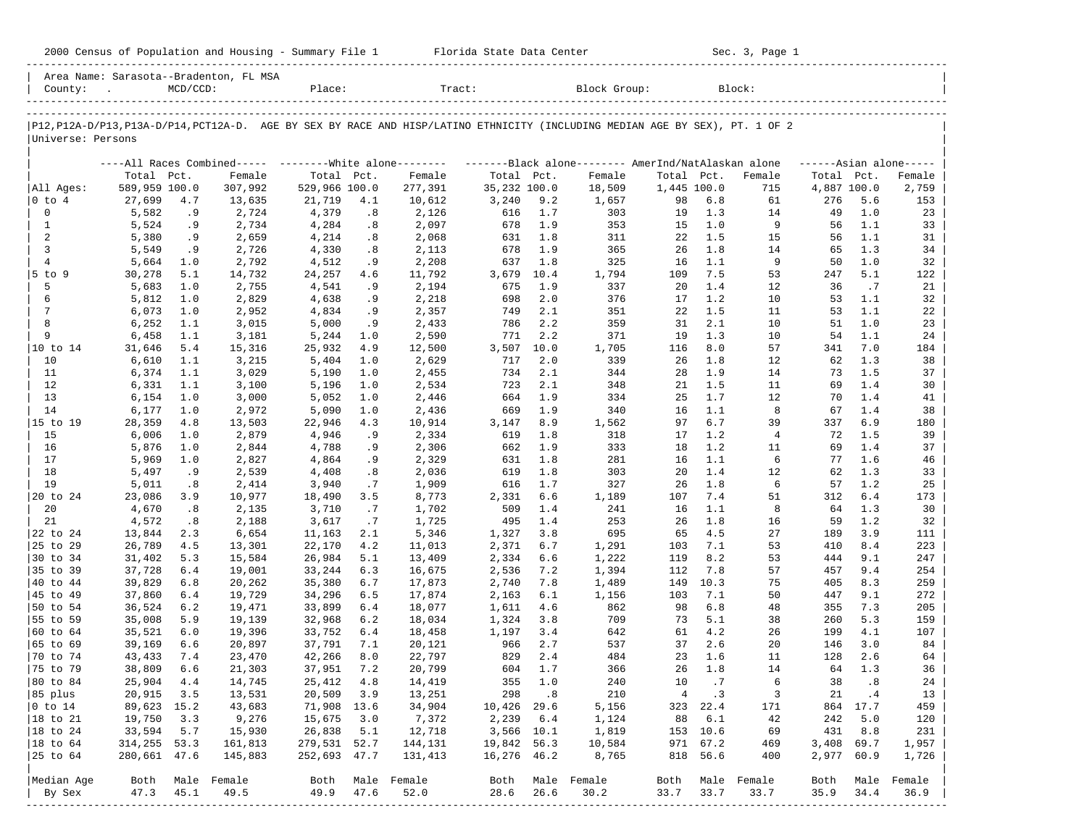| County:                                                                                                                       |                  | $MCD/CCD$ : | Area Name: Sarasota--Bradenton, FL MSA | Place:           |           | Tract:                                                                                                        |                |            | Block Group: |                |            | Block:      |             |            |                      |
|-------------------------------------------------------------------------------------------------------------------------------|------------------|-------------|----------------------------------------|------------------|-----------|---------------------------------------------------------------------------------------------------------------|----------------|------------|--------------|----------------|------------|-------------|-------------|------------|----------------------|
| P12, P12A-D/P13, P13A-D/P14, PCT12A-D. AGE BY SEX BY RACE AND HISP/LATINO ETHNICITY (INCLUDING MEDIAN AGE BY SEX), PT. 1 OF 2 |                  |             |                                        |                  |           |                                                                                                               |                |            |              |                |            |             |             |            |                      |
| Universe: Persons                                                                                                             |                  |             |                                        |                  |           |                                                                                                               |                |            |              |                |            |             |             |            |                      |
|                                                                                                                               |                  |             |                                        |                  |           | ----All Races Combined----- --------White alone-------- ---------Black alone-------- AmerInd/NatAlaskan alone |                |            |              |                |            |             |             |            | $---Asim$ alone----- |
|                                                                                                                               | Total Pct.       |             | Female                                 | Total Pct.       |           | Female                                                                                                        | Total Pct.     |            | Female       | Total          | Pct.       | Female      | Total Pct.  |            | Female               |
| All Ages:                                                                                                                     | 589,959 100.0    |             | 307,992                                | 529,966 100.0    |           | 277,391                                                                                                       | 35,232 100.0   |            | 18,509       | 1,445 100.0    |            | 715         | 4,887 100.0 |            | 2,759                |
| $ 0 \t{to} 4$                                                                                                                 | 27,699           | 4.7         | 13,635                                 | 21,719           | 4.1       | 10,612                                                                                                        | 3,240          | 9.2        | 1,657        | 98             | 6.8        | 61          | 276         | 5.6        | 153                  |
| 0                                                                                                                             | 5,582            | . 9         | 2,724                                  | 4,379            | .8        | 2,126                                                                                                         | 616            | 1.7        | 303          | 19             | 1.3        | 14          | 49          | 1.0        | 23                   |
| 1<br>2                                                                                                                        | 5,524<br>5,380   | .9<br>.9    | 2,734<br>2,659                         | 4,284<br>4,214   | .8<br>.8  | 2,097<br>2,068                                                                                                | 678<br>631     | 1.9<br>1.8 | 353<br>311   | 15<br>22       | 1.0<br>1.5 | 9<br>15     | 56<br>56    | 1.1<br>1.1 | 33<br>31             |
| 3                                                                                                                             | 5,549            | .9          | 2,726                                  | 4,330            | .8        | 2,113                                                                                                         | 678            | 1.9        | 365          | 26             | 1.8        | 14          | 65          | 1.3        | 34                   |
| 4                                                                                                                             | 5,664            | 1.0         | 2,792                                  | 4,512            | . 9       | 2,208                                                                                                         | 637            | 1.8        | 325          | 16             | 1.1        | 9           | 50          | 1.0        | 32                   |
| $5$ to $9$                                                                                                                    | 30,278           | 5.1         | 14,732                                 | 24,257           | 4.6       | 11,792                                                                                                        | 3,679          | 10.4       | 1,794        | 109            | 7.5        | 53          | 247         | 5.1        | 122                  |
| 5                                                                                                                             | 5,683            | 1.0         | 2,755                                  | 4,541            | .9        | 2,194                                                                                                         | 675            | 1.9        | 337          | 20             | 1.4        | 12          | 36          | .7         | 21                   |
| 6                                                                                                                             | 5,812            | 1.0         | 2,829                                  | 4,638            | . 9       | 2,218                                                                                                         | 698            | 2.0        | 376          | 17             | 1.2        | 10          | 53          | 1.1        | 32                   |
| 7                                                                                                                             | 6,073            | 1.0         | 2,952                                  | 4,834            | . 9       | 2,357                                                                                                         | 749            | 2.1        | 351          | 22             | 1.5        | 11          | 53          | 1.1        | 22                   |
| 8                                                                                                                             | 6,252            | 1.1         | 3,015                                  | 5,000            | .9        | 2,433                                                                                                         | 786            | 2.2        | 359          | 31             | 2.1        | 10          | 51          | 1.0        | 23                   |
| 9                                                                                                                             | 6,458            | 1.1         | 3,181                                  | 5,244            | 1.0       | 2,590                                                                                                         | 771            | 2.2        | 371          | 19             | 1.3        | 10          | 54          | 1.1        | 24                   |
| 10 to 14                                                                                                                      | 31,646           | 5.4         | 15,316                                 | 25,932           | 4.9       | 12,500                                                                                                        | 3,507          | 10.0       | 1,705        | 116            | 8.0        | 57          | 341         | 7.0        | 184                  |
| 10                                                                                                                            | 6,610            | 1.1         | 3,215                                  | 5,404            | 1.0       | 2,629                                                                                                         | 717            | 2.0        | 339          | 26             | 1.8        | 12          | 62          | 1.3        | 38                   |
| 11                                                                                                                            | 6,374            | 1.1         | 3,029                                  | 5,190            | 1.0       | 2,455                                                                                                         | 734            | 2.1        | 344          | 28             | 1.9        | 14          | 73          | 1.5        | 37                   |
| 12                                                                                                                            | 6,331            | 1.1         | 3,100                                  | 5,196            | 1.0       | 2,534                                                                                                         | 723            | 2.1        | 348          | 21             | 1.5        | 11          | 69          | 1.4        | 30                   |
| 13                                                                                                                            | 6,154            | 1.0         | 3,000                                  | 5,052            | 1.0       | 2,446                                                                                                         | 664            | 1.9        | 334          | 25             | 1.7        | 12          | 70          | 1.4        | 41                   |
| 14                                                                                                                            | 6,177            | 1.0         | 2,972                                  | 5,090            | 1.0       | 2,436                                                                                                         | 669            | 1.9        | 340          | 16             | 1.1        | 8           | 67          | 1.4        | 38                   |
| 15 to 19                                                                                                                      | 28,359           | 4.8         | 13,503                                 | 22,946           | 4.3       | 10,914                                                                                                        | 3,147          | 8.9        | 1,562        | 97             | 6.7        | 39          | 337         | 6.9        | 180                  |
| 15                                                                                                                            | 6,006            | 1.0         | 2,879                                  | 4,946            | . 9       | 2,334                                                                                                         | 619            | 1.8        | 318          | 17             | 1.2        | 4           | 72          | 1.5        | 39                   |
| 16                                                                                                                            | 5,876            | 1.0         | 2,844                                  | 4,788            | .9        | 2,306                                                                                                         | 662            | 1.9        | 333          | 18             | 1.2        | 11          | 69          | 1.4        | 37                   |
| 17                                                                                                                            | 5,969            | 1.0         | 2,827                                  | 4,864            | .9        | 2,329                                                                                                         | 631            | 1.8        | 281          | 16             | 1.1        | 6           | 77          | 1.6        | 46                   |
| 18                                                                                                                            | 5,497            | .9          | 2,539                                  | 4,408            | .8        | 2,036                                                                                                         | 619            | 1.8        | 303          | 20             | 1.4        | 12          | 62          | 1.3        | 33                   |
| 19                                                                                                                            | 5,011            | .8          | 2,414                                  | 3,940            | .7        | 1,909                                                                                                         | 616            | 1.7        | 327          | 26             | 1.8        | 6           | 57          | 1.2        | 25                   |
| 20 to 24                                                                                                                      | 23,086           | 3.9         | 10,977                                 | 18,490           | 3.5       | 8,773                                                                                                         | 2,331          | 6.6        | 1,189        | 107            | 7.4        | 51          | 312         | 6.4        | 173                  |
| 20                                                                                                                            | 4,670            | .8          | 2,135                                  | 3,710            | .7        | 1,702                                                                                                         | 509            | 1.4        | 241          | 16             | 1.1        | 8           | 64          | 1.3        | 30                   |
| 21<br>22 to 24                                                                                                                | 4,572            | .8<br>2.3   | 2,188                                  | 3,617            | .7<br>2.1 | 1,725                                                                                                         | 495            | 1.4<br>3.8 | 253<br>695   | 26<br>65       | 1.8<br>4.5 | 16<br>27    | 59<br>189   | 1.2<br>3.9 | 32<br>111            |
| 25 to 29                                                                                                                      | 13,844<br>26,789 | 4.5         | 6,654<br>13,301                        | 11,163<br>22,170 | 4.2       | 5,346<br>11,013                                                                                               | 1,327<br>2,371 | 6.7        | 1,291        | 103            | 7.1        | 53          | 410         | 8.4        | 223                  |
| 30 to 34                                                                                                                      | 31,402           | 5.3         | 15,584                                 | 26,984           | 5.1       | 13,409                                                                                                        | 2,334          | 6.6        | 1,222        | 119            | 8.2        | 53          | 444         | 9.1        | 247                  |
| 35 to 39                                                                                                                      | 37,728           | 6.4         | 19,001                                 | 33,244           | 6.3       | 16,675                                                                                                        | 2,536          | 7.2        | 1,394        | 112            | 7.8        | 57          | 457         | 9.4        | 254                  |
| 40 to 44                                                                                                                      | 39,829           | 6.8         | 20,262                                 | 35,380           | 6.7       | 17,873                                                                                                        | 2,740          | 7.8        | 1,489        | 149            | 10.3       | 75          | 405         | 8.3        | 259                  |
| 45 to 49                                                                                                                      | 37,860           | 6.4         | 19,729                                 | 34,296           | 6.5       | 17,874                                                                                                        | 2,163          | 6.1        | 1,156        | 103            | 7.1        | 50          | 447         | 9.1        | 272                  |
| 50 to 54                                                                                                                      | 36,524           | 6.2         | 19,471                                 | 33,899           | 6.4       | 18,077                                                                                                        | 1,611          | 4.6        | 862          | 98             | 6.8        | 48          | 355         | 7.3        | 205                  |
| 55 to 59                                                                                                                      | 35,008           | 5.9         | 19,139                                 | 32,968           | 6.2       | 18,034                                                                                                        | 1,324          | 3.8        | 709          | 73             | 5.1        | 38          | 260         | 5.3        | 159                  |
| 60 to 64                                                                                                                      | 35,521           | 6.0         | 19,396                                 | 33,752           | 6.4       | 18,458                                                                                                        | 1,197          | 3.4        | 642          | 61             | 4.2        | 26          | 199         | 4.1        | 107                  |
| 65 to 69                                                                                                                      | 39,169           | 6.6         | 20,897                                 | 37,791           | 7.1       | 20,121                                                                                                        | 966            | 2.7        | 537          | 37             | 2.6        | 20          | 146         | 3.0        | 84                   |
| 70 to 74                                                                                                                      | 43,433           | 7.4         | 23,470                                 | 42,266           | 8.0       | 22,797                                                                                                        | 829            | 2.4        | 484          | 23             | 1.6        | 11          | 128         | 2.6        | 64                   |
| 75 to 79                                                                                                                      | 38,809           | 6.6         | 21,303                                 | 37,951           | 7.2       | 20,799                                                                                                        | 604            | 1.7        | 366          | 26             | 1.8        | 14          | 64          | 1.3        | 36                   |
| 80 to 84                                                                                                                      | 25,904           | 4.4         | 14,745                                 | 25,412           | 4.8       | 14,419                                                                                                        | 355            | 1.0        | 240          | 10             | .7         | 6           | 38          | .8         | 24                   |
| 85 plus                                                                                                                       | 20,915           | 3.5         | 13,531                                 | 20,509           | 3.9       | 13,251                                                                                                        | 298            | .8         | 210          | $\overline{4}$ | .3         | 3           | 21          | .4         | 13                   |
| $0$ to $14$                                                                                                                   | 89,623           | 15.2        | 43,683                                 | 71,908           | 13.6      | 34,904                                                                                                        | 10,426         | 29.6       | 5,156        | 323            | 22.4       | 171         | 864         | 17.7       | 459                  |
| 18 to 21                                                                                                                      | 19,750           | 3.3         | 9,276                                  | 15,675           | 3.0       | 7,372                                                                                                         | 2,239          | 6.4        | 1,124        | 88             | 6.1        | 42          | 242         | 5.0        | 120                  |
| 18 to 24                                                                                                                      | 33,594           | 5.7         | 15,930                                 | 26,838           | 5.1       | 12,718                                                                                                        | 3,566 10.1     |            | 1,819        | 153            | 10.6       | 69          | 431         | 8.8        | 231                  |
| 18 to 64                                                                                                                      | 314,255          | 53.3        | 161,813                                | 279,531 52.7     |           | 144,131                                                                                                       | 19,842         | 56.3       | 10,584       | 971            | 67.2       | 469         | 3,408       | 69.7       | 1,957                |
| 25 to 64                                                                                                                      | 280,661 47.6     |             | 145,883                                | 252,693 47.7     |           | 131,413                                                                                                       | 16,276 46.2    |            | 8,765        | 818            | 56.6       | 400         | 2,977       | 60.9       | 1,726                |
| Median Age                                                                                                                    | Both             |             | Male Female                            | Both             |           | Male Female                                                                                                   | Both           |            | Male Female  | Both           |            | Male Female | Both        |            | Male Female          |

| By Sex 47.3 45.1 49.5 49.9 47.6 52.0 28.6 26.6 30.2 33.7 33.7 33.7 35.9 34.4 36.9 | -----------------------------------------------------------------------------------------------------------------------------------------------------

2000 Census of Population and Housing - Summary File 1 Florida State Data Center Sec. 3, Page 1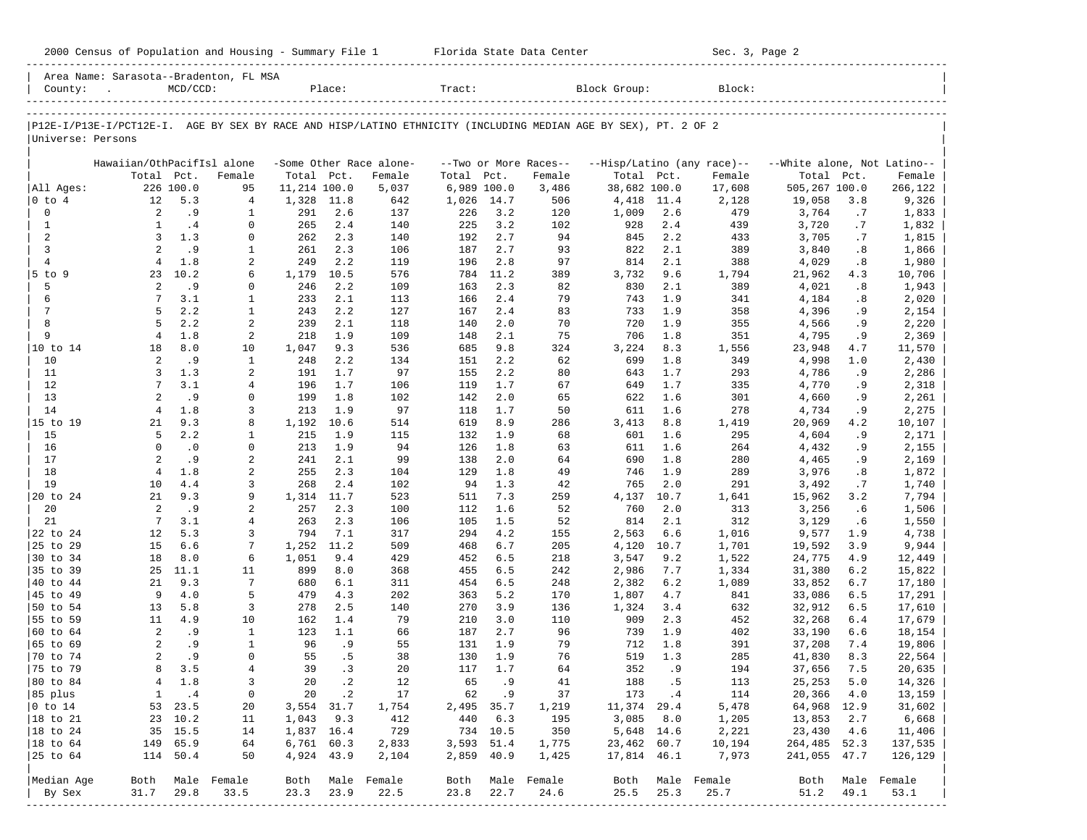| County:              | Area Name: Sarasota--Bradenton, FL MSA<br><b>Contract Contract</b>                                             | $MCD/CCD$ : |                            |              | Place:         |                         | Tract:      |            |                       | Block Group: |             | Block:       |                                                         |            |                  |
|----------------------|----------------------------------------------------------------------------------------------------------------|-------------|----------------------------|--------------|----------------|-------------------------|-------------|------------|-----------------------|--------------|-------------|--------------|---------------------------------------------------------|------------|------------------|
| Universe: Persons    | P12E-I/P13E-I/PCT12E-I. AGE BY SEX BY RACE AND HISP/LATINO ETHNICITY (INCLUDING MEDIAN AGE BY SEX), PT. 2 OF 2 |             |                            |              |                |                         |             |            |                       |              |             |              |                                                         |            |                  |
|                      | Hawaiian/OthPacifIsl alone                                                                                     |             |                            |              |                | -Some Other Race alone- |             |            | --Two or More Races-- |              |             |              | --Hisp/Latino (any race)-- -- White alone, Not Latino-- |            |                  |
|                      | Total Pct.                                                                                                     |             | Female                     | Total Pct.   |                | Female                  | Total Pct.  |            | Female                | Total Pct.   |             | Female       | Total Pct.                                              |            | Female           |
| All Ages:            |                                                                                                                | 226 100.0   | 95                         | 11,214 100.0 |                | 5,037                   | 6,989 100.0 |            | 3,486                 | 38,682 100.0 |             | 17,608       | 505,267 100.0                                           |            | 266,122          |
| $ 0 \t{to} 4$        | 12                                                                                                             | 5.3         | 4                          | 1,328        | 11.8           | 642                     | 1,026       | 14.7       | 506                   | 4,418        | 11.4        | 2,128        | 19,058                                                  | 3.8        | 9,326            |
| $\mathbf 0$          | 2                                                                                                              | .9          | $\mathbf{1}$               | 291          | 2.6            | 137                     | 226         | 3.2        | 120                   | 1,009        | 2.6         | 479          | 3,764                                                   | .7         | 1,833            |
| $\mathbf{1}$<br>2    | $\mathbf{1}$<br>$\overline{3}$                                                                                 | .4<br>1.3   | $\mathbf 0$<br>$\mathbf 0$ | 265<br>262   | 2.4<br>2.3     | 140<br>140              | 225<br>192  | 3.2<br>2.7 | 102<br>94             | 928<br>845   | 2.4<br>2.2  | 439<br>433   | 3,720<br>3,705                                          | .7<br>.7   | 1,832<br>1,815   |
| $\overline{3}$       | 2                                                                                                              | .9          | 1                          | 261          | 2.3            | 106                     | 187         | 2.7        | 93                    | 822          | 2.1         | 389          | 3,840                                                   | .8         | 1,866            |
| $\overline{4}$       | $\overline{4}$                                                                                                 | 1.8         | 2                          | 249          | 2.2            | 119                     | 196         | 2.8        | 97                    | 814          | 2.1         | 388          | 4,029                                                   | .8         | 1,980            |
| $5$ to 9             | 23                                                                                                             | 10.2        | 6                          | 1,179        | 10.5           | 576                     | 784         | 11.2       | 389                   | 3,732        | 9.6         | 1,794        | 21,962                                                  | 4.3        | 10,706           |
| 5                    | 2                                                                                                              | .9          | $\mathbf 0$                | 246          | 2.2            | 109                     | 163         | 2.3        | 82                    | 830          | 2.1         | 389          | 4,021                                                   | .8         | 1,943            |
| 6                    | 7                                                                                                              | 3.1         | $\mathbf{1}$               | 233          | 2.1            | 113                     | 166         | 2.4        | 79                    | 743          | 1.9         | 341          | 4,184                                                   | .8         | 2,020            |
| 7                    | 5                                                                                                              | 2.2         | $\mathbf{1}$               | 243          | 2.2            | 127                     | 167         | 2.4        | 83                    | 733          | 1.9         | 358          | 4,396                                                   | .9         | 2,154            |
| 8                    | 5                                                                                                              | 2.2         | 2                          | 239          | 2.1            | 118                     | 140         | 2.0        | 70                    | 720          | 1.9         | 355          | 4,566                                                   | . 9        | 2,220            |
| 9                    | $\overline{4}$                                                                                                 | 1.8         | 2                          | 218          | 1.9            | 109                     | 148         | 2.1        | 75                    | 706          | 1.8         | 351          | 4,795                                                   | .9         | 2,369            |
| 10 to 14<br>10       | 18<br>2                                                                                                        | 8.0<br>.9   | 10<br>$\mathbf{1}$         | 1,047<br>248 | 9.3<br>2.2     | 536                     | 685<br>151  | 9.8<br>2.2 | 324<br>62             | 3,224<br>699 | 8.3<br>1.8  | 1,556<br>349 | 23,948                                                  | 4.7<br>1.0 | 11,570           |
| 11                   | $\overline{3}$                                                                                                 | 1.3         | 2                          | 191          | 1.7            | 134<br>97               | 155         | 2.2        | 80                    | 643          | 1.7         | 293          | 4,998<br>4,786                                          | .9         | 2,430<br>2,286   |
| 12                   | $7\phantom{.0}$                                                                                                | 3.1         | 4                          | 196          | 1.7            | 106                     | 119         | 1.7        | 67                    | 649          | 1.7         | 335          | 4,770                                                   | .9         | 2,318            |
| 13                   | 2                                                                                                              | .9          | $\mathbf 0$                | 199          | 1.8            | 102                     | 142         | 2.0        | 65                    | 622          | 1.6         | 301          | 4,660                                                   | . 9        | 2,261            |
| 14                   | $\overline{4}$                                                                                                 | 1.8         | 3                          | 213          | 1.9            | 97                      | 118         | 1.7        | 50                    | 611          | 1.6         | 278          | 4,734                                                   | .9         | 2,275            |
| 15 to 19             | 21                                                                                                             | 9.3         | 8                          | 1,192        | 10.6           | 514                     | 619         | 8.9        | 286                   | 3,413        | 8.8         | 1,419        | 20,969                                                  | 4.2        | 10,107           |
| 15                   | 5                                                                                                              | 2.2         | 1                          | 215          | 1.9            | 115                     | 132         | 1.9        | 68                    | 601          | 1.6         | 295          | 4,604                                                   | .9         | 2,171            |
| 16                   | $\Omega$                                                                                                       | $\cdot$ 0   | $\mathbf 0$                | 213          | 1.9            | 94                      | 126         | 1.8        | 63                    | 611          | 1.6         | 264          | 4,432                                                   | . 9        | 2,155            |
| 17                   | 2                                                                                                              | .9          | 2                          | 241          | 2.1            | 99                      | 138         | 2.0        | 64                    | 690          | 1.8         | 280          | 4,465                                                   | . 9        | 2,169            |
| 18                   | $\overline{4}$                                                                                                 | 1.8         | 2                          | 255          | 2.3            | 104                     | 129         | 1.8        | 49                    | 746          | 1.9         | 289          | 3,976                                                   | .8         | 1,872            |
| 19                   | 10<br>21                                                                                                       | 4.4         | 3<br>9                     | 268          | 2.4            | 102                     | 94          | 1.3        | 42                    | 765          | 2.0         | 291          | 3,492                                                   | .7         | 1,740            |
| 20 to 24<br>20       | 2                                                                                                              | 9.3<br>.9   | 2                          | 1,314<br>257 | 11.7<br>2.3    | 523<br>100              | 511<br>112  | 7.3<br>1.6 | 259<br>52             | 4,137<br>760 | 10.7<br>2.0 | 1,641<br>313 | 15,962<br>3,256                                         | 3.2<br>.6  | 7,794<br>1,506   |
| 21                   | $7\phantom{.0}$                                                                                                | 3.1         | 4                          | 263          | 2.3            | 106                     | 105         | 1.5        | 52                    | 814          | 2.1         | 312          | 3,129                                                   | . 6        | 1,550            |
| 22 to 24             | 12                                                                                                             | 5.3         | 3                          | 794          | 7.1            | 317                     | 294         | 4.2        | 155                   | 2,563        | 6.6         | 1,016        | 9,577                                                   | 1.9        | 4,738            |
| 25 to 29             | 15                                                                                                             | 6.6         | 7                          | 1,252        | 11.2           | 509                     | 468         | 6.7        | 205                   | 4,120        | 10.7        | 1,701        | 19,592                                                  | 3.9        | 9,944            |
| 30 to 34             | 18                                                                                                             | 8.0         | 6                          | 1,051        | 9.4            | 429                     | 452         | 6.5        | 218                   | 3,547        | 9.2         | 1,522        | 24,775                                                  | 4.9        | 12,449           |
| 35 to 39             | 25                                                                                                             | 11.1        | 11                         | 899          | 8.0            | 368                     | 455         | 6.5        | 242                   | 2,986        | 7.7         | 1,334        | 31,380                                                  | 6.2        | 15,822           |
| 40 to 44             | 21                                                                                                             | 9.3         | 7                          | 680          | 6.1            | 311                     | 454         | 6.5        | 248                   | 2,382        | 6.2         | 1,089        | 33,852                                                  | 6.7        | 17,180           |
| 45 to 49             | 9                                                                                                              | 4.0         | 5                          | 479          | 4.3            | 202                     | 363         | 5.2        | 170                   | 1,807        | 4.7         | 841          | 33,086                                                  | 6.5        | 17,291           |
| 50 to 54             | 13                                                                                                             | 5.8         | 3                          | 278          | 2.5            | 140                     | 270         | 3.9        | 136                   | 1,324        | 3.4         | 632          | 32,912                                                  | 6.5        | 17,610           |
| 55 to 59<br>60 to 64 | 11<br>2                                                                                                        | 4.9<br>.9   | 10<br>$\mathbf{1}$         | 162<br>123   | 1.4<br>1.1     | 79<br>66                | 210<br>187  | 3.0<br>2.7 | 110<br>96             | 909<br>739   | 2.3<br>1.9  | 452<br>402   | 32,268<br>33,190                                        | 6.4<br>6.6 | 17,679           |
| 65 to 69             | 2                                                                                                              | .9          | $\mathbf{1}$               | 96           | .9             | 55                      | 131         | 1.9        | 79                    | 712          | 1.8         | 391          | 37,208                                                  | 7.4        | 18,154<br>19,806 |
| 70 to 74             | 2                                                                                                              | .9          | $\Omega$                   | 55           | .5             | 38                      | 130         | 1.9        | 76                    | 519          | 1.3         | 285          | 41,830                                                  | 8.3        | 22,564           |
| 75 to 79             | 8                                                                                                              | 3.5         | $\overline{4}$             | 39           | .3             | 20                      | 117         | 1.7        | 64                    | 352          | . 9         | 194          | 37,656                                                  | 7.5        | 20,635           |
| 80 to 84             | 4                                                                                                              | 1.8         | 3                          | 20           | $\cdot$ 2      | 12                      | 65          | .9         | 41                    | 188          | .5          | 113          | 25, 253                                                 | 5.0        | 14,326           |
| 85 plus              | $\mathbf{1}$                                                                                                   | .4          | $\mathsf 0$                | 20           | $\cdot$ 2      | 17                      | 62          | .9         | 37                    | 173          | .4          | 114          | 20,366                                                  | 4.0        | 13,159           |
| $ 0 \t{to} 14$       | 53                                                                                                             | 23.5        | 20                         | 3,554        | 31.7           | 1,754                   | 2,495       | 35.7       | 1,219                 | 11,374       | 29.4        | 5,478        | 64,968                                                  | 12.9       | 31,602           |
| 18 to 21             | 23                                                                                                             | 10.2        | 11                         | 1,043        | 9.3            | 412                     | 440         | 6.3        | 195                   | 3,085        | 8.0         | 1,205        | 13,853                                                  | 2.7        | 6,668            |
| 18 to 24             |                                                                                                                | 35 15.5     | 14                         | 1,837 16.4   |                | 729                     | 734         | 10.5       | 350                   | 5,648 14.6   |             | 2,221        | 23,430                                                  | 4.6        | 11,406           |
| 18 to 64             | 149                                                                                                            | 65.9        | 64                         |              | $6,761$ $60.3$ | 2,833                   | 3,593       | 51.4       | 1,775                 | 23,462 60.7  |             | 10,194       | 264,485                                                 | 52.3       | 137,535          |
| 25 to 64             |                                                                                                                | 114 50.4    | 50                         |              | 4,924 43.9     | 2,104                   | 2,859       | 40.9       | 1,425                 | 17,814 46.1  |             | 7,973        | 241,055 47.7                                            |            | 126,129          |
| Median Age           | Both                                                                                                           |             | Male Female                | Both         | Male           | Female                  | Both        |            | Male Female           | Both         |             | Male Female  | Both                                                    |            | Male Female      |
| By Sex<br>-------    | 31.7                                                                                                           | 29.8        | 33.5                       | 23.3         | 23.9           | 22.5                    | 23.8        | 22.7       | 24.6                  | 25.5         | 25.3        | 25.7         | 51.2                                                    | 49.1       | 53.1             |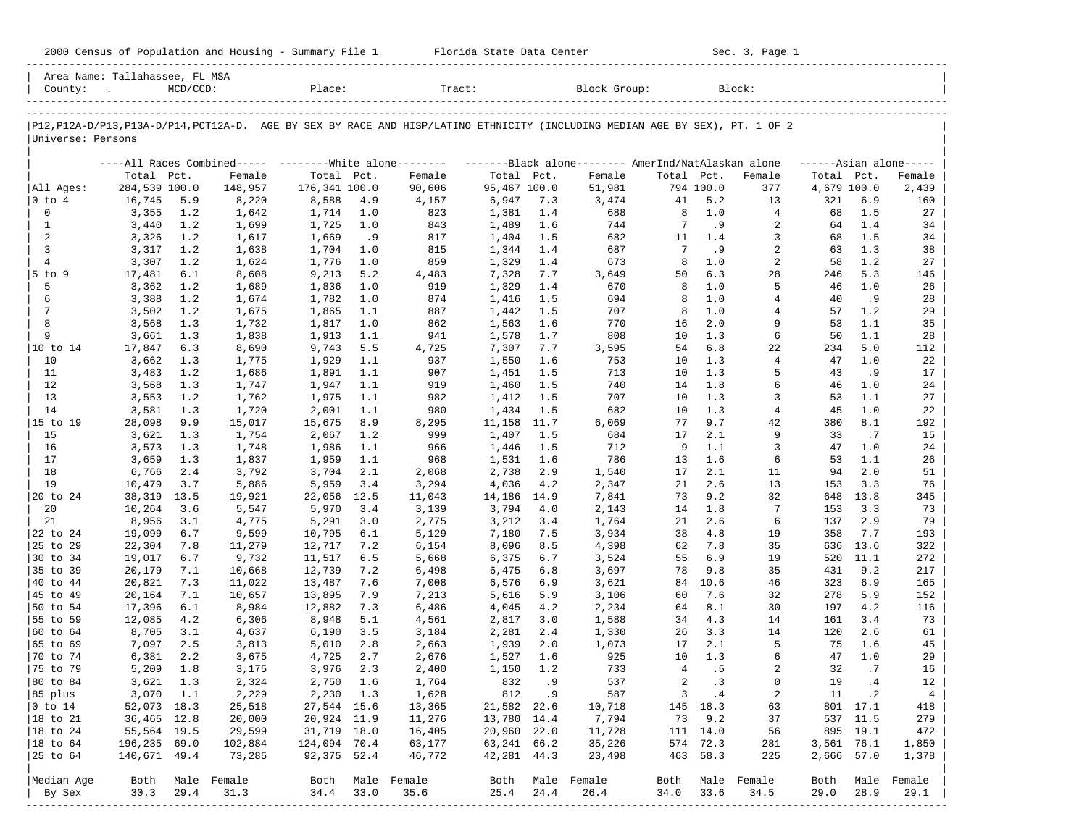|  |  |  | 2000 Census of Population and Housing - Summary File 1 |  |  |  |  |  |  |
|--|--|--|--------------------------------------------------------|--|--|--|--|--|--|
|--|--|--|--------------------------------------------------------|--|--|--|--|--|--|

2000 Florida State Data Center - Sec. 3, Page 1 -----------------------------------------------------------------------------------------------------------------------------------------------------

| Area Name: Tallahassee, FL MSA<br>County: | $\sim$ 100 $\mu$ | $MCD/CCD$ : |             | Place:        |      | Tract:                                                                                                                        |              |        | Block Group: |                |             | Block:         |             |           |                     |
|-------------------------------------------|------------------|-------------|-------------|---------------|------|-------------------------------------------------------------------------------------------------------------------------------|--------------|--------|--------------|----------------|-------------|----------------|-------------|-----------|---------------------|
|                                           |                  |             |             |               |      |                                                                                                                               |              |        |              |                |             |                |             |           |                     |
| Universe: Persons                         |                  |             |             |               |      | P12, P12A-D/P13, P13A-D/P14, PCT12A-D. AGE BY SEX BY RACE AND HISP/LATINO ETHNICITY (INCLUDING MEDIAN AGE BY SEX), PT. 1 OF 2 |              |        |              |                |             |                |             |           |                     |
|                                           |                  |             |             |               |      | ----All Races Combined----- --------White alone-------- --------Black alone-------- AmerInd/NatAlaskan alone                  |              |        |              |                |             |                |             |           | $---Asian alone---$ |
|                                           | Total Pct.       |             | Female      | Total Pct.    |      | Female                                                                                                                        | Total Pct.   |        | Female       | Total Pct.     |             | Female         | Total Pct.  |           | Female              |
| All Ages:                                 | 284,539 100.0    |             | 148,957     | 176,341 100.0 |      | 90,606                                                                                                                        | 95,467 100.0 |        | 51,981       |                | 794 100.0   | 377            | 4,679 100.0 |           | 2,439               |
| $ 0 \t{to} 4$                             | 16,745           | 5.9         | 8,220       | 8,588         | 4.9  | 4,157                                                                                                                         | 6,947        | 7.3    | 3,474        | 41             | 5.2         | 13             | 321         | 6.9       | 160                 |
| $\mathbf 0$                               | 3,355            | 1.2         | 1,642       | 1,714         | 1.0  | 823                                                                                                                           | 1,381        | 1.4    | 688          | 8              | 1.0         | 4              | 68          | 1.5       | 27                  |
| $\mathbf{1}$                              | 3,440            | 1.2         | 1,699       | 1,725         | 1.0  | 843                                                                                                                           | 1,489        | 1.6    | 744          | 7              | .9          | 2              | 64          | 1.4       | 34                  |
| 2                                         | 3,326            | 1.2         | 1,617       | 1,669         | . 9  | 817                                                                                                                           | 1,404        | 1.5    | 682          | 11             | 1.4         | 3              | 68          | 1.5       | 34                  |
| 3                                         | 3,317            | 1.2         | 1,638       | 1,704         | 1.0  | 815                                                                                                                           | 1,344        | 1.4    | 687          | 7              | . 9         | 2              | 63          | 1.3       | 38                  |
| $\overline{4}$                            | 3,307            | 1.2         | 1,624       | 1,776         | 1.0  | 859                                                                                                                           | 1,329        | 1.4    | 673          | 8              | 1.0         | 2              | 58          | 1.2       | 27                  |
| $5$ to $9$                                | 17,481           | 6.1         | 8,608       | 9,213         | 5.2  | 4,483                                                                                                                         | 7,328        | 7.7    | 3,649        | 50             | 6.3         | 28             | 246         | 5.3       | 146                 |
| 5                                         | 3,362            | 1.2         | 1,689       | 1,836         | 1.0  | 919                                                                                                                           | 1,329        | 1.4    | 670          | 8              | 1.0         | 5              | 46          | 1.0       | 26                  |
| 6                                         | 3,388            | 1.2         | 1,674       | 1,782         | 1.0  | 874                                                                                                                           | 1,416        | 1.5    | 694          | 8              | 1.0         | 4              | 40          | .9        | 28                  |
| 7                                         | 3,502            | 1.2         | 1,675       | 1,865         | 1.1  | 887                                                                                                                           | 1,442        | 1.5    | 707          | 8              | 1.0         | 4              | 57          | 1.2       | 29                  |
| 8                                         | 3,568            | 1.3         | 1,732       | 1,817         | 1.0  | 862                                                                                                                           | 1,563        | 1.6    | 770          | 16             | 2.0         | 9              | 53          | 1.1       | 35                  |
| 9                                         | 3,661            | 1.3         | 1,838       | 1,913         | 1.1  | 941                                                                                                                           | 1,578        | 1.7    | 808          | 10             | 1.3         | 6              | 50          | 1.1       | 28                  |
| 10 to 14                                  | 17,847           | 6.3         | 8,690       | 9,743         | 5.5  | 4,725                                                                                                                         | 7,307        | 7.7    | 3,595        | 54             | 6.8         | 22             | 234         | 5.0       | 112                 |
| 10                                        | 3,662            | 1.3         | 1,775       | 1,929         | 1.1  | 937                                                                                                                           | 1,550        | 1.6    | 753          | 10             | 1.3         | 4              | 47          | 1.0       | 22                  |
| 11                                        | 3,483            | 1.2         | 1,686       | 1,891         | 1.1  | 907                                                                                                                           | 1,451        | 1.5    | 713          | 10             | 1.3         | 5              | 43          | .9        | 17                  |
| 12                                        | 3,568            | 1.3         | 1,747       | 1,947         | 1.1  | 919                                                                                                                           | 1,460        | 1.5    | 740          | 14             | 1.8         | 6              | 46          | 1.0       | 24                  |
| 13                                        | 3,553            | 1.2         | 1,762       | 1,975         | 1.1  | 982                                                                                                                           | 1,412        | 1.5    | 707          | 10             | 1.3         | 3              | 53          | 1.1       | 27                  |
| 14                                        | 3,581            | 1.3         | 1,720       | 2,001         | 1.1  | 980                                                                                                                           | 1,434        | 1.5    | 682          | 10             | 1.3         | $\overline{4}$ | 45          | 1.0       | 22                  |
| 15 to 19                                  | 28,098           | 9.9         | 15,017      | 15,675        | 8.9  | 8,295                                                                                                                         | 11,158       | 11.7   | 6,069        | 77             | 9.7         | 42             | 380         | 8.1       | 192                 |
| 15                                        | 3,621            | 1.3         | 1,754       | 2,067         | 1.2  | 999                                                                                                                           | 1,407        | 1.5    | 684          | 17             | 2.1         | 9              | 33          | .7        | 15                  |
| 16                                        | 3,573            | 1.3         | 1,748       | 1,986         | 1.1  | 966                                                                                                                           | 1,446        | 1.5    | 712          | 9              | 1.1         | 3              | 47          | 1.0       | 24                  |
| 17                                        | 3,659            | 1.3         | 1,837       | 1,959         | 1.1  | 968                                                                                                                           | 1,531        | 1.6    | 786          | 13             | 1.6         | 6              | 53          | 1.1       | 26                  |
| 18                                        | 6,766            | 2.4         | 3,792       | 3,704         | 2.1  | 2,068                                                                                                                         | 2,738        | 2.9    | 1,540        | 17             | 2.1         | 11             | 94          | 2.0       | 51                  |
| 19                                        | 10,479           | 3.7         | 5,886       | 5,959         | 3.4  | 3,294                                                                                                                         | 4,036        | 4.2    | 2,347        | 21             | 2.6         | 13             | 153         | 3.3       | 76                  |
| 20 to 24                                  | 38,319           | 13.5        | 19,921      | 22,056        | 12.5 | 11,043                                                                                                                        | 14,186       | 14.9   | 7,841        | 73             | 9.2         | 32             | 648         | 13.8      | 345                 |
| 20                                        | 10,264           | 3.6         | 5,547       | 5,970         | 3.4  | 3,139                                                                                                                         | 3,794        | 4.0    | 2,143        | 14             | 1.8         | 7              | 153         | 3.3       | 73                  |
| 21                                        | 8,956            | 3.1         | 4,775       | 5,291         | 3.0  | 2,775                                                                                                                         | 3,212        | 3.4    | 1,764        | 21             | 2.6         | 6              | 137         | 2.9       | 79                  |
| 22 to 24                                  | 19,099           | 6.7         | 9,599       | 10,795        | 6.1  | 5,129                                                                                                                         | 7,180        | 7.5    | 3,934        | 38             | 4.8         | 19             | 358         | 7.7       | 193                 |
| 25 to 29                                  | 22,304           | 7.8         | 11,279      | 12,717        | 7.2  | 6,154                                                                                                                         | 8,096        | 8.5    | 4,398        | 62             | 7.8         | 35             | 636         | 13.6      | 322                 |
| 30 to 34                                  | 19,017           | 6.7         | 9,732       | 11,517        | 6.5  | 5,668                                                                                                                         | 6,375        | 6.7    | 3,524        | 55             | 6.9         | 19             | 520         | 11.1      | 272                 |
| 35 to 39                                  | 20,179           | 7.1         | 10,668      | 12,739        | 7.2  | 6,498                                                                                                                         | 6,475        | 6.8    | 3,697        | 78             | 9.8         | 35             | 431         | 9.2       | 217                 |
| 40 to 44                                  | 20,821           | 7.3         | 11,022      | 13,487        | 7.6  | 7,008                                                                                                                         | 6,576        | 6.9    | 3,621        | 84             | 10.6        | 46             | 323         | 6.9       | 165                 |
| 45 to 49                                  | 20,164           | 7.1         | 10,657      | 13,895        | 7.9  | 7,213                                                                                                                         | 5,616        | 5.9    | 3,106        | 60             | 7.6         | 32             | 278         | 5.9       | 152                 |
| 50 to 54                                  | 17,396           | 6.1         | 8,984       | 12,882        | 7.3  | 6,486                                                                                                                         | 4,045        | 4.2    | 2,234        | 64             | 8.1         | 30             | 197         | 4.2       | 116                 |
| 55 to 59                                  | 12,085           | 4.2         | 6,306       | 8,948         | 5.1  | 4,561                                                                                                                         | 2,817        | 3.0    | 1,588        | 34             | 4.3         | 14             | 161         | 3.4       | 73                  |
| 60 to 64                                  | 8,705            | 3.1         | 4,637       | 6,190         | 3.5  | 3,184                                                                                                                         | 2,281        | 2.4    | 1,330        | 26             | 3.3         | 14             | 120         | 2.6       | 61                  |
| 65 to 69                                  | 7,097            | 2.5         | 3,813       | 5,010         | 2.8  | 2,663                                                                                                                         | 1,939        | 2.0    | 1,073        | 17             | 2.1         | 5              | 75          | 1.6       | 45                  |
| 70 to 74                                  | 6,381            | 2.2         | 3,675       | 4,725         | 2.7  | 2,676                                                                                                                         | 1,527        | 1.6    | 925          | 10             | 1.3         | 6              | 47          | 1.0       | 29                  |
| 75 to 79                                  | 5,209            | 1.8         | 3,175       | 3,976         | 2.3  | 2,400                                                                                                                         | 1,150        | 1.2    | 733          | $\overline{4}$ | .5          | 2              | 32          | .7        | 16                  |
| 80 to 84                                  | 3,621            | 1.3         | 2,324       | 2,750         | 1.6  | 1,764                                                                                                                         | 832          | . 9    | 537          | 2              | .3          | $\Omega$       | 19          | .4        | 12                  |
| 85 plus                                   | 3,070 1.1        |             | 2,229       | 2,230 1.3     |      | 1,628                                                                                                                         |              | 812 .9 | 587          |                | $3 \cdot 4$ | 2              | 11          | $\cdot$ 2 | $\overline{4}$      |
| $ 0 \t{to} 14$                            | 52,073 18.3      |             | 25,518      | 27,544 15.6   |      | 13,365                                                                                                                        | 21,582 22.6  |        | 10,718       |                | 145 18.3    | 63             |             | 801 17.1  | 418                 |
| 18 to 21                                  | 36,465 12.8      |             | 20,000      | 20,924 11.9   |      | 11,276                                                                                                                        | 13,780 14.4  |        | 7,794        |                | 73 9.2      | 37             |             | 537 11.5  | 279                 |
| 18 to 24                                  | 55,564 19.5      |             | 29,599      | 31,719 18.0   |      | 16,405                                                                                                                        | 20,960 22.0  |        | 11,728       |                | 111 14.0    | 56             |             | 895 19.1  | 472                 |
| 18 to 64                                  | 196,235 69.0     |             | 102,884     | 124,094 70.4  |      | 63,177                                                                                                                        | 63,241 66.2  |        | 35,226       |                | 574 72.3    | 281            | 3,561 76.1  |           | 1,850               |
| 25 to 64                                  | 140,671 49.4     |             | 73,285      | 92,375 52.4   |      | 46,772                                                                                                                        | 42,281 44.3  |        | 23,498       |                | 463 58.3    | 225            | 2,666 57.0  |           | 1,378               |
| Median Age                                | Both             |             | Male Female |               |      | Both Male Female                                                                                                              | Both         |        | Male Female  | Both           |             | Male Female    | Both        | Male      | Female              |
| By Sex                                    | 30.3             | 29.4        | 31.3        | 34.4          | 33.0 | 35.6                                                                                                                          | 25.4         | 24.4   | 26.4         | 34.0           | 33.6        | 34.5           | 29.0        | 28.9      | 29.1                |
|                                           |                  |             |             |               |      |                                                                                                                               |              |        |              |                |             |                |             |           | ------              |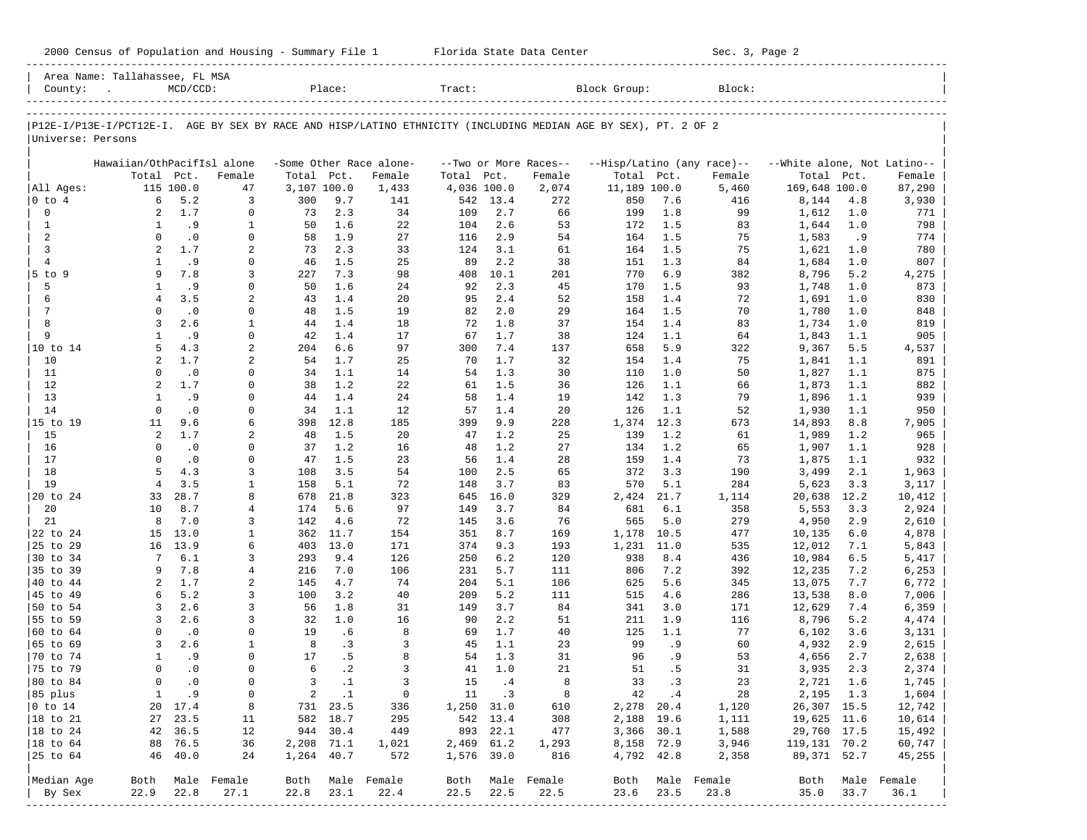|                   | Area Name: Tallahassee, FL MSA |             |                |             |              |                          |             |             |                       |                                                                                                                |             |                            |                             |             |                |
|-------------------|--------------------------------|-------------|----------------|-------------|--------------|--------------------------|-------------|-------------|-----------------------|----------------------------------------------------------------------------------------------------------------|-------------|----------------------------|-----------------------------|-------------|----------------|
| County:           |                                | $MCD/CCD$ : |                |             | Place:       |                          | Tract:      |             |                       | Block Group:                                                                                                   |             | Block:                     |                             |             |                |
|                   |                                |             |                |             |              |                          |             |             |                       |                                                                                                                |             |                            |                             |             |                |
|                   |                                |             |                |             |              |                          |             |             |                       | P12E-I/P13E-I/PCT12E-I. AGE BY SEX BY RACE AND HISP/LATINO ETHNICITY (INCLUDING MEDIAN AGE BY SEX), PT. 2 OF 2 |             |                            |                             |             |                |
| Universe: Persons |                                |             |                |             |              |                          |             |             |                       |                                                                                                                |             |                            |                             |             |                |
|                   | Hawaiian/OthPacifIsl alone     |             |                |             |              | -Some Other Race alone-  |             |             | --Two or More Races-- |                                                                                                                |             | --Hisp/Latino (any race)-- | --White alone, Not Latino-- |             |                |
|                   | Total Pct.                     |             | Female         | Total Pct.  |              | Female                   | Total       | Pct.        | Female                |                                                                                                                | Total Pct.  | Female                     | Total                       | Pct.        | Female         |
| All Ages:         |                                | 115 100.0   | 47             | 3,107 100.0 |              | 1,433                    | 4,036 100.0 |             | $2\,,074$             | 11,189 100.0                                                                                                   |             | 5,460                      | 169,648 100.0               |             | 87,290         |
| $0$ to $4$        | 6                              | 5.2         | 3              | 300         | 9.7          | 141                      | 542         | 13.4        | 272                   | 850                                                                                                            | 7.6         | 416                        | 8,144                       | 4.8         | 3,930          |
| $\mathbf 0$       | 2                              | 1.7         | 0              | 73          | 2.3          | 34                       | 109         | 2.7         | 66                    | 199                                                                                                            | 1.8         | 99                         | 1,612                       | 1.0         | 771            |
| $\mathbf{1}$      | 1                              | .9          | $\mathbf{1}$   | 50          | 1.6          | 22                       | 104         | 2.6         | 53                    | 172                                                                                                            | 1.5         | 83                         | 1,644                       | 1.0         | 798            |
| 2                 | $\mathbf 0$                    | $\cdot$ 0   | $\mathbf 0$    | 58          | 1.9          | 27                       | 116         | 2.9         | 54                    | 164                                                                                                            | 1.5         | 75                         | 1,583                       | .9          | 774            |
| 3                 | 2                              | 1.7         | 2              | 73          | 2.3          | 33                       | 124         | 3.1         | 61                    | 164                                                                                                            | 1.5         | 75                         | 1,621                       | 1.0         | 780            |
| $\overline{4}$    | 1                              | .9          | 0              | 46          | 1.5          | 25                       | 89          | 2.2         | 38                    | 151                                                                                                            | 1.3         | 84                         | 1,684                       | 1.0         | 807            |
| $5$ to $9$        | 9                              | 7.8         | 3              | 227         | 7.3          | 98                       | 408         | 10.1        | 201                   | 770                                                                                                            | 6.9         | 382                        | 8,796                       | 5.2         | 4,275          |
| 5                 | 1                              | . 9         | 0              | 50          | 1.6          | 24                       | 92          | 2.3         | 45                    | 170                                                                                                            | 1.5         | 93                         | 1,748                       | 1.0         | 873            |
| 6                 | $\overline{4}$                 | 3.5         | 2              | 43          | 1.4          | 20                       | 95          | 2.4         | 52                    | 158                                                                                                            | 1.4         | 72                         | 1,691                       | 1.0         | 830            |
| 7                 | 0                              | $\cdot$ 0   | 0              | 48          | 1.5          | 19                       | 82          | 2.0         | 29                    | 164                                                                                                            | 1.5         | 70                         | 1,780                       | 1.0         | 848            |
| 8                 | 3                              | 2.6         | $\mathbf{1}$   | 44          | 1.4          | 18                       | 72          | 1.8         | 37                    | 154                                                                                                            | 1.4         | 83                         | 1,734                       | 1.0         | 819            |
| 9                 | $\mathbf{1}$                   | . 9         | $\mathbf 0$    | 42          | 1.4          | 17                       | 67          | 1.7         | 38                    | 124                                                                                                            | 1.1         | 64                         | 1,843                       | 1.1         | 905            |
| 10 to 14          | 5                              | 4.3         | 2              | 204         | 6.6          | 97                       | 300         | 7.4         | 137                   | 658                                                                                                            | 5.9         | 322                        | 9,367                       | 5.5         | 4,537          |
| 10                | 2                              | 1.7         | 2              | 54          | 1.7          | 25                       | 70          | 1.7         | 32                    | 154                                                                                                            | 1.4         | 75                         | 1,841                       | 1.1         | 891            |
| 11                | 0                              | $\cdot$ 0   | 0              | 34          | 1.1          | 14                       | 54          | 1.3         | 30                    | 110                                                                                                            | 1.0         | 50                         | 1,827                       | 1.1         | 875            |
| 12                | 2                              | 1.7         | 0              | 38          | 1.2          | 22                       | 61          | 1.5         | 36                    | 126                                                                                                            | 1.1         | 66                         | 1,873                       | 1.1         | 882            |
| 13                | 1                              | .9          | $\mathbf 0$    | 44          | 1.4          | 24                       | 58          | 1.4         | 19                    | 142                                                                                                            | 1.3         | 79                         | 1,896                       | 1.1         | 939            |
| 14                | $\mathbf 0$                    | $\cdot$ 0   | 0              | 34          | 1.1          | 12                       | 57          | 1.4         | 20                    | 126                                                                                                            | 1.1         | 52                         | 1,930                       | 1.1         | 950            |
| 15 to 19          | 11                             | 9.6         | 6              | 398         | 12.8         | 185                      | 399         | 9.9         | 228                   | 1,374                                                                                                          | 12.3        | 673                        | 14,893                      | 8.8         | 7,905          |
| 15                | 2                              | 1.7         | 2              | 48          | 1.5          | 20                       | 47          | 1.2         | 25                    | 139                                                                                                            | 1.2         | 61                         | 1,989                       | 1.2         | 965            |
| 16                | $\mathbf 0$                    | $\cdot$ 0   | 0              | 37          | 1.2          | 16                       | 48          | 1.2         | 27                    | 134                                                                                                            | 1.2         | 65                         | 1,907                       | 1.1         | 928            |
| 17                | $\mathbf 0$                    | $\cdot$ 0   | $\mathbf 0$    | 47          | 1.5          | 23                       | 56          | 1.4         | 28                    | 159                                                                                                            | 1.4         | 73                         | 1,875                       | 1.1         | 932            |
| 18<br>19          | 5<br>$\overline{4}$            | 4.3<br>3.5  | 3              | 108         | 3.5          | 54                       | 100         | 2.5         | 65                    | 372                                                                                                            | 3.3         | 190                        | 3,499                       | 2.1         | 1,963          |
| 20 to 24          | 33                             | 28.7        | 1<br>8         | 158         | 5.1<br>21.8  | 72<br>323                | 148<br>645  | 3.7<br>16.0 | 83<br>329             | 570                                                                                                            | 5.1<br>21.7 | 284<br>1,114               | 5,623                       | 3.3<br>12.2 | 3,117          |
| 20                | 10                             | 8.7         | 4              | 678<br>174  | 5.6          | 97                       | 149         | 3.7         | 84                    | 2,424<br>681                                                                                                   | 6.1         | 358                        | 20,638<br>5,553             | 3.3         | 10,412         |
| 21                | 8                              | 7.0         | 3              | 142         | 4.6          | 72                       | 145         | 3.6         | 76                    | 565                                                                                                            | 5.0         | 279                        | 4,950                       | 2.9         | 2,924<br>2,610 |
| 22 to 24          | 15                             | 13.0        | 1              | 362         | 11.7         | 154                      | 351         | 8.7         | 169                   | 1,178                                                                                                          | 10.5        | 477                        | 10,135                      | 6.0         | 4,878          |
| 25 to 29          | 16                             | 13.9        | 6              | 403         | 13.0         | 171                      | 374         | 9.3         | 193                   | 1,231                                                                                                          | 11.0        | 535                        | 12,012                      | 7.1         | 5,843          |
| 30 to 34          | 7                              | 6.1         | 3              | 293         | 9.4          | 126                      | 250         | 6.2         | 120                   | 938                                                                                                            | 8.4         | 436                        | 10,984                      | 6.5         | 5,417          |
| 35 to 39          | 9                              | 7.8         | $\overline{4}$ | 216         | 7.0          | 106                      | 231         | 5.7         | 111                   | 806                                                                                                            | 7.2         | 392                        | 12,235                      | 7.2         | 6,253          |
| 40 to 44          | 2                              | 1.7         | 2              | 145         | 4.7          | 74                       | 204         | 5.1         | 106                   | 625                                                                                                            | 5.6         | 345                        | 13,075                      | 7.7         | 6,772          |
| 45 to 49          | 6                              | 5.2         | 3              | 100         | 3.2          | 40                       | 209         | 5.2         | 111                   | 515                                                                                                            | 4.6         | 286                        | 13,538                      | 8.0         | 7,006          |
| 50 to 54          | 3                              | 2.6         | 3              | 56          | 1.8          | 31                       | 149         | 3.7         | 84                    | 341                                                                                                            | 3.0         | 171                        | 12,629                      | 7.4         | 6,359          |
| 55 to 59          | 3                              | 2.6         | 3              | 32          | 1.0          | 16                       | 90          | 2.2         | 51                    | 211                                                                                                            | 1.9         | 116                        | 8,796                       | 5.2         | 4,474          |
| 60 to 64          | 0                              | $\cdot$ 0   | 0              | 19          | . 6          | 8                        | 69          | 1.7         | 40                    | 125                                                                                                            | 1.1         | 77                         | 6,102                       | 3.6         | 3,131          |
| 65 to 69          | 3                              | 2.6         | 1              | 8           | $\cdot$ 3    | 3                        | 45          | 1.1         | 23                    | 99                                                                                                             | .9          | 60                         | 4,932                       | 2.9         | 2,615          |
| 70 to 74          | 1                              | . 9         | 0              | 17          | .5           | 8                        | 54          | 1.3         | 31                    | 96                                                                                                             | .9          | 53                         | 4,656                       | 2.7         | 2,638          |
| 75 to 79          | $\mathbf 0$                    | $\cdot$ 0   | $\mathbf 0$    | 6           | $\cdot$ 2    | 3                        | 41          | 1.0         | 21                    | 51                                                                                                             | .5          | 31                         | 3,935                       | 2.3         | 2,374          |
| 80 to 84          | $\mathbf 0$                    | $\cdot$ 0   | $\mathbf 0$    | 3           | $\cdot$ 1    | $\overline{3}$           | 15          | .4          | 8                     | 33                                                                                                             | $\cdot$ 3   | 23                         | 2,721                       | 1.6         | 1,745          |
| 85 plus           | $\mathbf{1}$                   | .9          | 0              |             | $2 \quad .1$ | $\overline{\phantom{0}}$ |             | 11 .3       | 8                     |                                                                                                                | 42 .4       | 28                         | 2,195 1.3                   |             | 1,604          |
| $0$ to $14$       |                                | 20 17.4     | 8              |             | 731 23.5     | 336                      | 1,250 31.0  |             | 610                   |                                                                                                                | 2,278 20.4  | 1,120                      | 26,307 15.5                 |             | 12,742         |
| 18 to 21          |                                | 27 23.5     | 11             |             | 582 18.7     | 295                      |             | 542 13.4    | 308                   |                                                                                                                | 2,188 19.6  | 1,111                      | 19,625 11.6                 |             | 10,614         |
| 18 to 24          |                                | 42 36.5     | 12             |             | 944 30.4     | 449                      |             | 893 22.1    | 477                   |                                                                                                                | 3,366 30.1  | 1,588                      | 29,760 17.5                 |             | 15,492         |
| 18 to 64          |                                | 88 76.5     | 36             | 2,208 71.1  |              | 1,021                    | 2,469 61.2  |             | 1,293                 |                                                                                                                | 8,158 72.9  | 3,946                      | 119,131 70.2                |             | 60,747         |
| 25 to 64          |                                | 46 40.0     | 24             | 1,264 40.7  |              | 572                      | 1,576 39.0  |             | 816                   |                                                                                                                | 4,792 42.8  | 2,358                      | 89,371 52.7                 |             | 45,255         |
|                   |                                |             |                |             |              |                          |             |             |                       |                                                                                                                |             |                            |                             |             |                |
| Median Age        | Both                           |             | Male Female    |             |              | Both Male Female         | Both        |             | Male Female           | Both                                                                                                           |             | Male Female                | Both                        |             | Male Female    |
| By Sex            | 22.9                           | 22.8        | 27.1           | 22.8        | 23.1         | 22.4                     | 22.5        | 22.5        | 22.5                  | 23.6                                                                                                           | 23.5        | 23.8                       | 35.0                        | 33.7        | 36.1           |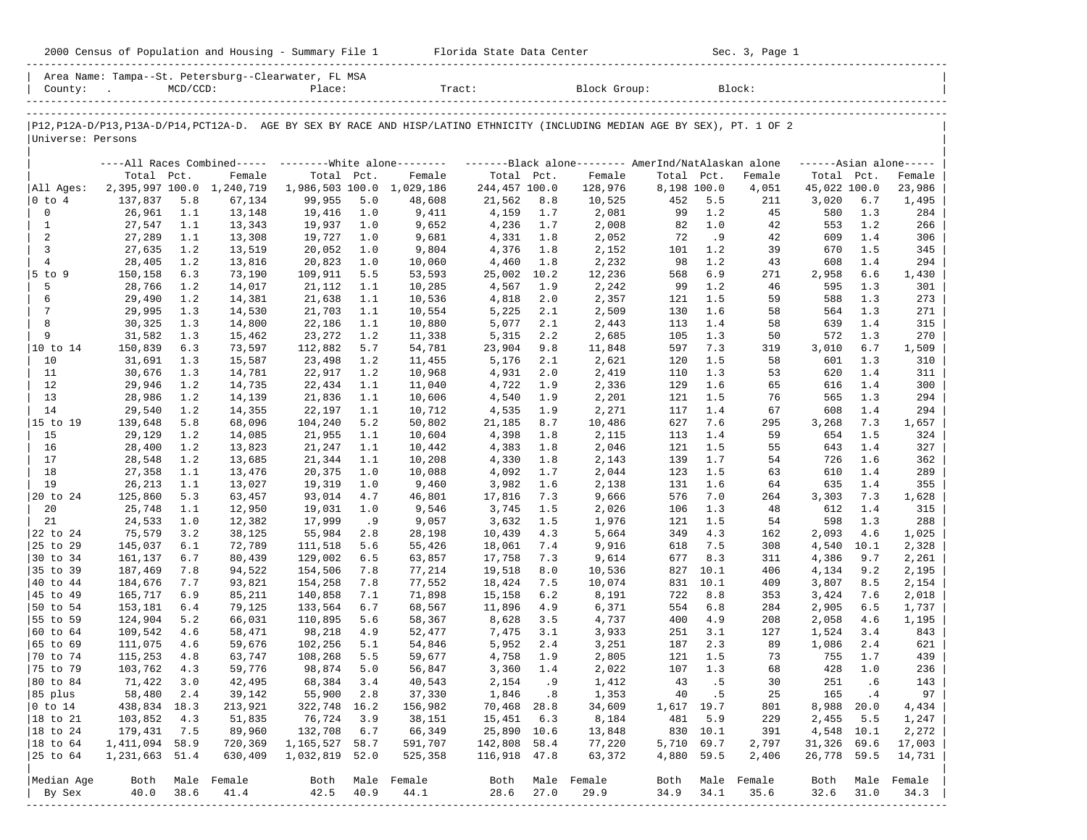|                        |                    |             |                           |                                                                |            |                                                                                                                            |                 |            |                 |             |            | Sec. 3, Page 1 |                |            |                     |
|------------------------|--------------------|-------------|---------------------------|----------------------------------------------------------------|------------|----------------------------------------------------------------------------------------------------------------------------|-----------------|------------|-----------------|-------------|------------|----------------|----------------|------------|---------------------|
|                        | County: .          | $MCD/CCD$ : |                           | Area Name: Tampa--St. Petersburg--Clearwater, FL MSA<br>Place: |            | Tract: Block Group: Block:                                                                                                 |                 |            |                 |             |            |                |                |            |                     |
|                        |                    |             |                           |                                                                |            | P12,P12A-D/P13,P13A-D/P14,PCT12A-D. AGE BY SEX BY RACE AND HISP/LATINO ETHNICITY (INCLUDING MEDIAN AGE BY SEX), PT. 1 OF 2 |                 |            |                 |             |            |                |                |            |                     |
| Universe: Persons      |                    |             |                           |                                                                |            |                                                                                                                            |                 |            |                 |             |            |                |                |            |                     |
|                        |                    |             |                           |                                                                |            | ----All Races Combined----- --------White alone------- ----------Black alone-------- AmerInd/NatAlaskan alone              |                 |            |                 |             |            |                |                |            | $---Asian alone---$ |
|                        | Total Pct.         |             | Female                    | Total Pct.                                                     |            | Female                                                                                                                     | Total Pct.      |            | Female          | Total Pct.  |            | Female         | Total Pct.     |            | Female              |
| All Ages:              |                    |             | 2,395,997 100.0 1,240,719 |                                                                |            | 1,986,503 100.0 1,029,186                                                                                                  | 244,457 100.0   |            | 128,976         | 8,198 100.0 |            | 4,051          | 45,022 100.0   |            | 23,986              |
| $ 0 \t{to} 4$<br>0     | 137,837            | 5.8         | 67,134                    | 99,955                                                         | 5.0        | 48,608                                                                                                                     | 21,562          | 8.8        | 10,525          | 452         | 5.5        | 211            | 3,020          | 6.7        | 1,495               |
| $\mathbf{1}$           | 26,961<br>27,547   | 1.1<br>1.1  | 13,148<br>13,343          | 19,416<br>19,937                                               | 1.0<br>1.0 | 9,411<br>9,652                                                                                                             | 4,159<br>4,236  | 1.7<br>1.7 | 2,081<br>2,008  | 99<br>82    | 1.2<br>1.0 | 45<br>42       | 580<br>553     | 1.3<br>1.2 | 284<br>266          |
| 2                      | 27,289             | 1.1         | 13,308                    | 19,727                                                         | 1.0        | 9,681                                                                                                                      | 4,331           | 1.8        | 2,052           | 72          | .9         | 42             | 609            | 1.4        | 306                 |
| 3                      | 27,635             | 1.2         | 13,519                    | 20,052                                                         | 1.0        | 9,804                                                                                                                      | 4,376           | 1.8        | 2,152           | 101         | 1.2        | 39             | 670            | 1.5        | 345                 |
| $\overline{4}$         | 28,405             | 1.2         | 13,816                    | 20,823                                                         | 1.0        | 10,060                                                                                                                     | 4,460           | 1.8        | 2,232           | 98          | 1.2        | 43             | 608            | 1.4        | 294                 |
| $5$ to 9               | 150,158            | 6.3         | 73,190                    | 109,911                                                        | 5.5        | 53,593                                                                                                                     | 25,002 10.2     |            | 12,236          | 568         | 6.9        | 271            | 2,958          | 6.6        | 1,430               |
| 5                      | 28,766             | 1.2         | 14,017                    | 21,112                                                         | 1.1        | 10,285                                                                                                                     | 4,567           | 1.9        | 2,242           | 99          | 1.2        | 46             | 595            | 1.3        | 301                 |
| 6                      | 29,490             | 1.2         | 14,381                    | 21,638                                                         | 1.1        | 10,536                                                                                                                     | 4,818           | 2.0        | 2,357           | 121         | 1.5        | 59             | 588            | 1.3        | 273                 |
| 7                      | 29,995             | 1.3         | 14,530                    | 21,703                                                         | 1.1        | 10,554                                                                                                                     | 5,225           | 2.1        | 2,509           | 130         | 1.6        | 58             | 564            | 1.3        | 271                 |
| 8                      | 30,325             | 1.3         | 14,800                    | 22,186                                                         | 1.1        | 10,880                                                                                                                     | 5,077           | 2.1        | 2,443           | 113         | 1.4        | 58             | 639            | 1.4        | 315                 |
| 9<br> 10 to 14         | 31,582<br>150,839  | 1.3<br>6.3  | 15,462<br>73,597          | 23,272<br>112,882                                              | 1.2<br>5.7 | 11,338<br>54,781                                                                                                           | 5,315<br>23,904 | 2.2<br>9.8 | 2,685<br>11,848 | 105<br>597  | 1.3<br>7.3 | 50<br>319      | 572<br>3,010   | 1.3<br>6.7 | 270<br>1,509        |
| 10                     | 31,691             | 1.3         | 15,587                    | 23,498                                                         | 1.2        | 11,455                                                                                                                     | 5,176           | 2.1        | 2,621           | 120         | 1.5        | 58             | 601            | 1.3        | 310                 |
| 11                     | 30,676             | 1.3         | 14,781                    | 22,917                                                         | 1.2        | 10,968                                                                                                                     | 4,931           | 2.0        | 2,419           | 110         | 1.3        | 53             | 620            | 1.4        | 311                 |
| 12                     | 29,946             | 1.2         | 14,735                    | 22,434                                                         | 1.1        | 11,040                                                                                                                     | 4,722           | 1.9        | 2,336           | 129         | 1.6        | 65             | 616            | 1.4        | 300                 |
| 13                     | 28,986             | 1.2         | 14,139                    | 21,836                                                         | 1.1        | 10,606                                                                                                                     | 4,540           | 1.9        | 2,201           | 121         | 1.5        | 76             | 565            | 1.3        | 294                 |
| 14                     | 29,540             | 1.2         | 14,355                    | 22,197                                                         | 1.1        | 10,712                                                                                                                     | 4,535           | 1.9        | 2,271           | 117         | 1.4        | 67             | 608            | 1.4        | 294                 |
| 15 to 19               | 139,648            | 5.8         | 68,096                    | 104,240                                                        | 5.2        | 50,802                                                                                                                     | 21,185          | 8.7        | 10,486          | 627         | 7.6        | 295            | 3,268          | 7.3        | 1,657               |
| 15                     | 29,129             | 1.2         | 14,085                    | 21,955                                                         | 1.1        | 10,604                                                                                                                     | 4,398           | 1.8        | 2,115           | 113         | 1.4        | 59             | 654            | 1.5        | 324                 |
| 16                     | 28,400             | 1.2         | 13,823                    | 21,247                                                         | 1.1        | 10,442                                                                                                                     | 4,383           | 1.8        | 2,046           | 121         | 1.5        | 55             | 643            | 1.4        | 327                 |
| 17                     | 28,548             | 1.2         | 13,685                    | 21,344                                                         | 1.1        | 10,208                                                                                                                     | 4,330           | 1.8        | 2,143           | 139         | 1.7        | 54             | 726            | 1.6        | 362                 |
| 18                     | 27,358             | 1.1         | 13,476                    | 20,375                                                         | 1.0        | 10,088                                                                                                                     | 4,092           | 1.7        | 2,044           | 123         | 1.5        | 63             | 610            | 1.4        | 289                 |
| 19<br>20 to 24         | 26,213<br>125,860  | 1.1<br>5.3  | 13,027<br>63,457          | 19,319<br>93,014                                               | 1.0<br>4.7 | 9,460<br>46,801                                                                                                            | 3,982<br>17,816 | 1.6<br>7.3 | 2,138<br>9,666  | 131<br>576  | 1.6<br>7.0 | 64<br>264      | 635<br>3,303   | 1.4<br>7.3 | 355<br>1,628        |
| 20                     | 25,748             | 1.1         | 12,950                    | 19,031                                                         | 1.0        | 9,546                                                                                                                      | 3,745           | 1.5        | 2,026           | 106         | 1.3        | 48             | 612            | 1.4        | 315                 |
| 21                     | 24,533             | 1.0         | 12,382                    | 17,999                                                         | . 9        | 9,057                                                                                                                      | 3,632           | 1.5        | 1,976           | 121         | 1.5        | 54             | 598            | 1.3        | 288                 |
| 22 to 24               | 75,579             | 3.2         | 38,125                    | 55,984                                                         | 2.8        | 28,198                                                                                                                     | 10,439          | 4.3        | 5,664           | 349         | 4.3        | 162            | 2,093          | 4.6        | 1,025               |
| 25 to 29               | 145,037            | 6.1         | 72,789                    | 111,518                                                        | 5.6        | 55,426                                                                                                                     | 18,061          | 7.4        | 9,916           | 618         | 7.5        | 308            | 4,540          | 10.1       | 2,328               |
| 30 to 34               | 161,137            | 6.7         | 80,439                    | 129,002                                                        | 6.5        | 63,857                                                                                                                     | 17,758          | 7.3        | 9,614           | 677         | 8.3        | 311            | 4,386          | 9.7        | 2,261               |
| 35 to 39               | 187,469            | 7.8         | 94,522                    | 154,506                                                        | 7.8        | 77,214                                                                                                                     | 19,518          | 8.0        | 10,536          | 827         | 10.1       | 406            | 4,134          | 9.2        | 2,195               |
| 40 to 44               | 184,676            | 7.7         | 93,821                    | 154,258                                                        | 7.8        | 77,552                                                                                                                     | 18,424          | 7.5        | 10,074          | 831         | 10.1       | 409            | 3,807          | 8.5        | 2,154               |
| 45 to 49               | 165,717            | 6.9         | 85,211                    | 140,858                                                        | 7.1        | 71,898                                                                                                                     | 15,158          | 6.2        | 8,191           | 722         | 8.8        | 353            | 3,424          | 7.6        | 2,018               |
| 50 to 54               | 153,181            | 6.4         | 79,125                    | 133,564                                                        | 6.7        | 68,567                                                                                                                     | 11,896          | 4.9        | 6,371           | 554         | 6.8        | 284            | 2,905          | 6.5        | 1,737               |
| 55 to 59               | 124,904            | 5.2         | 66,031                    | 110,895                                                        | 5.6        | 58,367                                                                                                                     | 8,628           | 3.5        | 4,737           | 400         | 4.9        | 208            | 2,058          | 4.6        | 1,195               |
| 60 to 64<br>65 to 69   | 109,542<br>111,075 | 4.6<br>4.6  | 58,471<br>59,676          | 98,218<br>102,256                                              | 4.9<br>5.1 | 52,477<br>54,846                                                                                                           | 7,475<br>5,952  | 3.1<br>2.4 | 3,933<br>3,251  | 251<br>187  | 3.1<br>2.3 | 127<br>89      | 1,524<br>1,086 | 3.4<br>2.4 | 843<br>621          |
| 70 to 74               | $115,253$ 4.8      |             | 63,747                    | 108,268                                                        | 5.5        | 59,677                                                                                                                     | 4,758 1.9       |            | 2,805           |             | 121 1.5    | 73             | 755            | 1.7        | 439                 |
| 75 to 79               | 103,762            | 4.3         | 59,776                    | 98,874                                                         | 5.0        | 56,847                                                                                                                     | 3,360           | 1.4        | 2,022           | 107         | 1.3        | 68             | 428            | 1.0        | 236                 |
| 80 to 84               | 71,422             | 3.0         | 42,495                    | 68,384                                                         | 3.4        | 40,543                                                                                                                     | 2,154           | .9         | 1,412           | 43          | .5         | 30             | 251            | .6         | 143                 |
| 85 plus                | 58,480             | 2.4         | 39,142                    | 55,900                                                         | 2.8        | 37,330                                                                                                                     | 1,846           | .8         | 1,353           | 40          | . 5        | 25             | 165            | .4         | 97                  |
| $ 0 \t\t \text{to} 14$ | 438,834 18.3       |             | 213,921                   | 322,748                                                        | 16.2       | 156,982                                                                                                                    | 70,468          | 28.8       | 34,609          | 1,617 19.7  |            | 801            |                | 8,988 20.0 | 4,434               |
| 18 to 21               | 103,852            | 4.3         | 51,835                    | 76,724                                                         | 3.9        | 38,151                                                                                                                     | 15,451          | 6.3        | 8,184           | 481         | 5.9        | 229            | 2,455          | 5.5        | 1,247               |
| $ 18$ to $24$          | 179,431            | 7.5         | 89,960                    | 132,708                                                        | 6.7        | 66,349                                                                                                                     | 25,890 10.6     |            | 13,848          |             | 830 10.1   | 391            | 4,548 10.1     |            | 2,272               |
| $ 18 \text{ to } 64$   | 1,411,094 58.9     |             | 720,369                   | 1, 165, 527 58.7                                               |            | 591,707                                                                                                                    | 142,808 58.4    |            | 77,220          | 5,710 69.7  |            | 2,797          | 31,326 69.6    |            | 17,003              |
|                        | 1,231,663 51.4     |             | 630,409                   | 1,032,819 52.0                                                 |            | 525,358                                                                                                                    | 116,918 47.8    |            | 63,372          | 4,880 59.5  |            | 2,406          | 26,778 59.5    |            | 14,731              |
| Median Age             | Both               |             | Male Female               | Both                                                           |            | Male Female                                                                                                                | Both            |            | Male Female     | Both        |            | Male Female    | Both           | Male       | Female              |
| By Sex                 | 40.0               | 38.6        | 41.4                      | 42.5                                                           | 40.9       | 44.1                                                                                                                       | 28.6            | 27.0       | 29.9            | 34.9        | 34.1       | 35.6           | 32.6           | 31.0       | 34.3                |
|                        |                    |             | ------------------------  |                                                                |            |                                                                                                                            |                 |            |                 |             |            |                |                |            | -----------------   |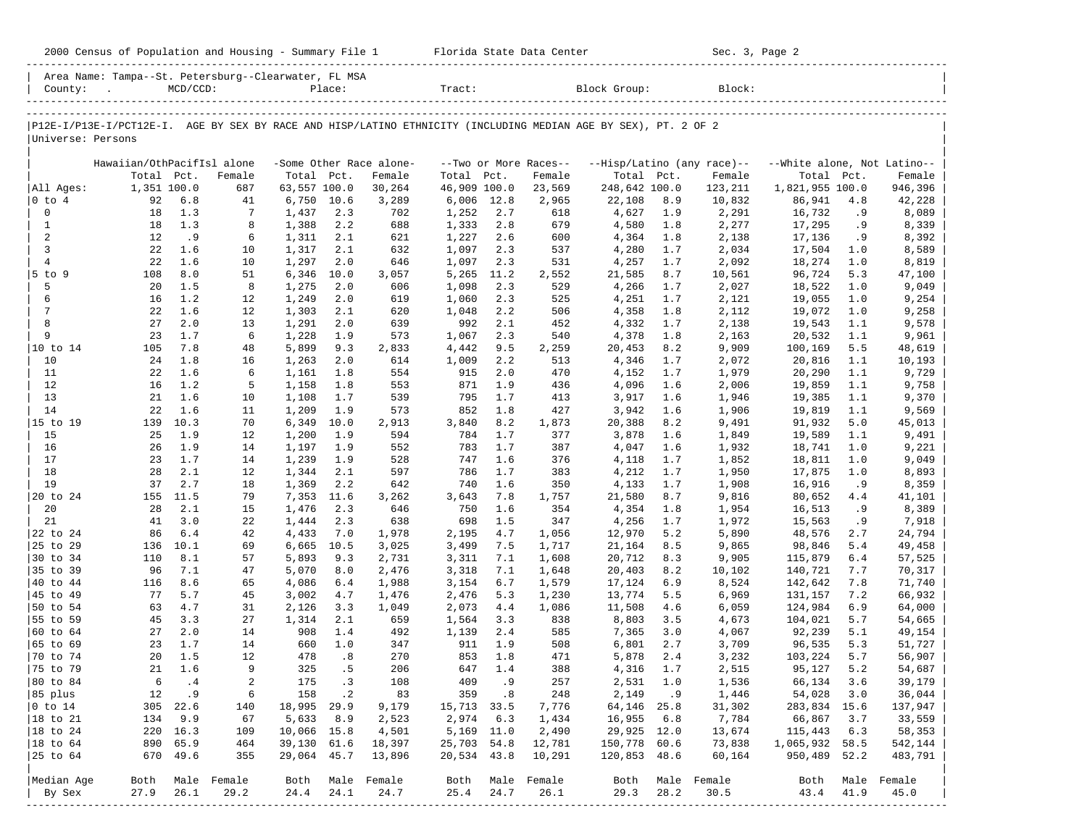| County:                   | Area Name: Tampa--St. Petersburg--Clearwater, FL MSA<br><b>Contract Contract</b>                               | $MCD/CCD$ :  |                      |                  | Place:       |                                   | Tract:               |            |                                 | Block Group:       |              | Block:                               |                                           |              |                    |
|---------------------------|----------------------------------------------------------------------------------------------------------------|--------------|----------------------|------------------|--------------|-----------------------------------|----------------------|------------|---------------------------------|--------------------|--------------|--------------------------------------|-------------------------------------------|--------------|--------------------|
| Universe: Persons         | P12E-I/P13E-I/PCT12E-I. AGE BY SEX BY RACE AND HISP/LATINO ETHNICITY (INCLUDING MEDIAN AGE BY SEX), PT. 2 OF 2 |              |                      |                  |              |                                   |                      |            |                                 |                    |              |                                      |                                           |              |                    |
|                           | Hawaiian/OthPacifIsl alone                                                                                     | Total Pct.   | Female               | Total Pct.       |              | -Some Other Race alone-<br>Female | Total Pct.           |            | --Two or More Races--<br>Female | Total Pct.         |              | --Hisp/Latino (any race)--<br>Female | --White alone, Not Latino--<br>Total Pct. |              | Female             |
| All Ages:                 | 1,351 100.0                                                                                                    |              | 687                  | 63,557 100.0     |              | 30,264                            | 46,909 100.0         |            | 23,569                          | 248,642 100.0      |              | 123,211                              | 1,821,955 100.0                           |              | 946,396            |
| $ 0 \t{to} 4$             | 92                                                                                                             | 6.8          | 41                   | 6,750 10.6       |              | 3,289                             | 6,006                | 12.8       | 2,965                           | 22,108             | 8.9          | 10,832                               | 86,941                                    | 4.8          | 42,228             |
| 0                         | 18                                                                                                             | 1.3          | 7                    | 1,437            | 2.3          | 702                               | 1,252                | 2.7        | 618                             | 4,627              | 1.9          | 2,291                                | 16,732                                    | .9           | 8,089              |
| $\mathbf{1}$              | 18                                                                                                             | 1.3          | 8                    | 1,388            | 2.2          | 688                               | 1,333                | 2.8        | 679                             | 4,580              | 1.8          | 2,277                                | 17,295                                    | .9           | 8,339              |
| 2                         | 12                                                                                                             | .9           | 6                    | 1,311            | 2.1          | 621                               | 1,227                | 2.6        | 600                             | 4,364              | 1.8          | 2,138                                | 17,136                                    | .9           | 8,392              |
| $\overline{3}$            | 22                                                                                                             | 1.6          | 10                   | 1,317            | 2.1          | 632                               | 1,097                | 2.3        | 537                             | 4,280              | 1.7          | 2,034                                | 17,504                                    | 1.0          | 8,589              |
| $\overline{4}$            | 22                                                                                                             | 1.6          | 10                   | 1,297            | 2.0          | 646                               | 1,097                | 2.3        | 531                             | 4,257              | 1.7          | 2,092                                | 18,274                                    | 1.0          | 8,819              |
| $5$ to $9$                | 108                                                                                                            | 8.0          | 51                   | 6,346            | 10.0         | 3,057                             | 5,265                | 11.2       | 2,552                           | 21,585             | 8.7          | 10,561                               | 96,724                                    | 5.3          | 47,100             |
| 5                         | 20                                                                                                             | 1.5          | 8                    | 1,275            | 2.0          | 606                               | 1,098                | 2.3        | 529                             | 4,266              | 1.7          | 2,027                                | 18,522                                    | 1.0          | 9,049              |
| 6                         | 16                                                                                                             | 1.2          | 12                   | 1,249            | 2.0          | 619                               | 1,060                | 2.3        | 525                             | 4,251              | 1.7          | 2,121                                | 19,055                                    | 1.0          | 9,254              |
| 7                         | 22                                                                                                             | 1.6          | 12                   | 1,303            | 2.1          | 620                               | 1,048                | 2.2        | 506                             | 4,358              | 1.8          | 2,112                                | 19,072                                    | 1.0          | 9,258              |
| 8<br>9                    | 27<br>23                                                                                                       | 2.0<br>1.7   | 13                   | 1,291            | 2.0          | 639<br>573                        | 992                  | 2.1        | 452                             | 4,332              | 1.7          | 2,138                                | 19,543                                    | 1.1          | 9,578              |
| 10 to 14                  | 105                                                                                                            | 7.8          | 6<br>48              | 1,228<br>5,899   | 1.9<br>9.3   | 2,833                             | 1,067<br>4,442       | 2.3<br>9.5 | 540<br>2,259                    | 4,378<br>20,453    | 1.8<br>8.2   | 2,163<br>9,909                       | 20,532<br>100,169                         | 1.1<br>5.5   | 9,961<br>48,619    |
| 10                        | 24                                                                                                             | 1.8          | 16                   | 1,263            | 2.0          | 614                               | 1,009                | 2.2        | 513                             | 4,346              | 1.7          | 2,072                                | 20,816                                    | 1.1          | 10,193             |
| 11                        | 22                                                                                                             | 1.6          | 6                    | 1,161            | 1.8          | 554                               | 915                  | 2.0        | 470                             | 4,152              | 1.7          | 1,979                                | 20,290                                    | 1.1          | 9,729              |
| 12                        | 16                                                                                                             | 1.2          | 5                    | 1,158            | 1.8          | 553                               | 871                  | 1.9        | 436                             | 4,096              | 1.6          | 2,006                                | 19,859                                    | 1.1          | 9,758              |
| 13                        | 21                                                                                                             | 1.6          | 10                   | 1,108            | 1.7          | 539                               | 795                  | 1.7        | 413                             | 3,917              | 1.6          | 1,946                                | 19,385                                    | 1.1          | 9,370              |
| 14                        | 22                                                                                                             | 1.6          | 11                   | 1,209            | 1.9          | 573                               | 852                  | 1.8        | 427                             | 3,942              | 1.6          | 1,906                                | 19,819                                    | 1.1          | 9,569              |
| 15 to 19                  | 139                                                                                                            | 10.3         | 70                   | 6,349            | 10.0         | 2,913                             | 3,840                | 8.2        | 1,873                           | 20,388             | 8.2          | 9,491                                | 91,932                                    | 5.0          | 45,013             |
| 15                        | 25                                                                                                             | 1.9          | 12                   | 1,200            | 1.9          | 594                               | 784                  | 1.7        | 377                             | 3,878              | 1.6          | 1,849                                | 19,589                                    | 1.1          | 9,491              |
| 16                        | 26                                                                                                             | 1.9          | 14                   | 1,197            | 1.9          | 552                               | 783                  | 1.7        | 387                             | 4,047              | 1.6          | 1,932                                | 18,741                                    | 1.0          | 9,221              |
| 17                        | 23                                                                                                             | 1.7          | 14                   | 1,239            | 1.9          | 528                               | 747                  | 1.6        | 376                             | 4,118              | 1.7          | 1,852                                | 18,811                                    | 1.0          | 9,049              |
| 18                        | 28                                                                                                             | 2.1          | 12                   | 1,344            | 2.1          | 597                               | 786                  | 1.7        | 383                             | 4,212              | 1.7          | 1,950                                | 17,875                                    | 1.0          | 8,893              |
| 19                        | 37                                                                                                             | 2.7          | 18                   | 1,369            | 2.2          | 642                               | 740                  | 1.6        | 350                             | 4,133              | 1.7          | 1,908                                | 16,916                                    | .9           | 8,359              |
| 20 to 24                  | 155                                                                                                            | 11.5         | 79                   | 7,353            | 11.6         | 3,262                             | 3,643                | 7.8        | 1,757                           | 21,580             | 8.7          | 9,816                                | 80,652                                    | 4.4          | 41,101             |
| 20                        | 28                                                                                                             | 2.1          | 15                   | 1,476            | 2.3          | 646                               | 750                  | 1.6        | 354                             | 4,354              | 1.8          | 1,954                                | 16,513                                    | .9           | 8,389              |
| 21                        | 41<br>86                                                                                                       | 3.0<br>6.4   | 22<br>42             | 1,444            | 2.3<br>7.0   | 638<br>1,978                      | 698<br>2,195         | 1.5<br>4.7 | 347                             | 4,256              | 1.7          | 1,972<br>5,890                       | 15,563<br>48,576                          | . 9<br>2.7   | 7,918              |
| 22 to 24<br>25 to 29      | 136                                                                                                            | 10.1         | 69                   | 4,433<br>6,665   | 10.5         | 3,025                             | 3,499                | 7.5        | 1,056<br>1,717                  | 12,970<br>21,164   | 5.2<br>8.5   | 9,865                                | 98,846                                    | 5.4          | 24,794<br>49,458   |
| 30 to 34                  | 110                                                                                                            | 8.1          | 57                   | 5,893            | 9.3          | 2,731                             | 3,311                | 7.1        | 1,608                           | 20,712             | 8.3          | 9,905                                | 115,879                                   | 6.4          | 57,525             |
| 35 to 39                  | 96                                                                                                             | 7.1          | 47                   | 5,070            | 8.0          | 2,476                             | 3,318                | 7.1        | 1,648                           | 20,403             | 8.2          | 10,102                               | 140,721                                   | 7.7          | 70,317             |
| 40 to 44                  | 116                                                                                                            | 8.6          | 65                   | 4,086            | 6.4          | 1,988                             | 3,154                | 6.7        | 1,579                           | 17,124             | 6.9          | 8,524                                | 142,642                                   | 7.8          | 71,740             |
| 45 to 49                  | 77                                                                                                             | 5.7          | 45                   | 3,002            | 4.7          | 1,476                             | 2,476                | 5.3        | 1,230                           | 13,774             | 5.5          | 6,969                                | 131,157                                   | 7.2          | 66,932             |
| 50 to 54                  | 63                                                                                                             | 4.7          | 31                   | 2,126            | 3.3          | 1,049                             | 2,073                | 4.4        | 1,086                           | 11,508             | 4.6          | 6,059                                | 124,984                                   | 6.9          | 64,000             |
| 55 to 59                  | 45                                                                                                             | 3.3          | 27                   | 1,314            | 2.1          | 659                               | 1,564                | 3.3        | 838                             | 8,803              | 3.5          | 4,673                                | 104,021                                   | 5.7          | 54,665             |
| 60 to 64                  | 27                                                                                                             | 2.0          | 14                   | 908              | 1.4          | 492                               | 1,139                | 2.4        | 585                             | 7,365              | 3.0          | 4,067                                | 92,239                                    | 5.1          | 49,154             |
| 65 to 69                  | 23                                                                                                             | 1.7          | 14                   | 660              | 1.0          | 347                               | 911                  | 1.9        | 508                             | 6,801              | 2.7          | 3,709                                | 96,535                                    | 5.3          | 51,727             |
| 70 to 74                  | 20                                                                                                             | 1.5          | 12                   | 478              | .8           | 270                               | 853                  | 1.8        | 471                             | 5,878              | 2.4          | 3,232                                | 103,224                                   | 5.7          | 56,907             |
| 75 to 79                  | 21                                                                                                             | 1.6          | 9                    | 325              | .5           | 206                               | 647                  | 1.4        | 388                             | 4,316              | 1.7          | 2,515                                | 95,127                                    | 5.2          | 54,687             |
| 80 to 84                  | 6                                                                                                              | .4           | 2                    | 175              | .3           | 108                               | 409                  | .9         | 257                             | 2,531              | 1.0          | 1,536                                | 66,134                                    | 3.6          | 39,179             |
| 85 plus                   | 12                                                                                                             | . 9          | 6                    | 158              | $\cdot$ 2    | 83                                | 359                  | .8         | 248                             | 2,149              | .9           | 1,446                                | 54,028                                    | 3.0          | 36,044             |
| $0$ to $14$               | 305                                                                                                            | 22.6         | 140                  | 18,995           | 29.9         | 9,179                             | 15,713               | 33.5       | 7,776                           | 64,146             | 25.8         | 31,302                               | 283,834 15.6                              |              | 137,947            |
| 18 to 21                  | 134                                                                                                            | 9.9          | 67                   | 5,633            | 8.9          | 2,523                             | 2,974                | 6.3        | 1,434                           | 16,955             | 6.8          | 7,784                                | 66,867                                    | 3.7          | 33,559             |
| 18 to 24                  | 220<br>890                                                                                                     | 16.3         | 109                  | 10,066<br>39,130 | 15.8         | 4,501                             | 5,169 11.0<br>25,703 | 54.8       | 2,490                           | 29,925 12.0        |              | 13,674                               | 115,443<br>1,065,932                      | 6.3          | 58,353             |
| $ 18$ to $64$<br>25 to 64 | 670                                                                                                            | 65.9<br>49.6 | 464<br>355           | 29,064           | 61.6<br>45.7 | 18,397<br>13,896                  | 20,534 43.8          |            | 12,781<br>10,291                | 150,778<br>120,853 | 60.6<br>48.6 | 73,838<br>60,164                     | 950,489                                   | 58.5<br>52.2 | 542,144<br>483,791 |
|                           |                                                                                                                |              |                      |                  |              |                                   |                      |            |                                 |                    |              |                                      |                                           |              |                    |
| Median Age                | Both                                                                                                           |              | Male Female          | Both             |              | Male Female                       | Both                 | Male       | Female                          | Both               |              | Male Female                          | Both                                      |              | Male Female        |
| By Sex                    | 27.9                                                                                                           | 26.1         | 29.2                 | 24.4             | 24.1         | 24.7                              | 25.4                 | 24.7       | 26.1                            | 29.3               | 28.2         | 30.5                                 | 43.4                                      | 41.9         | 45.0               |
| --------                  |                                                                                                                |              | -------------------- |                  |              |                                   |                      |            |                                 |                    |              | --------------------------           |                                           |              |                    |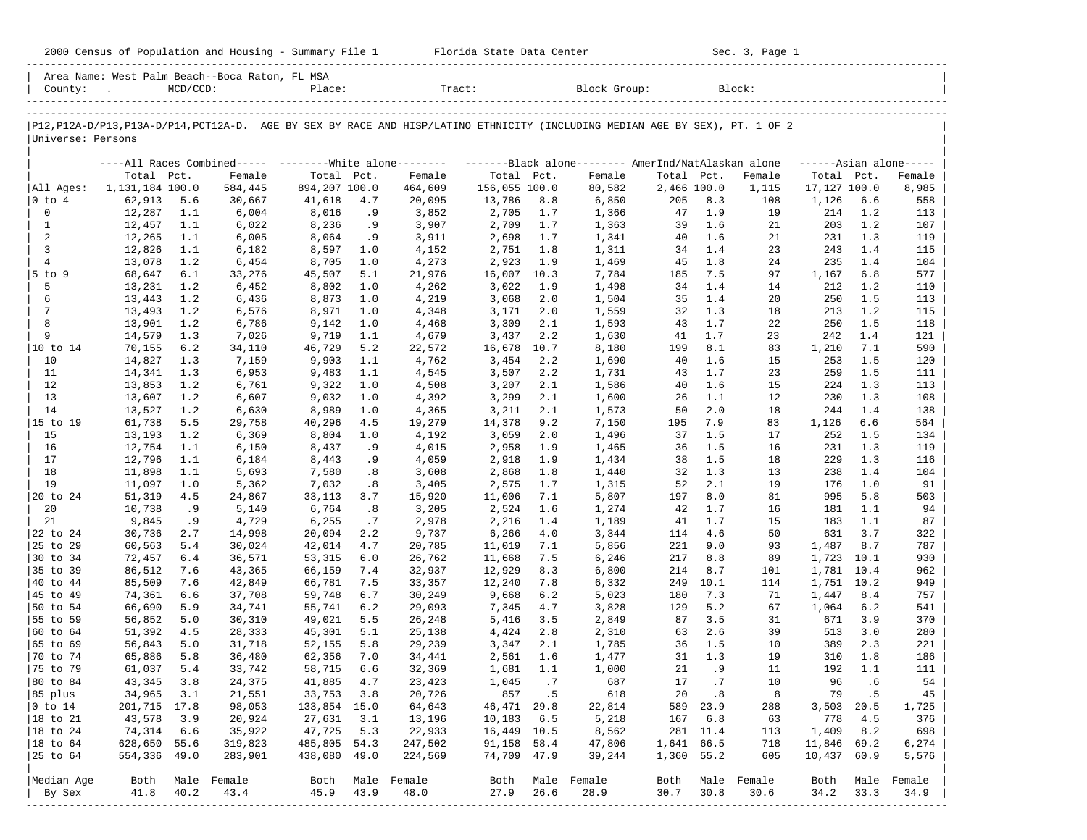|                             |                  |            |                                                                                                                               |                  |            |                  |                      |            |                |             |            | Sec. 3, Page 1 |              |            |                     |
|-----------------------------|------------------|------------|-------------------------------------------------------------------------------------------------------------------------------|------------------|------------|------------------|----------------------|------------|----------------|-------------|------------|----------------|--------------|------------|---------------------|
|                             | County: .        | MCD/CCD:   | Area Name: West Palm Beach--Boca Raton, FL MSA                                                                                | Place:           |            | Tract:           |                      |            | Block Group:   |             |            | Block:         |              |            |                     |
|                             |                  |            | P12, P12A-D/P13, P13A-D/P14, PCT12A-D. AGE BY SEX BY RACE AND HISP/LATINO ETHNICITY (INCLUDING MEDIAN AGE BY SEX), PT. 1 OF 2 |                  |            |                  |                      |            |                |             |            |                |              |            |                     |
| Universe: Persons           |                  |            |                                                                                                                               |                  |            |                  |                      |            |                |             |            |                |              |            |                     |
|                             |                  |            | ----All Races Combined----- ---------White alone-------- ---------Black alone-------- AmerInd/NatAlaskan alone                |                  |            |                  |                      |            |                |             |            |                |              |            | $---Asian alone---$ |
|                             | Total Pct.       |            | Female                                                                                                                        | Total Pct.       |            | Female           | Total Pct.           |            | Female         | Total Pct.  |            | Female         | Total Pct.   |            | Female              |
| All Ages:                   | 1,131,184 100.0  |            | 584,445                                                                                                                       | 894,207 100.0    |            | 464,609          | 156,055 100.0        |            | 80,582         | 2,466 100.0 |            | 1,115          | 17,127 100.0 |            | 8,985               |
| $ 0 \t{to} 4$               | 62,913           | 5.6        | 30,667                                                                                                                        | 41,618           | 4.7        | 20,095           | 13,786               | 8.8        | 6,850          | 205         | 8.3        | 108            | 1,126        | 6.6        | 558                 |
| $\mathbf 0$                 | 12,287           | 1.1        | 6,004                                                                                                                         | 8,016            | .9         | 3,852            | 2,705                | 1.7        | 1,366          | 47          | 1.9        | 19             | 214          | 1.2        | 113                 |
| <sup>1</sup><br>2           | 12,457<br>12,265 | 1.1<br>1.1 | 6,022<br>6,005                                                                                                                | 8,236<br>8,064   | .9<br>.9   | 3,907<br>3,911   | 2,709<br>2,698       | 1.7<br>1.7 | 1,363<br>1,341 | 39<br>40    | 1.6<br>1.6 | 21<br>21       | 203<br>231   | 1.2<br>1.3 | 107<br>119          |
| $\overline{3}$              | 12,826           | 1.1        | 6,182                                                                                                                         | 8,597            | 1.0        | 4,152            | 2,751                | 1.8        | 1,311          | 34          | 1.4        | 23             | 243          | 1.4        | 115                 |
| 4                           | 13,078           | 1.2        | 6,454                                                                                                                         | 8,705            | 1.0        | 4,273            | 2,923                | 1.9        | 1,469          | 45          | 1.8        | 24             | 235          | 1.4        | 104                 |
| $5$ to $9$                  | 68,647           | 6.1        | 33,276                                                                                                                        | 45,507           | 5.1        | 21,976           | 16,007               | 10.3       | 7,784          | 185         | 7.5        | 97             | 1,167        | 6.8        | 577                 |
| 5                           | 13,231           | 1.2        | 6,452                                                                                                                         | 8,802            | 1.0        | 4,262            | 3,022                | 1.9        | 1,498          | 34          | 1.4        | 14             | 212          | 1.2        | 110                 |
| 6                           | 13,443           | 1.2        | 6,436                                                                                                                         | 8,873            | 1.0        | 4,219            | 3,068                | 2.0        | 1,504          | 35          | 1.4        | 20             | 250          | 1.5        | 113                 |
| 7                           | 13,493           | 1.2        | 6,576                                                                                                                         | 8,971            | 1.0        | 4,348            | 3,171                | 2.0        | 1,559          | 32          | 1.3        | 18             | 213          | 1.2        | 115                 |
| 8                           | 13,901           | 1.2        | 6,786                                                                                                                         | 9,142            | 1.0        | 4,468            | 3,309                | 2.1        | 1,593          | 43          | 1.7        | 22             | 250          | 1.5        | 118                 |
| 9                           | 14,579           | 1.3        | 7,026                                                                                                                         | 9,719            | 1.1        | 4,679            | 3,437                | 2.2        | 1,630          | 41          | 1.7        | 23             | 242          | 1.4        | 121                 |
| 10 to 14<br>10              | 70,155<br>14,827 | 6.2<br>1.3 | 34,110<br>7,159                                                                                                               | 46,729<br>9,903  | 5.2<br>1.1 | 22,572<br>4,762  | 16,678 10.7<br>3,454 | 2.2        | 8,180<br>1,690 | 199<br>40   | 8.1<br>1.6 | 83<br>15       | 1,210<br>253 | 7.1<br>1.5 | 590<br>120          |
| 11                          | 14,341           | 1.3        | 6,953                                                                                                                         | 9,483            | 1.1        | 4,545            | 3,507                | 2.2        | 1,731          | 43          | 1.7        | 23             | 259          | 1.5        | 111                 |
| 12                          | 13,853           | 1.2        | 6,761                                                                                                                         | 9,322            | 1.0        | 4,508            | 3,207                | 2.1        | 1,586          | 40          | 1.6        | 15             | 224          | 1.3        | 113                 |
| 13                          | 13,607           | 1.2        | 6,607                                                                                                                         | 9,032            | 1.0        | 4,392            | 3,299                | 2.1        | 1,600          | 26          | 1.1        | 12             | 230          | 1.3        | 108                 |
| 14                          | 13,527           | 1.2        | 6,630                                                                                                                         | 8,989            | 1.0        | 4,365            | 3,211                | 2.1        | 1,573          | 50          | 2.0        | 18             | 244          | 1.4        | 138                 |
| 15 to 19                    | 61,738           | 5.5        | 29,758                                                                                                                        | 40,296           | 4.5        | 19,279           | 14,378               | 9.2        | 7,150          | 195         | 7.9        | 83             | 1,126        | 6.6        | 564                 |
| 15                          | 13,193           | 1.2        | 6,369                                                                                                                         | 8,804            | 1.0        | 4,192            | 3,059                | 2.0        | 1,496          | 37          | 1.5        | 17             | 252          | 1.5        | 134                 |
| 16                          | 12,754           | 1.1        | 6,150                                                                                                                         | 8,437            | . 9        | 4,015            | 2,958                | 1.9        | 1,465          | 36          | 1.5        | 16             | 231          | 1.3        | 119                 |
| 17                          | 12,796           | 1.1        | 6,184                                                                                                                         | 8,443            | .9         | 4,059            | 2,918                | 1.9        | 1,434          | 38          | 1.5        | 18             | 229          | 1.3        | 116                 |
| 18                          | 11,898           | 1.1        | 5,693                                                                                                                         | 7,580            | .8         | 3,608            | 2,868                | 1.8        | 1,440          | 32          | 1.3        | 13             | 238          | 1.4        | 104                 |
| 19<br>20 to 24              | 11,097<br>51,319 | 1.0<br>4.5 | 5,362<br>24,867                                                                                                               | 7,032<br>33,113  | .8<br>3.7  | 3,405<br>15,920  | 2,575<br>11,006      | 1.7<br>7.1 | 1,315<br>5,807 | 52<br>197   | 2.1<br>8.0 | 19<br>81       | 176<br>995   | 1.0<br>5.8 | 91<br>503           |
| 20                          | 10,738           | .9         | 5,140                                                                                                                         | 6,764            | .8         | 3,205            | 2,524                | 1.6        | 1,274          | 42          | 1.7        | 16             | 181          | 1.1        | 94                  |
| 21                          | 9,845            | .9         | 4,729                                                                                                                         | 6,255            | .7         | 2,978            | 2,216                | 1.4        | 1,189          | 41          | 1.7        | 15             | 183          | 1.1        | 87                  |
| 22 to 24                    | 30,736           | 2.7        | 14,998                                                                                                                        | 20,094           | 2.2        | 9,737            | 6,266                | 4.0        | 3,344          | 114         | 4.6        | 50             | 631          | 3.7        | 322                 |
| 25 to 29                    | 60,563           | 5.4        | 30,024                                                                                                                        | 42,014           | 4.7        | 20,785           | 11,019               | 7.1        | 5,856          | 221         | 9.0        | 93             | 1,487        | 8.7        | 787                 |
| 30 to 34                    | 72,457           | 6.4        | 36,571                                                                                                                        | 53,315           | 6.0        | 26,762           | 11,668               | 7.5        | 6,246          | 217         | 8.8        | 89             | 1,723 10.1   |            | 930                 |
| 35 to 39                    | 86,512           | 7.6        | 43,365                                                                                                                        | 66,159           | 7.4        | 32,937           | 12,929               | 8.3        | 6,800          | 214         | 8.7        | 101            | 1,781 10.4   |            | 962                 |
| 40 to 44                    | 85,509           | 7.6        | 42,849                                                                                                                        | 66,781           | 7.5        | 33,357           | 12,240               | 7.8        | 6,332          | 249         | 10.1       | 114            | 1,751 10.2   |            | 949                 |
| 45 to 49                    | 74,361           | 6.6        | 37,708                                                                                                                        | 59,748           | 6.7        | 30,249           | 9,668                | 6.2        | 5,023          | 180         | 7.3        | 71             | 1,447        | 8.4        | 757                 |
| 50 to 54                    | 66,690           | 5.9        | 34,741                                                                                                                        | 55,741           | 6.2        | 29,093           | 7,345                | 4.7        | 3,828          | 129         | 5.2        | 67             | 1,064        | 6.2        | 541                 |
| 55 to 59                    | 56,852           | 5.0        | 30,310                                                                                                                        | 49,021           | 5.5        | 26,248           | 5,416                | 3.5        | 2,849          | 87          | 3.5        | 31             | 671          | 3.9        | 370                 |
| 60 to 64<br>$ 65 \t{to} 69$ | 51,392<br>56,843 | 4.5<br>5.0 | 28,333<br>31,718                                                                                                              | 45,301<br>52,155 | 5.1<br>5.8 | 25,138<br>29,239 | 4,424<br>3,347       | 2.8<br>2.1 | 2,310<br>1,785 | 63<br>36    | 2.6<br>1.5 | 39<br>10       | 513<br>389   | 3.0<br>2.3 | 280<br>221          |
| $ 70 \tto 74$               | 65,886           | 5.8        | 36,480                                                                                                                        | 62,356 7.0       |            | 34,441           | 2,561 1.6            |            | 1,477          |             | 31 1.3     | 19             |              | 310 1.8    | 186                 |
| 75 to 79                    | 61,037           | 5.4        | 33,742                                                                                                                        | 58,715           | 6.6        | 32,369           | $1,681$ $1.1$        |            | 1,000          | 21          | .9         | 11             | 192          | 1.1        | 111                 |
| 80 to 84                    | 43,345           | 3.8        | 24,375                                                                                                                        | 41,885           | 4.7        | 23,423           | 1,045                | .7         | 687            | 17          | .7         | 10             | 96           | .6         | 54                  |
| 85 plus                     | 34,965           | 3.1        | 21,551                                                                                                                        | 33,753           | 3.8        | 20,726           | 857                  | . 5        | 618            | 20          | .8         | 8              | 79           | .5         | 45                  |
| $ 0 \t\t \tto 14$           | 201,715 17.8     |            | 98,053                                                                                                                        | 133,854 15.0     |            | 64,643           | 46, 471 29.8         |            | 22,814         | 589         | 23.9       | 288            | 3,503        | 20.5       | 1,725               |
| 18 to 21                    | 43,578           | 3.9        | 20,924                                                                                                                        | 27,631           | 3.1        | 13,196           | 10,183               | 6.5        | 5,218          | 167         | 6.8        | 63             | 778          | 4.5        | 376                 |
| 18 to 24                    | 74,314           | 6.6        | 35,922                                                                                                                        | 47,725           | 5.3        | 22,933           | 16,449 10.5          |            | 8,562          |             | 281 11.4   | 113            | 1,409        | 8.2        | 698                 |
| 18 to 64                    | 628,650 55.6     |            | 319,823                                                                                                                       | 485,805          | 54.3       | 247,502          | 91,158 58.4          |            | 47,806         | 1,641 66.5  |            | 718            | 11,846 69.2  |            | $\,$ 6 , 274 $\,$   |
| 25 to 64                    | 554,336 49.0     |            | 283,901                                                                                                                       | 438,080          | 49.0       | 224,569          | 74,709 47.9          |            | 39,244         | 1,360 55.2  |            | 605            | 10,437 60.9  |            | 5,576               |
| Median Age                  | Both             |            | Male Female                                                                                                                   | Both             |            | Male Female      | Both                 |            | Male Female    | Both        |            | Male Female    | Both         |            | Male Female         |
| By Sex                      | 41.8             | 40.2       | 43.4                                                                                                                          | 45.9             | 43.9       | 48.0             | 27.9                 | 26.6       | 28.9           | 30.7        | 30.8       | 30.6           | 34.2         | 33.3       | 34.9                |
|                             |                  |            |                                                                                                                               |                  |            |                  |                      |            |                |             |            |                |              |            |                     |